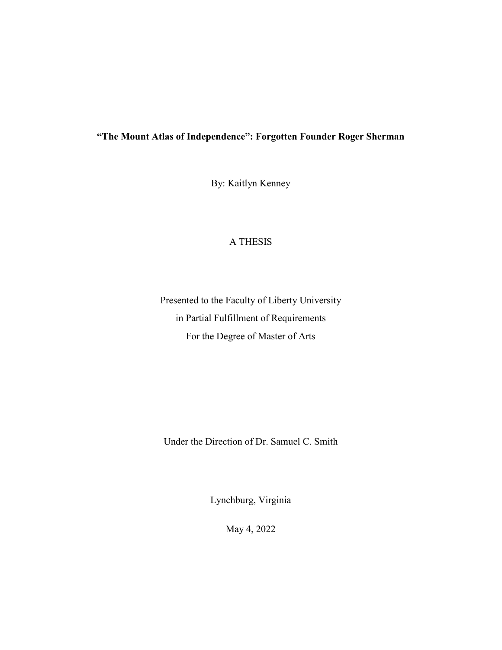## **"The Mount Atlas of Independence": Forgotten Founder Roger Sherman**

By: Kaitlyn Kenney

### A THESIS

Presented to the Faculty of Liberty University in Partial Fulfillment of Requirements For the Degree of Master of Arts

Under the Direction of Dr. Samuel C. Smith

Lynchburg, Virginia

May 4, 2022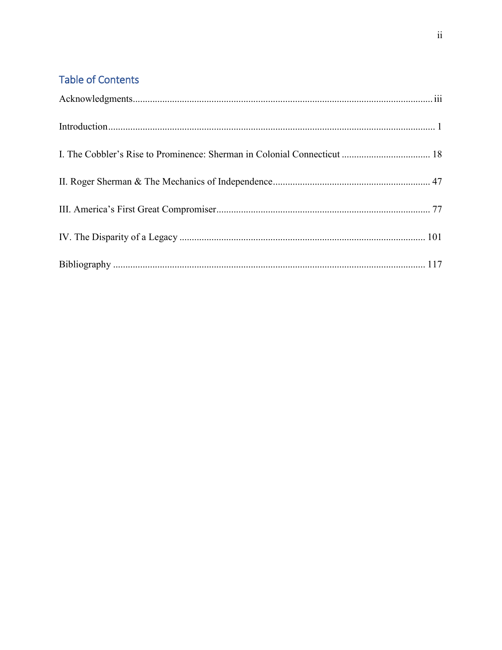# **Table of Contents**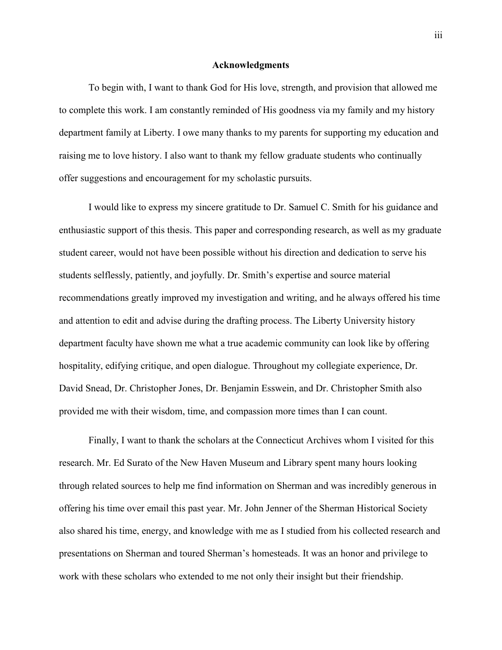#### **Acknowledgments**

<span id="page-2-0"></span>To begin with, I want to thank God for His love, strength, and provision that allowed me to complete this work. I am constantly reminded of His goodness via my family and my history department family at Liberty. I owe many thanks to my parents for supporting my education and raising me to love history. I also want to thank my fellow graduate students who continually offer suggestions and encouragement for my scholastic pursuits.

I would like to express my sincere gratitude to Dr. Samuel C. Smith for his guidance and enthusiastic support of this thesis. This paper and corresponding research, as well as my graduate student career, would not have been possible without his direction and dedication to serve his students selflessly, patiently, and joyfully. Dr. Smith's expertise and source material recommendations greatly improved my investigation and writing, and he always offered his time and attention to edit and advise during the drafting process. The Liberty University history department faculty have shown me what a true academic community can look like by offering hospitality, edifying critique, and open dialogue. Throughout my collegiate experience, Dr. David Snead, Dr. Christopher Jones, Dr. Benjamin Esswein, and Dr. Christopher Smith also provided me with their wisdom, time, and compassion more times than I can count.

Finally, I want to thank the scholars at the Connecticut Archives whom I visited for this research. Mr. Ed Surato of the New Haven Museum and Library spent many hours looking through related sources to help me find information on Sherman and was incredibly generous in offering his time over email this past year. Mr. John Jenner of the Sherman Historical Society also shared his time, energy, and knowledge with me as I studied from his collected research and presentations on Sherman and toured Sherman's homesteads. It was an honor and privilege to work with these scholars who extended to me not only their insight but their friendship.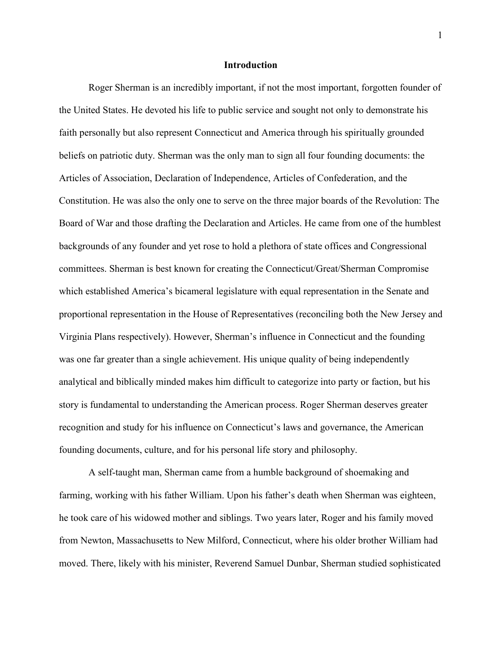#### **Introduction**

<span id="page-3-0"></span>Roger Sherman is an incredibly important, if not the most important, forgotten founder of the United States. He devoted his life to public service and sought not only to demonstrate his faith personally but also represent Connecticut and America through his spiritually grounded beliefs on patriotic duty. Sherman was the only man to sign all four founding documents: the Articles of Association, Declaration of Independence, Articles of Confederation, and the Constitution. He was also the only one to serve on the three major boards of the Revolution: The Board of War and those drafting the Declaration and Articles. He came from one of the humblest backgrounds of any founder and yet rose to hold a plethora of state offices and Congressional committees. Sherman is best known for creating the Connecticut/Great/Sherman Compromise which established America's bicameral legislature with equal representation in the Senate and proportional representation in the House of Representatives (reconciling both the New Jersey and Virginia Plans respectively). However, Sherman's influence in Connecticut and the founding was one far greater than a single achievement. His unique quality of being independently analytical and biblically minded makes him difficult to categorize into party or faction, but his story is fundamental to understanding the American process. Roger Sherman deserves greater recognition and study for his influence on Connecticut's laws and governance, the American founding documents, culture, and for his personal life story and philosophy.

A self-taught man, Sherman came from a humble background of shoemaking and farming, working with his father William. Upon his father's death when Sherman was eighteen, he took care of his widowed mother and siblings. Two years later, Roger and his family moved from Newton, Massachusetts to New Milford, Connecticut, where his older brother William had moved. There, likely with his minister, Reverend Samuel Dunbar, Sherman studied sophisticated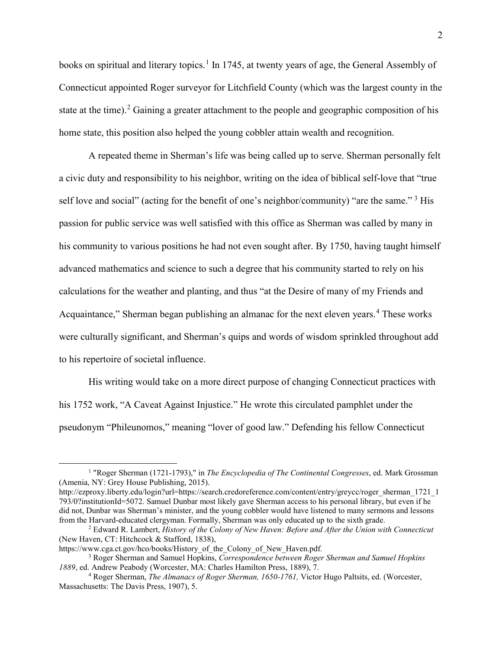books on spiritual and literary topics.<sup>[1](#page-4-0)</sup> In 1745, at twenty years of age, the General Assembly of Connecticut appointed Roger surveyor for Litchfield County (which was the largest county in the state at the time).<sup>[2](#page-4-1)</sup> Gaining a greater attachment to the people and geographic composition of his home state, this position also helped the young cobbler attain wealth and recognition.

A repeated theme in Sherman's life was being called up to serve. Sherman personally felt a civic duty and responsibility to his neighbor, writing on the idea of biblical self-love that "true self love and social" (acting for the benefit of one's neighbor/community) "are the same."<sup>[3](#page-4-2)</sup> His passion for public service was well satisfied with this office as Sherman was called by many in his community to various positions he had not even sought after. By 1750, having taught himself advanced mathematics and science to such a degree that his community started to rely on his calculations for the weather and planting, and thus "at the Desire of many of my Friends and Acquaintance," Sherman began publishing an almanac for the next eleven years.<sup>[4](#page-4-3)</sup> These works were culturally significant, and Sherman's quips and words of wisdom sprinkled throughout add to his repertoire of societal influence.

His writing would take on a more direct purpose of changing Connecticut practices with his 1752 work, "A Caveat Against Injustice." He wrote this circulated pamphlet under the pseudonym "Phileunomos," meaning "lover of good law." Defending his fellow Connecticut

<span id="page-4-0"></span> <sup>1</sup> "Roger Sherman (1721-1793)," in *The Encyclopedia of The Continental Congresses*, ed. Mark Grossman (Amenia, NY: Grey House Publishing, 2015).

http://ezproxy.liberty.edu/login?url=https://search.credoreference.com/content/entry/greycc/roger\_sherman\_1721\_1 793/0?institutionId=5072. Samuel Dunbar most likely gave Sherman access to his personal library, but even if he did not, Dunbar was Sherman's minister, and the young cobbler would have listened to many sermons and lessons from the Harvard-educated clergyman. Formally, Sherman was only educated up to the sixth grade.

<span id="page-4-1"></span><sup>&</sup>lt;sup>2</sup> Edward R. Lambert, *History of the Colony of New Haven: Before and After the Union with Connecticut* (New Haven, CT: Hitchcock & Stafford, 1838),

<span id="page-4-2"></span>https://www.cga.ct.gov/hco/books/History\_of\_the\_Colony\_of\_New\_Haven.pdf.

<sup>3</sup> Roger Sherman and Samuel Hopkins, *Correspondence between Roger Sherman and Samuel Hopkins <sup>1889</sup>*, ed. Andrew Peabody (Worcester, MA: Charles Hamilton Press, 1889), 7. 4 Roger Sherman, *The Almanacs of Roger Sherman, 1650-1761,* Victor Hugo Paltsits, ed. (Worcester,

<span id="page-4-3"></span>Massachusetts: The Davis Press, 1907), 5.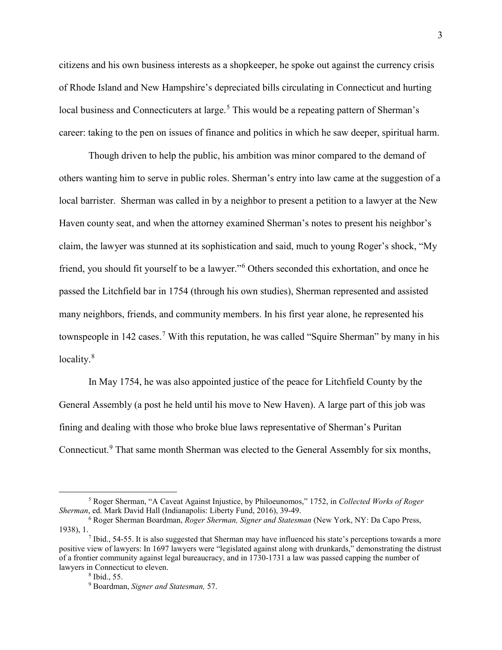citizens and his own business interests as a shopkeeper, he spoke out against the currency crisis of Rhode Island and New Hampshire's depreciated bills circulating in Connecticut and hurting local business and Connecticuters at large.<sup>[5](#page-5-0)</sup> This would be a repeating pattern of Sherman's career: taking to the pen on issues of finance and politics in which he saw deeper, spiritual harm.

Though driven to help the public, his ambition was minor compared to the demand of others wanting him to serve in public roles. Sherman's entry into law came at the suggestion of a local barrister. Sherman was called in by a neighbor to present a petition to a lawyer at the New Haven county seat, and when the attorney examined Sherman's notes to present his neighbor's claim, the lawyer was stunned at its sophistication and said, much to young Roger's shock, "My friend, you should fit yourself to be a lawyer."[6](#page-5-1) Others seconded this exhortation, and once he passed the Litchfield bar in 1754 (through his own studies), Sherman represented and assisted many neighbors, friends, and community members. In his first year alone, he represented his townspeople in 142 cases.<sup>[7](#page-5-2)</sup> With this reputation, he was called "Squire Sherman" by many in his locality.<sup>[8](#page-5-3)</sup>

In May 1754, he was also appointed justice of the peace for Litchfield County by the General Assembly (a post he held until his move to New Haven). A large part of this job was fining and dealing with those who broke blue laws representative of Sherman's Puritan Connecticut.<sup>[9](#page-5-4)</sup> That same month Sherman was elected to the General Assembly for six months,

<span id="page-5-0"></span> <sup>5</sup> Roger Sherman, "A Caveat Against Injustice, by Philoeunomos," 1752, in *Collected Works of Roger Sherman*, ed. Mark David Hall (Indianapolis: Liberty Fund, 2016), 39-49.

<span id="page-5-1"></span><sup>6</sup> Roger Sherman Boardman, *Roger Sherman, Signer and Statesman* (New York, NY: Da Capo Press,

<span id="page-5-4"></span><span id="page-5-3"></span><span id="page-5-2"></span> $\frac{7}{1}$  Ibid., 54-55. It is also suggested that Sherman may have influenced his state's perceptions towards a more positive view of lawyers: In 1697 lawyers were "legislated against along with drunkards," demonstrating the distrust of a frontier community against legal bureaucracy, and in 1730-1731 a law was passed capping the number of lawyers in Connecticut to eleven. 8 Ibid., 55.

<sup>9</sup> Boardman, *Signer and Statesman,* 57.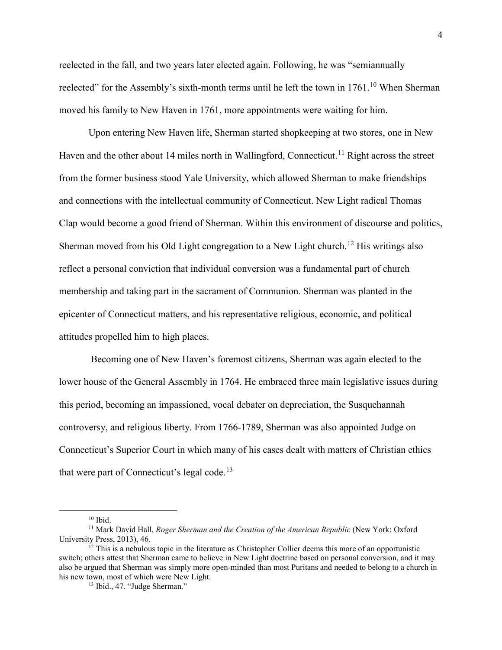reelected in the fall, and two years later elected again. Following, he was "semiannually reelected" for the Assembly's sixth-month terms until he left the town in  $1761$ .<sup>[10](#page-6-0)</sup> When Sherman moved his family to New Haven in 1761, more appointments were waiting for him.

Upon entering New Haven life, Sherman started shopkeeping at two stores, one in New Haven and the other about 14 miles north in Wallingford, Connecticut.<sup>[11](#page-6-1)</sup> Right across the street from the former business stood Yale University, which allowed Sherman to make friendships and connections with the intellectual community of Connecticut. New Light radical Thomas Clap would become a good friend of Sherman. Within this environment of discourse and politics, Sherman moved from his Old Light congregation to a New Light church.<sup>[12](#page-6-2)</sup> His writings also reflect a personal conviction that individual conversion was a fundamental part of church membership and taking part in the sacrament of Communion. Sherman was planted in the epicenter of Connecticut matters, and his representative religious, economic, and political attitudes propelled him to high places.

Becoming one of New Haven's foremost citizens, Sherman was again elected to the lower house of the General Assembly in 1764. He embraced three main legislative issues during this period, becoming an impassioned, vocal debater on depreciation, the Susquehannah controversy, and religious liberty. From 1766-1789, Sherman was also appointed Judge on Connecticut's Superior Court in which many of his cases dealt with matters of Christian ethics that were part of Connecticut's legal code.<sup>[13](#page-6-3)</sup>

 <sup>10</sup> Ibid.

<span id="page-6-1"></span><span id="page-6-0"></span><sup>11</sup> Mark David Hall, *Roger Sherman and the Creation of the American Republic* (New York: Oxford University Press, 2013), 46.

<span id="page-6-3"></span><span id="page-6-2"></span> $12$  This is a nebulous topic in the literature as Christopher Collier deems this more of an opportunistic switch; others attest that Sherman came to believe in New Light doctrine based on personal conversion, and it may also be argued that Sherman was simply more open-minded than most Puritans and needed to belong to a church in his new town, most of which were New Light.<br><sup>13</sup> Ibid., 47. "Judge Sherman."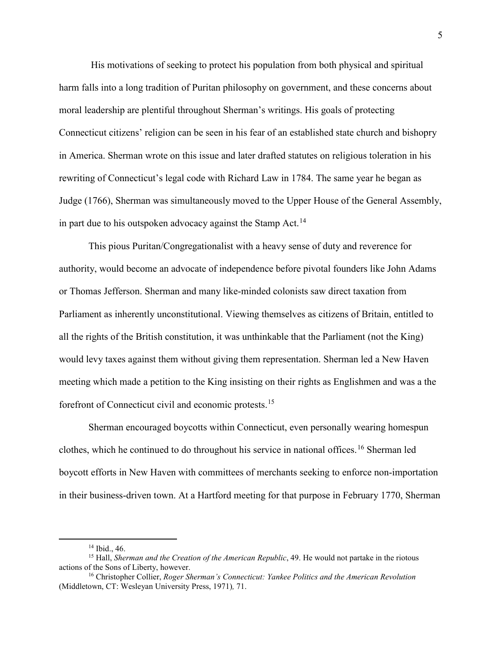His motivations of seeking to protect his population from both physical and spiritual harm falls into a long tradition of Puritan philosophy on government, and these concerns about moral leadership are plentiful throughout Sherman's writings. His goals of protecting Connecticut citizens' religion can be seen in his fear of an established state church and bishopry in America. Sherman wrote on this issue and later drafted statutes on religious toleration in his rewriting of Connecticut's legal code with Richard Law in 1784. The same year he began as Judge (1766), Sherman was simultaneously moved to the Upper House of the General Assembly, in part due to his outspoken advocacy against the Stamp Act.<sup>[14](#page-7-0)</sup>

This pious Puritan/Congregationalist with a heavy sense of duty and reverence for authority, would become an advocate of independence before pivotal founders like John Adams or Thomas Jefferson. Sherman and many like-minded colonists saw direct taxation from Parliament as inherently unconstitutional. Viewing themselves as citizens of Britain, entitled to all the rights of the British constitution, it was unthinkable that the Parliament (not the King) would levy taxes against them without giving them representation. Sherman led a New Haven meeting which made a petition to the King insisting on their rights as Englishmen and was a the forefront of Connecticut civil and economic protests.[15](#page-7-1)

Sherman encouraged boycotts within Connecticut, even personally wearing homespun clothes, which he continued to do throughout his service in national offices.<sup>[16](#page-7-2)</sup> Sherman led boycott efforts in New Haven with committees of merchants seeking to enforce non-importation in their business-driven town. At a Hartford meeting for that purpose in February 1770, Sherman

<span id="page-7-1"></span><span id="page-7-0"></span><sup>&</sup>lt;sup>14</sup> Ibid., 46.<br><sup>15</sup> Hall, *Sherman and the Creation of the American Republic*, 49. He would not partake in the riotous actions of the Sons of Liberty, however.

<span id="page-7-2"></span><sup>&</sup>lt;sup>16</sup> Christopher Collier, *Roger Sherman's Connecticut: Yankee Politics and the American Revolution* (Middletown, CT: Wesleyan University Press, 1971)*,* 71.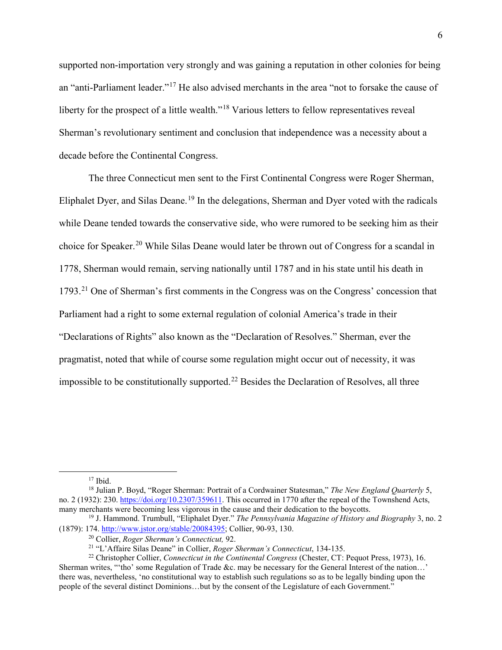supported non-importation very strongly and was gaining a reputation in other colonies for being an "anti-Parliament leader."[17](#page-8-0) He also advised merchants in the area "not to forsake the cause of liberty for the prospect of a little wealth."<sup>[18](#page-8-1)</sup> Various letters to fellow representatives reveal Sherman's revolutionary sentiment and conclusion that independence was a necessity about a decade before the Continental Congress.

The three Connecticut men sent to the First Continental Congress were Roger Sherman, Eliphalet Dyer, and Silas Deane.<sup>[19](#page-8-2)</sup> In the delegations, Sherman and Dyer voted with the radicals while Deane tended towards the conservative side, who were rumored to be seeking him as their choice for Speaker.<sup>[20](#page-8-3)</sup> While Silas Deane would later be thrown out of Congress for a scandal in 1778, Sherman would remain, serving nationally until 1787 and in his state until his death in 1793.[21](#page-8-4) One of Sherman's first comments in the Congress was on the Congress' concession that Parliament had a right to some external regulation of colonial America's trade in their "Declarations of Rights" also known as the "Declaration of Resolves." Sherman, ever the pragmatist, noted that while of course some regulation might occur out of necessity, it was impossible to be constitutionally supported.<sup>[22](#page-8-5)</sup> Besides the Declaration of Resolves, all three

<span id="page-8-1"></span><span id="page-8-0"></span><sup>17</sup> Ibid.<br><sup>18</sup> Julian P. Boyd, "Roger Sherman: Portrait of a Cordwainer Statesman," *The New England Quarterly* 5, no. 2 (1932): 230[. https://doi.org/10.2307/359611.](https://doi.org/10.2307/359611) This occurred in 1770 after the repeal of the Townshend Acts, many merchants were becoming less vigorous in the cause and their dedication to the boycotts.<br><sup>19</sup> J. Hammond. Trumbull, "Eliphalet Dyer." *The Pennsylvania Magazine of History and Biography* 3, no. 2

<span id="page-8-3"></span><span id="page-8-2"></span><sup>(1879): 174.</sup> [http://www.jstor.org/stable/20084395;](http://www.jstor.org/stable/20084395) Collier, 90-93, 130.<br><sup>20</sup> Collier, *Roger Sherman's Connecticut*, 92.<br><sup>21</sup> "L'Affaire Silas Deane" in Collier, *Roger Sherman's Connecticut*, 134-135.<br><sup>22</sup> Christopher Co

<span id="page-8-5"></span><span id="page-8-4"></span>Sherman writes, "'tho' some Regulation of Trade &c. may be necessary for the General Interest of the nation…' there was, nevertheless, 'no constitutional way to establish such regulations so as to be legally binding upon the people of the several distinct Dominions…but by the consent of the Legislature of each Government."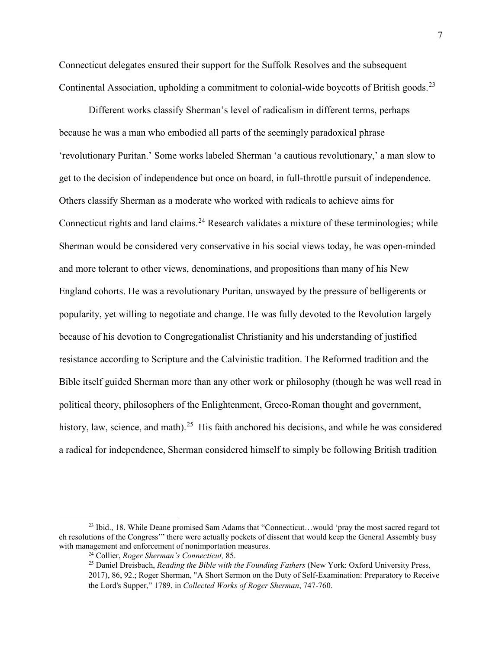Connecticut delegates ensured their support for the Suffolk Resolves and the subsequent Continental Association, upholding a commitment to colonial-wide boycotts of British goods.<sup>[23](#page-9-0)</sup>

Different works classify Sherman's level of radicalism in different terms, perhaps because he was a man who embodied all parts of the seemingly paradoxical phrase 'revolutionary Puritan.' Some works labeled Sherman 'a cautious revolutionary,' a man slow to get to the decision of independence but once on board, in full-throttle pursuit of independence. Others classify Sherman as a moderate who worked with radicals to achieve aims for Connecticut rights and land claims.<sup>[24](#page-9-1)</sup> Research validates a mixture of these terminologies; while Sherman would be considered very conservative in his social views today, he was open-minded and more tolerant to other views, denominations, and propositions than many of his New England cohorts. He was a revolutionary Puritan, unswayed by the pressure of belligerents or popularity, yet willing to negotiate and change. He was fully devoted to the Revolution largely because of his devotion to Congregationalist Christianity and his understanding of justified resistance according to Scripture and the Calvinistic tradition. The Reformed tradition and the Bible itself guided Sherman more than any other work or philosophy (though he was well read in political theory, philosophers of the Enlightenment, Greco-Roman thought and government, history, law, science, and math).<sup>[25](#page-9-2)</sup> His faith anchored his decisions, and while he was considered a radical for independence, Sherman considered himself to simply be following British tradition

<span id="page-9-2"></span><span id="page-9-1"></span><span id="page-9-0"></span> <sup>23</sup> Ibid., 18. While Deane promised Sam Adams that "Connecticut…would 'pray the most sacred regard tot eh resolutions of the Congress'" there were actually pockets of dissent that would keep the General Assembly busy with management and enforcement of nonimportation measures.

<sup>&</sup>lt;sup>24</sup> Collier, *Roger Sherman's Connecticut*, 85. <br><sup>25</sup> Daniel Dreisbach, *Reading the Bible with the Founding Fathers* (New York: Oxford University Press, 2017), 86, 92.; Roger Sherman, "A Short Sermon on the Duty of Self-Examination: Preparatory to Receive the Lord's Supper," 1789, in *Collected Works of Roger Sherman*, 747-760.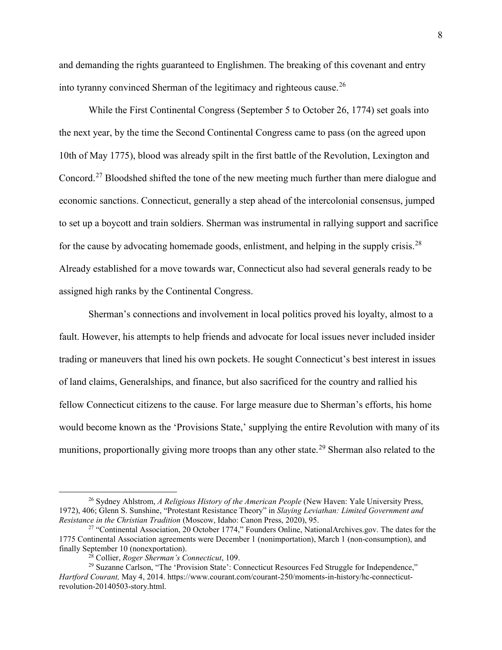and demanding the rights guaranteed to Englishmen. The breaking of this covenant and entry into tyranny convinced Sherman of the legitimacy and righteous cause.<sup>[26](#page-10-0)</sup>

While the First Continental Congress (September 5 to October 26, 1774) set goals into the next year, by the time the Second Continental Congress came to pass (on the agreed upon 10th of May 1775), blood was already spilt in the first battle of the Revolution, Lexington and Concord.[27](#page-10-1) Bloodshed shifted the tone of the new meeting much further than mere dialogue and economic sanctions. Connecticut, generally a step ahead of the intercolonial consensus, jumped to set up a boycott and train soldiers. Sherman was instrumental in rallying support and sacrifice for the cause by advocating homemade goods, enlistment, and helping in the supply crisis.<sup>[28](#page-10-2)</sup> Already established for a move towards war, Connecticut also had several generals ready to be assigned high ranks by the Continental Congress.

Sherman's connections and involvement in local politics proved his loyalty, almost to a fault. However, his attempts to help friends and advocate for local issues never included insider trading or maneuvers that lined his own pockets. He sought Connecticut's best interest in issues of land claims, Generalships, and finance, but also sacrificed for the country and rallied his fellow Connecticut citizens to the cause. For large measure due to Sherman's efforts, his home would become known as the 'Provisions State,' supplying the entire Revolution with many of its munitions, proportionally giving more troops than any other state.<sup>[29](#page-10-3)</sup> Sherman also related to the

<span id="page-10-0"></span> <sup>26</sup> Sydney Ahlstrom, *A Religious History of the American People* (New Haven: Yale University Press, 1972), 406; Glenn S. Sunshine, "Protestant Resistance Theory" in *Slaying Leviathan: Limited Government and* 

<span id="page-10-1"></span><sup>&</sup>lt;sup>27</sup> "Continental Association, 20 October 1774," Founders Online, NationalArchives.gov. The dates for the 1775 Continental Association agreements were December 1 (nonimportation), March 1 (non-consumption), and

<span id="page-10-3"></span><span id="page-10-2"></span><sup>&</sup>lt;sup>28</sup> Collier, *Roger Sherman's Connecticut*, 109.<br><sup>29</sup> Suzanne Carlson, "The 'Provision State': Connecticut Resources Fed Struggle for Independence," *Hartford Courant,* May 4, 2014. https://www.courant.com/courant-250/moments-in-history/hc-connecticutrevolution-20140503-story.html.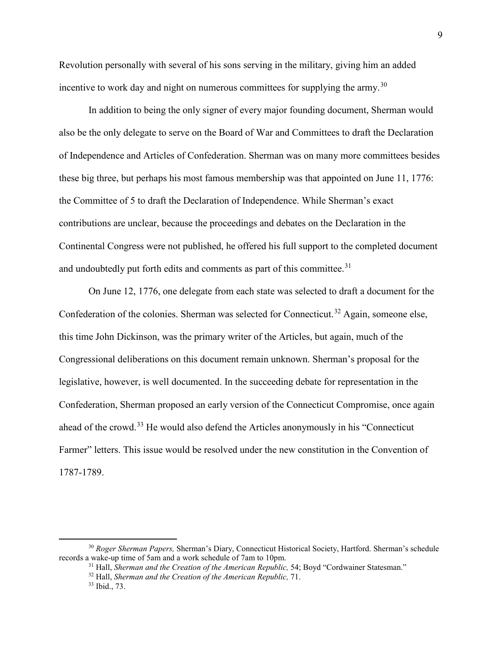Revolution personally with several of his sons serving in the military, giving him an added incentive to work day and night on numerous committees for supplying the army.<sup>[30](#page-11-0)</sup>

In addition to being the only signer of every major founding document, Sherman would also be the only delegate to serve on the Board of War and Committees to draft the Declaration of Independence and Articles of Confederation. Sherman was on many more committees besides these big three, but perhaps his most famous membership was that appointed on June 11, 1776: the Committee of 5 to draft the Declaration of Independence. While Sherman's exact contributions are unclear, because the proceedings and debates on the Declaration in the Continental Congress were not published, he offered his full support to the completed document and undoubtedly put forth edits and comments as part of this committee. $31$ 

On June 12, 1776, one delegate from each state was selected to draft a document for the Confederation of the colonies. Sherman was selected for Connecticut.<sup>[32](#page-11-2)</sup> Again, someone else, this time John Dickinson, was the primary writer of the Articles, but again, much of the Congressional deliberations on this document remain unknown. Sherman's proposal for the legislative, however, is well documented. In the succeeding debate for representation in the Confederation, Sherman proposed an early version of the Connecticut Compromise, once again ahead of the crowd.<sup>[33](#page-11-3)</sup> He would also defend the Articles anonymously in his "Connecticut" Farmer" letters. This issue would be resolved under the new constitution in the Convention of 1787-1789.

<span id="page-11-3"></span><span id="page-11-2"></span><span id="page-11-1"></span><span id="page-11-0"></span><sup>&</sup>lt;sup>30</sup> *Roger Sherman Papers, Sherman's Diary, Connecticut Historical Society, Hartford. Sherman's schedule records a wake-up time of 5am and a work schedule of 7am to 10pm.* 

<sup>&</sup>lt;sup>31</sup> Hall, *Sherman and the Creation of the American Republic*, 54; Boyd "Cordwainer Statesman."<br><sup>32</sup> Hall, *Sherman and the Creation of the American Republic*, 71.<br><sup>33</sup> Ibid., 73.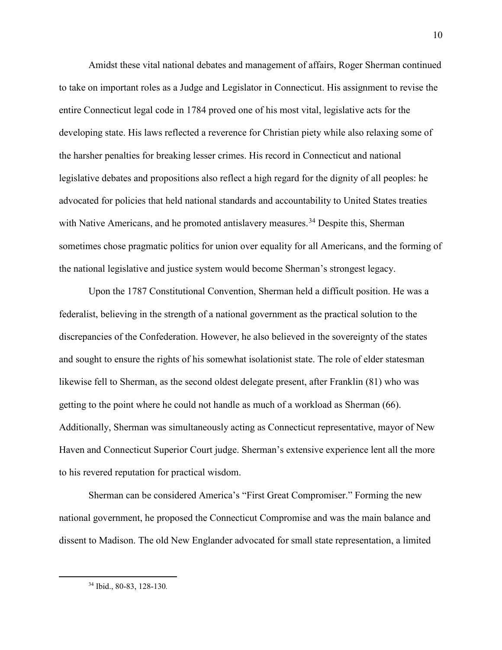Amidst these vital national debates and management of affairs, Roger Sherman continued to take on important roles as a Judge and Legislator in Connecticut. His assignment to revise the entire Connecticut legal code in 1784 proved one of his most vital, legislative acts for the developing state. His laws reflected a reverence for Christian piety while also relaxing some of the harsher penalties for breaking lesser crimes. His record in Connecticut and national legislative debates and propositions also reflect a high regard for the dignity of all peoples: he advocated for policies that held national standards and accountability to United States treaties with Native Americans, and he promoted antislavery measures.<sup>[34](#page-12-0)</sup> Despite this, Sherman sometimes chose pragmatic politics for union over equality for all Americans, and the forming of the national legislative and justice system would become Sherman's strongest legacy.

Upon the 1787 Constitutional Convention, Sherman held a difficult position. He was a federalist, believing in the strength of a national government as the practical solution to the discrepancies of the Confederation. However, he also believed in the sovereignty of the states and sought to ensure the rights of his somewhat isolationist state. The role of elder statesman likewise fell to Sherman, as the second oldest delegate present, after Franklin (81) who was getting to the point where he could not handle as much of a workload as Sherman (66). Additionally, Sherman was simultaneously acting as Connecticut representative, mayor of New Haven and Connecticut Superior Court judge. Sherman's extensive experience lent all the more to his revered reputation for practical wisdom.

Sherman can be considered America's "First Great Compromiser." Forming the new national government, he proposed the Connecticut Compromise and was the main balance and dissent to Madison. The old New Englander advocated for small state representation, a limited

<span id="page-12-0"></span> <sup>34</sup> Ibid., 80-83, 128-130*.*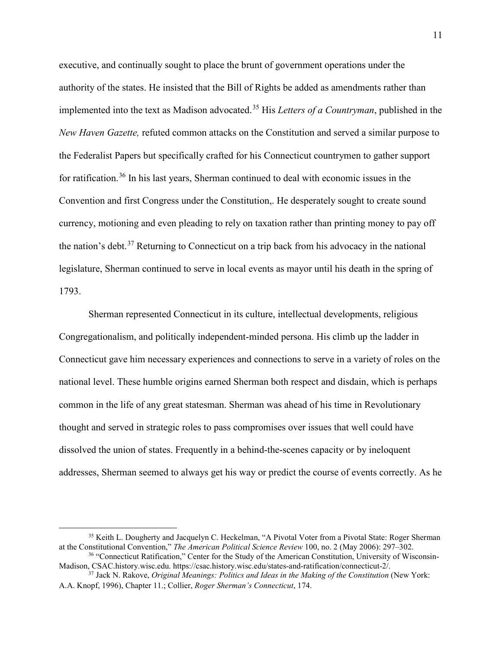executive, and continually sought to place the brunt of government operations under the authority of the states. He insisted that the Bill of Rights be added as amendments rather than implemented into the text as Madison advocated.[35](#page-13-0) His *Letters of a Countryman*, published in the *New Haven Gazette,* refuted common attacks on the Constitution and served a similar purpose to the Federalist Papers but specifically crafted for his Connecticut countrymen to gather support for ratification.<sup>[36](#page-13-1)</sup> In his last years, Sherman continued to deal with economic issues in the Convention and first Congress under the Constitution,. He desperately sought to create sound currency, motioning and even pleading to rely on taxation rather than printing money to pay off the nation's debt.<sup>[37](#page-13-2)</sup> Returning to Connecticut on a trip back from his advocacy in the national legislature, Sherman continued to serve in local events as mayor until his death in the spring of 1793.

Sherman represented Connecticut in its culture, intellectual developments, religious Congregationalism, and politically independent-minded persona. His climb up the ladder in Connecticut gave him necessary experiences and connections to serve in a variety of roles on the national level. These humble origins earned Sherman both respect and disdain, which is perhaps common in the life of any great statesman. Sherman was ahead of his time in Revolutionary thought and served in strategic roles to pass compromises over issues that well could have dissolved the union of states. Frequently in a behind-the-scenes capacity or by ineloquent addresses, Sherman seemed to always get his way or predict the course of events correctly. As he

<span id="page-13-0"></span><sup>&</sup>lt;sup>35</sup> Keith L. Dougherty and Jacquelyn C. Heckelman, "A Pivotal Voter from a Pivotal State: Roger Sherman at the Constitutional Convention," *The American Political Science Review* 100, no. 2 (May 2006): 297–302.

<span id="page-13-1"></span><sup>&</sup>lt;sup>36</sup> "Connecticut Ratification," Center for the Study of the American Constitution, University of Wisconsin-Madison, CSAC.history.wisc.edu. https://csac.history.wisc.edu/states-and-ratification/connecticut-2/.

<span id="page-13-2"></span><sup>37</sup> Jack N. Rakove, *Original Meanings: Politics and Ideas in the Making of the Constitution* (New York: A.A. Knopf, 1996), Chapter 11.; Collier, *Roger Sherman's Connecticut*, 174.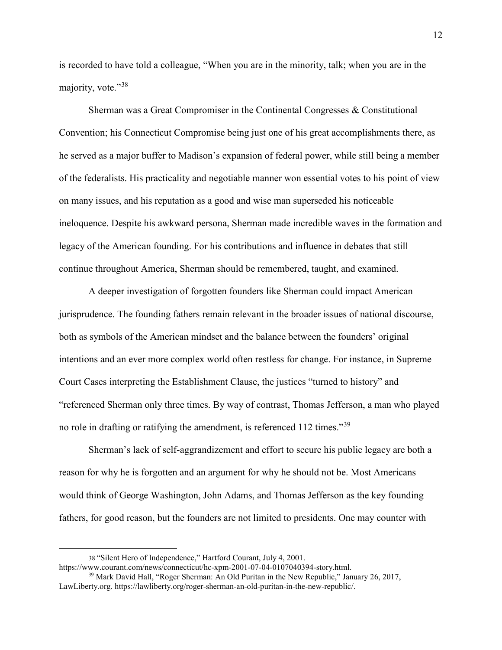is recorded to have told a colleague, "When you are in the minority, talk; when you are in the majority, vote."[38](#page-14-0)

Sherman was a Great Compromiser in the Continental Congresses & Constitutional Convention; his Connecticut Compromise being just one of his great accomplishments there, as he served as a major buffer to Madison's expansion of federal power, while still being a member of the federalists. His practicality and negotiable manner won essential votes to his point of view on many issues, and his reputation as a good and wise man superseded his noticeable ineloquence. Despite his awkward persona, Sherman made incredible waves in the formation and legacy of the American founding. For his contributions and influence in debates that still continue throughout America, Sherman should be remembered, taught, and examined.

A deeper investigation of forgotten founders like Sherman could impact American jurisprudence. The founding fathers remain relevant in the broader issues of national discourse, both as symbols of the American mindset and the balance between the founders' original intentions and an ever more complex world often restless for change. For instance, in Supreme Court Cases interpreting the Establishment Clause, the justices "turned to history" and "referenced Sherman only three times. By way of contrast, Thomas Jefferson, a man who played no role in drafting or ratifying the amendment, is referenced 112 times."<sup>[39](#page-14-1)</sup>

Sherman's lack of self-aggrandizement and effort to secure his public legacy are both a reason for why he is forgotten and an argument for why he should not be. Most Americans would think of George Washington, John Adams, and Thomas Jefferson as the key founding fathers, for good reason, but the founders are not limited to presidents. One may counter with

 $\overline{a}$ 

<sup>38</sup> "Silent Hero of Independence," Hartford Courant, July 4, 2001.

<span id="page-14-1"></span><span id="page-14-0"></span>https://www.courant.com/news/connecticut/hc-xpm-2001-07-04-0107040394-story.html. <sup>39</sup> Mark David Hall, "Roger Sherman: An Old Puritan in the New Republic," January 26, 2017,

LawLiberty.org. https://lawliberty.org/roger-sherman-an-old-puritan-in-the-new-republic/.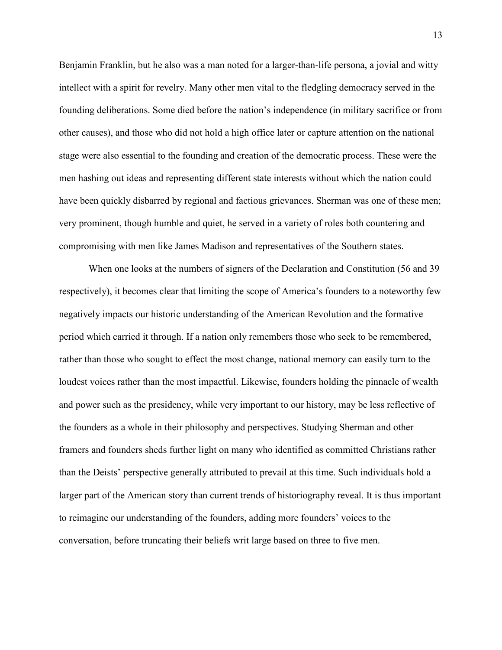Benjamin Franklin, but he also was a man noted for a larger-than-life persona, a jovial and witty intellect with a spirit for revelry. Many other men vital to the fledgling democracy served in the founding deliberations. Some died before the nation's independence (in military sacrifice or from other causes), and those who did not hold a high office later or capture attention on the national stage were also essential to the founding and creation of the democratic process. These were the men hashing out ideas and representing different state interests without which the nation could have been quickly disbarred by regional and factious grievances. Sherman was one of these men; very prominent, though humble and quiet, he served in a variety of roles both countering and compromising with men like James Madison and representatives of the Southern states.

When one looks at the numbers of signers of the Declaration and Constitution (56 and 39) respectively), it becomes clear that limiting the scope of America's founders to a noteworthy few negatively impacts our historic understanding of the American Revolution and the formative period which carried it through. If a nation only remembers those who seek to be remembered, rather than those who sought to effect the most change, national memory can easily turn to the loudest voices rather than the most impactful. Likewise, founders holding the pinnacle of wealth and power such as the presidency, while very important to our history, may be less reflective of the founders as a whole in their philosophy and perspectives. Studying Sherman and other framers and founders sheds further light on many who identified as committed Christians rather than the Deists' perspective generally attributed to prevail at this time. Such individuals hold a larger part of the American story than current trends of historiography reveal. It is thus important to reimagine our understanding of the founders, adding more founders' voices to the conversation, before truncating their beliefs writ large based on three to five men.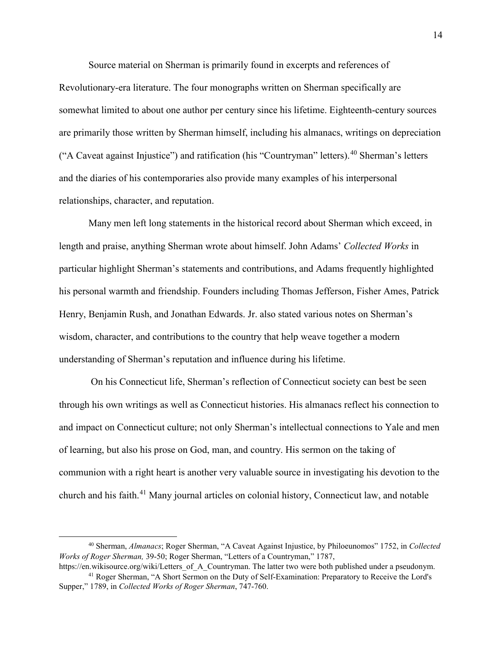Source material on Sherman is primarily found in excerpts and references of

Revolutionary-era literature. The four monographs written on Sherman specifically are somewhat limited to about one author per century since his lifetime. Eighteenth-century sources are primarily those written by Sherman himself, including his almanacs, writings on depreciation ("A Caveat against Injustice") and ratification (his "Countryman" letters).  $40$  Sherman's letters and the diaries of his contemporaries also provide many examples of his interpersonal relationships, character, and reputation.

Many men left long statements in the historical record about Sherman which exceed, in length and praise, anything Sherman wrote about himself. John Adams' *Collected Works* in particular highlight Sherman's statements and contributions, and Adams frequently highlighted his personal warmth and friendship. Founders including Thomas Jefferson, Fisher Ames, Patrick Henry, Benjamin Rush, and Jonathan Edwards. Jr. also stated various notes on Sherman's wisdom, character, and contributions to the country that help weave together a modern understanding of Sherman's reputation and influence during his lifetime.

On his Connecticut life, Sherman's reflection of Connecticut society can best be seen through his own writings as well as Connecticut histories. His almanacs reflect his connection to and impact on Connecticut culture; not only Sherman's intellectual connections to Yale and men of learning, but also his prose on God, man, and country. His sermon on the taking of communion with a right heart is another very valuable source in investigating his devotion to the church and his faith.[41](#page-16-1) Many journal articles on colonial history, Connecticut law, and notable

<span id="page-16-0"></span> <sup>40</sup> Sherman, *Almanacs*; Roger Sherman, "A Caveat Against Injustice, by Philoeunomos" 1752, in *Collected Works of Roger Sherman,* 39-50; Roger Sherman, "Letters of a Countryman," 1787,

<span id="page-16-1"></span>https://en.wikisource.org/wiki/Letters\_of\_A\_Countryman. The latter two were both published under a pseudonym. <sup>41</sup> Roger Sherman, "A Short Sermon on the Duty of Self-Examination: Preparatory to Receive the Lord's Supper," 1789, in *Collected Works of Roger Sherman*, 747-760.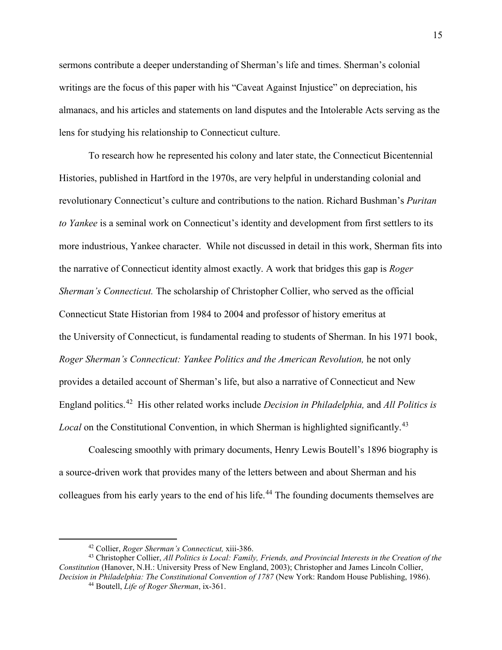sermons contribute a deeper understanding of Sherman's life and times. Sherman's colonial writings are the focus of this paper with his "Caveat Against Injustice" on depreciation, his almanacs, and his articles and statements on land disputes and the Intolerable Acts serving as the lens for studying his relationship to Connecticut culture.

To research how he represented his colony and later state, the Connecticut Bicentennial Histories, published in Hartford in the 1970s, are very helpful in understanding colonial and revolutionary Connecticut's culture and contributions to the nation. Richard Bushman's *Puritan to Yankee* is a seminal work on Connecticut's identity and development from first settlers to its more industrious, Yankee character. While not discussed in detail in this work, Sherman fits into the narrative of Connecticut identity almost exactly. A work that bridges this gap is *Roger Sherman's Connecticut.* The scholarship of Christopher Collier, who served as the official Connecticut State Historian from 1984 to 2004 and professor of history emeritus at the University of Connecticut, is fundamental reading to students of Sherman. In his 1971 book, *Roger Sherman's Connecticut: Yankee Politics and the American Revolution, he not only* provides a detailed account of Sherman's life, but also a narrative of Connecticut and New England politics.[42](#page-17-0) His other related works include *Decision in Philadelphia,* and *All Politics is Local* on the Constitutional Convention, in which Sherman is highlighted significantly.<sup>[43](#page-17-1)</sup>

Coalescing smoothly with primary documents, Henry Lewis Boutell's 1896 biography is a source-driven work that provides many of the letters between and about Sherman and his colleagues from his early years to the end of his life.<sup>[44](#page-17-2)</sup> The founding documents themselves are

 <sup>42</sup> Collier, *Roger Sherman's Connecticut,* xiii-386.

<span id="page-17-2"></span><span id="page-17-1"></span><span id="page-17-0"></span><sup>43</sup> Christopher Collier, *All Politics is Local: Family, Friends, and Provincial Interests in the Creation of the Constitution* (Hanover, N.H.: University Press of New England, 2003); Christopher and James Lincoln Collier, Decision in Philadelphia: The Constitutional Convention of 1787 (New York: Random House Publishing, 1986).

<sup>44</sup> Boutell, *Life of Roger Sherman*, ix-361.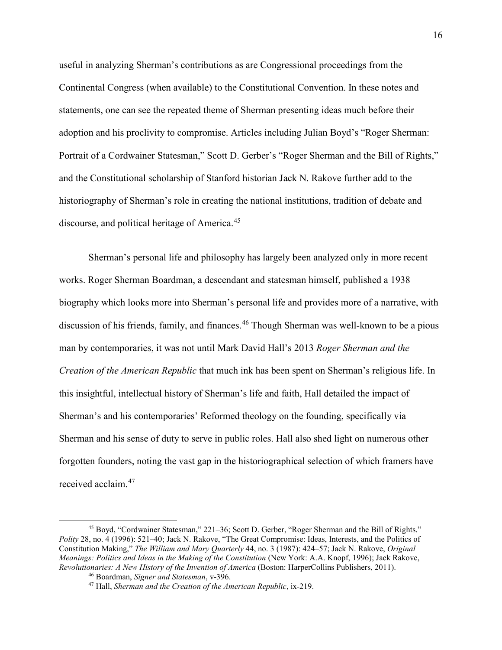useful in analyzing Sherman's contributions as are Congressional proceedings from the Continental Congress (when available) to the Constitutional Convention. In these notes and statements, one can see the repeated theme of Sherman presenting ideas much before their adoption and his proclivity to compromise. Articles including Julian Boyd's "Roger Sherman: Portrait of a Cordwainer Statesman," Scott D. Gerber's "Roger Sherman and the Bill of Rights," and the Constitutional scholarship of Stanford historian Jack N. Rakove further add to the historiography of Sherman's role in creating the national institutions, tradition of debate and discourse, and political heritage of America.<sup>[45](#page-18-0)</sup>

Sherman's personal life and philosophy has largely been analyzed only in more recent works. Roger Sherman Boardman, a descendant and statesman himself, published a 1938 biography which looks more into Sherman's personal life and provides more of a narrative, with discussion of his friends, family, and finances.<sup>[46](#page-18-1)</sup> Though Sherman was well-known to be a pious man by contemporaries, it was not until Mark David Hall's 2013 *Roger Sherman and the Creation of the American Republic* that much ink has been spent on Sherman's religious life. In this insightful, intellectual history of Sherman's life and faith, Hall detailed the impact of Sherman's and his contemporaries' Reformed theology on the founding, specifically via Sherman and his sense of duty to serve in public roles. Hall also shed light on numerous other forgotten founders, noting the vast gap in the historiographical selection of which framers have received acclaim.[47](#page-18-2)

<span id="page-18-2"></span><span id="page-18-1"></span><span id="page-18-0"></span> <sup>45</sup> Boyd, "Cordwainer Statesman," 221–36; Scott D. Gerber, "Roger Sherman and the Bill of Rights." *Polity* 28, no. 4 (1996): 521–40; Jack N. Rakove, "The Great Compromise: Ideas, Interests, and the Politics of Constitution Making," *The William and Mary Quarterly* 44, no. 3 (1987): 424–57; Jack N. Rakove, *Original Meanings: Politics and Ideas in the Making of the Constitution* (New York: A.A. Knopf, 1996); Jack Rakove, *Revolutionaries: A New History of the Invention of America* (Boston: HarperCollins Publishers, 2011).

<sup>46</sup> Boardman, *Signer and Statesman*, v-396.

<sup>47</sup> Hall, *Sherman and the Creation of the American Republic*, ix-219.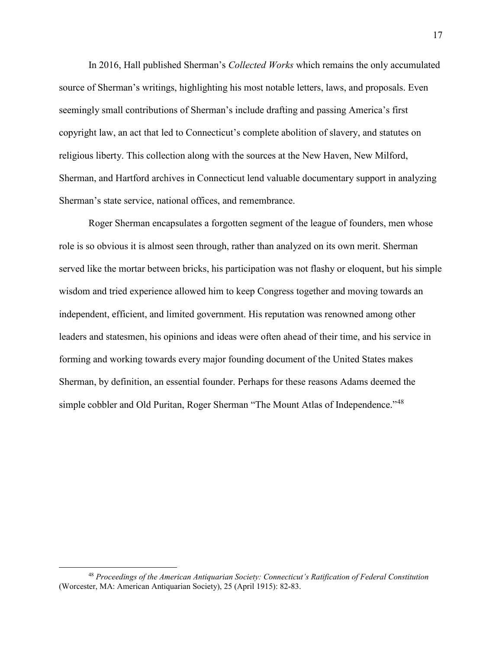In 2016, Hall published Sherman's *Collected Works* which remains the only accumulated source of Sherman's writings, highlighting his most notable letters, laws, and proposals. Even seemingly small contributions of Sherman's include drafting and passing America's first copyright law, an act that led to Connecticut's complete abolition of slavery, and statutes on religious liberty. This collection along with the sources at the New Haven, New Milford, Sherman, and Hartford archives in Connecticut lend valuable documentary support in analyzing Sherman's state service, national offices, and remembrance.

Roger Sherman encapsulates a forgotten segment of the league of founders, men whose role is so obvious it is almost seen through, rather than analyzed on its own merit. Sherman served like the mortar between bricks, his participation was not flashy or eloquent, but his simple wisdom and tried experience allowed him to keep Congress together and moving towards an independent, efficient, and limited government. His reputation was renowned among other leaders and statesmen, his opinions and ideas were often ahead of their time, and his service in forming and working towards every major founding document of the United States makes Sherman, by definition, an essential founder. Perhaps for these reasons Adams deemed the simple cobbler and Old Puritan, Roger Sherman "The Mount Atlas of Independence."<sup>[48](#page-19-0)</sup>

<span id="page-19-0"></span> <sup>48</sup> *Proceedings of the American Antiquarian Society: Connecticut's Ratification of Federal Constitution*  (Worcester, MA: American Antiquarian Society), 25 (April 1915): 82-83.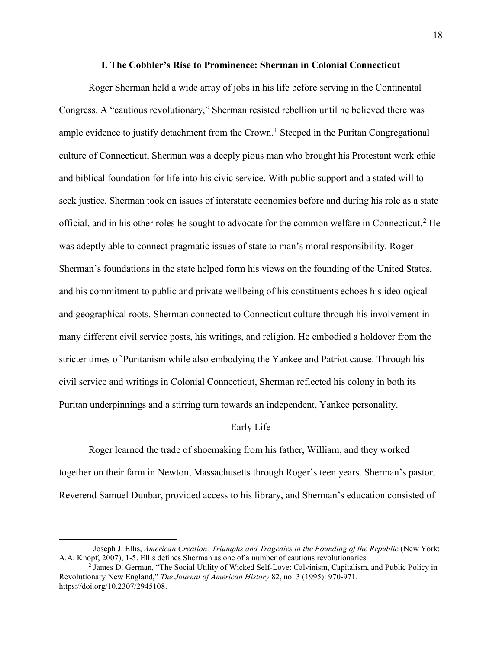#### **I. The Cobbler's Rise to Prominence: Sherman in Colonial Connecticut**

<span id="page-20-0"></span>Roger Sherman held a wide array of jobs in his life before serving in the Continental Congress. A "cautious revolutionary," Sherman resisted rebellion until he believed there was ample evidence to justify detachment from the Crown.<sup>[1](#page-20-1)</sup> Steeped in the Puritan Congregational culture of Connecticut, Sherman was a deeply pious man who brought his Protestant work ethic and biblical foundation for life into his civic service. With public support and a stated will to seek justice, Sherman took on issues of interstate economics before and during his role as a state official, and in his other roles he sought to advocate for the common welfare in Connecticut.<sup>[2](#page-20-2)</sup> He was adeptly able to connect pragmatic issues of state to man's moral responsibility. Roger Sherman's foundations in the state helped form his views on the founding of the United States, and his commitment to public and private wellbeing of his constituents echoes his ideological and geographical roots. Sherman connected to Connecticut culture through his involvement in many different civil service posts, his writings, and religion. He embodied a holdover from the stricter times of Puritanism while also embodying the Yankee and Patriot cause. Through his civil service and writings in Colonial Connecticut, Sherman reflected his colony in both its Puritan underpinnings and a stirring turn towards an independent, Yankee personality.

#### Early Life

Roger learned the trade of shoemaking from his father, William, and they worked together on their farm in Newton, Massachusetts through Roger's teen years. Sherman's pastor, Reverend Samuel Dunbar, provided access to his library, and Sherman's education consisted of

<span id="page-20-1"></span><sup>&</sup>lt;sup>1</sup> Joseph J. Ellis, *American Creation: Triumphs and Tragedies in the Founding of the Republic (New York:* A.A. Knopf, 2007), 1-5. Ellis defines Sherman as one of a number of cautious revolutionaries.<br><sup>2</sup> James D. German, "The Social Utility of Wicked Self-Love: Calvinism, Capitalism, and Public Policy in

<span id="page-20-2"></span>Revolutionary New England," *The Journal of American History* 82, no. 3 (1995): 970-971. https://doi.org/10.2307/2945108.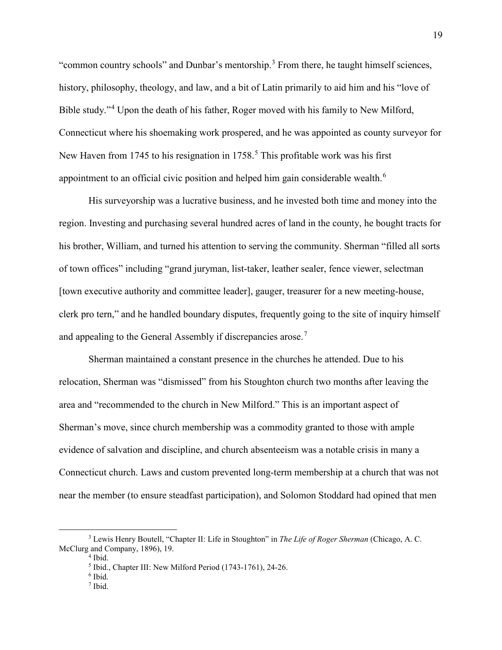"common country schools" and Dunbar's mentorship. $3$  From there, he taught himself sciences, history, philosophy, theology, and law, and a bit of Latin primarily to aid him and his "love of Bible study."[4](#page-21-1) Upon the death of his father, Roger moved with his family to New Milford, Connecticut where his shoemaking work prospered, and he was appointed as county surveyor for New Haven from 174[5](#page-21-2) to his resignation in  $1758<sup>5</sup>$ . This profitable work was his first appointment to an official civic position and helped him gain considerable wealth.<sup>[6](#page-21-3)</sup>

His surveyorship was a lucrative business, and he invested both time and money into the region. Investing and purchasing several hundred acres of land in the county, he bought tracts for his brother, William, and turned his attention to serving the community. Sherman "filled all sorts of town offices" including "grand juryman, list-taker, leather sealer, fence viewer, selectman [town executive authority and committee leader], gauger, treasurer for a new meeting-house, clerk pro tern," and he handled boundary disputes, frequently going to the site of inquiry himself and appealing to the General Assembly if discrepancies arose.<sup>[7](#page-21-4)</sup>

Sherman maintained a constant presence in the churches he attended. Due to his relocation, Sherman was "dismissed" from his Stoughton church two months after leaving the area and "recommended to the church in New Milford." This is an important aspect of Sherman's move, since church membership was a commodity granted to those with ample evidence of salvation and discipline, and church absenteeism was a notable crisis in many a Connecticut church. Laws and custom prevented long-term membership at a church that was not near the member (to ensure steadfast participation), and Solomon Stoddard had opined that men

<span id="page-21-4"></span><span id="page-21-3"></span><span id="page-21-2"></span><span id="page-21-1"></span><span id="page-21-0"></span> <sup>3</sup> Lewis Henry Boutell, "Chapter II: Life in Stoughton" in *The Life of Roger Sherman* (Chicago, A. C. McClurg and Company, 1896), 19.

<sup>4</sup> Ibid.

<sup>5</sup> Ibid., Chapter III: New Milford Period (1743-1761), 24-26.

<sup>6</sup> Ibid.

 $<sup>7</sup>$  Ibid.</sup>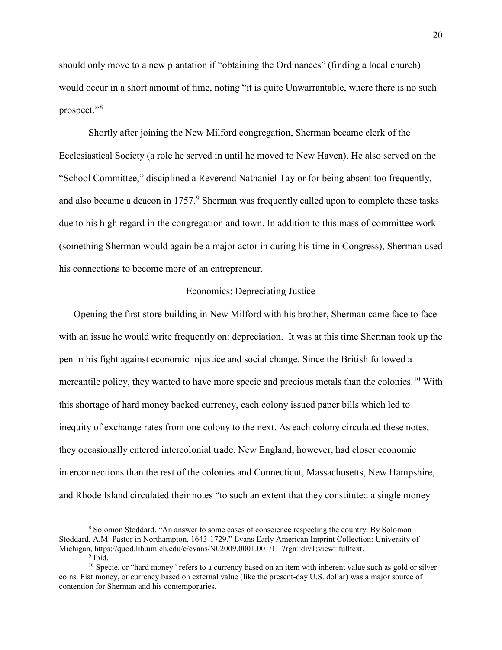should only move to a new plantation if "obtaining the Ordinances" (finding a local church) would occur in a short amount of time, noting "it is quite Unwarrantable, where there is no such prospect."[8](#page-22-0)

Shortly after joining the New Milford congregation, Sherman became clerk of the Ecclesiastical Society (a role he served in until he moved to New Haven). He also served on the "School Committee," disciplined a Reverend Nathaniel Taylor for being absent too frequently, and also became a deacon in  $1757<sup>9</sup>$  $1757<sup>9</sup>$  $1757<sup>9</sup>$  Sherman was frequently called upon to complete these tasks due to his high regard in the congregation and town. In addition to this mass of committee work (something Sherman would again be a major actor in during his time in Congress), Sherman used his connections to become more of an entrepreneur.

#### Economics: Depreciating Justice

Opening the first store building in New Milford with his brother, Sherman came face to face with an issue he would write frequently on: depreciation. It was at this time Sherman took up the pen in his fight against economic injustice and social change. Since the British followed a mercantile policy, they wanted to have more specie and precious metals than the colonies.<sup>[10](#page-22-2)</sup> With this shortage of hard money backed currency, each colony issued paper bills which led to inequity of exchange rates from one colony to the next. As each colony circulated these notes, they occasionally entered intercolonial trade. New England, however, had closer economic interconnections than the rest of the colonies and Connecticut, Massachusetts, New Hampshire, and Rhode Island circulated their notes "to such an extent that they constituted a single money

<span id="page-22-0"></span> <sup>8</sup> Solomon Stoddard, "An answer to some cases of conscience respecting the country. By Solomon Stoddard, A.M. Pastor in Northampton, 1643-1729." Evans Early American Imprint Collection: University of Michigan, https://quod.lib.umich.edu/e/evans/N02009.0001.001/1:1?rgn=div1;view=fulltext.

<span id="page-22-2"></span><span id="page-22-1"></span><sup>&</sup>lt;sup>10</sup> Specie, or "hard money" refers to a currency based on an item with inherent value such as gold or silver coins. Fiat money, or currency based on external value (like the present-day U.S. dollar) was a major source of contention for Sherman and his contemporaries.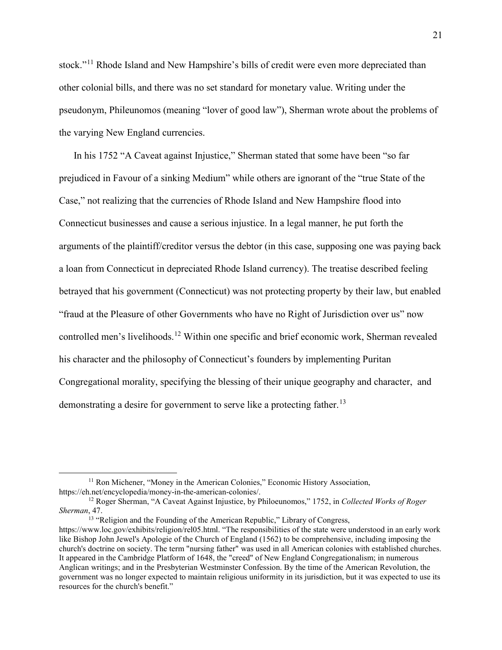stock."<sup>[11](#page-23-0)</sup> Rhode Island and New Hampshire's bills of credit were even more depreciated than other colonial bills, and there was no set standard for monetary value. Writing under the pseudonym, Phileunomos (meaning "lover of good law"), Sherman wrote about the problems of the varying New England currencies.

In his 1752 "A Caveat against Injustice," Sherman stated that some have been "so far prejudiced in Favour of a sinking Medium" while others are ignorant of the "true State of the Case," not realizing that the currencies of Rhode Island and New Hampshire flood into Connecticut businesses and cause a serious injustice. In a legal manner, he put forth the arguments of the plaintiff/creditor versus the debtor (in this case, supposing one was paying back a loan from Connecticut in depreciated Rhode Island currency). The treatise described feeling betrayed that his government (Connecticut) was not protecting property by their law, but enabled "fraud at the Pleasure of other Governments who have no Right of Jurisdiction over us" now controlled men's livelihoods.[12](#page-23-1) Within one specific and brief economic work, Sherman revealed his character and the philosophy of Connecticut's founders by implementing Puritan Congregational morality, specifying the blessing of their unique geography and character, and demonstrating a desire for government to serve like a protecting father.<sup>[13](#page-23-2)</sup>

<span id="page-23-2"></span><sup>13</sup> "Religion and the Founding of the American Republic," Library of Congress, https://www.loc.gov/exhibits/religion/rel05.html. "The responsibilities of the state were understood in an early work

<span id="page-23-0"></span><sup>&</sup>lt;sup>11</sup> Ron Michener, "Money in the American Colonies," Economic History Association, https://eh.net/encyclopedia/money-in-the-american-colonies/.

<span id="page-23-1"></span><sup>12</sup> Roger Sherman, "A Caveat Against Injustice, by Philoeunomos," 1752, in *Collected Works of Roger Sherman*, 47.

like Bishop John Jewel's Apologie of the Church of England (1562) to be comprehensive, including imposing the church's doctrine on society. The term "nursing father" was used in all American colonies with established churches. It appeared in the Cambridge Platform of 1648, the "creed" of New England Congregationalism; in numerous Anglican writings; and in the Presbyterian Westminster Confession. By the time of the American Revolution, the government was no longer expected to maintain religious uniformity in its jurisdiction, but it was expected to use its resources for the church's benefit."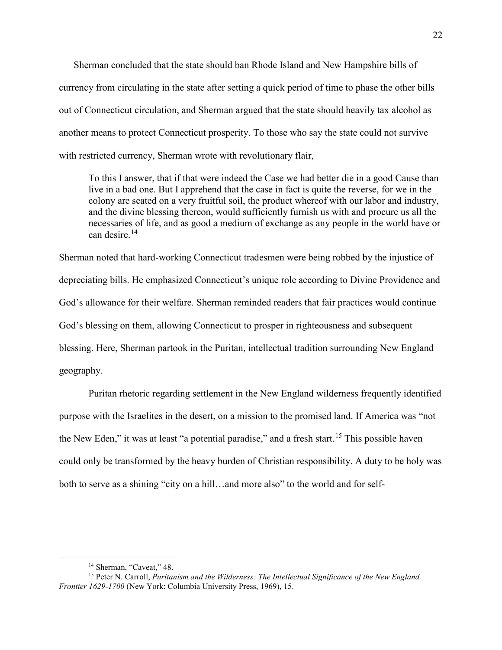Sherman concluded that the state should ban Rhode Island and New Hampshire bills of currency from circulating in the state after setting a quick period of time to phase the other bills out of Connecticut circulation, and Sherman argued that the state should heavily tax alcohol as another means to protect Connecticut prosperity. To those who say the state could not survive with restricted currency, Sherman wrote with revolutionary flair,

To this I answer, that if that were indeed the Case we had better die in a good Cause than live in a bad one. But I apprehend that the case in fact is quite the reverse, for we in the colony are seated on a very fruitful soil, the product whereof with our labor and industry, and the divine blessing thereon, would sufficiently furnish us with and procure us all the necessaries of life, and as good a medium of exchange as any people in the world have or can desire.[14](#page-24-0)

Sherman noted that hard-working Connecticut tradesmen were being robbed by the injustice of depreciating bills. He emphasized Connecticut's unique role according to Divine Providence and God's allowance for their welfare. Sherman reminded readers that fair practices would continue God's blessing on them, allowing Connecticut to prosper in righteousness and subsequent blessing. Here, Sherman partook in the Puritan, intellectual tradition surrounding New England geography.

Puritan rhetoric regarding settlement in the New England wilderness frequently identified purpose with the Israelites in the desert, on a mission to the promised land. If America was "not the New Eden," it was at least "a potential paradise," and a fresh start.<sup>[15](#page-24-1)</sup> This possible haven could only be transformed by the heavy burden of Christian responsibility. A duty to be holy was both to serve as a shining "city on a hill…and more also" to the world and for self-

<span id="page-24-2"></span><span id="page-24-1"></span><span id="page-24-0"></span><sup>&</sup>lt;sup>14</sup> Sherman, "Caveat," 48.<br><sup>15</sup> Peter N. Carroll, *Puritanism and the Wilderness: The Intellectual Significance of the New England Frontier 1629-1700* (New York: Columbia University Press, 1969), 15.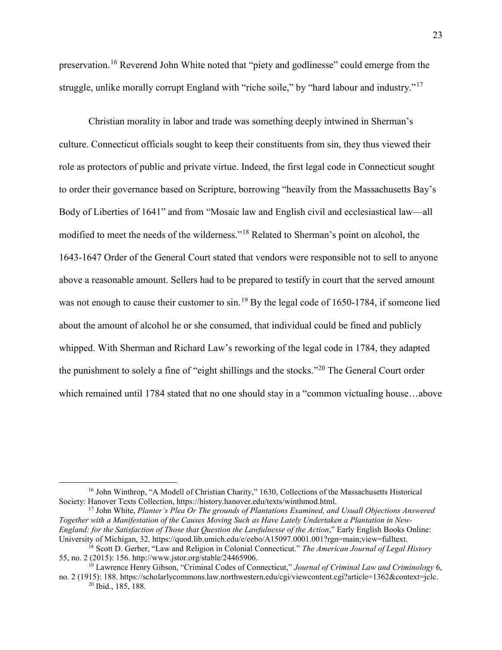preservation.<sup>[16](#page-24-2)</sup> Reverend John White noted that "piety and godlinesse" could emerge from the struggle, unlike morally corrupt England with "riche soile," by "hard labour and industry."<sup>[17](#page-25-0)</sup>

Christian morality in labor and trade was something deeply intwined in Sherman's culture. Connecticut officials sought to keep their constituents from sin, they thus viewed their role as protectors of public and private virtue. Indeed, the first legal code in Connecticut sought to order their governance based on Scripture, borrowing "heavily from the Massachusetts Bay's Body of Liberties of 1641" and from "Mosaic law and English civil and ecclesiastical law—all modified to meet the needs of the wilderness."[18](#page-25-1) Related to Sherman's point on alcohol, the 1643-1647 Order of the General Court stated that vendors were responsible not to sell to anyone above a reasonable amount. Sellers had to be prepared to testify in court that the served amount was not enough to cause their customer to sin.<sup>[19](#page-25-2)</sup> By the legal code of 1650-1784, if someone lied about the amount of alcohol he or she consumed, that individual could be fined and publicly whipped. With Sherman and Richard Law's reworking of the legal code in 1784, they adapted the punishment to solely a fine of "eight shillings and the stocks."[20](#page-25-3) The General Court order which remained until 1784 stated that no one should stay in a "common victualing house…above

<sup>&</sup>lt;sup>16</sup> John Winthrop, "A Modell of Christian Charity," 1630, Collections of the Massachusetts Historical Society: Hanover Texts Collection, https://history.hanover.edu/texts/winthmod.html.

<span id="page-25-0"></span><sup>17</sup> John White, *Planter's Plea Or The grounds of Plantations Examined, and Usuall Objections Answered Together with a Manifestation of the Causes Moving Such as Have Lately Undertaken a Plantation in New-England: for the Satisfaction of Those that Question the Lawfulnesse of the Action*," Early English Books Online:<br>University of Michigan, 32. https://quod.lib.umich.edu/e/eebo/A15097.0001.001?rgn=main;view=fulltext.

<span id="page-25-1"></span><sup>&</sup>lt;sup>18</sup> Scott D. Gerber, "Law and Religion in Colonial Connecticut." *The American Journal of Legal History* 55, no. 2 (2015): 156. http://www.jstor.org/stable/24465906.

<sup>19</sup> Lawrence Henry Gibson, "Criminal Codes of Connecticut," *Journal of Criminal Law and Criminology* 6,

<span id="page-25-3"></span><span id="page-25-2"></span>no. 2 (1915): 188. https://scholarlycommons.law.northwestern.edu/cgi/viewcontent.cgi?article=1362&context=jclc. <sup>20</sup> Ibid., 185, 188.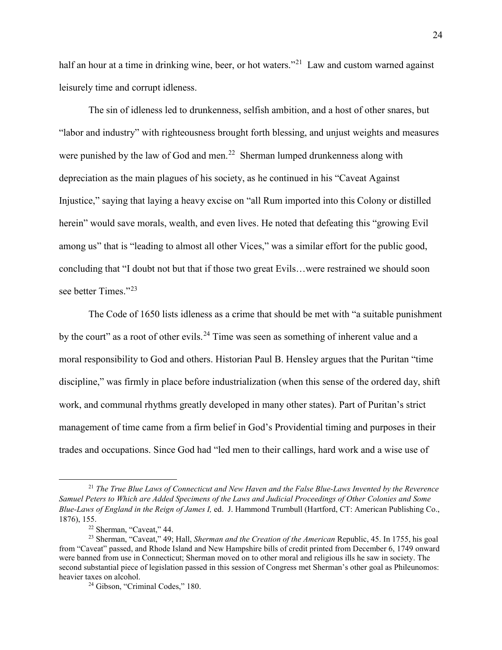half an hour at a time in drinking wine, beer, or hot waters."<sup>21</sup> Law and custom warned against leisurely time and corrupt idleness.

The sin of idleness led to drunkenness, selfish ambition, and a host of other snares, but "labor and industry" with righteousness brought forth blessing, and unjust weights and measures were punished by the law of God and men.<sup>22</sup> Sherman lumped drunkenness along with depreciation as the main plagues of his society, as he continued in his "Caveat Against Injustice," saying that laying a heavy excise on "all Rum imported into this Colony or distilled herein" would save morals, wealth, and even lives. He noted that defeating this "growing Evil among us" that is "leading to almost all other Vices," was a similar effort for the public good, concluding that "I doubt not but that if those two great Evils…were restrained we should soon see better Times."<sup>[23](#page-26-2)</sup>

The Code of 1650 lists idleness as a crime that should be met with "a suitable punishment by the court" as a root of other evils.<sup>[24](#page-26-3)</sup> Time was seen as something of inherent value and a moral responsibility to God and others. Historian Paul B. Hensley argues that the Puritan "time discipline," was firmly in place before industrialization (when this sense of the ordered day, shift work, and communal rhythms greatly developed in many other states). Part of Puritan's strict management of time came from a firm belief in God's Providential timing and purposes in their trades and occupations. Since God had "led men to their callings, hard work and a wise use of

<span id="page-26-0"></span> <sup>21</sup> *The True Blue Laws of Connecticut and New Haven and the False Blue-Laws Invented by the Reverence Samuel Peters to Which are Added Specimens of the Laws and Judicial Proceedings of Other Colonies and Some Blue-Laws of England in the Reign of James I,* ed. J. Hammond Trumbull (Hartford, CT: American Publishing Co., 1876), 155. 22 Sherman, "Caveat," 44.

<span id="page-26-3"></span><span id="page-26-2"></span><span id="page-26-1"></span><sup>23</sup> Sherman, "Caveat," 49; Hall, *Sherman and the Creation of the American* Republic, 45. In 1755, his goal from "Caveat" passed, and Rhode Island and New Hampshire bills of credit printed from December 6, 1749 onward were banned from use in Connecticut; Sherman moved on to other moral and religious ills he saw in society. The second substantial piece of legislation passed in this session of Congress met Sherman's other goal as Phileunomos: heavier taxes on alcohol.<br><sup>24</sup> Gibson, "Criminal Codes," 180.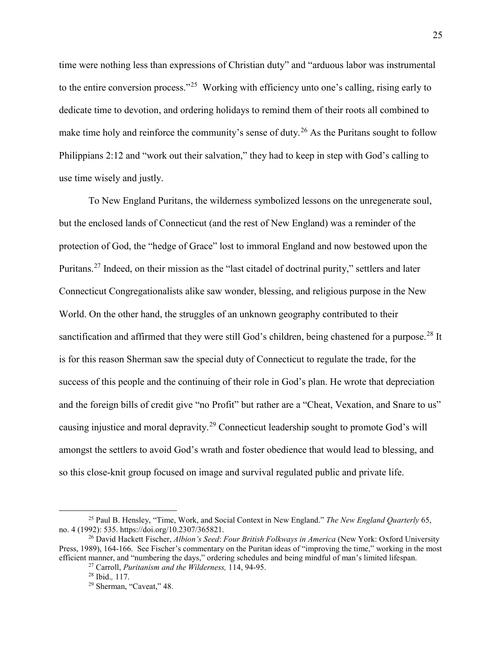time were nothing less than expressions of Christian duty" and "arduous labor was instrumental to the entire conversion process."<sup>25</sup> Working with efficiency unto one's calling, rising early to dedicate time to devotion, and ordering holidays to remind them of their roots all combined to make time holy and reinforce the community's sense of duty.<sup>[26](#page-27-1)</sup> As the Puritans sought to follow Philippians 2:12 and "work out their salvation," they had to keep in step with God's calling to use time wisely and justly.

To New England Puritans, the wilderness symbolized lessons on the unregenerate soul, but the enclosed lands of Connecticut (and the rest of New England) was a reminder of the protection of God, the "hedge of Grace" lost to immoral England and now bestowed upon the Puritans.<sup>[27](#page-27-2)</sup> Indeed, on their mission as the "last citadel of doctrinal purity," settlers and later Connecticut Congregationalists alike saw wonder, blessing, and religious purpose in the New World. On the other hand, the struggles of an unknown geography contributed to their sanctification and affirmed that they were still God's children, being chastened for a purpose.<sup>[28](#page-27-3)</sup> It is for this reason Sherman saw the special duty of Connecticut to regulate the trade, for the success of this people and the continuing of their role in God's plan. He wrote that depreciation and the foreign bills of credit give "no Profit" but rather are a "Cheat, Vexation, and Snare to us" causing injustice and moral depravity.[29](#page-27-4) Connecticut leadership sought to promote God's will amongst the settlers to avoid God's wrath and foster obedience that would lead to blessing, and so this close-knit group focused on image and survival regulated public and private life.

<span id="page-27-0"></span> <sup>25</sup> Paul B. Hensley, "Time, Work, and Social Context in New England." *The New England Quarterly* 65, no. 4 (1992): 535. https://doi.org/10.2307/365821.

<span id="page-27-4"></span><span id="page-27-3"></span><span id="page-27-2"></span><span id="page-27-1"></span><sup>26</sup> David Hackett Fischer, *Albion's Seed*: *Four British Folkways in America* (New York: Oxford University Press, 1989), 164-166. See Fischer's commentary on the Puritan ideas of "improving the time," working in the most efficient manner, and "numbering the days," ordering schedules and being mindful of man's limited lifespan. 27 Carroll, *Puritanism and the Wilderness,* 114, 94-95. 28 Ibid.*,* 117.

<sup>&</sup>lt;sup>29</sup> Sherman, "Caveat," 48.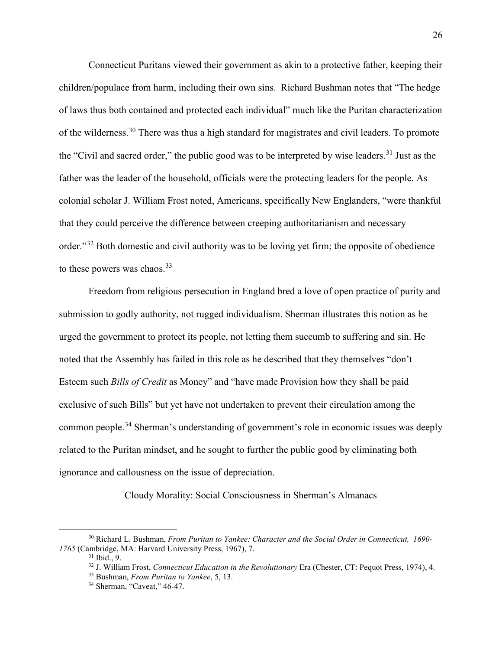Connecticut Puritans viewed their government as akin to a protective father, keeping their children/populace from harm, including their own sins. Richard Bushman notes that "The hedge of laws thus both contained and protected each individual" much like the Puritan characterization of the wilderness.[30](#page-28-0) There was thus a high standard for magistrates and civil leaders. To promote the "Civil and sacred order," the public good was to be interpreted by wise leaders.<sup>[31](#page-28-1)</sup> Just as the father was the leader of the household, officials were the protecting leaders for the people. As colonial scholar J. William Frost noted, Americans, specifically New Englanders, "were thankful that they could perceive the difference between creeping authoritarianism and necessary order."<sup>[32](#page-28-2)</sup> Both domestic and civil authority was to be loving yet firm; the opposite of obedience to these powers was chaos. $33$ 

Freedom from religious persecution in England bred a love of open practice of purity and submission to godly authority, not rugged individualism. Sherman illustrates this notion as he urged the government to protect its people, not letting them succumb to suffering and sin. He noted that the Assembly has failed in this role as he described that they themselves "don't Esteem such *Bills of Credit* as Money" and "have made Provision how they shall be paid exclusive of such Bills" but yet have not undertaken to prevent their circulation among the common people.[34](#page-28-4) Sherman's understanding of government's role in economic issues was deeply related to the Puritan mindset, and he sought to further the public good by eliminating both ignorance and callousness on the issue of depreciation.

Cloudy Morality: Social Consciousness in Sherman's Almanacs

<span id="page-28-4"></span><span id="page-28-3"></span><span id="page-28-2"></span><span id="page-28-1"></span><span id="page-28-0"></span> <sup>30</sup> Richard L. Bushman, *From Puritan to Yankee: Character and the Social Order in Connecticut, 1690- 1765* (Cambridge, MA: Harvard University Press, 1967), 7. <sup>31</sup> Ibid., 9.

<sup>32</sup> J. William Frost, *Connecticut Education in the Revolutionary* Era (Chester, CT: Pequot Press, 1974), 4.

<sup>33</sup> Bushman, *From Puritan to Yankee*, 5, 13.

<sup>34</sup> Sherman, "Caveat," 46-47.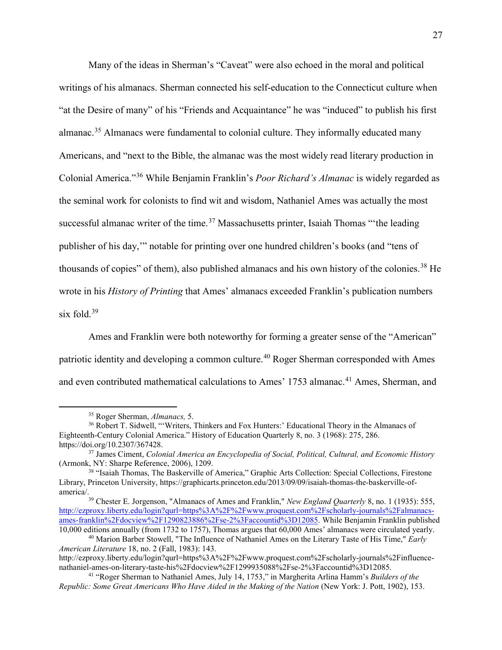Many of the ideas in Sherman's "Caveat" were also echoed in the moral and political writings of his almanacs. Sherman connected his self-education to the Connecticut culture when "at the Desire of many" of his "Friends and Acquaintance" he was "induced" to publish his first almanac.<sup>[35](#page-29-0)</sup> Almanacs were fundamental to colonial culture. They informally educated many Americans, and "next to the Bible, the almanac was the most widely read literary production in Colonial America."[36](#page-29-1) While Benjamin Franklin's *Poor Richard's Almanac* is widely regarded as the seminal work for colonists to find wit and wisdom, Nathaniel Ames was actually the most successful almanac writer of the time.<sup>[37](#page-29-2)</sup> Massachusetts printer, Isaiah Thomas "the leading publisher of his day,'" notable for printing over one hundred children's books (and "tens of thousands of copies" of them), also published almanacs and his own history of the colonies.<sup>[38](#page-29-3)</sup> He wrote in his *History of Printing* that Ames' almanacs exceeded Franklin's publication numbers six fold. $39$ 

Ames and Franklin were both noteworthy for forming a greater sense of the "American" patriotic identity and developing a common culture.<sup>[40](#page-29-5)</sup> Roger Sherman corresponded with Ames and even contributed mathematical calculations to Ames' 1753 almanac.<sup>[41](#page-29-6)</sup> Ames, Sherman, and

<span id="page-29-1"></span><span id="page-29-0"></span><sup>&</sup>lt;sup>35</sup> Roger Sherman, *Almanacs*, 5.<br><sup>36</sup> Robert T. Sidwell, "'Writers, Thinkers and Fox Hunters:' Educational Theory in the Almanacs of Eighteenth-Century Colonial America." History of Education Quarterly 8, no. 3 (1968): 275, 286. https://doi.org/10.2307/367428.

<span id="page-29-2"></span><sup>&</sup>lt;sup>37</sup> James Ciment, *Colonial America an Encyclopedia of Social, Political, Cultural, and Economic History* (Armonk, NY: Sharpe Reference, 2006), 1209.

<span id="page-29-3"></span><sup>&</sup>lt;sup>38</sup> "Isaiah Thomas, The Baskerville of America," Graphic Arts Collection: Special Collections, Firestone Library, Princeton University, https://graphicarts.princeton.edu/2013/09/09/isaiah-thomas-the-baskerville-of-

<span id="page-29-4"></span><sup>&</sup>lt;sup>39</sup> Chester E. Jorgenson, "Almanacs of Ames and Franklin," *New England Quarterly* 8, no. 1 (1935): 555, [http://ezproxy.liberty.edu/login?qurl=https%3A%2F%2Fwww.proquest.com%2Fscholarly-journals%2Falmanacs](http://ezproxy.liberty.edu/login?qurl=https%3A%2F%2Fwww.proquest.com%2Fscholarly-journals%2Falmanacs-ames-franklin%2Fdocview%2F1290823886%2Fse-2%3Faccountid%3D12085)[ames-franklin%2Fdocview%2F1290823886%2Fse-2%3Faccountid%3D12085.](http://ezproxy.liberty.edu/login?qurl=https%3A%2F%2Fwww.proquest.com%2Fscholarly-journals%2Falmanacs-ames-franklin%2Fdocview%2F1290823886%2Fse-2%3Faccountid%3D12085) While Benjamin Franklin published 10,000 editions annually (from 1732 to 1757), Thomas argues that 60,000 Ames' almanacs were circulated yearly.

<span id="page-29-5"></span><sup>40</sup> Marion Barber Stowell, "The Influence of Nathaniel Ames on the Literary Taste of His Time," *Early American Literature* 18, no. 2 (Fall, 1983): 143.

http://ezproxy.liberty.edu/login?qurl=https%3A%2F%2Fwww.proquest.com%2Fscholarly-journals%2Finfluencenathaniel-ames-on-literary-taste-his%2Fdocview%2F1299935088%2Fse-2%3Faccountid%3D12085.

<span id="page-29-6"></span><sup>41</sup> "Roger Sherman to Nathaniel Ames, July 14, 1753," in Margherita Arlina Hamm's *Builders of the Republic: Some Great Americans Who Have Aided in the Making of the Nation* (New York: J. Pott, 1902), 153.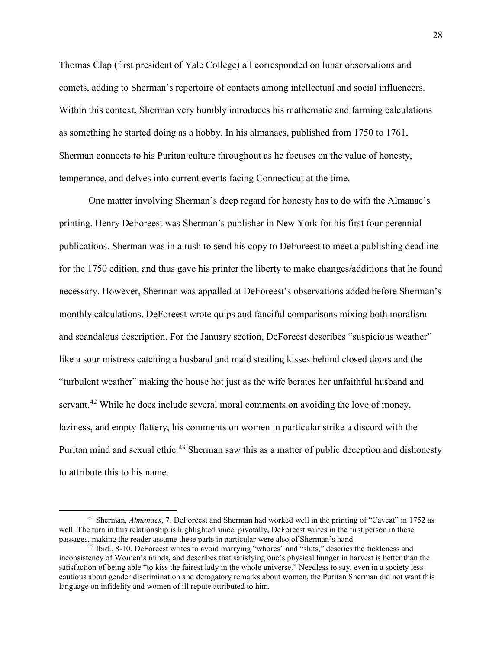Thomas Clap (first president of Yale College) all corresponded on lunar observations and comets, adding to Sherman's repertoire of contacts among intellectual and social influencers. Within this context, Sherman very humbly introduces his mathematic and farming calculations as something he started doing as a hobby. In his almanacs, published from 1750 to 1761, Sherman connects to his Puritan culture throughout as he focuses on the value of honesty, temperance, and delves into current events facing Connecticut at the time.

One matter involving Sherman's deep regard for honesty has to do with the Almanac's printing. Henry DeForeest was Sherman's publisher in New York for his first four perennial publications. Sherman was in a rush to send his copy to DeForeest to meet a publishing deadline for the 1750 edition, and thus gave his printer the liberty to make changes/additions that he found necessary. However, Sherman was appalled at DeForeest's observations added before Sherman's monthly calculations. DeForeest wrote quips and fanciful comparisons mixing both moralism and scandalous description. For the January section, DeForeest describes "suspicious weather" like a sour mistress catching a husband and maid stealing kisses behind closed doors and the "turbulent weather" making the house hot just as the wife berates her unfaithful husband and servant.<sup>[42](#page-30-0)</sup> While he does include several moral comments on avoiding the love of money, laziness, and empty flattery, his comments on women in particular strike a discord with the Puritan mind and sexual ethic.<sup>[43](#page-30-1)</sup> Sherman saw this as a matter of public deception and dishonesty to attribute this to his name.

<span id="page-30-0"></span> <sup>42</sup> Sherman, *Almanacs*, 7. DeForeest and Sherman had worked well in the printing of "Caveat" in 1752 as well. The turn in this relationship is highlighted since, pivotally, DeForeest writes in the first person in these passages, making the reader assume these parts in particular were also of Sherman's hand. 43 Ibid., 8-10. DeForeest writes to avoid marrying "whores" and "sluts," descries the fickleness and

<span id="page-30-1"></span>inconsistency of Women's minds, and describes that satisfying one's physical hunger in harvest is better than the satisfaction of being able "to kiss the fairest lady in the whole universe." Needless to say, even in a society less cautious about gender discrimination and derogatory remarks about women, the Puritan Sherman did not want this language on infidelity and women of ill repute attributed to him.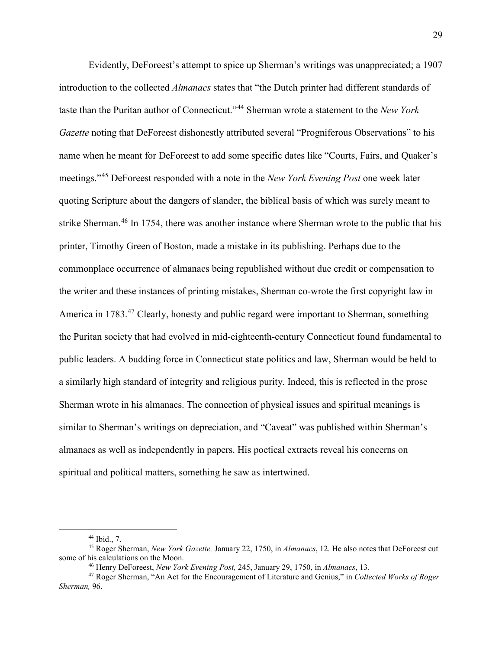Evidently, DeForeest's attempt to spice up Sherman's writings was unappreciated; a 1907 introduction to the collected *Almanacs* states that "the Dutch printer had different standards of taste than the Puritan author of Connecticut."[44](#page-31-0) Sherman wrote a statement to the *New York Gazette* noting that DeForeest dishonestly attributed several "Progniferous Observations" to his name when he meant for DeForeest to add some specific dates like "Courts, Fairs, and Quaker's meetings."[45](#page-31-1) DeForeest responded with a note in the *New York Evening Post* one week later quoting Scripture about the dangers of slander, the biblical basis of which was surely meant to strike Sherman.<sup>[46](#page-31-2)</sup> In 1754, there was another instance where Sherman wrote to the public that his printer, Timothy Green of Boston, made a mistake in its publishing. Perhaps due to the commonplace occurrence of almanacs being republished without due credit or compensation to the writer and these instances of printing mistakes, Sherman co-wrote the first copyright law in America in 1783.<sup>[47](#page-31-3)</sup> Clearly, honesty and public regard were important to Sherman, something the Puritan society that had evolved in mid-eighteenth-century Connecticut found fundamental to public leaders. A budding force in Connecticut state politics and law, Sherman would be held to a similarly high standard of integrity and religious purity. Indeed, this is reflected in the prose Sherman wrote in his almanacs. The connection of physical issues and spiritual meanings is similar to Sherman's writings on depreciation, and "Caveat" was published within Sherman's almanacs as well as independently in papers. His poetical extracts reveal his concerns on spiritual and political matters, something he saw as intertwined.

<span id="page-31-1"></span><span id="page-31-0"></span><sup>44</sup> Ibid., 7. 45 Roger Sherman, *New York Gazette,* January 22, 1750, in *Almanacs*, 12. He also notes that DeForeest cut some of his calculations on the Moon. 46 Henry DeForeest, *New York Evening Post,* 245, January 29, 1750, in *Almanacs*, 13.

<span id="page-31-3"></span><span id="page-31-2"></span><sup>47</sup> Roger Sherman, "An Act for the Encouragement of Literature and Genius," in *Collected Works of Roger Sherman,* 96.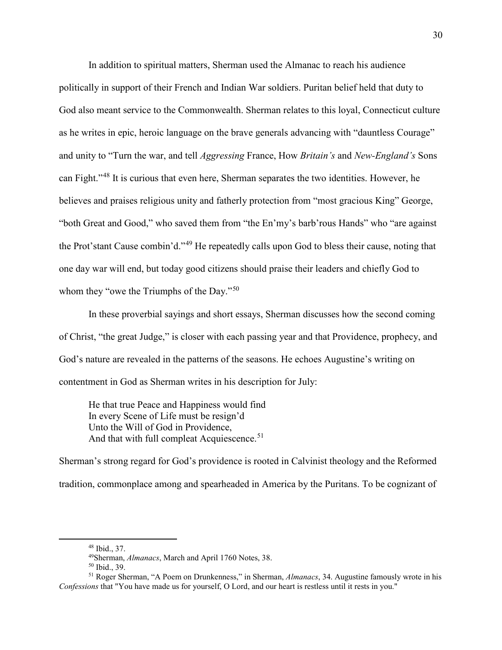In addition to spiritual matters, Sherman used the Almanac to reach his audience politically in support of their French and Indian War soldiers. Puritan belief held that duty to God also meant service to the Commonwealth. Sherman relates to this loyal, Connecticut culture as he writes in epic, heroic language on the brave generals advancing with "dauntless Courage" and unity to "Turn the war, and tell *Aggressing* France, How *Britain's* and *New-England's* Sons can Fight."[48](#page-32-0) It is curious that even here, Sherman separates the two identities. However, he believes and praises religious unity and fatherly protection from "most gracious King" George, "both Great and Good," who saved them from "the En'my's barb'rous Hands" who "are against the Prot'stant Cause combin'd."[49](#page-32-1) He repeatedly calls upon God to bless their cause, noting that one day war will end, but today good citizens should praise their leaders and chiefly God to whom they "owe the Triumphs of the Day."<sup>[50](#page-32-2)</sup>

In these proverbial sayings and short essays, Sherman discusses how the second coming of Christ, "the great Judge," is closer with each passing year and that Providence, prophecy, and God's nature are revealed in the patterns of the seasons. He echoes Augustine's writing on contentment in God as Sherman writes in his description for July:

He that true Peace and Happiness would find In every Scene of Life must be resign'd Unto the Will of God in Providence, And that with full compleat Acquiescence.<sup>51</sup>

Sherman's strong regard for God's providence is rooted in Calvinist theology and the Reformed tradition, commonplace among and spearheaded in America by the Puritans. To be cognizant of

 <sup>48</sup> Ibid., 37.

<sup>49</sup>Sherman, *Almanacs*, March and April 1760 Notes, 38.

<sup>50</sup> Ibid., 39.

<span id="page-32-3"></span><span id="page-32-2"></span><span id="page-32-1"></span><span id="page-32-0"></span><sup>51</sup> Roger Sherman, "A Poem on Drunkenness," in Sherman, *Almanacs*, 34. Augustine famously wrote in his *Confessions* that "You have made us for yourself, O Lord, and our heart is restless until it rests in you."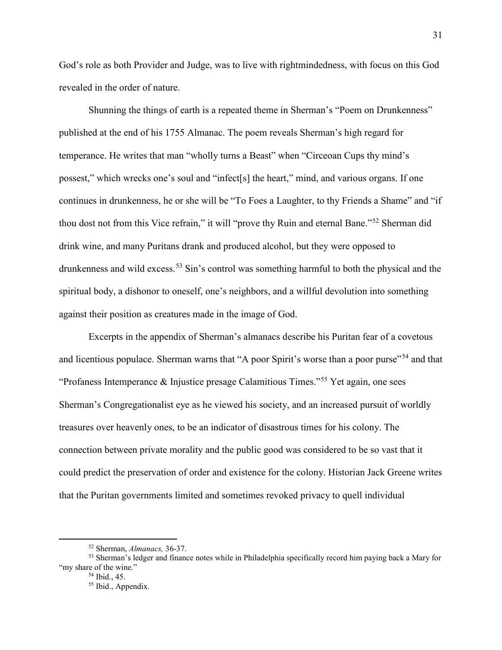God's role as both Provider and Judge, was to live with rightmindedness, with focus on this God revealed in the order of nature.

Shunning the things of earth is a repeated theme in Sherman's "Poem on Drunkenness" published at the end of his 1755 Almanac. The poem reveals Sherman's high regard for temperance. He writes that man "wholly turns a Beast" when "Circeoan Cups thy mind's possest," which wrecks one's soul and "infect[s] the heart," mind, and various organs. If one continues in drunkenness, he or she will be "To Foes a Laughter, to thy Friends a Shame" and "if thou dost not from this Vice refrain," it will "prove thy Ruin and eternal Bane."[52](#page-33-0) Sherman did drink wine, and many Puritans drank and produced alcohol, but they were opposed to drunkenness and wild excess.<sup>[53](#page-33-1)</sup> Sin's control was something harmful to both the physical and the spiritual body, a dishonor to oneself, one's neighbors, and a willful devolution into something against their position as creatures made in the image of God.

Excerpts in the appendix of Sherman's almanacs describe his Puritan fear of a covetous and licentious populace. Sherman warns that "A poor Spirit's worse than a poor purse"<sup>[54](#page-33-2)</sup> and that "Profaness Intemperance & Injustice presage Calamitious Times."<sup>[55](#page-33-3)</sup> Yet again, one sees Sherman's Congregationalist eye as he viewed his society, and an increased pursuit of worldly treasures over heavenly ones, to be an indicator of disastrous times for his colony. The connection between private morality and the public good was considered to be so vast that it could predict the preservation of order and existence for the colony. Historian Jack Greene writes that the Puritan governments limited and sometimes revoked privacy to quell individual

 <sup>52</sup> Sherman, *Almanacs,* 36-37.

<span id="page-33-3"></span><span id="page-33-2"></span><span id="page-33-1"></span><span id="page-33-0"></span><sup>53</sup> Sherman's ledger and finance notes while in Philadelphia specifically record him paying back a Mary for "my share of the wine."

<sup>54</sup> Ibid., 45.

<sup>&</sup>lt;sup>55</sup> Ibid., Appendix.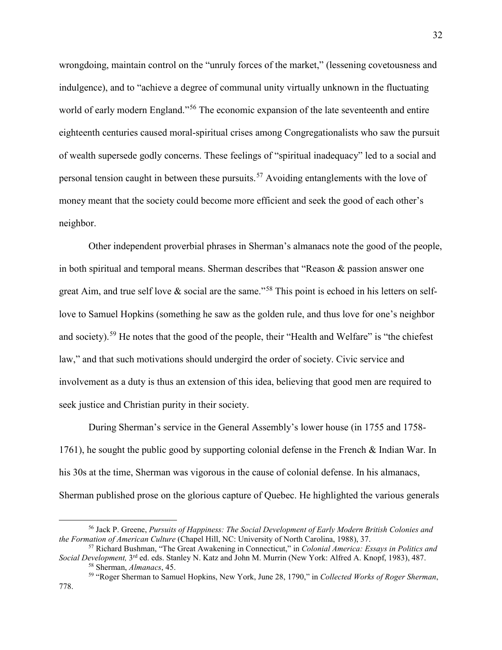wrongdoing, maintain control on the "unruly forces of the market," (lessening covetousness and indulgence), and to "achieve a degree of communal unity virtually unknown in the fluctuating world of early modern England."<sup>[56](#page-34-0)</sup> The economic expansion of the late seventeenth and entire eighteenth centuries caused moral-spiritual crises among Congregationalists who saw the pursuit of wealth supersede godly concerns. These feelings of "spiritual inadequacy" led to a social and personal tension caught in between these pursuits.[57](#page-34-1) Avoiding entanglements with the love of money meant that the society could become more efficient and seek the good of each other's neighbor.

Other independent proverbial phrases in Sherman's almanacs note the good of the people, in both spiritual and temporal means. Sherman describes that "Reason & passion answer one great Aim, and true self love  $\&$  social are the same."<sup>[58](#page-34-2)</sup> This point is echoed in his letters on selflove to Samuel Hopkins (something he saw as the golden rule, and thus love for one's neighbor and society).<sup>[59](#page-34-3)</sup> He notes that the good of the people, their "Health and Welfare" is "the chiefest law," and that such motivations should undergird the order of society. Civic service and involvement as a duty is thus an extension of this idea, believing that good men are required to seek justice and Christian purity in their society.

During Sherman's service in the General Assembly's lower house (in 1755 and 1758- 1761), he sought the public good by supporting colonial defense in the French & Indian War. In his 30s at the time, Sherman was vigorous in the cause of colonial defense. In his almanacs, Sherman published prose on the glorious capture of Quebec. He highlighted the various generals

<span id="page-34-0"></span> <sup>56</sup> Jack P. Greene, *Pursuits of Happiness: The Social Development of Early Modern British Colonies and* 

<span id="page-34-3"></span><span id="page-34-2"></span><span id="page-34-1"></span><sup>&</sup>lt;sup>57</sup> Richard Bushman, "The Great Awakening in Connecticut," in *Colonial America: Essays in Politics and Social Development,* 3rd ed. eds. Stanley N. Katz and John M. Murrin (New York: Alfred A. Knopf, 1983), 487. 58 Sherman, *Almanacs*, 45.

<sup>59</sup> "Roger Sherman to Samuel Hopkins, New York, June 28, 1790," in *Collected Works of Roger Sherman*,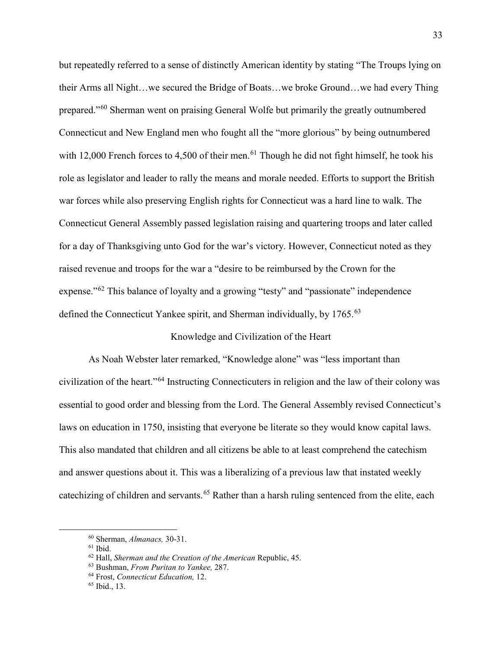but repeatedly referred to a sense of distinctly American identity by stating "The Troups lying on their Arms all Night…we secured the Bridge of Boats…we broke Ground…we had every Thing prepared."[60](#page-35-0) Sherman went on praising General Wolfe but primarily the greatly outnumbered Connecticut and New England men who fought all the "more glorious" by being outnumbered with 12,000 French forces to 4,500 of their men.<sup>[61](#page-35-1)</sup> Though he did not fight himself, he took his role as legislator and leader to rally the means and morale needed. Efforts to support the British war forces while also preserving English rights for Connecticut was a hard line to walk. The Connecticut General Assembly passed legislation raising and quartering troops and later called for a day of Thanksgiving unto God for the war's victory. However, Connecticut noted as they raised revenue and troops for the war a "desire to be reimbursed by the Crown for the expense."<sup>[62](#page-35-2)</sup> This balance of loyalty and a growing "testy" and "passionate" independence defined the Connecticut Yankee spirit, and Sherman individually, by 1765.<sup>[63](#page-35-3)</sup>

#### Knowledge and Civilization of the Heart

As Noah Webster later remarked, "Knowledge alone" was "less important than civilization of the heart."[64](#page-35-4) Instructing Connecticuters in religion and the law of their colony was essential to good order and blessing from the Lord. The General Assembly revised Connecticut's laws on education in 1750, insisting that everyone be literate so they would know capital laws. This also mandated that children and all citizens be able to at least comprehend the catechism and answer questions about it. This was a liberalizing of a previous law that instated weekly cate children and servants.<sup>[65](#page-35-5)</sup> Rather than a harsh ruling sentenced from the elite, each

<span id="page-35-1"></span><span id="page-35-0"></span><sup>60</sup> Sherman, *Almanacs,* 30-31. 61 Ibid.

<span id="page-35-2"></span><sup>62</sup> Hall, *Sherman and the Creation of the American* Republic, 45.

<span id="page-35-3"></span><sup>63</sup> Bushman, *From Puritan to Yankee,* 287.

<span id="page-35-4"></span><sup>64</sup> Frost, *Connecticut Education,* 12.

<span id="page-35-5"></span><sup>65</sup> Ibid., 13.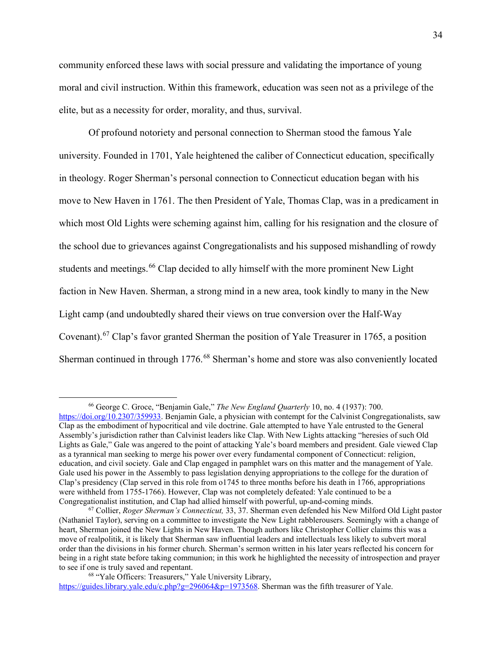community enforced these laws with social pressure and validating the importance of young moral and civil instruction. Within this framework, education was seen not as a privilege of the elite, but as a necessity for order, morality, and thus, survival.

Of profound notoriety and personal connection to Sherman stood the famous Yale university. Founded in 1701, Yale heightened the caliber of Connecticut education, specifically in theology. Roger Sherman's personal connection to Connecticut education began with his move to New Haven in 1761. The then President of Yale, Thomas Clap, was in a predicament in which most Old Lights were scheming against him, calling for his resignation and the closure of the school due to grievances against Congregationalists and his supposed mishandling of rowdy students and meetings.<sup>[66](#page-36-0)</sup> Clap decided to ally himself with the more prominent New Light faction in New Haven. Sherman, a strong mind in a new area, took kindly to many in the New Light camp (and undoubtedly shared their views on true conversion over the Half-Way Covenant).[67](#page-36-1) Clap's favor granted Sherman the position of Yale Treasurer in 1765, a position Sherman continued in through 1776.<sup>[68](#page-36-2)</sup> Sherman's home and store was also conveniently located

 <sup>66</sup> George C. Groce, "Benjamin Gale," *The New England Quarterly* 10, no. 4 (1937): 700.

<span id="page-36-0"></span>[https://doi.org/10.2307/359933.](https://doi.org/10.2307/359933) Benjamin Gale, a physician with contempt for the Calvinist Congregationalists, saw Clap as the embodiment of hypocritical and vile doctrine. Gale attempted to have Yale entrusted to the General Assembly's jurisdiction rather than Calvinist leaders like Clap. With New Lights attacking "heresies of such Old Lights as Gale," Gale was angered to the point of attacking Yale's board members and president. Gale viewed Clap as a tyrannical man seeking to merge his power over every fundamental component of Connecticut: religion, education, and civil society. Gale and Clap engaged in pamphlet wars on this matter and the management of Yale. Gale used his power in the Assembly to pass legislation denying appropriations to the college for the duration of Clap's presidency (Clap served in this role from o1745 to three months before his death in 1766, appropriations were withheld from 1755-1766). However, Clap was not completely defeated: Yale continued to be a

<span id="page-36-1"></span>Congregationalist institution, and Clap had allied himself with powerful, up-and-coming minds. 67 Collier, *Roger Sherman's Connecticut,* 33, 37. Sherman even defended his New Milford Old Light pastor (Nathaniel Taylor), serving on a committee to investigate the New Light rabblerousers. Seemingly with a change of heart, Sherman joined the New Lights in New Haven. Though authors like Christopher Collier claims this was a move of realpolitik, it is likely that Sherman saw influential leaders and intellectuals less likely to subvert moral order than the divisions in his former church. Sherman's sermon written in his later years reflected his concern for being in a right state before taking communion; in this work he highlighted the necessity of introspection and prayer to see if one is truly saved and repentant. 68 "Yale Officers: Treasurers," Yale University Library,

<span id="page-36-2"></span>[https://guides.library.yale.edu/c.php?g=296064&p=1973568.](https://guides.library.yale.edu/c.php?g=296064&p=1973568) Sherman was the fifth treasurer of Yale.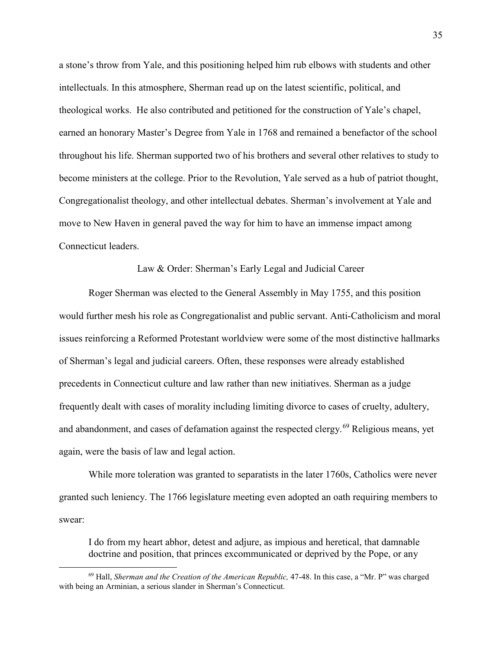a stone's throw from Yale, and this positioning helped him rub elbows with students and other intellectuals. In this atmosphere, Sherman read up on the latest scientific, political, and theological works. He also contributed and petitioned for the construction of Yale's chapel, earned an honorary Master's Degree from Yale in 1768 and remained a benefactor of the school throughout his life. Sherman supported two of his brothers and several other relatives to study to become ministers at the college. Prior to the Revolution, Yale served as a hub of patriot thought, Congregationalist theology, and other intellectual debates. Sherman's involvement at Yale and move to New Haven in general paved the way for him to have an immense impact among Connecticut leaders.

### Law & Order: Sherman's Early Legal and Judicial Career

Roger Sherman was elected to the General Assembly in May 1755, and this position would further mesh his role as Congregationalist and public servant. Anti-Catholicism and moral issues reinforcing a Reformed Protestant worldview were some of the most distinctive hallmarks of Sherman's legal and judicial careers. Often, these responses were already established precedents in Connecticut culture and law rather than new initiatives. Sherman as a judge frequently dealt with cases of morality including limiting divorce to cases of cruelty, adultery, and abandonment, and cases of defamation against the respected clergy.<sup>[69](#page-37-0)</sup> Religious means, yet again, were the basis of law and legal action.

While more toleration was granted to separatists in the later 1760s, Catholics were never granted such leniency. The 1766 legislature meeting even adopted an oath requiring members to swear:

I do from my heart abhor, detest and adjure, as impious and heretical, that damnable doctrine and position, that princes excommunicated or deprived by the Pope, or any

<span id="page-37-0"></span> <sup>69</sup> Hall, *Sherman and the Creation of the American Republic,* 47-48. In this case, a "Mr. P" was charged with being an Arminian, a serious slander in Sherman's Connecticut.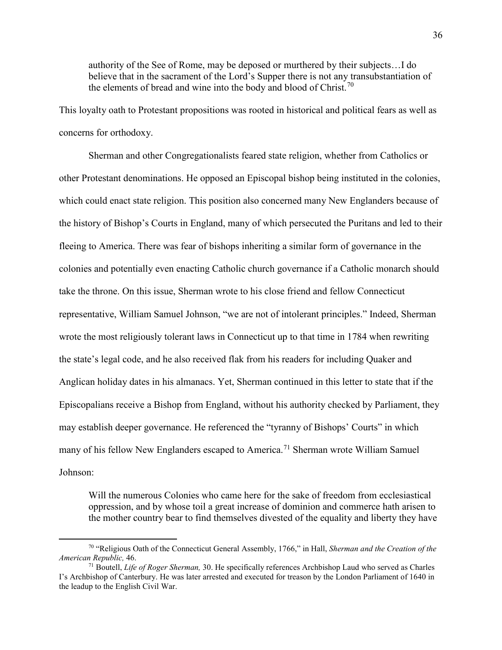authority of the See of Rome, may be deposed or murthered by their subjects…I do believe that in the sacrament of the Lord's Supper there is not any transubstantiation of the elements of bread and wine into the body and blood of Christ.<sup>[70](#page-38-0)</sup>

This loyalty oath to Protestant propositions was rooted in historical and political fears as well as concerns for orthodoxy.

Sherman and other Congregationalists feared state religion, whether from Catholics or other Protestant denominations. He opposed an Episcopal bishop being instituted in the colonies, which could enact state religion. This position also concerned many New Englanders because of the history of Bishop's Courts in England, many of which persecuted the Puritans and led to their fleeing to America. There was fear of bishops inheriting a similar form of governance in the colonies and potentially even enacting Catholic church governance if a Catholic monarch should take the throne. On this issue, Sherman wrote to his close friend and fellow Connecticut representative, William Samuel Johnson, "we are not of intolerant principles." Indeed, Sherman wrote the most religiously tolerant laws in Connecticut up to that time in 1784 when rewriting the state's legal code, and he also received flak from his readers for including Quaker and Anglican holiday dates in his almanacs. Yet, Sherman continued in this letter to state that if the Episcopalians receive a Bishop from England, without his authority checked by Parliament, they may establish deeper governance. He referenced the "tyranny of Bishops' Courts" in which many of his fellow New Englanders escaped to America.<sup>[71](#page-38-1)</sup> Sherman wrote William Samuel Johnson:

Will the numerous Colonies who came here for the sake of freedom from ecclesiastical oppression, and by whose toil a great increase of dominion and commerce hath arisen to the mother country bear to find themselves divested of the equality and liberty they have

<span id="page-38-0"></span> <sup>70</sup> "Religious Oath of the Connecticut General Assembly, 1766," in Hall, *Sherman and the Creation of the American Republic,* 46.

<span id="page-38-1"></span><sup>71</sup> Boutell, *Life of Roger Sherman,* 30. He specifically references Archbishop Laud who served as Charles I's Archbishop of Canterbury. He was later arrested and executed for treason by the London Parliament of 1640 in the leadup to the English Civil War.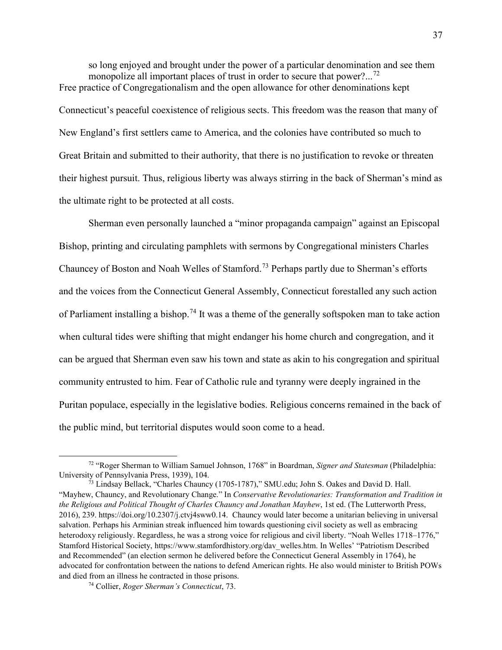so long enjoyed and brought under the power of a particular denomination and see them monopolize all important places of trust in order to secure that power?...<sup>[72](#page-39-0)</sup> Free practice of Congregationalism and the open allowance for other denominations kept Connecticut's peaceful coexistence of religious sects. This freedom was the reason that many of New England's first settlers came to America, and the colonies have contributed so much to Great Britain and submitted to their authority, that there is no justification to revoke or threaten their highest pursuit. Thus, religious liberty was always stirring in the back of Sherman's mind as the ultimate right to be protected at all costs.

Sherman even personally launched a "minor propaganda campaign" against an Episcopal Bishop, printing and circulating pamphlets with sermons by Congregational ministers Charles Chauncey of Boston and Noah Welles of Stamford.[73](#page-39-1) Perhaps partly due to Sherman's efforts and the voices from the Connecticut General Assembly, Connecticut forestalled any such action of Parliament installing a bishop.<sup>[74](#page-39-2)</sup> It was a theme of the generally softspoken man to take action when cultural tides were shifting that might endanger his home church and congregation, and it can be argued that Sherman even saw his town and state as akin to his congregation and spiritual community entrusted to him. Fear of Catholic rule and tyranny were deeply ingrained in the Puritan populace, especially in the legislative bodies. Religious concerns remained in the back of the public mind, but territorial disputes would soon come to a head.

<span id="page-39-0"></span> <sup>72</sup> "Roger Sherman to William Samuel Johnson, 1768" in Boardman, *Signer and Statesman* (Philadelphia: University of Pennsylvania Press, 1939), 104.

<span id="page-39-1"></span><sup>73</sup> Lindsay Bellack, "Charles Chauncy (1705-1787)," SMU.edu; John S. Oakes and David D. Hall. "Mayhew, Chauncy, and Revolutionary Change." In *Conservative Revolutionaries: Transformation and Tradition in the Religious and Political Thought of Charles Chauncy and Jonathan Mayhew*, 1st ed. (The Lutterworth Press, 2016), 239. https://doi.org/10.2307/j.ctvj4sww0.14. Chauncy would later become a unitarian believing in universal salvation. Perhaps his Arminian streak influenced him towards questioning civil society as well as embracing heterodoxy religiously. Regardless, he was a strong voice for religious and civil liberty. "Noah Welles 1718–1776," Stamford Historical Society, https://www.stamfordhistory.org/dav\_welles.htm. In Welles' "Patriotism Described and Recommended" (an election sermon he delivered before the Connecticut General Assembly in 1764), he advocated for confrontation between the nations to defend American rights. He also would minister to British POWs and died from an illness he contracted in those prisons. 74 Collier, *Roger Sherman's Connecticut*, 73.

<span id="page-39-2"></span>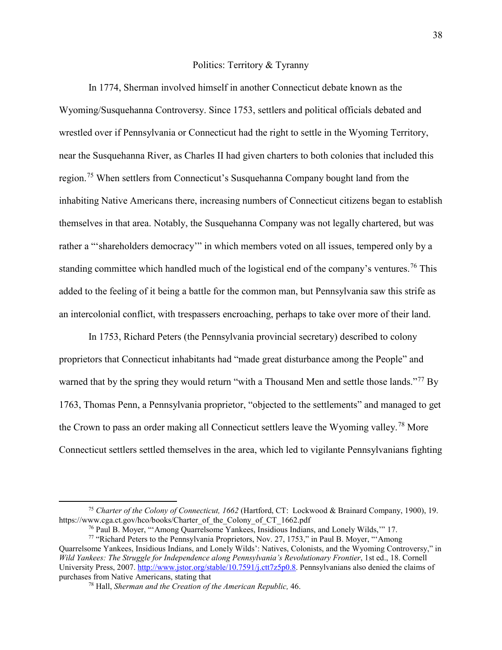### Politics: Territory & Tyranny

In 1774, Sherman involved himself in another Connecticut debate known as the Wyoming/Susquehanna Controversy. Since 1753, settlers and political officials debated and wrestled over if Pennsylvania or Connecticut had the right to settle in the Wyoming Territory, near the Susquehanna River, as Charles II had given charters to both colonies that included this region.<sup>[75](#page-40-0)</sup> When settlers from Connecticut's Susquehanna Company bought land from the inhabiting Native Americans there, increasing numbers of Connecticut citizens began to establish themselves in that area. Notably, the Susquehanna Company was not legally chartered, but was rather a "'shareholders democracy'" in which members voted on all issues, tempered only by a standing committee which handled much of the logistical end of the company's ventures.<sup>[76](#page-40-1)</sup> This added to the feeling of it being a battle for the common man, but Pennsylvania saw this strife as an intercolonial conflict, with trespassers encroaching, perhaps to take over more of their land.

In 1753, Richard Peters (the Pennsylvania provincial secretary) described to colony proprietors that Connecticut inhabitants had "made great disturbance among the People" and warned that by the spring they would return "with a Thousand Men and settle those lands."<sup>[77](#page-40-2)</sup> By 1763, Thomas Penn, a Pennsylvania proprietor, "objected to the settlements" and managed to get the Crown to pass an order making all Connecticut settlers leave the Wyoming valley.[78](#page-40-3) More Connecticut settlers settled themselves in the area, which led to vigilante Pennsylvanians fighting

<span id="page-40-0"></span> <sup>75</sup> *Charter of the Colony of Connecticut, 1662* (Hartford, CT: Lockwood & Brainard Company, 1900), 19. https://www.cga.ct.gov/hco/books/Charter\_of\_the\_Colony\_of\_CT\_1662.pdf

<sup>76</sup> Paul B. Moyer, "'Among Quarrelsome Yankees, Insidious Indians, and Lonely Wilds,'" 17.

<span id="page-40-3"></span><span id="page-40-2"></span><span id="page-40-1"></span><sup>77</sup> "Richard Peters to the Pennsylvania Proprietors, Nov. 27, 1753," in Paul B. Moyer, "'Among Quarrelsome Yankees, Insidious Indians, and Lonely Wilds': Natives, Colonists, and the Wyoming Controversy," in *Wild Yankees: The Struggle for Independence along Pennsylvania's Revolutionary Frontier*, 1st ed., 18. Cornell University Press, 2007. [http://www.jstor.org/stable/10.7591/j.ctt7z5p0.8.](http://www.jstor.org/stable/10.7591/j.ctt7z5p0.8) Pennsylvanians also denied the claims of purchases from Native Americans, stating that

<sup>&</sup>lt;sup>78</sup> Hall, *Sherman and the Creation of the American Republic, 46.*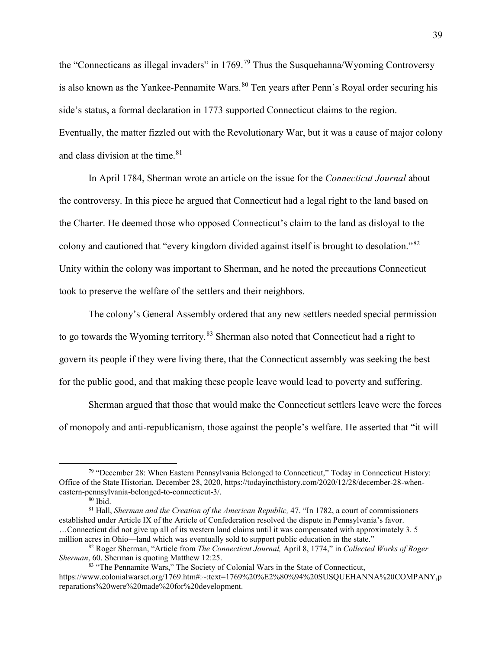the "Connecticans as illegal invaders" in 1769.[79](#page-41-0) Thus the Susquehanna/Wyoming Controversy is also known as the Yankee-Pennamite Wars.  $80$  Ten years after Penn's Royal order securing his side's status, a formal declaration in 1773 supported Connecticut claims to the region. Eventually, the matter fizzled out with the Revolutionary War, but it was a cause of major colony and class division at the time. $81$ 

In April 1784, Sherman wrote an article on the issue for the *Connecticut Journal* about the controversy. In this piece he argued that Connecticut had a legal right to the land based on the Charter. He deemed those who opposed Connecticut's claim to the land as disloyal to the colony and cautioned that "every kingdom divided against itself is brought to desolation."[82](#page-41-3) Unity within the colony was important to Sherman, and he noted the precautions Connecticut took to preserve the welfare of the settlers and their neighbors.

The colony's General Assembly ordered that any new settlers needed special permission to go towards the Wyoming territory.<sup>[83](#page-41-4)</sup> Sherman also noted that Connecticut had a right to govern its people if they were living there, that the Connecticut assembly was seeking the best for the public good, and that making these people leave would lead to poverty and suffering.

Sherman argued that those that would make the Connecticut settlers leave were the forces of monopoly and anti-republicanism, those against the people's welfare. He asserted that "it will

<span id="page-41-0"></span><sup>&</sup>lt;sup>79</sup> "December 28: When Eastern Pennsylvania Belonged to Connecticut," Today in Connecticut History: Office of the State Historian, December 28, 2020, https://todayincthistory.com/2020/12/28/december-28-wheneastern-pennsylvania-belonged-to-connecticut-3/.

 $80$  Ibid.

<span id="page-41-2"></span><span id="page-41-1"></span><sup>&</sup>lt;sup>81</sup> Hall, *Sherman and the Creation of the American Republic*, 47. "In 1782, a court of commissioners established under Article IX of the Article of Confederation resolved the dispute in Pennsylvania's favor. …Connecticut did not give up all of its western land claims until it was compensated with approximately 3. 5 million acres in Ohio—land which was eventually sold to support public education in the state."

<span id="page-41-3"></span><sup>82</sup> Roger Sherman, "Article from *The Connecticut Journal,* April 8, 1774," in *Collected Works of Roger Sherman*, 60. Sherman is quoting Matthew 12:25.

<span id="page-41-4"></span><sup>83 &</sup>quot;The Pennamite Wars," The Society of Colonial Wars in the State of Connecticut, https://www.colonialwarsct.org/1769.htm#:~:text=1769%20%E2%80%94%20SUSQUEHANNA%20COMPANY,p reparations%20were%20made%20for%20development.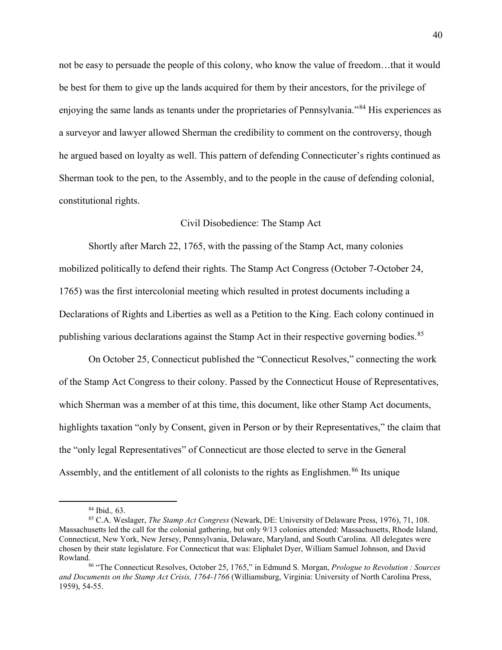not be easy to persuade the people of this colony, who know the value of freedom…that it would be best for them to give up the lands acquired for them by their ancestors, for the privilege of enjoying the same lands as tenants under the proprietaries of Pennsylvania."[84](#page-42-0) His experiences as a surveyor and lawyer allowed Sherman the credibility to comment on the controversy, though he argued based on loyalty as well. This pattern of defending Connecticuter's rights continued as Sherman took to the pen, to the Assembly, and to the people in the cause of defending colonial, constitutional rights.

## Civil Disobedience: The Stamp Act

Shortly after March 22, 1765, with the passing of the Stamp Act, many colonies mobilized politically to defend their rights. The Stamp Act Congress (October 7-October 24, 1765) was the first intercolonial meeting which resulted in protest documents including a Declarations of Rights and Liberties as well as a Petition to the King. Each colony continued in publishing various declarations against the Stamp Act in their respective governing bodies.<sup>[85](#page-42-1)</sup>

On October 25, Connecticut published the "Connecticut Resolves," connecting the work of the Stamp Act Congress to their colony. Passed by the Connecticut House of Representatives, which Sherman was a member of at this time, this document, like other Stamp Act documents, highlights taxation "only by Consent, given in Person or by their Representatives," the claim that the "only legal Representatives" of Connecticut are those elected to serve in the General Assembly, and the entitlement of all colonists to the rights as Englishmen.<sup>[86](#page-42-2)</sup> Its unique

<span id="page-42-1"></span><span id="page-42-0"></span><sup>&</sup>lt;sup>84</sup> Ibid., 63.<br><sup>85</sup> C.A. Weslager, *The Stamp Act Congress* (Newark, DE: University of Delaware Press, 1976), 71, 108. Massachusetts led the call for the colonial gathering, but only 9/13 colonies attended: Massachusetts, Rhode Island, Connecticut, New York, New Jersey, Pennsylvania, Delaware, Maryland, and South Carolina. All delegates were chosen by their state legislature. For Connecticut that was: Eliphalet Dyer, William Samuel Johnson, and David Rowland.86 "The Connecticut Resolves, October 25, 1765," in Edmund S. Morgan, *Prologue to Revolution : Sources* 

<span id="page-42-2"></span>*and Documents on the Stamp Act Crisis, 1764-1766* (Williamsburg, Virginia: University of North Carolina Press, 1959), 54-55.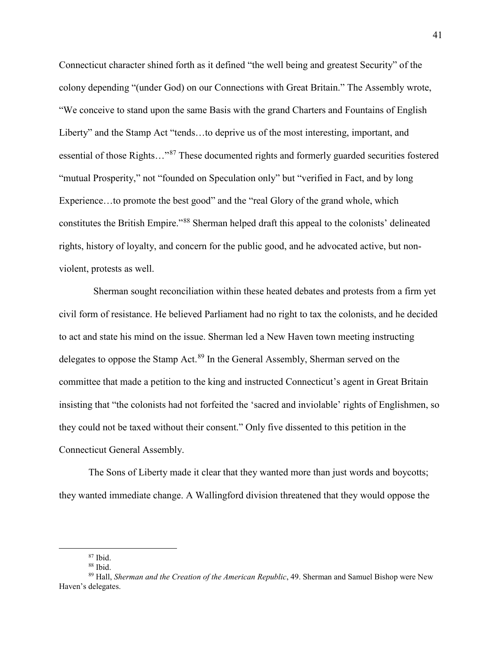Connecticut character shined forth as it defined "the well being and greatest Security" of the colony depending "(under God) on our Connections with Great Britain." The Assembly wrote, "We conceive to stand upon the same Basis with the grand Charters and Fountains of English Liberty" and the Stamp Act "tends…to deprive us of the most interesting, important, and essential of those Rights…"[87](#page-43-0) These documented rights and formerly guarded securities fostered "mutual Prosperity," not "founded on Speculation only" but "verified in Fact, and by long Experience...to promote the best good" and the "real Glory of the grand whole, which constitutes the British Empire."[88](#page-43-1) Sherman helped draft this appeal to the colonists' delineated rights, history of loyalty, and concern for the public good, and he advocated active, but nonviolent, protests as well.

 Sherman sought reconciliation within these heated debates and protests from a firm yet civil form of resistance. He believed Parliament had no right to tax the colonists, and he decided to act and state his mind on the issue. Sherman led a New Haven town meeting instructing delegates to oppose the Stamp Act.<sup>[89](#page-43-2)</sup> In the General Assembly, Sherman served on the committee that made a petition to the king and instructed Connecticut's agent in Great Britain insisting that "the colonists had not forfeited the 'sacred and inviolable' rights of Englishmen, so they could not be taxed without their consent." Only five dissented to this petition in the Connecticut General Assembly.

The Sons of Liberty made it clear that they wanted more than just words and boycotts; they wanted immediate change. A Wallingford division threatened that they would oppose the

 $87$  Ibid.

<sup>88</sup> Ibid.

<span id="page-43-2"></span><span id="page-43-1"></span><span id="page-43-0"></span><sup>89</sup> Hall, *Sherman and the Creation of the American Republic*, 49. Sherman and Samuel Bishop were New Haven's delegates.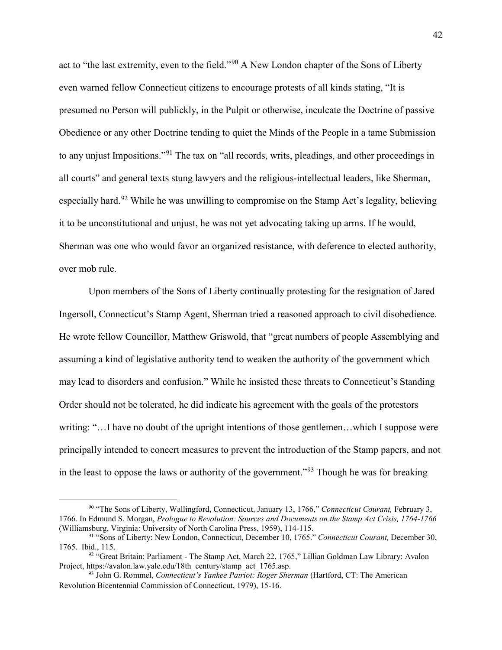act to "the last extremity, even to the field."<sup>[90](#page-44-0)</sup> A New London chapter of the Sons of Liberty even warned fellow Connecticut citizens to encourage protests of all kinds stating, "It is presumed no Person will publickly, in the Pulpit or otherwise, inculcate the Doctrine of passive Obedience or any other Doctrine tending to quiet the Minds of the People in a tame Submission to any unjust Impositions."[91](#page-44-1) The tax on "all records, writs, pleadings, and other proceedings in all courts" and general texts stung lawyers and the religious-intellectual leaders, like Sherman, especially hard.<sup>[92](#page-44-2)</sup> While he was unwilling to compromise on the Stamp Act's legality, believing it to be unconstitutional and unjust, he was not yet advocating taking up arms. If he would, Sherman was one who would favor an organized resistance, with deference to elected authority, over mob rule.

Upon members of the Sons of Liberty continually protesting for the resignation of Jared Ingersoll, Connecticut's Stamp Agent, Sherman tried a reasoned approach to civil disobedience. He wrote fellow Councillor, Matthew Griswold, that "great numbers of people Assemblying and assuming a kind of legislative authority tend to weaken the authority of the government which may lead to disorders and confusion." While he insisted these threats to Connecticut's Standing Order should not be tolerated, he did indicate his agreement with the goals of the protestors writing: "... I have no doubt of the upright intentions of those gentlemen...which I suppose were principally intended to concert measures to prevent the introduction of the Stamp papers, and not in the least to oppose the laws or authority of the government."<sup>[93](#page-44-3)</sup> Though he was for breaking

<span id="page-44-0"></span> <sup>90</sup> "The Sons of Liberty, Wallingford, Connecticut, January 13, 1766," *Connecticut Courant,* February 3, 1766. In Edmund S. Morgan, *Prologue to Revolution: Sources and Documents on the Stamp Act Crisis, 1764-1766* (Williamsburg, Virginia: University of North Carolina Press, 1959), 114-115.

<span id="page-44-1"></span><sup>91</sup> "Sons of Liberty: New London, Connecticut, December 10, 1765." *Connecticut Courant,* December 30, 1765. Ibid., 115.<br><sup>92</sup> "Great Britain: Parliament - The Stamp Act, March 22, 1765," Lillian Goldman Law Library: Avalon

<span id="page-44-2"></span>Project, https://avalon.law.yale.edu/18th\_century/stamp\_act\_1765.asp.

<span id="page-44-3"></span><sup>93</sup> John G. Rommel, *Connecticut's Yankee Patriot: Roger Sherman* (Hartford, CT: The American Revolution Bicentennial Commission of Connecticut, 1979), 15-16.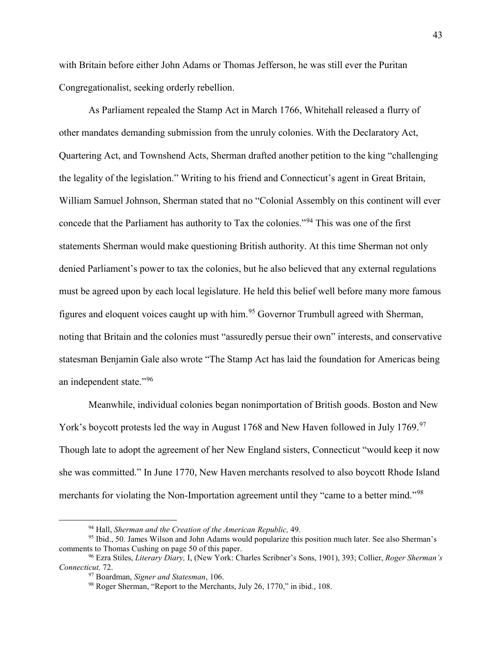with Britain before either John Adams or Thomas Jefferson, he was still ever the Puritan Congregationalist, seeking orderly rebellion.

As Parliament repealed the Stamp Act in March 1766, Whitehall released a flurry of other mandates demanding submission from the unruly colonies. With the Declaratory Act, Quartering Act, and Townshend Acts, Sherman drafted another petition to the king "challenging the legality of the legislation." Writing to his friend and Connecticut's agent in Great Britain, William Samuel Johnson, Sherman stated that no "Colonial Assembly on this continent will ever concede that the Parliament has authority to Tax the colonies."[94](#page-45-0) This was one of the first statements Sherman would make questioning British authority. At this time Sherman not only denied Parliament's power to tax the colonies, but he also believed that any external regulations must be agreed upon by each local legislature. He held this belief well before many more famous figures and eloquent voices caught up with him.[95](#page-45-1) Governor Trumbull agreed with Sherman, noting that Britain and the colonies must "assuredly persue their own" interests, and conservative statesman Benjamin Gale also wrote "The Stamp Act has laid the foundation for Americas being an independent state."[96](#page-45-2)

Meanwhile, individual colonies began nonimportation of British goods. Boston and New York's boycott protests led the way in August 1768 and New Haven followed in July 1769.<sup>[97](#page-45-3)</sup> Though late to adopt the agreement of her New England sisters, Connecticut "would keep it now she was committed." In June 1770, New Haven merchants resolved to also boycott Rhode Island merchants for violating the Non-Importation agreement until they "came to a better mind."<sup>[98](#page-45-4)</sup>

 <sup>94</sup> Hall, *Sherman and the Creation of the American Republic,* 49.

<span id="page-45-1"></span><span id="page-45-0"></span><sup>&</sup>lt;sup>95</sup> Ibid., 50. James Wilson and John Adams would popularize this position much later. See also Sherman's comments to Thomas Cushing on page 50 of this paper.

<span id="page-45-4"></span><span id="page-45-3"></span><span id="page-45-2"></span><sup>&</sup>lt;sup>96</sup> Ezra Stiles, *Literary Diary, I*, (New York: Charles Scribner's Sons, 1901), 393; Collier, *Roger Sherman's Connecticut,* 72.

<sup>&</sup>lt;sup>98</sup> Roger Sherman, "Report to the Merchants, July 26, 1770," in ibid., 108.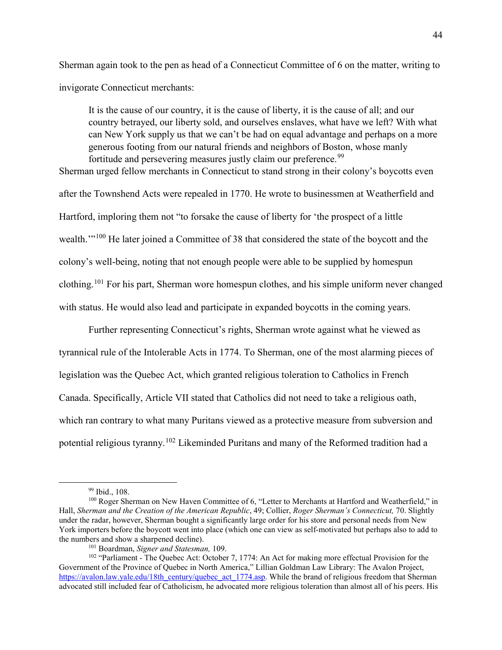Sherman again took to the pen as head of a Connecticut Committee of 6 on the matter, writing to invigorate Connecticut merchants:

It is the cause of our country, it is the cause of liberty, it is the cause of all; and our country betrayed, our liberty sold, and ourselves enslaves, what have we left? With what can New York supply us that we can't be had on equal advantage and perhaps on a more generous footing from our natural friends and neighbors of Boston, whose manly fortitude and persevering measures justly claim our preference.<sup>[99](#page-46-0)</sup>

Sherman urged fellow merchants in Connecticut to stand strong in their colony's boycotts even after the Townshend Acts were repealed in 1770. He wrote to businessmen at Weatherfield and Hartford, imploring them not "to forsake the cause of liberty for 'the prospect of a little wealth."<sup>[100](#page-46-1)</sup> He later joined a Committee of 38 that considered the state of the boycott and the colony's well-being, noting that not enough people were able to be supplied by homespun clothing.[101](#page-46-2) For his part, Sherman wore homespun clothes, and his simple uniform never changed with status. He would also lead and participate in expanded boycotts in the coming years.

Further representing Connecticut's rights, Sherman wrote against what he viewed as tyrannical rule of the Intolerable Acts in 1774. To Sherman, one of the most alarming pieces of legislation was the Quebec Act, which granted religious toleration to Catholics in French Canada. Specifically, Article VII stated that Catholics did not need to take a religious oath, which ran contrary to what many Puritans viewed as a protective measure from subversion and potential religious tyranny.[102](#page-46-3) Likeminded Puritans and many of the Reformed tradition had a

<span id="page-46-1"></span><span id="page-46-0"></span> $99$  Ibid., 108.<br><sup>100</sup> Roger Sherman on New Haven Committee of 6, "Letter to Merchants at Hartford and Weatherfield," in Hall, *Sherman and the Creation of the American Republic*, 49; Collier, *Roger Sherman's Connecticut,* 70. Slightly under the radar, however, Sherman bought a significantly large order for his store and personal needs from New York importers before the boycott went into place (which one can view as self-motivated but perhaps also to add to the numbers and show a sharpened decline).

<span id="page-46-3"></span><span id="page-46-2"></span><sup>&</sup>lt;sup>101</sup> Boardman, *Signer and Statesman*, 109.<br><sup>102</sup> "Parliament - The Quebec Act: October 7, 1774: An Act for making more effectual Provision for the Government of the Province of Quebec in North America," Lillian Goldman Law Library: The Avalon Project, [https://avalon.law.yale.edu/18th\\_century/quebec\\_act\\_1774.asp.](https://avalon.law.yale.edu/18th_century/quebec_act_1774.asp) While the brand of religious freedom that Sherman advocated still included fear of Catholicism, he advocated more religious toleration than almost all of his peers. His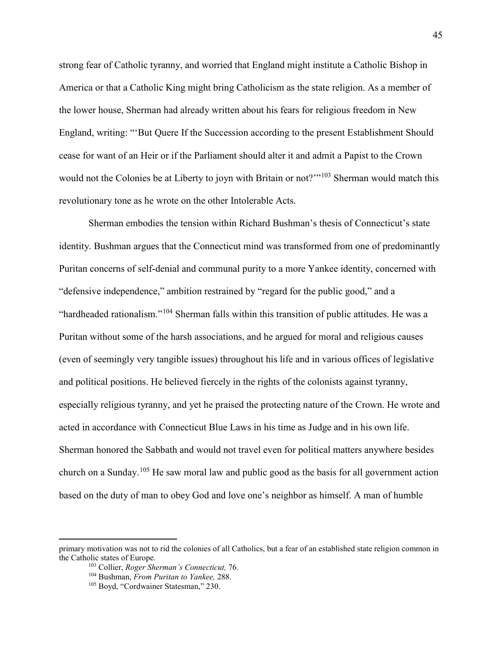strong fear of Catholic tyranny, and worried that England might institute a Catholic Bishop in America or that a Catholic King might bring Catholicism as the state religion. As a member of the lower house, Sherman had already written about his fears for religious freedom in New England, writing: "'But Quere If the Succession according to the present Establishment Should cease for want of an Heir or if the Parliament should alter it and admit a Papist to the Crown would not the Colonies be at Liberty to joyn with Britain or not?"<sup>[103](#page-47-0)</sup> Sherman would match this revolutionary tone as he wrote on the other Intolerable Acts.

Sherman embodies the tension within Richard Bushman's thesis of Connecticut's state identity. Bushman argues that the Connecticut mind was transformed from one of predominantly Puritan concerns of self-denial and communal purity to a more Yankee identity, concerned with "defensive independence," ambition restrained by "regard for the public good," and a "hardheaded rationalism."[104](#page-47-1) Sherman falls within this transition of public attitudes. He was a Puritan without some of the harsh associations, and he argued for moral and religious causes (even of seemingly very tangible issues) throughout his life and in various offices of legislative and political positions. He believed fiercely in the rights of the colonists against tyranny, especially religious tyranny, and yet he praised the protecting nature of the Crown. He wrote and acted in accordance with Connecticut Blue Laws in his time as Judge and in his own life. Sherman honored the Sabbath and would not travel even for political matters anywhere besides church on a Sunday.[105](#page-47-2) He saw moral law and public good as the basis for all government action based on the duty of man to obey God and love one's neighbor as himself. A man of humble

 $\overline{a}$ 

<span id="page-47-2"></span><span id="page-47-1"></span><span id="page-47-0"></span>primary motivation was not to rid the colonies of all Catholics, but a fear of an established state religion common in the Catholic states of Europe.<br><sup>103</sup> Collier, *Roger Sherman's Connecticut*, 76.<br><sup>104</sup> Bushman, *From Puritan to Yankee*, 288.<br><sup>105</sup> Boyd, "Cordwainer Statesman," 230.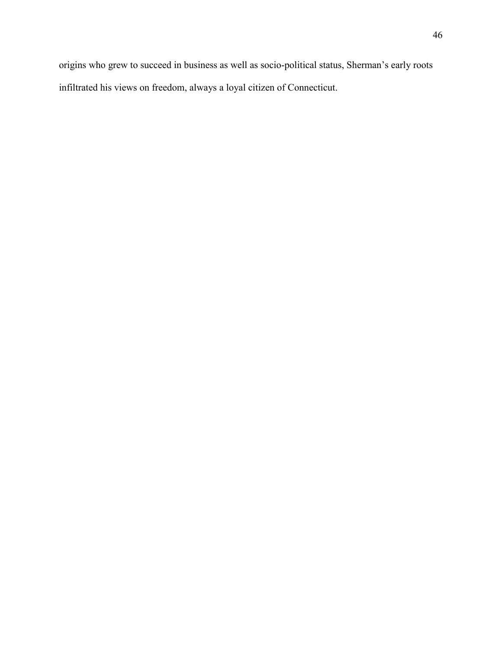origins who grew to succeed in business as well as socio-political status, Sherman's early roots

infiltrated his views on freedom, always a loyal citizen of Connecticut.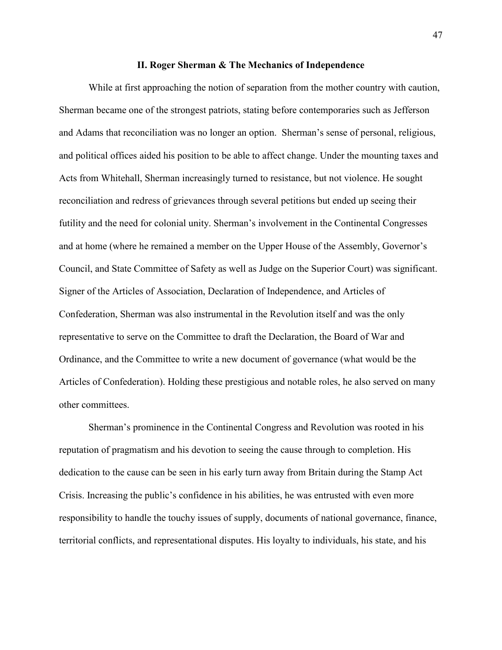#### **II. Roger Sherman & The Mechanics of Independence**

While at first approaching the notion of separation from the mother country with caution, Sherman became one of the strongest patriots, stating before contemporaries such as Jefferson and Adams that reconciliation was no longer an option. Sherman's sense of personal, religious, and political offices aided his position to be able to affect change. Under the mounting taxes and Acts from Whitehall, Sherman increasingly turned to resistance, but not violence. He sought reconciliation and redress of grievances through several petitions but ended up seeing their futility and the need for colonial unity. Sherman's involvement in the Continental Congresses and at home (where he remained a member on the Upper House of the Assembly, Governor's Council, and State Committee of Safety as well as Judge on the Superior Court) was significant. Signer of the Articles of Association, Declaration of Independence, and Articles of Confederation, Sherman was also instrumental in the Revolution itself and was the only representative to serve on the Committee to draft the Declaration, the Board of War and Ordinance, and the Committee to write a new document of governance (what would be the Articles of Confederation). Holding these prestigious and notable roles, he also served on many other committees.

Sherman's prominence in the Continental Congress and Revolution was rooted in his reputation of pragmatism and his devotion to seeing the cause through to completion. His dedication to the cause can be seen in his early turn away from Britain during the Stamp Act Crisis. Increasing the public's confidence in his abilities, he was entrusted with even more responsibility to handle the touchy issues of supply, documents of national governance, finance, territorial conflicts, and representational disputes. His loyalty to individuals, his state, and his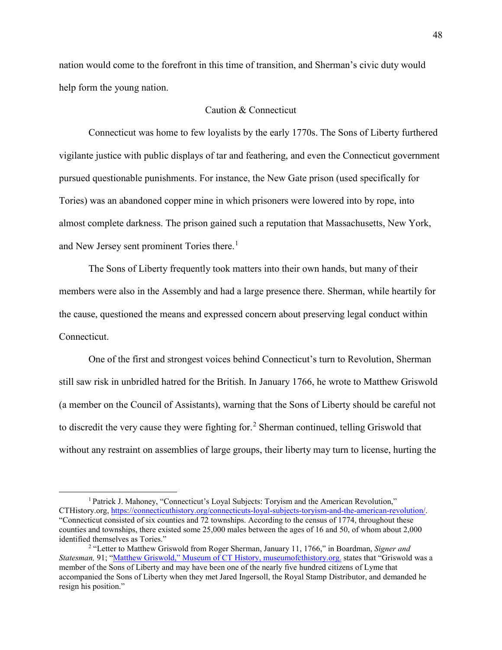nation would come to the forefront in this time of transition, and Sherman's civic duty would help form the young nation.

# Caution & Connecticut

Connecticut was home to few loyalists by the early 1770s. The Sons of Liberty furthered vigilante justice with public displays of tar and feathering, and even the Connecticut government pursued questionable punishments. For instance, the New Gate prison (used specifically for Tories) was an abandoned copper mine in which prisoners were lowered into by rope, into almost complete darkness. The prison gained such a reputation that Massachusetts, New York, and New Jersey sent prominent Tories there.<sup>[1](#page-50-0)</sup>

The Sons of Liberty frequently took matters into their own hands, but many of their members were also in the Assembly and had a large presence there. Sherman, while heartily for the cause, questioned the means and expressed concern about preserving legal conduct within Connecticut.

One of the first and strongest voices behind Connecticut's turn to Revolution, Sherman still saw risk in unbridled hatred for the British. In January 1766, he wrote to Matthew Griswold (a member on the Council of Assistants), warning that the Sons of Liberty should be careful not to discredit the very cause they were fighting for.<sup>[2](#page-50-1)</sup> Sherman continued, telling Griswold that without any restraint on assemblies of large groups, their liberty may turn to license, hurting the

<span id="page-50-0"></span><sup>&</sup>lt;sup>1</sup> Patrick J. Mahoney, "Connecticut's Loyal Subjects: Toryism and the American Revolution," CTHistory.org[, https://connecticuthistory.org/connecticuts-loyal-subjects-toryism-and-the-american-revolution/.](https://connecticuthistory.org/connecticuts-loyal-subjects-toryism-and-the-american-revolution/) "Connecticut consisted of six counties and 72 townships. According to the census of 1774, throughout these counties and townships, there existed some 25,000 males between the ages of 16 and 50, of whom about 2,000 identified themselves as Tories."

<span id="page-50-1"></span><sup>2</sup> "Letter to Matthew Griswold from Roger Sherman, January 11, 1766," in Boardman, *Signer and Statesman,* 91; ["Matthew Griswold," Museum of CT History, museumofcthistory.org.](https://museumofcthistory.org/2015/08/matthew-griswold/) states that "Griswold was a member of the Sons of Liberty and may have been one of the nearly five hundred citizens of Lyme that accompanied the Sons of Liberty when they met Jared Ingersoll, the Royal Stamp Distributor, and demanded he resign his position."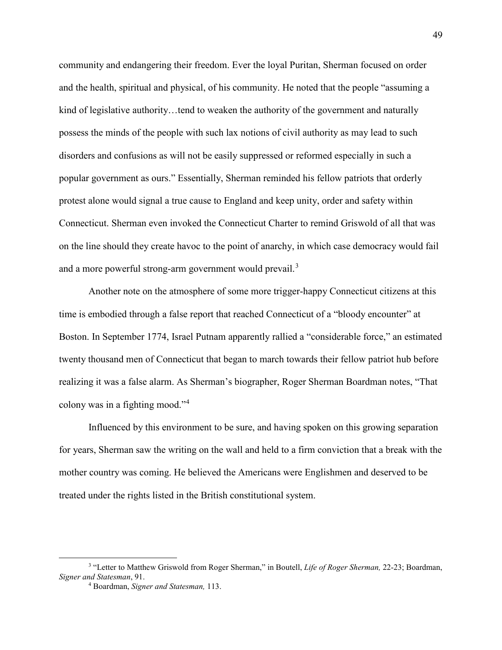community and endangering their freedom. Ever the loyal Puritan, Sherman focused on order and the health, spiritual and physical, of his community. He noted that the people "assuming a kind of legislative authority...tend to weaken the authority of the government and naturally possess the minds of the people with such lax notions of civil authority as may lead to such disorders and confusions as will not be easily suppressed or reformed especially in such a popular government as ours." Essentially, Sherman reminded his fellow patriots that orderly protest alone would signal a true cause to England and keep unity, order and safety within Connecticut. Sherman even invoked the Connecticut Charter to remind Griswold of all that was on the line should they create havoc to the point of anarchy, in which case democracy would fail and a more powerful strong-arm government would prevail.<sup>[3](#page-51-0)</sup>

Another note on the atmosphere of some more trigger-happy Connecticut citizens at this time is embodied through a false report that reached Connecticut of a "bloody encounter" at Boston. In September 1774, Israel Putnam apparently rallied a "considerable force," an estimated twenty thousand men of Connecticut that began to march towards their fellow patriot hub before realizing it was a false alarm. As Sherman's biographer, Roger Sherman Boardman notes, "That colony was in a fighting mood."[4](#page-51-1)

Influenced by this environment to be sure, and having spoken on this growing separation for years, Sherman saw the writing on the wall and held to a firm conviction that a break with the mother country was coming. He believed the Americans were Englishmen and deserved to be treated under the rights listed in the British constitutional system.

<span id="page-51-1"></span><span id="page-51-0"></span> <sup>3</sup> "Letter to Matthew Griswold from Roger Sherman," in Boutell, *Life of Roger Sherman,* 22-23; Boardman, *Signer and Statesman*, 91. 4 Boardman, *Signer and Statesman,* 113.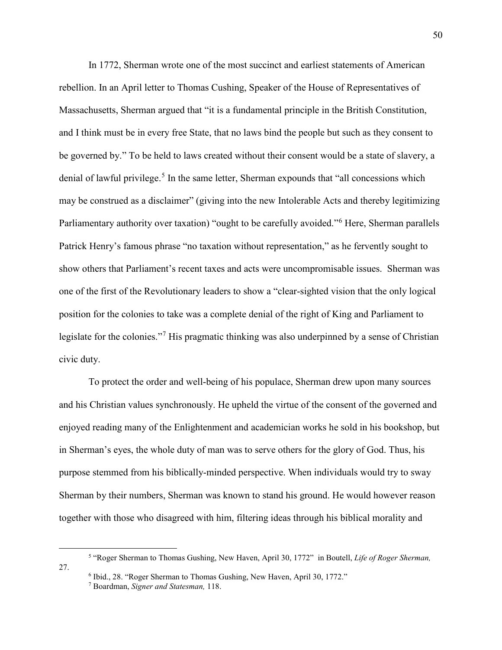In 1772, Sherman wrote one of the most succinct and earliest statements of American rebellion. In an April letter to Thomas Cushing, Speaker of the House of Representatives of Massachusetts, Sherman argued that "it is a fundamental principle in the British Constitution, and I think must be in every free State, that no laws bind the people but such as they consent to be governed by." To be held to laws created without their consent would be a state of slavery, a denial of lawful privilege.<sup>[5](#page-52-0)</sup> In the same letter, Sherman expounds that "all concessions which may be construed as a disclaimer" (giving into the new Intolerable Acts and thereby legitimizing Parliamentary authority over taxation) "ought to be carefully avoided."<sup>[6](#page-52-1)</sup> Here, Sherman parallels Patrick Henry's famous phrase "no taxation without representation," as he fervently sought to show others that Parliament's recent taxes and acts were uncompromisable issues. Sherman was one of the first of the Revolutionary leaders to show a "clear-sighted vision that the only logical position for the colonies to take was a complete denial of the right of King and Parliament to legislate for the colonies."<sup>[7](#page-52-2)</sup> His pragmatic thinking was also underpinned by a sense of Christian civic duty.

To protect the order and well-being of his populace, Sherman drew upon many sources and his Christian values synchronously. He upheld the virtue of the consent of the governed and enjoyed reading many of the Enlightenment and academician works he sold in his bookshop, but in Sherman's eyes, the whole duty of man was to serve others for the glory of God. Thus, his purpose stemmed from his biblically-minded perspective. When individuals would try to sway Sherman by their numbers, Sherman was known to stand his ground. He would however reason together with those who disagreed with him, filtering ideas through his biblical morality and

<span id="page-52-2"></span><span id="page-52-1"></span><span id="page-52-0"></span> <sup>5</sup> "Roger Sherman to Thomas Gushing, New Haven, April 30, 1772" in Boutell, *Life of Roger Sherman,* 27. 6 Ibid., 28. "Roger Sherman to Thomas Gushing, New Haven, April 30, 1772." 7 Boardman, *Signer and Statesman,* 118.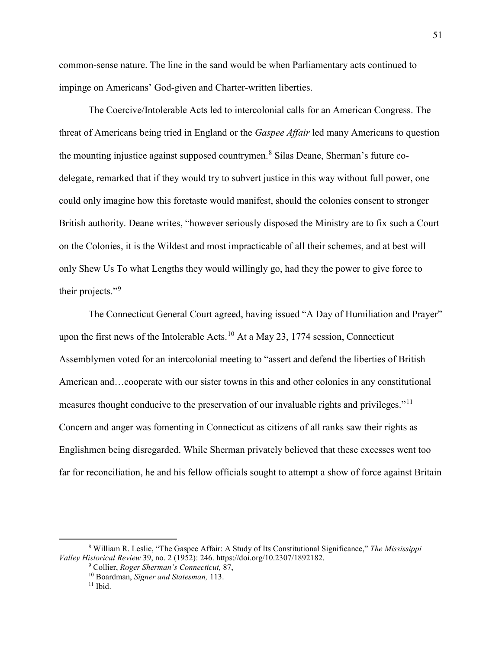common-sense nature. The line in the sand would be when Parliamentary acts continued to impinge on Americans' God-given and Charter-written liberties.

The Coercive/Intolerable Acts led to intercolonial calls for an American Congress. The threat of Americans being tried in England or the *Gaspee Affair* led many Americans to question the mounting injustice against supposed countrymen.<sup>[8](#page-53-0)</sup> Silas Deane, Sherman's future codelegate, remarked that if they would try to subvert justice in this way without full power, one could only imagine how this foretaste would manifest, should the colonies consent to stronger British authority. Deane writes, "however seriously disposed the Ministry are to fix such a Court on the Colonies, it is the Wildest and most impracticable of all their schemes, and at best will only Shew Us To what Lengths they would willingly go, had they the power to give force to their projects."<sup>[9](#page-53-1)</sup>

The Connecticut General Court agreed, having issued "A Day of Humiliation and Prayer" upon the first news of the Intolerable Acts.<sup>[10](#page-53-2)</sup> At a May 23, 1774 session, Connecticut Assemblymen voted for an intercolonial meeting to "assert and defend the liberties of British American and…cooperate with our sister towns in this and other colonies in any constitutional measures thought conducive to the preservation of our invaluable rights and privileges."<sup>[11](#page-53-3)</sup> Concern and anger was fomenting in Connecticut as citizens of all ranks saw their rights as Englishmen being disregarded. While Sherman privately believed that these excesses went too far for reconciliation, he and his fellow officials sought to attempt a show of force against Britain

<span id="page-53-3"></span><span id="page-53-2"></span><span id="page-53-1"></span><span id="page-53-0"></span> <sup>8</sup> William R. Leslie, "The Gaspee Affair: A Study of Its Constitutional Significance," *The Mississippi Valley Historical Review* 39, no. 2 (1952): 246. https://doi.org/10.2307/1892182.

<sup>&</sup>lt;sup>10</sup> Boardman, *Signer and Statesman*, 113.<br><sup>11</sup> Ibid.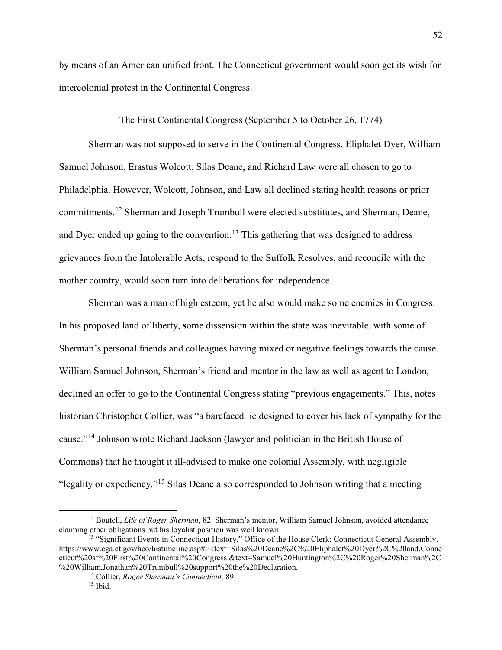by means of an American unified front. The Connecticut government would soon get its wish for intercolonial protest in the Continental Congress.

The First Continental Congress (September 5 to October 26, 1774)

Sherman was not supposed to serve in the Continental Congress. Eliphalet Dyer, William Samuel Johnson, Erastus Wolcott, Silas Deane, and Richard Law were all chosen to go to Philadelphia. However, Wolcott, Johnson, and Law all declined stating health reasons or prior commitments.[12](#page-54-0) Sherman and Joseph Trumbull were elected substitutes, and Sherman, Deane, and Dyer ended up going to the convention.<sup>[13](#page-54-1)</sup> This gathering that was designed to address grievances from the Intolerable Acts, respond to the Suffolk Resolves, and reconcile with the mother country, would soon turn into deliberations for independence.

Sherman was a man of high esteem, yet he also would make some enemies in Congress. In his proposed land of liberty, **s**ome dissension within the state was inevitable, with some of Sherman's personal friends and colleagues having mixed or negative feelings towards the cause. William Samuel Johnson, Sherman's friend and mentor in the law as well as agent to London, declined an offer to go to the Continental Congress stating "previous engagements." This, notes historian Christopher Collier, was "a barefaced lie designed to cover his lack of sympathy for the cause."[14](#page-54-2) Johnson wrote Richard Jackson (lawyer and politician in the British House of Commons) that he thought it ill-advised to make one colonial Assembly, with negligible "legality or expediency."[15](#page-54-3) Silas Deane also corresponded to Johnson writing that a meeting

<span id="page-54-0"></span><sup>&</sup>lt;sup>12</sup> Boutell, *Life of Roger Sherman*, 82. Sherman's mentor, William Samuel Johnson, avoided attendance claiming other obligations but his loyalist position was well known.

<span id="page-54-3"></span><span id="page-54-2"></span><span id="page-54-1"></span><sup>&</sup>lt;sup>13</sup> "Significant Events in Connecticut History," Office of the House Clerk: Connecticut General Assembly. https://www.cga.ct.gov/hco/histimeline.asp#:~:text=Silas%20Deane%2C%20Eliphalet%20Dyer%2C%20and,Conne cticut%20at%20First%20Continental%20Congress.&text=Samuel%20Huntington%2C%20Roger%20Sherman%2C %20William,Jonathan%20Trumbull%20support%20the%20Declaration.

<sup>&</sup>lt;sup>14</sup> Collier, *Roger Sherman's Connecticut*, 89.<br><sup>15</sup> Ibid.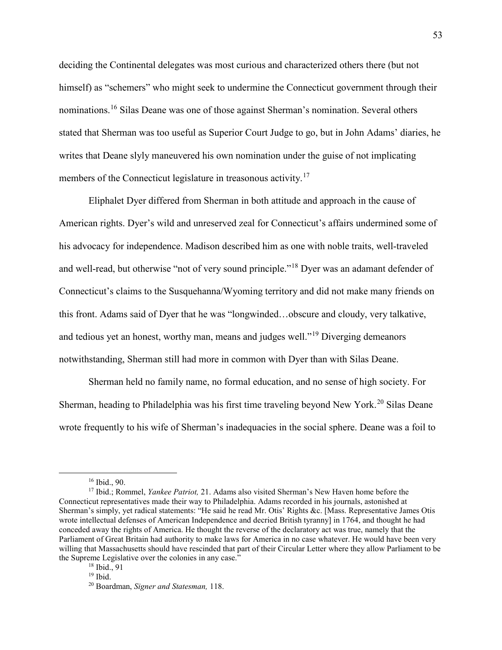deciding the Continental delegates was most curious and characterized others there (but not himself) as "schemers" who might seek to undermine the Connecticut government through their nominations.<sup>[16](#page-55-0)</sup> Silas Deane was one of those against Sherman's nomination. Several others stated that Sherman was too useful as Superior Court Judge to go, but in John Adams' diaries, he writes that Deane slyly maneuvered his own nomination under the guise of not implicating members of the Connecticut legislature in treasonous activity.<sup>[17](#page-55-1)</sup>

Eliphalet Dyer differed from Sherman in both attitude and approach in the cause of American rights. Dyer's wild and unreserved zeal for Connecticut's affairs undermined some of his advocacy for independence. Madison described him as one with noble traits, well-traveled and well-read, but otherwise "not of very sound principle."<sup>[18](#page-55-2)</sup> Dyer was an adamant defender of Connecticut's claims to the Susquehanna/Wyoming territory and did not make many friends on this front. Adams said of Dyer that he was "longwinded…obscure and cloudy, very talkative, and tedious yet an honest, worthy man, means and judges well."<sup>[19](#page-55-3)</sup> Diverging demeanors notwithstanding, Sherman still had more in common with Dyer than with Silas Deane.

Sherman held no family name, no formal education, and no sense of high society. For Sherman, heading to Philadelphia was his first time traveling beyond New York.<sup>[20](#page-55-4)</sup> Silas Deane wrote frequently to his wife of Sherman's inadequacies in the social sphere. Deane was a foil to

<span id="page-55-1"></span><span id="page-55-0"></span><sup>&</sup>lt;sup>16</sup> Ibid., 90.<br><sup>17</sup> Ibid.; Rommel, *Yankee Patriot*, 21. Adams also visited Sherman's New Haven home before the Connecticut representatives made their way to Philadelphia. Adams recorded in his journals, astonished at Sherman's simply, yet radical statements: "He said he read Mr. Otis' Rights &c. [Mass. Representative James Otis wrote intellectual defenses of American Independence and decried British tyranny] in 1764, and thought he had conceded away the rights of America. He thought the reverse of the declaratory act was true, namely that the Parliament of Great Britain had authority to make laws for America in no case whatever. He would have been very willing that Massachusetts should have rescinded that part of their Circular Letter where they allow Parliament to be the Supreme Legislative over the colonies in any case."

<span id="page-55-2"></span> $^{18}$  Ibid., 91<br> $^{19}$  Ibid.

<span id="page-55-4"></span><span id="page-55-3"></span><sup>19</sup> Ibid. 20 Boardman, *Signer and Statesman,* 118.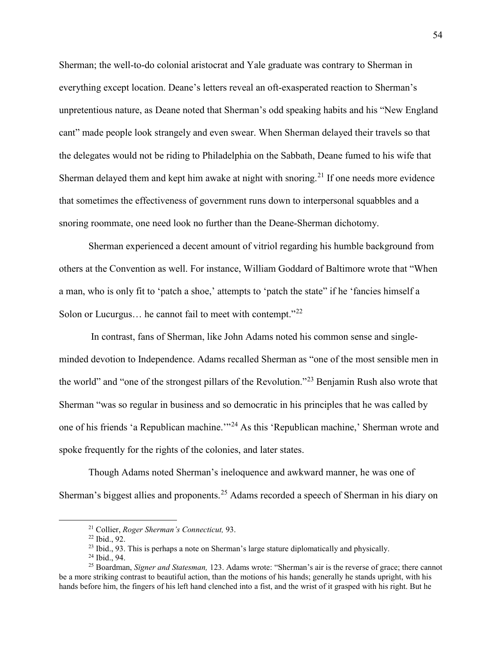Sherman; the well-to-do colonial aristocrat and Yale graduate was contrary to Sherman in everything except location. Deane's letters reveal an oft-exasperated reaction to Sherman's unpretentious nature, as Deane noted that Sherman's odd speaking habits and his "New England cant" made people look strangely and even swear. When Sherman delayed their travels so that the delegates would not be riding to Philadelphia on the Sabbath, Deane fumed to his wife that Sherman delayed them and kept him awake at night with snoring.<sup>[21](#page-56-0)</sup> If one needs more evidence that sometimes the effectiveness of government runs down to interpersonal squabbles and a snoring roommate, one need look no further than the Deane-Sherman dichotomy.

Sherman experienced a decent amount of vitriol regarding his humble background from others at the Convention as well. For instance, William Goddard of Baltimore wrote that "When a man, who is only fit to 'patch a shoe,' attempts to 'patch the state" if he 'fancies himself a Solon or Lucurgus... he cannot fail to meet with contempt."<sup>[22](#page-56-1)</sup>

In contrast, fans of Sherman, like John Adams noted his common sense and singleminded devotion to Independence. Adams recalled Sherman as "one of the most sensible men in the world" and "one of the strongest pillars of the Revolution."[23](#page-56-2) Benjamin Rush also wrote that Sherman "was so regular in business and so democratic in his principles that he was called by one of his friends 'a Republican machine.'"[24](#page-56-3) As this 'Republican machine,' Sherman wrote and spoke frequently for the rights of the colonies, and later states.

Though Adams noted Sherman's ineloquence and awkward manner, he was one of Sherman's biggest allies and proponents.<sup>[25](#page-56-4)</sup> Adams recorded a speech of Sherman in his diary on

<sup>&</sup>lt;sup>21</sup> Collier, *Roger Sherman's Connecticut*, 93.<br><sup>22</sup> Ibid., 92.<br><sup>23</sup> Ibid., 93. This is perhaps a note on Sherman's large stature diplomatically and physically.<br><sup>24</sup> Ibid., 94.

<span id="page-56-4"></span><span id="page-56-3"></span><span id="page-56-2"></span><span id="page-56-1"></span><span id="page-56-0"></span><sup>&</sup>lt;sup>25</sup> Boardman, *Signer and Statesman*, 123. Adams wrote: "Sherman's air is the reverse of grace; there cannot be a more striking contrast to beautiful action, than the motions of his hands; generally he stands upright, with his hands before him, the fingers of his left hand clenched into a fist, and the wrist of it grasped with his right. But he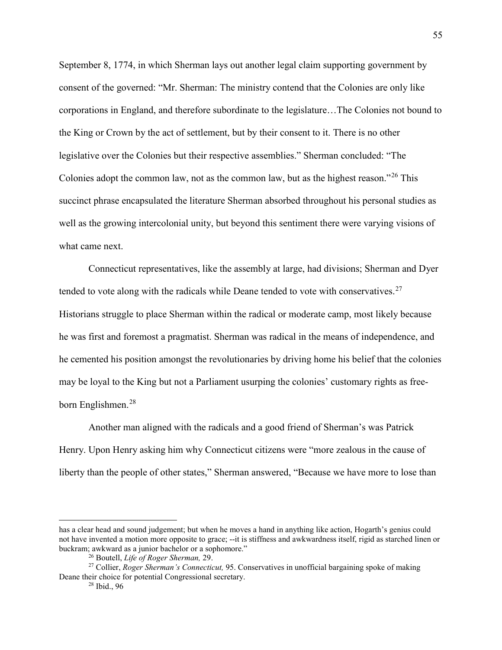September 8, 1774, in which Sherman lays out another legal claim supporting government by consent of the governed: "Mr. Sherman: The ministry contend that the Colonies are only like corporations in England, and therefore subordinate to the legislature…The Colonies not bound to the King or Crown by the act of settlement, but by their consent to it. There is no other legislative over the Colonies but their respective assemblies." Sherman concluded: "The Colonies adopt the common law, not as the common law, but as the highest reason."[26](#page-57-0) This succinct phrase encapsulated the literature Sherman absorbed throughout his personal studies as well as the growing intercolonial unity, but beyond this sentiment there were varying visions of what came next.

Connecticut representatives, like the assembly at large, had divisions; Sherman and Dyer tended to vote along with the radicals while Deane tended to vote with conservatives.<sup>[27](#page-57-1)</sup> Historians struggle to place Sherman within the radical or moderate camp, most likely because he was first and foremost a pragmatist. Sherman was radical in the means of independence, and he cemented his position amongst the revolutionaries by driving home his belief that the colonies may be loyal to the King but not a Parliament usurping the colonies' customary rights as free-born Englishmen.<sup>[28](#page-57-2)</sup>

Another man aligned with the radicals and a good friend of Sherman's was Patrick Henry. Upon Henry asking him why Connecticut citizens were "more zealous in the cause of liberty than the people of other states," Sherman answered, "Because we have more to lose than

 $\overline{a}$ 

has a clear head and sound judgement; but when he moves a hand in anything like action, Hogarth's genius could not have invented a motion more opposite to grace; --it is stiffness and awkwardness itself, rigid as starched linen or buckram; awkward as a junior bachelor or a sophomore."<br><sup>26</sup> Boutell, *Life of Roger Sherman*, 29.

<span id="page-57-2"></span><span id="page-57-1"></span><span id="page-57-0"></span><sup>&</sup>lt;sup>27</sup> Collier, *Roger Sherman's Connecticut*, 95. Conservatives in unofficial bargaining spoke of making Deane their choice for potential Congressional secretary.

<sup>28</sup> Ibid., 96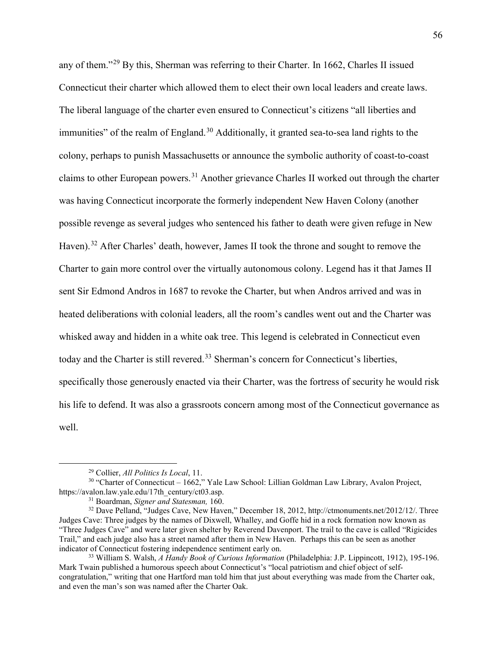any of them."[29](#page-58-0) By this, Sherman was referring to their Charter. In 1662, Charles II issued Connecticut their charter which allowed them to elect their own local leaders and create laws. The liberal language of the charter even ensured to Connecticut's citizens "all liberties and immunities" of the realm of England.<sup>[30](#page-58-1)</sup> Additionally, it granted sea-to-sea land rights to the colony, perhaps to punish Massachusetts or announce the symbolic authority of coast-to-coast claims to other European powers.[31](#page-58-2) Another grievance Charles II worked out through the charter was having Connecticut incorporate the formerly independent New Haven Colony (another possible revenge as several judges who sentenced his father to death were given refuge in New Haven).<sup>[32](#page-58-3)</sup> After Charles' death, however, James II took the throne and sought to remove the Charter to gain more control over the virtually autonomous colony. Legend has it that James II sent Sir Edmond Andros in 1687 to revoke the Charter, but when Andros arrived and was in heated deliberations with colonial leaders, all the room's candles went out and the Charter was whisked away and hidden in a white oak tree. This legend is celebrated in Connecticut even today and the Charter is still revered.<sup>[33](#page-58-4)</sup> Sherman's concern for Connecticut's liberties, specifically those generously enacted via their Charter, was the fortress of security he would risk his life to defend. It was also a grassroots concern among most of the Connecticut governance as well.

 <sup>29</sup> Collier, *All Politics Is Local*, 11.

<span id="page-58-1"></span><span id="page-58-0"></span> $30$  "Charter of Connecticut – 1662," Yale Law School: Lillian Goldman Law Library, Avalon Project, https://avalon.law.yale.edu/17th\_century/ct03.asp.

<span id="page-58-3"></span><span id="page-58-2"></span><sup>&</sup>lt;sup>31</sup> Boardman, *Signer and Statesman*, 160.<br><sup>32</sup> Dave Pelland, "Judges Cave, New Haven," December 18, 2012, http://ctmonuments.net/2012/12/. Three Judges Cave: Three judges by the names of Dixwell, Whalley, and Goffe hid in a rock formation now known as "Three Judges Cave" and were later given shelter by Reverend Davenport. The trail to the cave is called "Rigicides Trail," and each judge also has a street named after them in New Haven. Perhaps this can be seen as another indicator of Connecticut fostering independence sentiment early on. 33 William S. Walsh, *A Handy Book of Curious Information* (Philadelphia: J.P. Lippincott, 1912), 195-196.

<span id="page-58-4"></span>Mark Twain published a humorous speech about Connecticut's "local patriotism and chief object of selfcongratulation," writing that one Hartford man told him that just about everything was made from the Charter oak, and even the man's son was named after the Charter Oak.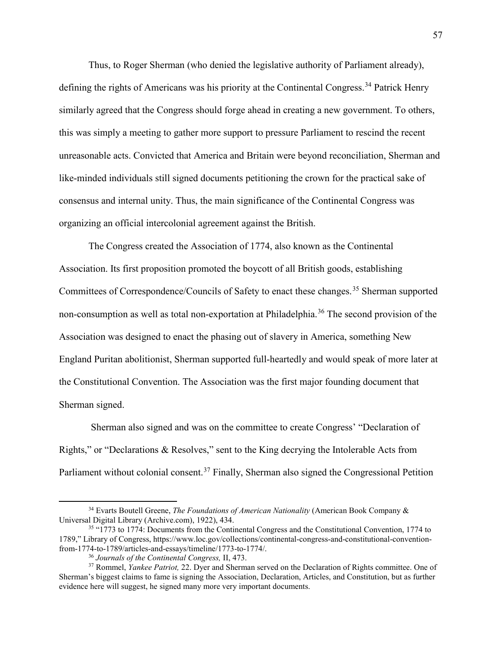Thus, to Roger Sherman (who denied the legislative authority of Parliament already), defining the rights of Americans was his priority at the Continental Congress.<sup>[34](#page-59-0)</sup> Patrick Henry similarly agreed that the Congress should forge ahead in creating a new government. To others, this was simply a meeting to gather more support to pressure Parliament to rescind the recent unreasonable acts. Convicted that America and Britain were beyond reconciliation, Sherman and like-minded individuals still signed documents petitioning the crown for the practical sake of consensus and internal unity. Thus, the main significance of the Continental Congress was organizing an official intercolonial agreement against the British.

The Congress created the Association of 1774, also known as the Continental Association. Its first proposition promoted the boycott of all British goods, establishing Committees of Correspondence/Councils of Safety to enact these changes.<sup>[35](#page-59-1)</sup> Sherman supported non-consumption as well as total non-exportation at Philadelphia.<sup>[36](#page-59-2)</sup> The second provision of the Association was designed to enact the phasing out of slavery in America, something New England Puritan abolitionist, Sherman supported full-heartedly and would speak of more later at the Constitutional Convention. The Association was the first major founding document that Sherman signed.

Sherman also signed and was on the committee to create Congress' "Declaration of Rights," or "Declarations & Resolves," sent to the King decrying the Intolerable Acts from Parliament without colonial consent.<sup>[37](#page-59-3)</sup> Finally, Sherman also signed the Congressional Petition

<span id="page-59-0"></span> <sup>34</sup> Evarts Boutell Greene, *The Foundations of American Nationality* (American Book Company & Universal Digital Library (Archive.com), 1922), 434.

<span id="page-59-1"></span><sup>35</sup> "1773 to 1774: Documents from the Continental Congress and the Constitutional Convention, 1774 to 1789," Library of Congress, https://www.loc.gov/collections/continental-congress-and-constitutional-conventionfrom-1774-to-1789/articles-and-essays/timeline/1773-to-1774/.<br><sup>36</sup> Journals of the Continental Congress, II, 473.

<span id="page-59-3"></span><span id="page-59-2"></span><sup>&</sup>lt;sup>37</sup> Rommel, *Yankee Patriot*, 22. Dyer and Sherman served on the Declaration of Rights committee. One of Sherman's biggest claims to fame is signing the Association, Declaration, Articles, and Constitution, but as further evidence here will suggest, he signed many more very important documents.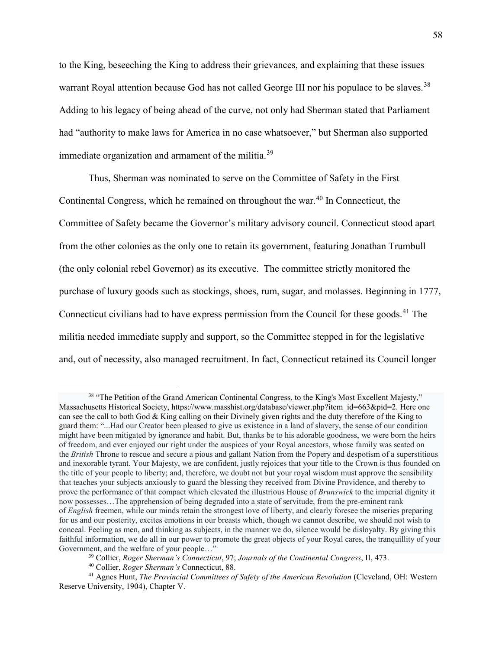to the King, beseeching the King to address their grievances, and explaining that these issues warrant Royal attention because God has not called George III nor his populace to be slaves.<sup>[38](#page-60-0)</sup> Adding to his legacy of being ahead of the curve, not only had Sherman stated that Parliament had "authority to make laws for America in no case whatsoever," but Sherman also supported immediate organization and armament of the militia.<sup>[39](#page-60-1)</sup>

Thus, Sherman was nominated to serve on the Committee of Safety in the First Continental Congress, which he remained on throughout the war.<sup>[40](#page-60-2)</sup> In Connecticut, the Committee of Safety became the Governor's military advisory council. Connecticut stood apart from the other colonies as the only one to retain its government, featuring Jonathan Trumbull (the only colonial rebel Governor) as its executive. The committee strictly monitored the purchase of luxury goods such as stockings, shoes, rum, sugar, and molasses. Beginning in 1777, Connecticut civilians had to have express permission from the Council for these goods.<sup>[41](#page-60-3)</sup> The militia needed immediate supply and support, so the Committee stepped in for the legislative and, out of necessity, also managed recruitment. In fact, Connecticut retained its Council longer

<span id="page-60-0"></span><sup>&</sup>lt;sup>38</sup> "The Petition of the Grand American Continental Congress, to the King's Most Excellent Majesty," Massachusetts Historical Society, https://www.masshist.org/database/viewer.php?item\_id=663&pid=2. Here one can see the call to both God & King calling on their Divinely given rights and the duty therefore of the King to guard them: "...Had our Creator been pleased to give us existence in a land of slavery, the sense of our condition might have been mitigated by ignorance and habit. But, thanks be to his adorable goodness, we were born the heirs of freedom, and ever enjoyed our right under the auspices of your Royal ancestors, whose family was seated on the *British* Throne to rescue and secure a pious and gallant Nation from the Popery and despotism of a superstitious and inexorable tyrant. Your Majesty, we are confident, justly rejoices that your title to the Crown is thus founded on the title of your people to liberty; and, therefore, we doubt not but your royal wisdom must approve the sensibility that teaches your subjects anxiously to guard the blessing they received from Divine Providence, and thereby to prove the performance of that compact which elevated the illustrious House of *Brunswick* to the imperial dignity it now possesses…The apprehension of being degraded into a state of servitude, from the pre-eminent rank of *English* freemen, while our minds retain the strongest love of liberty, and clearly foresee the miseries preparing for us and our posterity, excites emotions in our breasts which, though we cannot describe, we should not wish to conceal. Feeling as men, and thinking as subjects, in the manner we do, silence would be disloyalty. By giving this faithful information, we do all in our power to promote the great objects of your Royal cares, the tranquillity of your Government, and the welfare of your people…"

<sup>39</sup> Collier, *Roger Sherman's Connecticut*, 97; *Journals of the Continental Congress*, II, 473.

<span id="page-60-3"></span><span id="page-60-2"></span><span id="page-60-1"></span><sup>40</sup> Collier, *Roger Sherman's* Connecticut, 88. 41 Agnes Hunt, *The Provincial Committees of Safety of the American Revolution* (Cleveland, OH: Western Reserve University, 1904), Chapter V.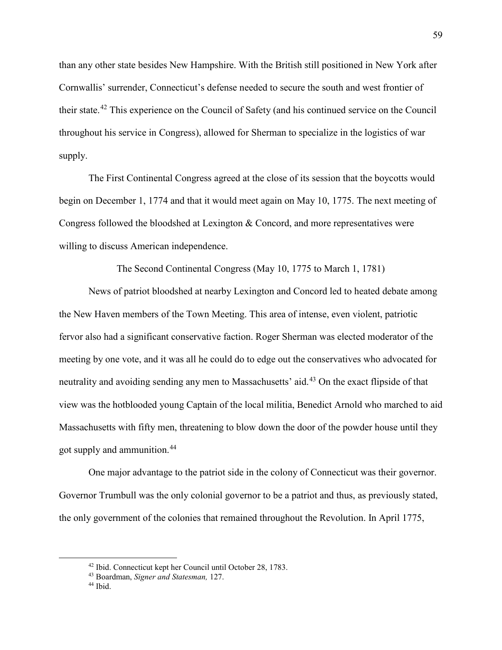than any other state besides New Hampshire. With the British still positioned in New York after Cornwallis' surrender, Connecticut's defense needed to secure the south and west frontier of their state.[42](#page-61-0) This experience on the Council of Safety (and his continued service on the Council throughout his service in Congress), allowed for Sherman to specialize in the logistics of war supply.

The First Continental Congress agreed at the close of its session that the boycotts would begin on December 1, 1774 and that it would meet again on May 10, 1775. The next meeting of Congress followed the bloodshed at Lexington & Concord, and more representatives were willing to discuss American independence.

The Second Continental Congress (May 10, 1775 to March 1, 1781)

News of patriot bloodshed at nearby Lexington and Concord led to heated debate among the New Haven members of the Town Meeting. This area of intense, even violent, patriotic fervor also had a significant conservative faction. Roger Sherman was elected moderator of the meeting by one vote, and it was all he could do to edge out the conservatives who advocated for neutrality and avoiding sending any men to Massachusetts' aid.<sup>[43](#page-61-1)</sup> On the exact flipside of that view was the hotblooded young Captain of the local militia, Benedict Arnold who marched to aid Massachusetts with fifty men, threatening to blow down the door of the powder house until they got supply and ammunition.[44](#page-61-2)

One major advantage to the patriot side in the colony of Connecticut was their governor. Governor Trumbull was the only colonial governor to be a patriot and thus, as previously stated, the only government of the colonies that remained throughout the Revolution. In April 1775,

<span id="page-61-0"></span><sup>42</sup> Ibid. Connecticut kept her Council until October 28, 1783. 43 Boardman, *Signer and Statesman,* 127.

<span id="page-61-2"></span><span id="page-61-1"></span><sup>&</sup>lt;sup>44</sup> Ibid.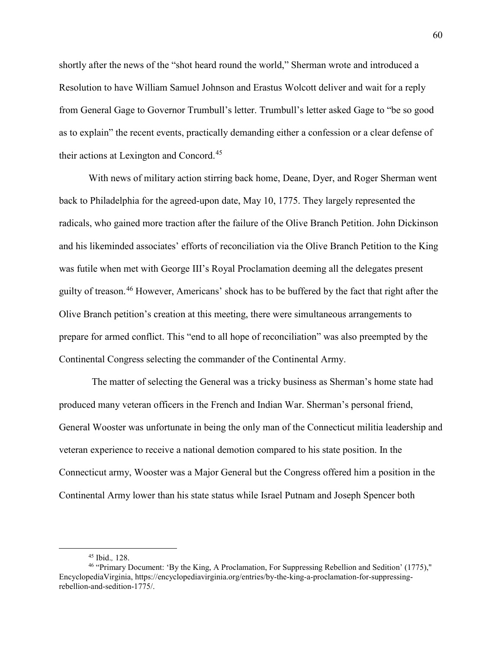shortly after the news of the "shot heard round the world," Sherman wrote and introduced a Resolution to have William Samuel Johnson and Erastus Wolcott deliver and wait for a reply from General Gage to Governor Trumbull's letter. Trumbull's letter asked Gage to "be so good as to explain" the recent events, practically demanding either a confession or a clear defense of their actions at Lexington and Concord.<sup>[45](#page-62-0)</sup>

With news of military action stirring back home, Deane, Dyer, and Roger Sherman went back to Philadelphia for the agreed-upon date, May 10, 1775. They largely represented the radicals, who gained more traction after the failure of the Olive Branch Petition. John Dickinson and his likeminded associates' efforts of reconciliation via the Olive Branch Petition to the King was futile when met with George III's Royal Proclamation deeming all the delegates present guilty of treason.[46](#page-62-1) However, Americans' shock has to be buffered by the fact that right after the Olive Branch petition's creation at this meeting, there were simultaneous arrangements to prepare for armed conflict. This "end to all hope of reconciliation" was also preempted by the Continental Congress selecting the commander of the Continental Army.

The matter of selecting the General was a tricky business as Sherman's home state had produced many veteran officers in the French and Indian War. Sherman's personal friend, General Wooster was unfortunate in being the only man of the Connecticut militia leadership and veteran experience to receive a national demotion compared to his state position. In the Connecticut army, Wooster was a Major General but the Congress offered him a position in the Continental Army lower than his state status while Israel Putnam and Joseph Spencer both

<span id="page-62-1"></span><span id="page-62-0"></span><sup>&</sup>lt;sup>45</sup> Ibid., 128.<br><sup>46</sup> "Primary Document: 'By the King, A Proclamation, For Suppressing Rebellion and Sedition' (1775)," EncyclopediaVirginia, https://encyclopediavirginia.org/entries/by-the-king-a-proclamation-for-suppressingrebellion-and-sedition-1775/.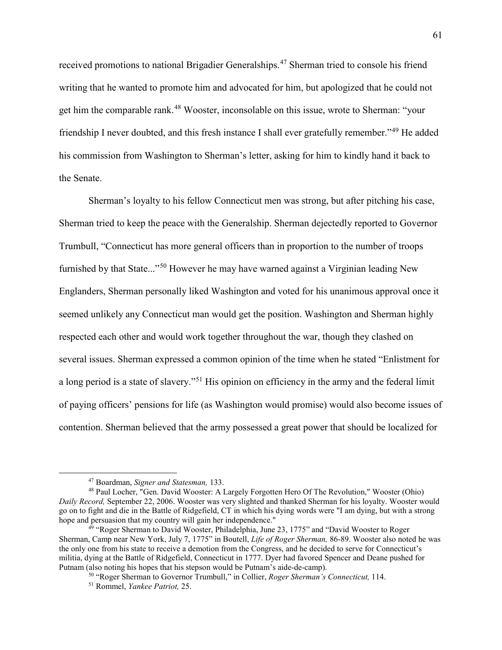received promotions to national Brigadier Generalships.<sup>[47](#page-63-0)</sup> Sherman tried to console his friend writing that he wanted to promote him and advocated for him, but apologized that he could not get him the comparable rank.<sup>[48](#page-63-1)</sup> Wooster, inconsolable on this issue, wrote to Sherman: "your friendship I never doubted, and this fresh instance I shall ever gratefully remember."[49](#page-63-2) He added his commission from Washington to Sherman's letter, asking for him to kindly hand it back to the Senate.

Sherman's loyalty to his fellow Connecticut men was strong, but after pitching his case, Sherman tried to keep the peace with the Generalship. Sherman dejectedly reported to Governor Trumbull, "Connecticut has more general officers than in proportion to the number of troops furnished by that State..."<sup>[50](#page-63-3)</sup> However he may have warned against a Virginian leading New Englanders, Sherman personally liked Washington and voted for his unanimous approval once it seemed unlikely any Connecticut man would get the position. Washington and Sherman highly respected each other and would work together throughout the war, though they clashed on several issues. Sherman expressed a common opinion of the time when he stated "Enlistment for a long period is a state of slavery."[51](#page-63-4) His opinion on efficiency in the army and the federal limit of paying officers' pensions for life (as Washington would promise) would also become issues of contention. Sherman believed that the army possessed a great power that should be localized for

<span id="page-63-1"></span><span id="page-63-0"></span><sup>&</sup>lt;sup>47</sup> Boardman, *Signer and Statesman*, 133.<br><sup>48</sup> Paul Locher, "Gen. David Wooster: A Largely Forgotten Hero Of The Revolution," Wooster (Ohio) *Daily Record,* September 22, 2006. Wooster was very slighted and thanked Sherman for his loyalty. Wooster would go on to fight and die in the Battle of Ridgefield, CT in which his dying words were "I am dying, but with a strong hope and persuasion that my country will gain her independence."

<span id="page-63-4"></span><span id="page-63-3"></span><span id="page-63-2"></span> $49$  "Roger Sherman to David Wooster, Philadelphia, June 23, 1775" and "David Wooster to Roger Sherman, Camp near New York, July 7, 1775" in Boutell, *Life of Roger Sherman,* 86-89. Wooster also noted he was the only one from his state to receive a demotion from the Congress, and he decided to serve for Connecticut's militia, dying at the Battle of Ridgefield, Connecticut in 1777. Dyer had favored Spencer and Deane pushed for Putnam (also noting his hopes that his stepson would be Putnam's aide-de-camp).<br><sup>50</sup> "Roger Sherman to Governor Trumbull," in Collier, *Roger Sherman's Connecticut*, 114.

<sup>51</sup> Rommel, *Yankee Patriot,* 25.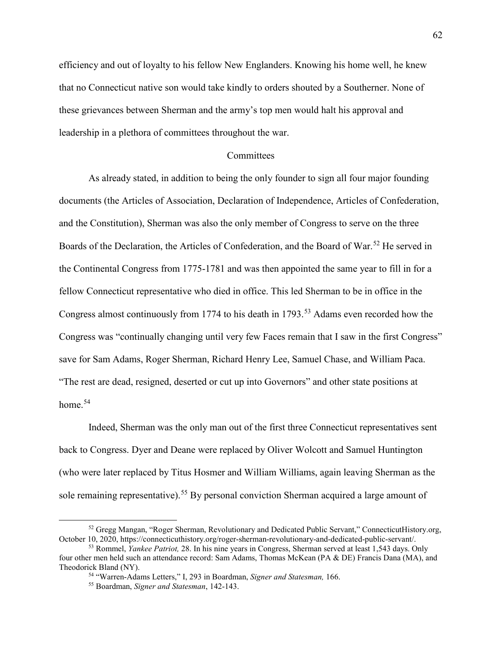efficiency and out of loyalty to his fellow New Englanders. Knowing his home well, he knew that no Connecticut native son would take kindly to orders shouted by a Southerner. None of these grievances between Sherman and the army's top men would halt his approval and leadership in a plethora of committees throughout the war.

#### **Committees**

As already stated, in addition to being the only founder to sign all four major founding documents (the Articles of Association, Declaration of Independence, Articles of Confederation, and the Constitution), Sherman was also the only member of Congress to serve on the three Boards of the Declaration, the Articles of Confederation, and the Board of War.<sup>[52](#page-64-0)</sup> He served in the Continental Congress from 1775-1781 and was then appointed the same year to fill in for a fellow Connecticut representative who died in office. This led Sherman to be in office in the Congress almost continuously from 1774 to his death in 1793.<sup>[53](#page-64-1)</sup> Adams even recorded how the Congress was "continually changing until very few Faces remain that I saw in the first Congress" save for Sam Adams, Roger Sherman, Richard Henry Lee, Samuel Chase, and William Paca. "The rest are dead, resigned, deserted or cut up into Governors" and other state positions at home.<sup>[54](#page-64-2)</sup>

Indeed, Sherman was the only man out of the first three Connecticut representatives sent back to Congress. Dyer and Deane were replaced by Oliver Wolcott and Samuel Huntington (who were later replaced by Titus Hosmer and William Williams, again leaving Sherman as the sole remaining representative).<sup>[55](#page-64-3)</sup> By personal conviction Sherman acquired a large amount of

<span id="page-64-0"></span> $52$  Gregg Mangan, "Roger Sherman, Revolutionary and Dedicated Public Servant," ConnecticutHistory.org, October 10, 2020, https://connecticuthistory.org/roger-sherman-revolutionary-and-dedicated-public-servant/.

<span id="page-64-3"></span><span id="page-64-2"></span><span id="page-64-1"></span><sup>53</sup> Rommel, *Yankee Patriot,* 28. In his nine years in Congress, Sherman served at least 1,543 days. Only four other men held such an attendance record: Sam Adams, Thomas McKean (PA & DE) Francis Dana (MA), and Theodorick Bland (NY). 54 "Warren-Adams Letters," I, 293 in Boardman, *Signer and Statesman,* 166.

<sup>55</sup> Boardman, *Signer and Statesman*, 142-143.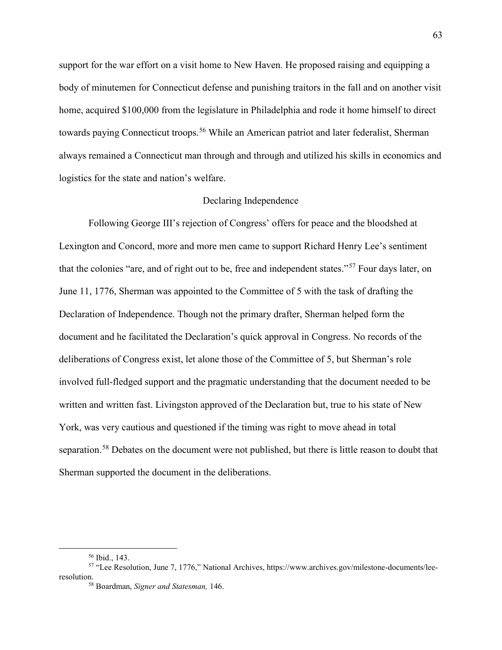support for the war effort on a visit home to New Haven. He proposed raising and equipping a body of minutemen for Connecticut defense and punishing traitors in the fall and on another visit home, acquired \$100,000 from the legislature in Philadelphia and rode it home himself to direct towards paying Connecticut troops.<sup>[56](#page-65-0)</sup> While an American patriot and later federalist, Sherman always remained a Connecticut man through and through and utilized his skills in economics and logistics for the state and nation's welfare.

## Declaring Independence

Following George III's rejection of Congress' offers for peace and the bloodshed at Lexington and Concord, more and more men came to support Richard Henry Lee's sentiment that the colonies "are, and of right out to be, free and independent states."[57](#page-65-1) Four days later, on June 11, 1776, Sherman was appointed to the Committee of 5 with the task of drafting the Declaration of Independence. Though not the primary drafter, Sherman helped form the document and he facilitated the Declaration's quick approval in Congress. No records of the deliberations of Congress exist, let alone those of the Committee of 5, but Sherman's role involved full-fledged support and the pragmatic understanding that the document needed to be written and written fast. Livingston approved of the Declaration but, true to his state of New York, was very cautious and questioned if the timing was right to move ahead in total separation.<sup>[58](#page-65-2)</sup> Debates on the document were not published, but there is little reason to doubt that Sherman supported the document in the deliberations.

 <sup>56</sup> Ibid., 143.

<span id="page-65-2"></span><span id="page-65-1"></span><span id="page-65-0"></span><sup>57</sup> "Lee Resolution, June 7, 1776," National Archives, https://www.archives.gov/milestone-documents/leeresolution.

<sup>58</sup> Boardman, *Signer and Statesman,* 146.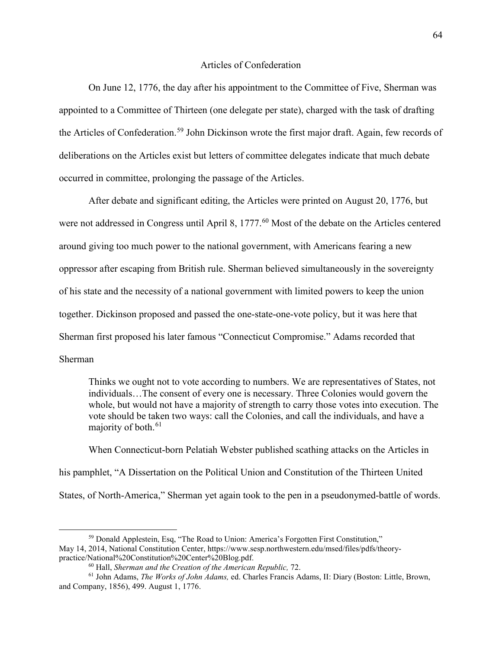# Articles of Confederation

On June 12, 1776, the day after his appointment to the Committee of Five, Sherman was appointed to a Committee of Thirteen (one delegate per state), charged with the task of drafting the Articles of Confederation.<sup>[59](#page-66-0)</sup> John Dickinson wrote the first major draft. Again, few records of deliberations on the Articles exist but letters of committee delegates indicate that much debate occurred in committee, prolonging the passage of the Articles.

After debate and significant editing, the Articles were printed on August 20, 1776, but were not addressed in Congress until April 8, 1777.<sup>[60](#page-66-1)</sup> Most of the debate on the Articles centered around giving too much power to the national government, with Americans fearing a new oppressor after escaping from British rule. Sherman believed simultaneously in the sovereignty of his state and the necessity of a national government with limited powers to keep the union together. Dickinson proposed and passed the one-state-one-vote policy, but it was here that Sherman first proposed his later famous "Connecticut Compromise." Adams recorded that Sherman

Thinks we ought not to vote according to numbers. We are representatives of States, not individuals…The consent of every one is necessary. Three Colonies would govern the whole, but would not have a majority of strength to carry those votes into execution. The vote should be taken two ways: call the Colonies, and call the individuals, and have a majority of both.<sup>[61](#page-66-2)</sup>

When Connecticut-born Pelatiah Webster published scathing attacks on the Articles in his pamphlet, "A Dissertation on the Political Union and Constitution of the Thirteen United States, of North-America," Sherman yet again took to the pen in a pseudonymed-battle of words.

<span id="page-66-0"></span> <sup>59</sup> Donald Applestein, Esq, "The Road to Union: America's Forgotten First Constitution," May 14, 2014, National Constitution Center, https://www.sesp.northwestern.edu/msed/files/pdfs/theorypractice/National%20Constitution%20Center%20Blog.pdf.

<span id="page-66-2"></span><span id="page-66-1"></span><sup>&</sup>lt;sup>60</sup> Hall, *Sherman and the Creation of the American Republic, 72.*<br><sup>61</sup> John Adams, *The Works of John Adams*, ed. Charles Francis Adams, II: Diary (Boston: Little, Brown, and Company, 1856), 499. August 1, 1776.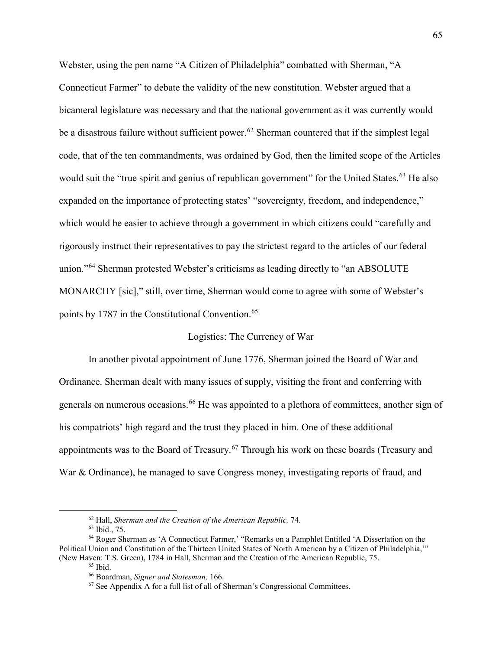Webster, using the pen name "A Citizen of Philadelphia" combatted with Sherman, "A Connecticut Farmer" to debate the validity of the new constitution. Webster argued that a bicameral legislature was necessary and that the national government as it was currently would be a disastrous failure without sufficient power.<sup>[62](#page-67-0)</sup> Sherman countered that if the simplest legal code, that of the ten commandments, was ordained by God, then the limited scope of the Articles would suit the "true spirit and genius of republican government" for the United States.<sup>[63](#page-67-1)</sup> He also expanded on the importance of protecting states' "sovereignty, freedom, and independence," which would be easier to achieve through a government in which citizens could "carefully and rigorously instruct their representatives to pay the strictest regard to the articles of our federal union."<sup>[64](#page-67-2)</sup> Sherman protested Webster's criticisms as leading directly to "an ABSOLUTE MONARCHY [sic]," still, over time, Sherman would come to agree with some of Webster's points by 1787 in the Constitutional Convention.<sup>[65](#page-67-3)</sup>

## Logistics: The Currency of War

In another pivotal appointment of June 1776, Sherman joined the Board of War and Ordinance. Sherman dealt with many issues of supply, visiting the front and conferring with generals on numerous occasions.<sup>[66](#page-67-4)</sup> He was appointed to a plethora of committees, another sign of his compatriots' high regard and the trust they placed in him. One of these additional appointments was to the Board of Treasury.<sup>[67](#page-67-5)</sup> Through his work on these boards (Treasury and War & Ordinance), he managed to save Congress money, investigating reports of fraud, and

<sup>62</sup> Hall, *Sherman and the Creation of the American Republic,* 74. 63 Ibid., 75.

<span id="page-67-5"></span><span id="page-67-4"></span><span id="page-67-3"></span><span id="page-67-2"></span><span id="page-67-1"></span><span id="page-67-0"></span><sup>64</sup> Roger Sherman as 'A Connecticut Farmer,' "Remarks on a Pamphlet Entitled 'A Dissertation on the Political Union and Constitution of the Thirteen United States of North American by a Citizen of Philadelphia,'" (New Haven: T.S. Green), 1784 in Hall, Sherman and the Creation of the American Republic, 75.

 $65$  Ibid.<br> $66$  Boardman, *Signer and Statesman*, 166.

<sup>&</sup>lt;sup>67</sup> See Appendix A for a full list of all of Sherman's Congressional Committees.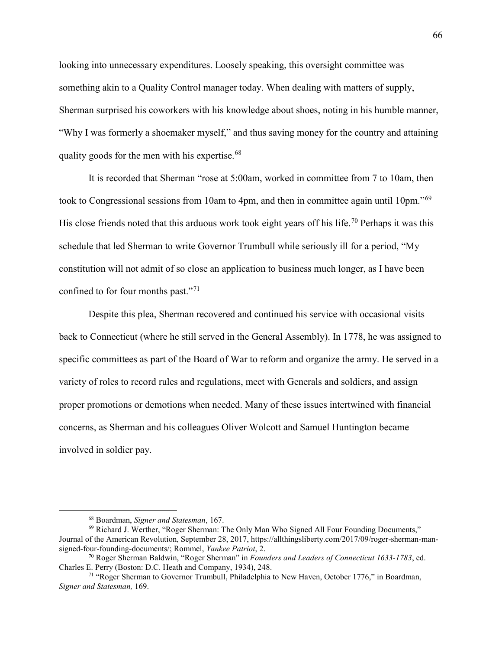looking into unnecessary expenditures. Loosely speaking, this oversight committee was something akin to a Quality Control manager today. When dealing with matters of supply, Sherman surprised his coworkers with his knowledge about shoes, noting in his humble manner, "Why I was formerly a shoemaker myself," and thus saving money for the country and attaining quality goods for the men with his expertise. $68$ 

It is recorded that Sherman "rose at 5:00am, worked in committee from 7 to 10am, then took to Congressional sessions from 10am to 4pm, and then in committee again until 10pm."<sup>[69](#page-68-1)</sup> His close friends noted that this arduous work took eight years off his life.<sup>[70](#page-68-2)</sup> Perhaps it was this schedule that led Sherman to write Governor Trumbull while seriously ill for a period, "My constitution will not admit of so close an application to business much longer, as I have been confined to for four months past."<sup>[71](#page-68-3)</sup>

Despite this plea, Sherman recovered and continued his service with occasional visits back to Connecticut (where he still served in the General Assembly). In 1778, he was assigned to specific committees as part of the Board of War to reform and organize the army. He served in a variety of roles to record rules and regulations, meet with Generals and soldiers, and assign proper promotions or demotions when needed. Many of these issues intertwined with financial concerns, as Sherman and his colleagues Oliver Wolcott and Samuel Huntington became involved in soldier pay.

<span id="page-68-1"></span><span id="page-68-0"></span><sup>&</sup>lt;sup>68</sup> Boardman, *Signer and Statesman*, 167.<br><sup>69</sup> Richard J. Werther, "Roger Sherman: The Only Man Who Signed All Four Founding Documents," Journal of the American Revolution, September 28, 2017, https://allthingsliberty.com/2017/09/roger-sherman-mansigned-four-founding-documents/; Rommel, *Yankee Patriot*, 2.

<span id="page-68-2"></span><sup>70</sup> Roger Sherman Baldwin, "Roger Sherman" in *Founders and Leaders of Connecticut 1633-1783*, ed. Charles E. Perry (Boston: D.C. Heath and Company, 1934), 248.

<span id="page-68-3"></span><sup>71</sup> "Roger Sherman to Governor Trumbull, Philadelphia to New Haven, October 1776," in Boardman, *Signer and Statesman,* 169.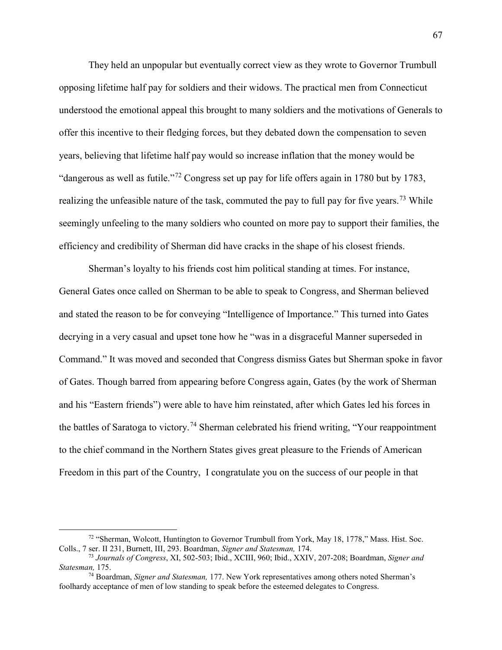They held an unpopular but eventually correct view as they wrote to Governor Trumbull opposing lifetime half pay for soldiers and their widows. The practical men from Connecticut understood the emotional appeal this brought to many soldiers and the motivations of Generals to offer this incentive to their fledging forces, but they debated down the compensation to seven years, believing that lifetime half pay would so increase inflation that the money would be "dangerous as well as futile."[72](#page-69-0) Congress set up pay for life offers again in 1780 but by 1783, realizing the unfeasible nature of the task, commuted the pay to full pay for five years.<sup>[73](#page-69-1)</sup> While seemingly unfeeling to the many soldiers who counted on more pay to support their families, the efficiency and credibility of Sherman did have cracks in the shape of his closest friends.

Sherman's loyalty to his friends cost him political standing at times. For instance, General Gates once called on Sherman to be able to speak to Congress, and Sherman believed and stated the reason to be for conveying "Intelligence of Importance." This turned into Gates decrying in a very casual and upset tone how he "was in a disgraceful Manner superseded in Command." It was moved and seconded that Congress dismiss Gates but Sherman spoke in favor of Gates. Though barred from appearing before Congress again, Gates (by the work of Sherman and his "Eastern friends") were able to have him reinstated, after which Gates led his forces in the battles of Saratoga to victory.<sup>[74](#page-69-2)</sup> Sherman celebrated his friend writing, "Your reappointment to the chief command in the Northern States gives great pleasure to the Friends of American Freedom in this part of the Country, I congratulate you on the success of our people in that

<span id="page-69-0"></span> <sup>72</sup> "Sherman, Wolcott, Huntington to Governor Trumbull from York, May 18, 1778," Mass. Hist. Soc. Colls., 7 ser. II 231, Burnett, III, 293. Boardman, *Signer and Statesman,* 174.

<span id="page-69-1"></span><sup>73</sup> *Journals of Congress*, XI, 502-503; Ibid., XCIII, 960; Ibid., XXIV, 207-208; Boardman, *Signer and Statesman,* 175.

<span id="page-69-2"></span><sup>74</sup> Boardman, *Signer and Statesman,* 177. New York representatives among others noted Sherman's foolhardy acceptance of men of low standing to speak before the esteemed delegates to Congress.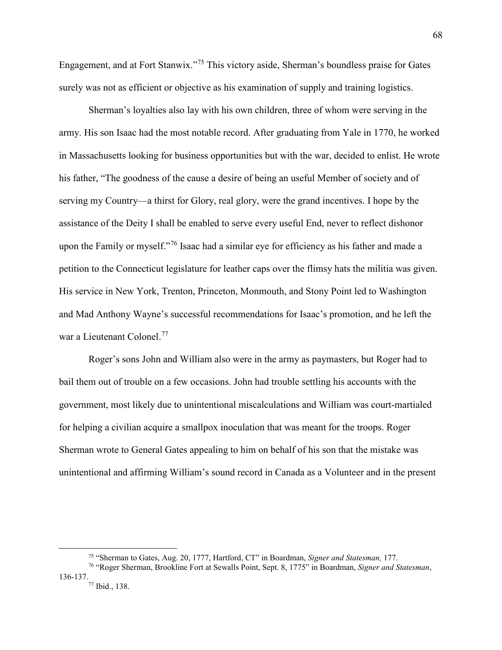Engagement, and at Fort Stanwix."[75](#page-70-0) This victory aside, Sherman's boundless praise for Gates surely was not as efficient or objective as his examination of supply and training logistics.

Sherman's loyalties also lay with his own children, three of whom were serving in the army. His son Isaac had the most notable record. After graduating from Yale in 1770, he worked in Massachusetts looking for business opportunities but with the war, decided to enlist. He wrote his father, "The goodness of the cause a desire of being an useful Member of society and of serving my Country—a thirst for Glory, real glory, were the grand incentives. I hope by the assistance of the Deity I shall be enabled to serve every useful End, never to reflect dishonor upon the Family or myself."[76](#page-70-1) Isaac had a similar eye for efficiency as his father and made a petition to the Connecticut legislature for leather caps over the flimsy hats the militia was given. His service in New York, Trenton, Princeton, Monmouth, and Stony Point led to Washington and Mad Anthony Wayne's successful recommendations for Isaac's promotion, and he left the war a Lieutenant Colonel.[77](#page-70-2)

Roger's sons John and William also were in the army as paymasters, but Roger had to bail them out of trouble on a few occasions. John had trouble settling his accounts with the government, most likely due to unintentional miscalculations and William was court-martialed for helping a civilian acquire a smallpox inoculation that was meant for the troops. Roger Sherman wrote to General Gates appealing to him on behalf of his son that the mistake was unintentional and affirming William's sound record in Canada as a Volunteer and in the present

 <sup>75</sup> "Sherman to Gates, Aug. 20, 1777, Hartford, CT" in Boardman, *Signer and Statesman,* 177.

<span id="page-70-2"></span><span id="page-70-1"></span><span id="page-70-0"></span><sup>76</sup> "Roger Sherman, Brookline Fort at Sewalls Point, Sept. 8, 1775" in Boardman, *Signer and Statesman*,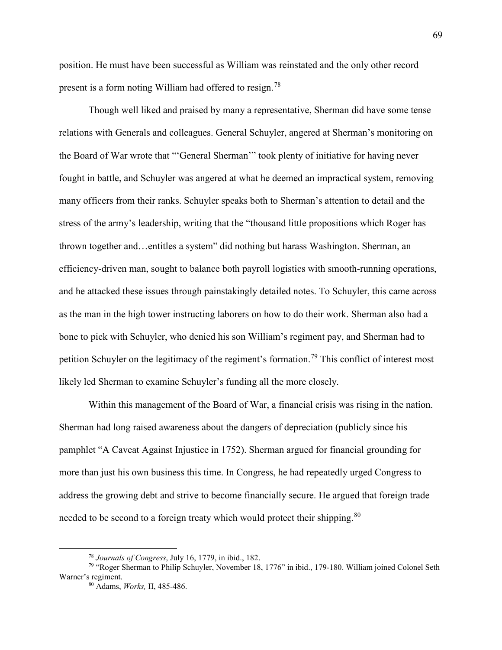position. He must have been successful as William was reinstated and the only other record present is a form noting William had offered to resign.<sup>[78](#page-71-0)</sup>

Though well liked and praised by many a representative, Sherman did have some tense relations with Generals and colleagues. General Schuyler, angered at Sherman's monitoring on the Board of War wrote that "'General Sherman'" took plenty of initiative for having never fought in battle, and Schuyler was angered at what he deemed an impractical system, removing many officers from their ranks. Schuyler speaks both to Sherman's attention to detail and the stress of the army's leadership, writing that the "thousand little propositions which Roger has thrown together and…entitles a system" did nothing but harass Washington. Sherman, an efficiency-driven man, sought to balance both payroll logistics with smooth-running operations, and he attacked these issues through painstakingly detailed notes. To Schuyler, this came across as the man in the high tower instructing laborers on how to do their work. Sherman also had a bone to pick with Schuyler, who denied his son William's regiment pay, and Sherman had to petition Schuyler on the legitimacy of the regiment's formation.<sup>[79](#page-71-1)</sup> This conflict of interest most likely led Sherman to examine Schuyler's funding all the more closely.

Within this management of the Board of War, a financial crisis was rising in the nation. Sherman had long raised awareness about the dangers of depreciation (publicly since his pamphlet "A Caveat Against Injustice in 1752). Sherman argued for financial grounding for more than just his own business this time. In Congress, he had repeatedly urged Congress to address the growing debt and strive to become financially secure. He argued that foreign trade needed to be second to a foreign treaty which would protect their shipping.<sup>[80](#page-71-2)</sup>

 <sup>78</sup> *Journals of Congress*, July 16, 1779, in ibid., 182.

<span id="page-71-2"></span><span id="page-71-1"></span><span id="page-71-0"></span><sup>79</sup> "Roger Sherman to Philip Schuyler, November 18, 1776" in ibid., 179-180. William joined Colonel Seth Warner's regiment.

<sup>80</sup> Adams, *Works,* II, 485-486.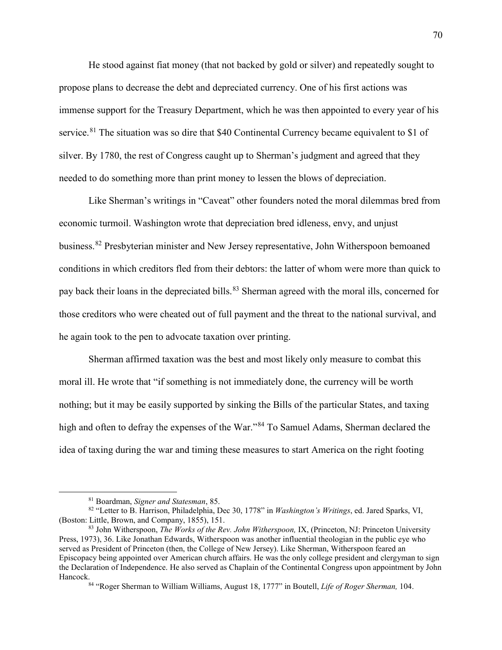He stood against fiat money (that not backed by gold or silver) and repeatedly sought to propose plans to decrease the debt and depreciated currency. One of his first actions was immense support for the Treasury Department, which he was then appointed to every year of his service.<sup>[81](#page-72-0)</sup> The situation was so dire that \$40 Continental Currency became equivalent to \$1 of silver. By 1780, the rest of Congress caught up to Sherman's judgment and agreed that they needed to do something more than print money to lessen the blows of depreciation.

Like Sherman's writings in "Caveat" other founders noted the moral dilemmas bred from economic turmoil. Washington wrote that depreciation bred idleness, envy, and unjust business.[82](#page-72-1) Presbyterian minister and New Jersey representative, John Witherspoon bemoaned conditions in which creditors fled from their debtors: the latter of whom were more than quick to pay back their loans in the depreciated bills.<sup>[83](#page-72-2)</sup> Sherman agreed with the moral ills, concerned for those creditors who were cheated out of full payment and the threat to the national survival, and he again took to the pen to advocate taxation over printing.

Sherman affirmed taxation was the best and most likely only measure to combat this moral ill. He wrote that "if something is not immediately done, the currency will be worth nothing; but it may be easily supported by sinking the Bills of the particular States, and taxing high and often to defray the expenses of the War."<sup>[84](#page-72-3)</sup> To Samuel Adams, Sherman declared the idea of taxing during the war and timing these measures to start America on the right footing

<span id="page-72-1"></span><span id="page-72-0"></span><sup>&</sup>lt;sup>81</sup> Boardman, *Signer and Statesman*, 85.<br><sup>82</sup> "Letter to B. Harrison, Philadelphia, Dec 30, 1778" in *Washington's Writings*, ed. Jared Sparks, VI, (Boston: Little, Brown, and Company, 1855), 151.

<span id="page-72-3"></span><span id="page-72-2"></span><sup>83</sup> John Witherspoon, *The Works of the Rev. John Witherspoon,* IX, (Princeton, NJ: Princeton University Press, 1973), 36. Like Jonathan Edwards, Witherspoon was another influential theologian in the public eye who served as President of Princeton (then, the College of New Jersey). Like Sherman, Witherspoon feared an Episcopacy being appointed over American church affairs. He was the only college president and clergyman to sign the Declaration of Independence. He also served as Chaplain of the Continental Congress upon appointment by John

<sup>&</sup>lt;sup>84</sup> "Roger Sherman to William Williams, August 18, 1777" in Boutell, *Life of Roger Sherman*, 104.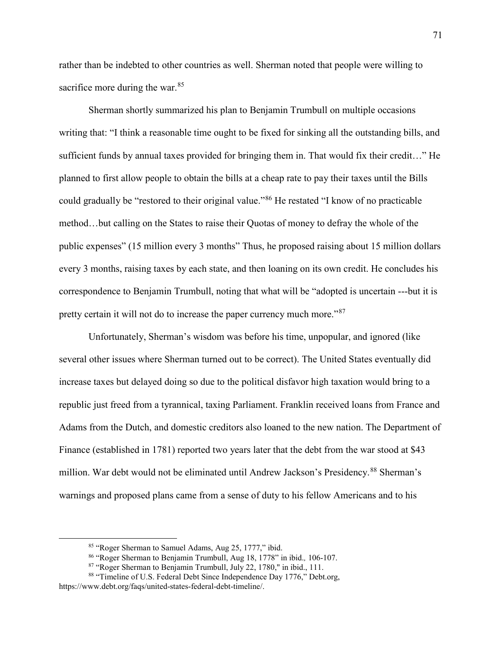rather than be indebted to other countries as well. Sherman noted that people were willing to sacrifice more during the war.<sup>85</sup>

Sherman shortly summarized his plan to Benjamin Trumbull on multiple occasions writing that: "I think a reasonable time ought to be fixed for sinking all the outstanding bills, and sufficient funds by annual taxes provided for bringing them in. That would fix their credit…" He planned to first allow people to obtain the bills at a cheap rate to pay their taxes until the Bills could gradually be "restored to their original value."[86](#page-73-1) He restated "I know of no practicable method…but calling on the States to raise their Quotas of money to defray the whole of the public expenses" (15 million every 3 months" Thus, he proposed raising about 15 million dollars every 3 months, raising taxes by each state, and then loaning on its own credit. He concludes his correspondence to Benjamin Trumbull, noting that what will be "adopted is uncertain ---but it is pretty certain it will not do to increase the paper currency much more."<sup>[87](#page-73-2)</sup>

Unfortunately, Sherman's wisdom was before his time, unpopular, and ignored (like several other issues where Sherman turned out to be correct). The United States eventually did increase taxes but delayed doing so due to the political disfavor high taxation would bring to a republic just freed from a tyrannical, taxing Parliament. Franklin received loans from France and Adams from the Dutch, and domestic creditors also loaned to the new nation. The Department of Finance (established in 1781) reported two years later that the debt from the war stood at \$43 million. War debt would not be eliminated until Andrew Jackson's Presidency.[88](#page-73-3) Sherman's warnings and proposed plans came from a sense of duty to his fellow Americans and to his

 <sup>85</sup> "Roger Sherman to Samuel Adams, Aug 25, 1777," ibid.

<sup>86</sup> "Roger Sherman to Benjamin Trumbull, Aug 18, 1778" in ibid.*,* 106-107.

<sup>&</sup>lt;sup>87</sup> "Roger Sherman to Benjamin Trumbull, July 22, 1780," in ibid., 111.

<span id="page-73-3"></span><span id="page-73-2"></span><span id="page-73-1"></span><span id="page-73-0"></span><sup>88</sup> "Timeline of U.S. Federal Debt Since Independence Day 1776," Debt.org, https://www.debt.org/faqs/united-states-federal-debt-timeline/.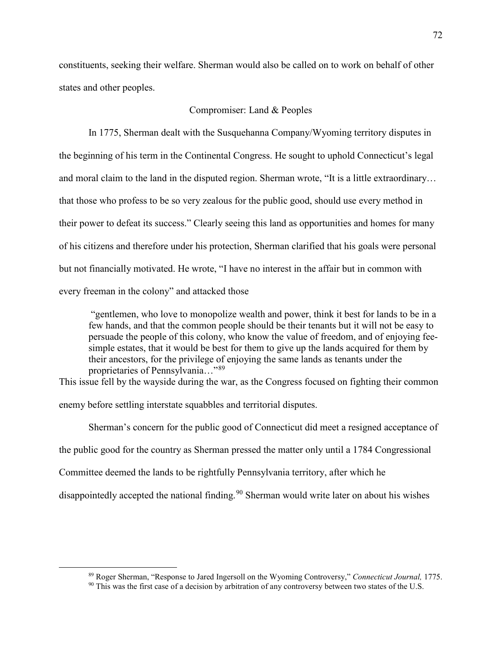constituents, seeking their welfare. Sherman would also be called on to work on behalf of other states and other peoples.

# Compromiser: Land & Peoples

In 1775, Sherman dealt with the Susquehanna Company/Wyoming territory disputes in the beginning of his term in the Continental Congress. He sought to uphold Connecticut's legal and moral claim to the land in the disputed region. Sherman wrote, "It is a little extraordinary… that those who profess to be so very zealous for the public good, should use every method in their power to defeat its success." Clearly seeing this land as opportunities and homes for many of his citizens and therefore under his protection, Sherman clarified that his goals were personal but not financially motivated. He wrote, "I have no interest in the affair but in common with every freeman in the colony" and attacked those

"gentlemen, who love to monopolize wealth and power, think it best for lands to be in a few hands, and that the common people should be their tenants but it will not be easy to persuade the people of this colony, who know the value of freedom, and of enjoying feesimple estates, that it would be best for them to give up the lands acquired for them by their ancestors, for the privilege of enjoying the same lands as tenants under the proprietaries of Pennsylvania..."[89](#page-74-0)

This issue fell by the wayside during the war, as the Congress focused on fighting their common

enemy before settling interstate squabbles and territorial disputes.

Sherman's concern for the public good of Connecticut did meet a resigned acceptance of

the public good for the country as Sherman pressed the matter only until a 1784 Congressional

Committee deemed the lands to be rightfully Pennsylvania territory, after which he

disappointedly accepted the national finding.<sup>[90](#page-74-1)</sup> Sherman would write later on about his wishes

<span id="page-74-1"></span><span id="page-74-0"></span><sup>&</sup>lt;sup>89</sup> Roger Sherman, "Response to Jared Ingersoll on the Wyoming Controversy," *Connecticut Journal*, 1775.<br><sup>90</sup> This was the first case of a decision by arbitration of any controversy between two states of the U.S.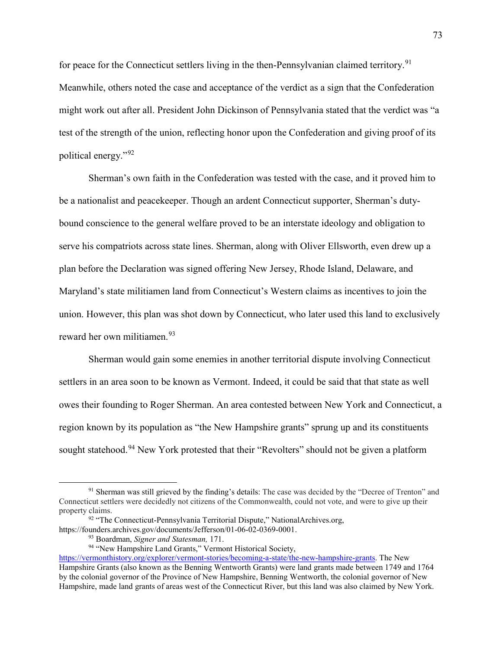for peace for the Connecticut settlers living in the then-Pennsylvanian claimed territory.<sup>[91](#page-75-0)</sup> Meanwhile, others noted the case and acceptance of the verdict as a sign that the Confederation might work out after all. President John Dickinson of Pennsylvania stated that the verdict was "a test of the strength of the union, reflecting honor upon the Confederation and giving proof of its political energy."[92](#page-75-1)

Sherman's own faith in the Confederation was tested with the case, and it proved him to be a nationalist and peacekeeper. Though an ardent Connecticut supporter, Sherman's dutybound conscience to the general welfare proved to be an interstate ideology and obligation to serve his compatriots across state lines. Sherman, along with Oliver Ellsworth, even drew up a plan before the Declaration was signed offering New Jersey, Rhode Island, Delaware, and Maryland's state militiamen land from Connecticut's Western claims as incentives to join the union. However, this plan was shot down by Connecticut, who later used this land to exclusively reward her own militiamen.[93](#page-75-2)

Sherman would gain some enemies in another territorial dispute involving Connecticut settlers in an area soon to be known as Vermont. Indeed, it could be said that that state as well owes their founding to Roger Sherman. An area contested between New York and Connecticut, a region known by its population as "the New Hampshire grants" sprung up and its constituents sought statehood.<sup>[94](#page-75-3)</sup> New York protested that their "Revolters" should not be given a platform

<span id="page-75-0"></span><sup>&</sup>lt;sup>91</sup> Sherman was still grieved by the finding's details: The case was decided by the "Decree of Trenton" and Connecticut settlers were decidedly not citizens of the Commonwealth, could not vote, and were to give up their property claims.

<sup>&</sup>lt;sup>92</sup> "The Connecticut-Pennsylvania Territorial Dispute," NationalArchives.org,

<span id="page-75-2"></span><span id="page-75-1"></span>https://founders.archives.gov/documents/Jefferson/01-06-02-0369-0001.<br><sup>93</sup> Boardman, Signer and Statesman, 171.

<sup>&</sup>lt;sup>94</sup> "New Hampshire Land Grants," Vermont Historical Society,

<span id="page-75-3"></span>[https://vermonthistory.org/explorer/vermont-stories/becoming-a-state/the-new-hampshire-grants.](https://vermonthistory.org/explorer/vermont-stories/becoming-a-state/the-new-hampshire-grants) The New Hampshire Grants (also known as the Benning Wentworth Grants) were land grants made between 1749 and 1764 by the colonial governor of the Province of New Hampshire, Benning Wentworth, the colonial governor of New Hampshire, made land grants of areas west of the Connecticut River, but this land was also claimed by New York.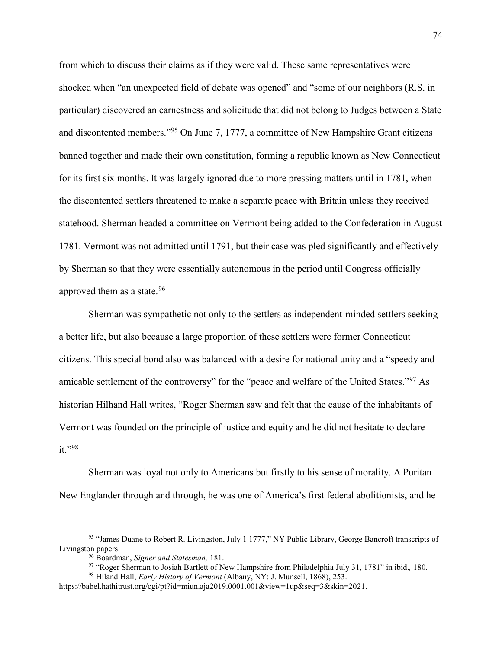from which to discuss their claims as if they were valid. These same representatives were shocked when "an unexpected field of debate was opened" and "some of our neighbors (R.S. in particular) discovered an earnestness and solicitude that did not belong to Judges between a State and discontented members."[95](#page-76-0) On June 7, 1777, a committee of New Hampshire Grant citizens banned together and made their own constitution, forming a republic known as New Connecticut for its first six months. It was largely ignored due to more pressing matters until in 1781, when the discontented settlers threatened to make a separate peace with Britain unless they received statehood. Sherman headed a committee on Vermont being added to the Confederation in August 1781. Vermont was not admitted until 1791, but their case was pled significantly and effectively by Sherman so that they were essentially autonomous in the period until Congress officially approved them as a state.<sup>[96](#page-76-1)</sup>

Sherman was sympathetic not only to the settlers as independent-minded settlers seeking a better life, but also because a large proportion of these settlers were former Connecticut citizens. This special bond also was balanced with a desire for national unity and a "speedy and amicable settlement of the controversy" for the "peace and welfare of the United States."<sup>[97](#page-76-2)</sup> As historian Hilhand Hall writes, "Roger Sherman saw and felt that the cause of the inhabitants of Vermont was founded on the principle of justice and equity and he did not hesitate to declare it."[98](#page-76-3)

Sherman was loyal not only to Americans but firstly to his sense of morality. A Puritan New Englander through and through, he was one of America's first federal abolitionists, and he

<span id="page-76-1"></span><span id="page-76-0"></span> <sup>95</sup> "James Duane to Robert R. Livingston, July 1 1777," NY Public Library, George Bancroft transcripts of Livingston papers.<br><sup>96</sup> Boardman, Signer and Statesman, 181.

<sup>&</sup>lt;sup>97</sup> "Roger Sherman to Josiah Bartlett of New Hampshire from Philadelphia July 31, 1781" in ibid., 180.<br><sup>98</sup> Hiland Hall, *Early History of Vermont* (Albany, NY: J. Munsell, 1868), 253.

<span id="page-76-3"></span><span id="page-76-2"></span>https://babel.hathitrust.org/cgi/pt?id=miun.aja2019.0001.001&view=1up&seq=3&skin=2021.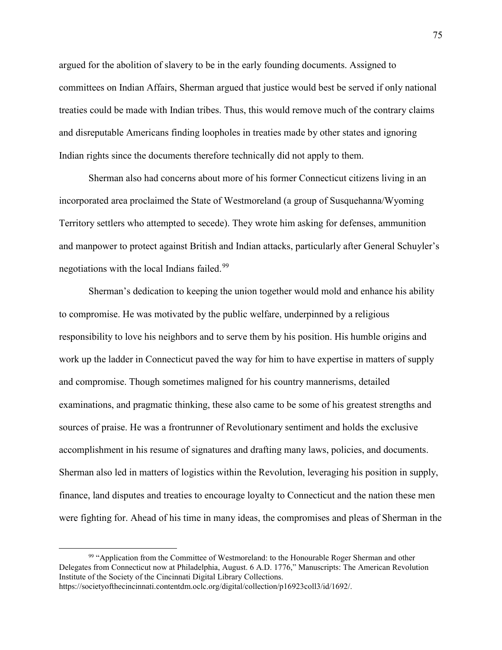argued for the abolition of slavery to be in the early founding documents. Assigned to committees on Indian Affairs, Sherman argued that justice would best be served if only national treaties could be made with Indian tribes. Thus, this would remove much of the contrary claims and disreputable Americans finding loopholes in treaties made by other states and ignoring Indian rights since the documents therefore technically did not apply to them.

Sherman also had concerns about more of his former Connecticut citizens living in an incorporated area proclaimed the State of Westmoreland (a group of Susquehanna/Wyoming Territory settlers who attempted to secede). They wrote him asking for defenses, ammunition and manpower to protect against British and Indian attacks, particularly after General Schuyler's negotiations with the local Indians failed.<sup>[99](#page-77-0)</sup>

Sherman's dedication to keeping the union together would mold and enhance his ability to compromise. He was motivated by the public welfare, underpinned by a religious responsibility to love his neighbors and to serve them by his position. His humble origins and work up the ladder in Connecticut paved the way for him to have expertise in matters of supply and compromise. Though sometimes maligned for his country mannerisms, detailed examinations, and pragmatic thinking, these also came to be some of his greatest strengths and sources of praise. He was a frontrunner of Revolutionary sentiment and holds the exclusive accomplishment in his resume of signatures and drafting many laws, policies, and documents. Sherman also led in matters of logistics within the Revolution, leveraging his position in supply, finance, land disputes and treaties to encourage loyalty to Connecticut and the nation these men were fighting for. Ahead of his time in many ideas, the compromises and pleas of Sherman in the

<span id="page-77-0"></span><sup>&</sup>lt;sup>99</sup> "Application from the Committee of Westmoreland: to the Honourable Roger Sherman and other Delegates from Connecticut now at Philadelphia, August. 6 A.D. 1776," Manuscripts: The American Revolution Institute of the Society of the Cincinnati Digital Library Collections.

https://societyofthecincinnati.contentdm.oclc.org/digital/collection/p16923coll3/id/1692/.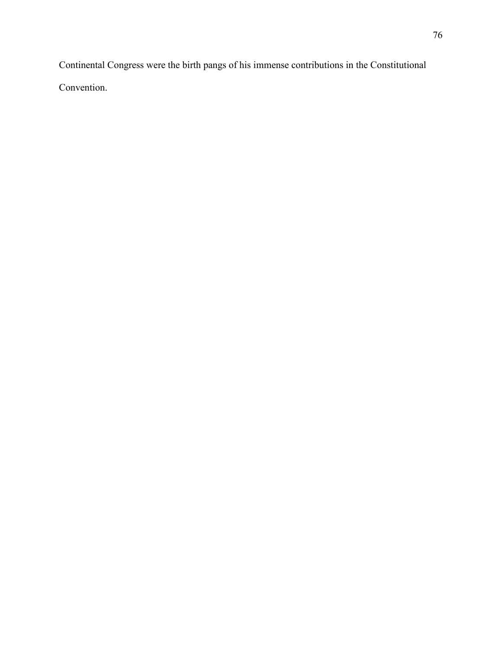Continental Congress were the birth pangs of his immense contributions in the Constitutional Convention.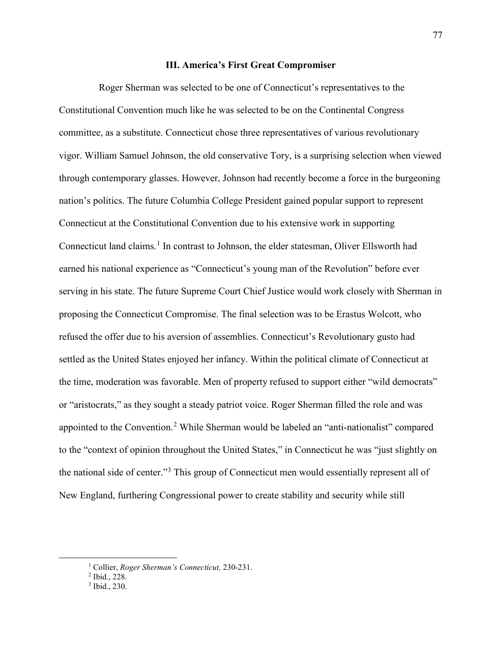# **III. America's First Great Compromiser**

Roger Sherman was selected to be one of Connecticut's representatives to the Constitutional Convention much like he was selected to be on the Continental Congress committee, as a substitute. Connecticut chose three representatives of various revolutionary vigor. William Samuel Johnson, the old conservative Tory, is a surprising selection when viewed through contemporary glasses. However, Johnson had recently become a force in the burgeoning nation's politics. The future Columbia College President gained popular support to represent Connecticut at the Constitutional Convention due to his extensive work in supporting Connecticut land claims.<sup>[1](#page-79-0)</sup> In contrast to Johnson, the elder statesman, Oliver Ellsworth had earned his national experience as "Connecticut's young man of the Revolution" before ever serving in his state. The future Supreme Court Chief Justice would work closely with Sherman in proposing the Connecticut Compromise. The final selection was to be Erastus Wolcott, who refused the offer due to his aversion of assemblies. Connecticut's Revolutionary gusto had settled as the United States enjoyed her infancy. Within the political climate of Connecticut at the time, moderation was favorable. Men of property refused to support either "wild democrats" or "aristocrats," as they sought a steady patriot voice. Roger Sherman filled the role and was appointed to the Convention.<sup>[2](#page-79-1)</sup> While Sherman would be labeled an "anti-nationalist" compared to the "context of opinion throughout the United States," in Connecticut he was "just slightly on the national side of center."[3](#page-79-2) This group of Connecticut men would essentially represent all of New England, furthering Congressional power to create stability and security while still

<span id="page-79-1"></span><span id="page-79-0"></span> <sup>1</sup> Collier, *Roger Sherman's Connecticut,* 230-231.

<sup>2</sup> Ibid., 228.

<span id="page-79-2"></span><sup>3</sup> Ibid., 230.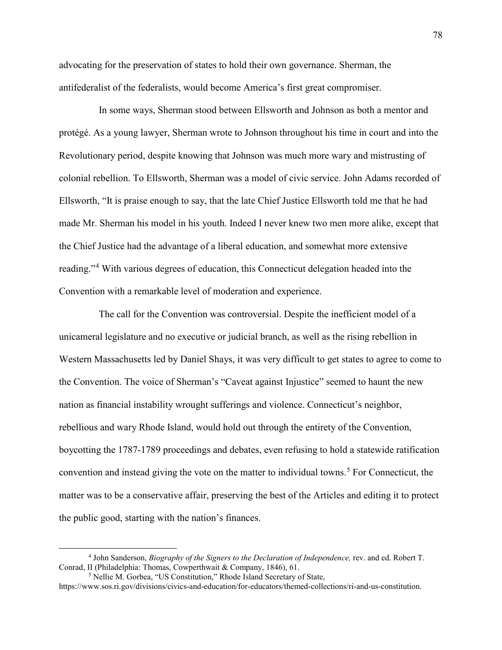advocating for the preservation of states to hold their own governance. Sherman, the antifederalist of the federalists, would become America's first great compromiser.

In some ways, Sherman stood between Ellsworth and Johnson as both a mentor and protégé. As a young lawyer, Sherman wrote to Johnson throughout his time in court and into the Revolutionary period, despite knowing that Johnson was much more wary and mistrusting of colonial rebellion. To Ellsworth, Sherman was a model of civic service. John Adams recorded of Ellsworth, "It is praise enough to say, that the late Chief Justice Ellsworth told me that he had made Mr. Sherman his model in his youth. Indeed I never knew two men more alike, except that the Chief Justice had the advantage of a liberal education, and somewhat more extensive reading."[4](#page-80-0) With various degrees of education, this Connecticut delegation headed into the Convention with a remarkable level of moderation and experience.

The call for the Convention was controversial. Despite the inefficient model of a unicameral legislature and no executive or judicial branch, as well as the rising rebellion in Western Massachusetts led by Daniel Shays, it was very difficult to get states to agree to come to the Convention. The voice of Sherman's "Caveat against Injustice" seemed to haunt the new nation as financial instability wrought sufferings and violence. Connecticut's neighbor, rebellious and wary Rhode Island, would hold out through the entirety of the Convention, boycotting the 1787-1789 proceedings and debates, even refusing to hold a statewide ratification convention and instead giving the vote on the matter to individual towns.<sup>[5](#page-80-1)</sup> For Connecticut, the matter was to be a conservative affair, preserving the best of the Articles and editing it to protect the public good, starting with the nation's finances.

<span id="page-80-0"></span> <sup>4</sup> John Sanderson, *Biography of the Signers to the Declaration of Independence,* rev. and ed. Robert T. Conrad, II (Philadelphia: Thomas, Cowperthwait & Company, 1846), 61.

<sup>5</sup> Nellie M. Gorbea, "US Constitution," Rhode Island Secretary of State,

<span id="page-80-1"></span>https://www.sos.ri.gov/divisions/civics-and-education/for-educators/themed-collections/ri-and-us-constitution.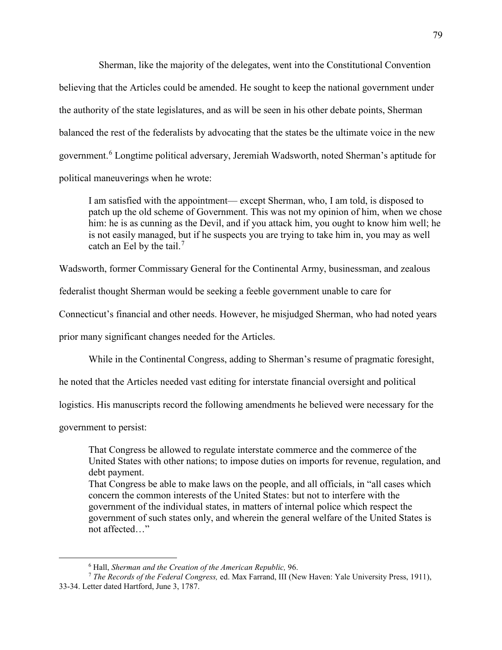Sherman, like the majority of the delegates, went into the Constitutional Convention believing that the Articles could be amended. He sought to keep the national government under the authority of the state legislatures, and as will be seen in his other debate points, Sherman balanced the rest of the federalists by advocating that the states be the ultimate voice in the new government.<sup>[6](#page-81-0)</sup> Longtime political adversary, Jeremiah Wadsworth, noted Sherman's aptitude for political maneuverings when he wrote:

I am satisfied with the appointment— except Sherman, who, I am told, is disposed to patch up the old scheme of Government. This was not my opinion of him, when we chose him: he is as cunning as the Devil, and if you attack him, you ought to know him well; he is not easily managed, but if he suspects you are trying to take him in, you may as well catch an Eel by the tail.<sup>[7](#page-81-1)</sup>

Wadsworth, former Commissary General for the Continental Army, businessman, and zealous

federalist thought Sherman would be seeking a feeble government unable to care for

Connecticut's financial and other needs. However, he misjudged Sherman, who had noted years

prior many significant changes needed for the Articles.

While in the Continental Congress, adding to Sherman's resume of pragmatic foresight,

he noted that the Articles needed vast editing for interstate financial oversight and political

logistics. His manuscripts record the following amendments he believed were necessary for the

government to persist:

That Congress be allowed to regulate interstate commerce and the commerce of the United States with other nations; to impose duties on imports for revenue, regulation, and debt payment.

That Congress be able to make laws on the people, and all officials, in "all cases which concern the common interests of the United States: but not to interfere with the government of the individual states, in matters of internal police which respect the government of such states only, and wherein the general welfare of the United States is not affected…"

 <sup>6</sup> Hall, *Sherman and the Creation of the American Republic,* 96.

<span id="page-81-1"></span><span id="page-81-0"></span><sup>7</sup> *The Records of the Federal Congress,* ed. Max Farrand, III (New Haven: Yale University Press, 1911), 33-34. Letter dated Hartford, June 3, 1787.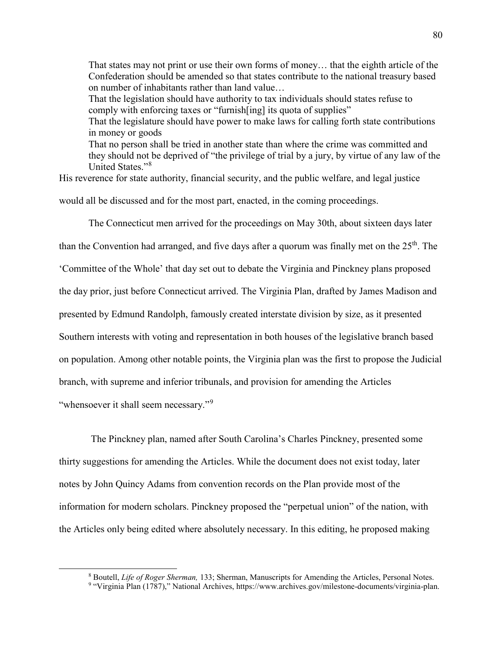That states may not print or use their own forms of money… that the eighth article of the Confederation should be amended so that states contribute to the national treasury based on number of inhabitants rather than land value… That the legislation should have authority to tax individuals should states refuse to comply with enforcing taxes or "furnish [ing] its quota of supplies" That the legislature should have power to make laws for calling forth state contributions in money or goods That no person shall be tried in another state than where the crime was committed and they should not be deprived of "the privilege of trial by a jury, by virtue of any law of the United States."[8](#page-82-0)

His reverence for state authority, financial security, and the public welfare, and legal justice would all be discussed and for the most part, enacted, in the coming proceedings.

The Connecticut men arrived for the proceedings on May 30th, about sixteen days later

than the Convention had arranged, and five days after a quorum was finally met on the  $25<sup>th</sup>$ . The

'Committee of the Whole' that day set out to debate the Virginia and Pinckney plans proposed

the day prior, just before Connecticut arrived. The Virginia Plan, drafted by James Madison and

presented by Edmund Randolph, famously created interstate division by size, as it presented

Southern interests with voting and representation in both houses of the legislative branch based

on population. Among other notable points, the Virginia plan was the first to propose the Judicial

branch, with supreme and inferior tribunals, and provision for amending the Articles

"whensoever it shall seem necessary."<sup>[9](#page-82-1)</sup>

The Pinckney plan, named after South Carolina's Charles Pinckney, presented some thirty suggestions for amending the Articles. While the document does not exist today, later notes by John Quincy Adams from convention records on the Plan provide most of the information for modern scholars. Pinckney proposed the "perpetual union" of the nation, with the Articles only being edited where absolutely necessary. In this editing, he proposed making

<sup>&</sup>lt;sup>8</sup> Boutell, *Life of Roger Sherman*, 133; Sherman, Manuscripts for Amending the Articles, Personal Notes.<br><sup>9</sup> "Virginia Plan (1787)," National Archives, https://www.archives.gov/milestone-documents/virginia-plan.

<span id="page-82-1"></span><span id="page-82-0"></span>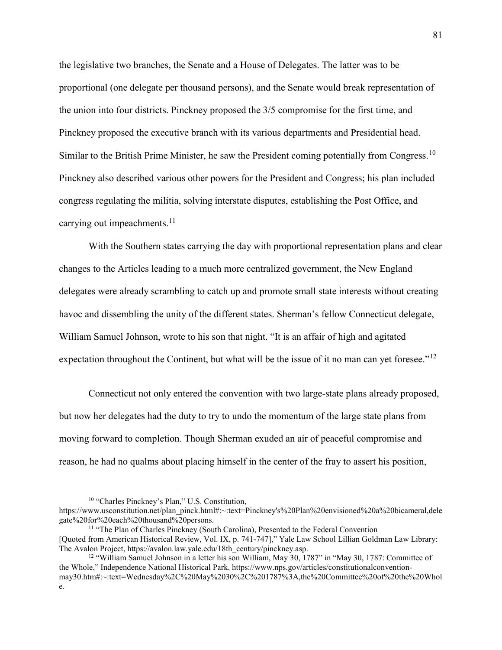the legislative two branches, the Senate and a House of Delegates. The latter was to be proportional (one delegate per thousand persons), and the Senate would break representation of the union into four districts. Pinckney proposed the 3/5 compromise for the first time, and Pinckney proposed the executive branch with its various departments and Presidential head. Similar to the British Prime Minister, he saw the President coming potentially from Congress.<sup>[10](#page-83-0)</sup> Pinckney also described various other powers for the President and Congress; his plan included congress regulating the militia, solving interstate disputes, establishing the Post Office, and carrying out impeachments. $11$ 

With the Southern states carrying the day with proportional representation plans and clear changes to the Articles leading to a much more centralized government, the New England delegates were already scrambling to catch up and promote small state interests without creating havoc and dissembling the unity of the different states. Sherman's fellow Connecticut delegate, William Samuel Johnson, wrote to his son that night. "It is an affair of high and agitated expectation throughout the Continent, but what will be the issue of it no man can yet foresee."<sup>[12](#page-83-2)</sup>

Connecticut not only entered the convention with two large-state plans already proposed, but now her delegates had the duty to try to undo the momentum of the large state plans from moving forward to completion. Though Sherman exuded an air of peaceful compromise and reason, he had no qualms about placing himself in the center of the fray to assert his position,

<sup>&</sup>lt;sup>10</sup> "Charles Pinckney's Plan," U.S. Constitution,

<span id="page-83-0"></span>https://www.usconstitution.net/plan\_pinck.html#:~:text=Pinckney's%20Plan%20envisioned%20a%20bicameral,dele gate%20for%20each%20thousand%20persons.

<span id="page-83-1"></span><sup>&</sup>lt;sup>11</sup> "The Plan of Charles Pinckney (South Carolina), Presented to the Federal Convention [Quoted from American Historical Review, Vol. IX, p. 741-747]," Yale Law School Lillian Goldman Law Library: The Avalon Project, https://avalon.law.yale.edu/18th\_century/pinckney.asp.

<span id="page-83-2"></span><sup>&</sup>lt;sup>12</sup> "William Samuel Johnson in a letter his son William, May 30, 1787" in "May 30, 1787: Committee of the Whole," Independence National Historical Park, https://www.nps.gov/articles/constitutionalconventionmay30.htm#:~:text=Wednesday%2C%20May%2030%2C%201787%3A,the%20Committee%20of%20the%20Whol e.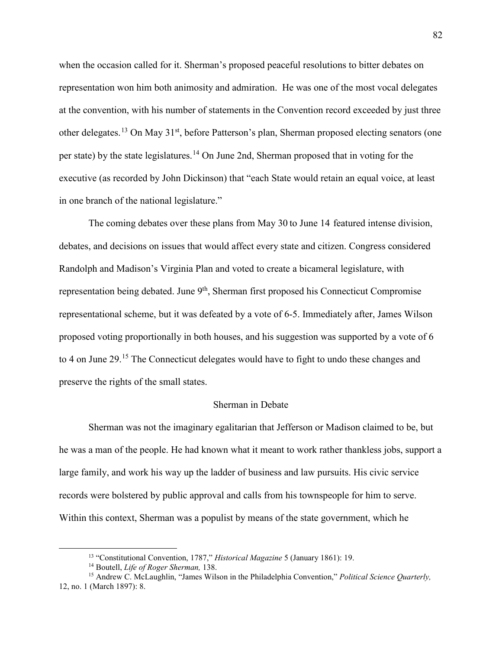when the occasion called for it. Sherman's proposed peaceful resolutions to bitter debates on representation won him both animosity and admiration. He was one of the most vocal delegates at the convention, with his number of statements in the Convention record exceeded by just three other delegates.<sup>[13](#page-84-0)</sup> On May 31<sup>st</sup>, before Patterson's plan, Sherman proposed electing senators (one per state) by the state legislatures.<sup>[14](#page-84-1)</sup> On June 2nd, Sherman proposed that in voting for the executive (as recorded by John Dickinson) that "each State would retain an equal voice, at least in one branch of the national legislature."

The coming debates over these plans from May 30 to June 14 featured intense division, debates, and decisions on issues that would affect every state and citizen. Congress considered Randolph and Madison's Virginia Plan and voted to create a bicameral legislature, with representation being debated. June 9<sup>th</sup>, Sherman first proposed his Connecticut Compromise representational scheme, but it was defeated by a vote of 6-5. Immediately after, James Wilson proposed voting proportionally in both houses, and his suggestion was supported by a vote of 6 to 4 on June 29.<sup>[15](#page-84-2)</sup> The Connecticut delegates would have to fight to undo these changes and preserve the rights of the small states.

# Sherman in Debate

Sherman was not the imaginary egalitarian that Jefferson or Madison claimed to be, but he was a man of the people. He had known what it meant to work rather thankless jobs, support a large family, and work his way up the ladder of business and law pursuits. His civic service records were bolstered by public approval and calls from his townspeople for him to serve. Within this context, Sherman was a populist by means of the state government, which he

<span id="page-84-2"></span><span id="page-84-1"></span><span id="page-84-0"></span><sup>&</sup>lt;sup>13</sup> "Constitutional Convention, 1787," *Historical Magazine* 5 (January 1861): 19.<br><sup>14</sup> Boutell, *Life of Roger Sherman*, 138.<br><sup>15</sup> Andrew C. McLaughlin, "James Wilson in the Philadelphia Convention," *Political Science* 12, no. 1 (March 1897): 8.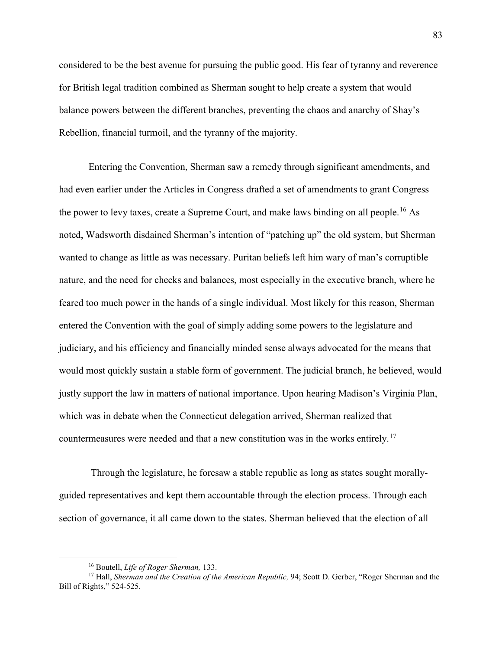considered to be the best avenue for pursuing the public good. His fear of tyranny and reverence for British legal tradition combined as Sherman sought to help create a system that would balance powers between the different branches, preventing the chaos and anarchy of Shay's Rebellion, financial turmoil, and the tyranny of the majority.

Entering the Convention, Sherman saw a remedy through significant amendments, and had even earlier under the Articles in Congress drafted a set of amendments to grant Congress the power to levy taxes, create a Supreme Court, and make laws binding on all people.<sup>[16](#page-85-0)</sup> As noted, Wadsworth disdained Sherman's intention of "patching up" the old system, but Sherman wanted to change as little as was necessary. Puritan beliefs left him wary of man's corruptible nature, and the need for checks and balances, most especially in the executive branch, where he feared too much power in the hands of a single individual. Most likely for this reason, Sherman entered the Convention with the goal of simply adding some powers to the legislature and judiciary, and his efficiency and financially minded sense always advocated for the means that would most quickly sustain a stable form of government. The judicial branch, he believed, would justly support the law in matters of national importance. Upon hearing Madison's Virginia Plan, which was in debate when the Connecticut delegation arrived, Sherman realized that countermeasures were needed and that a new constitution was in the works entirely.<sup>[17](#page-85-1)</sup>

Through the legislature, he foresaw a stable republic as long as states sought morallyguided representatives and kept them accountable through the election process. Through each section of governance, it all came down to the states. Sherman believed that the election of all

<span id="page-85-1"></span><span id="page-85-0"></span><sup>&</sup>lt;sup>16</sup> Boutell, *Life of Roger Sherman*, 133.<br><sup>17</sup> Hall, *Sherman and the Creation of the American Republic*, 94; Scott D. Gerber, "Roger Sherman and the Bill of Rights," 524-525.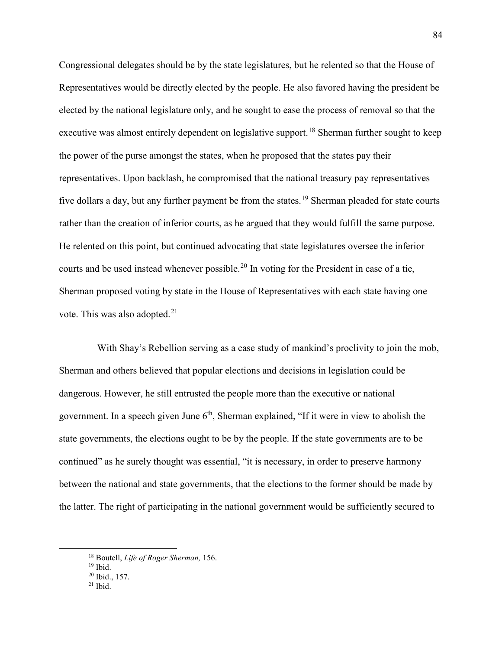Congressional delegates should be by the state legislatures, but he relented so that the House of Representatives would be directly elected by the people. He also favored having the president be elected by the national legislature only, and he sought to ease the process of removal so that the executive was almost entirely dependent on legislative support.<sup>[18](#page-86-0)</sup> Sherman further sought to keep the power of the purse amongst the states, when he proposed that the states pay their representatives. Upon backlash, he compromised that the national treasury pay representatives five dollars a day, but any further payment be from the states.<sup>[19](#page-86-1)</sup> Sherman pleaded for state courts rather than the creation of inferior courts, as he argued that they would fulfill the same purpose. He relented on this point, but continued advocating that state legislatures oversee the inferior courts and be used instead whenever possible.<sup>[20](#page-86-2)</sup> In voting for the President in case of a tie, Sherman proposed voting by state in the House of Representatives with each state having one vote. This was also adopted.<sup>[21](#page-86-3)</sup>

With Shay's Rebellion serving as a case study of mankind's proclivity to join the mob, Sherman and others believed that popular elections and decisions in legislation could be dangerous. However, he still entrusted the people more than the executive or national government. In a speech given June  $6<sup>th</sup>$ , Sherman explained, "If it were in view to abolish the state governments, the elections ought to be by the people. If the state governments are to be continued" as he surely thought was essential, "it is necessary, in order to preserve harmony between the national and state governments, that the elections to the former should be made by the latter. The right of participating in the national government would be sufficiently secured to

<span id="page-86-1"></span><span id="page-86-0"></span><sup>&</sup>lt;sup>18</sup> Boutell, *Life of Roger Sherman*, 156.<br><sup>19</sup> Ibid.<br><sup>20</sup> Ibid., 157.

<span id="page-86-2"></span>

<span id="page-86-3"></span> $21$  Ibid.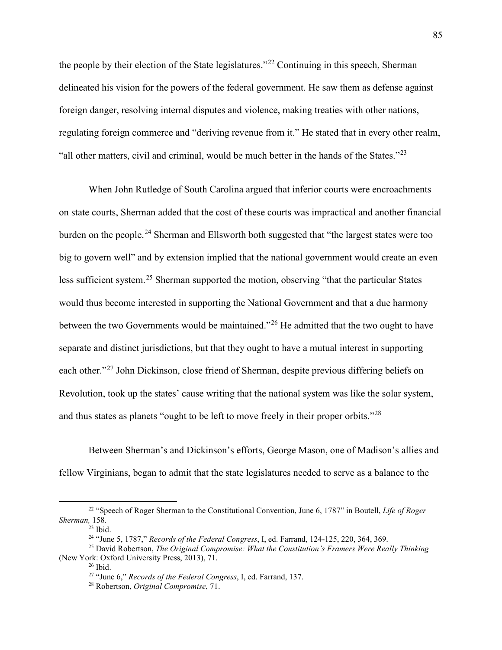the people by their election of the State legislatures."[22](#page-87-0) Continuing in this speech, Sherman delineated his vision for the powers of the federal government. He saw them as defense against foreign danger, resolving internal disputes and violence, making treaties with other nations, regulating foreign commerce and "deriving revenue from it." He stated that in every other realm, "all other matters, civil and criminal, would be much better in the hands of the States."<sup>[23](#page-87-1)</sup>

When John Rutledge of South Carolina argued that inferior courts were encroachments on state courts, Sherman added that the cost of these courts was impractical and another financial burden on the people.<sup>[24](#page-87-2)</sup> Sherman and Ellsworth both suggested that "the largest states were too big to govern well" and by extension implied that the national government would create an even less sufficient system.<sup>[25](#page-87-3)</sup> Sherman supported the motion, observing "that the particular States" would thus become interested in supporting the National Government and that a due harmony between the two Governments would be maintained."[26](#page-87-4) He admitted that the two ought to have separate and distinct jurisdictions, but that they ought to have a mutual interest in supporting each other."<sup>[27](#page-87-5)</sup> John Dickinson, close friend of Sherman, despite previous differing beliefs on Revolution, took up the states' cause writing that the national system was like the solar system, and thus states as planets "ought to be left to move freely in their proper orbits."<sup>[28](#page-87-6)</sup>

Between Sherman's and Dickinson's efforts, George Mason, one of Madison's allies and fellow Virginians, began to admit that the state legislatures needed to serve as a balance to the

<span id="page-87-1"></span><span id="page-87-0"></span> <sup>22</sup> "Speech of Roger Sherman to the Constitutional Convention, June 6, 1787" in Boutell, *Life of Roger Sherman,* 158.

 $23$  Ibid.

<sup>24</sup> "June 5, 1787," *Records of the Federal Congress*, I, ed. Farrand, 124-125, 220, 364, 369.

<span id="page-87-6"></span><span id="page-87-5"></span><span id="page-87-4"></span><span id="page-87-3"></span><span id="page-87-2"></span><sup>25</sup> David Robertson, *The Original Compromise: What the Constitution's Framers Were Really Thinking* (New York: Oxford University Press, 2013), 71. 26 Ibid.

<sup>27</sup> "June 6," *Records of the Federal Congress*, I, ed. Farrand, 137. 28 Robertson, *Original Compromise*, 71.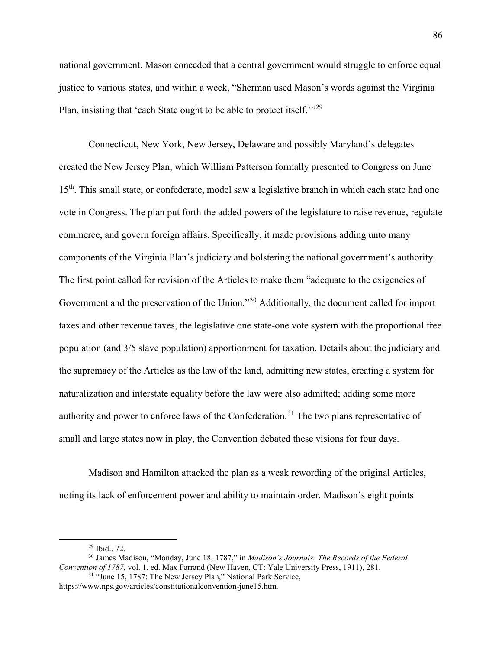national government. Mason conceded that a central government would struggle to enforce equal justice to various states, and within a week, "Sherman used Mason's words against the Virginia Plan, insisting that 'each State ought to be able to protect itself.'"[29](#page-88-0)

Connecticut, New York, New Jersey, Delaware and possibly Maryland's delegates created the New Jersey Plan, which William Patterson formally presented to Congress on June 15<sup>th</sup>. This small state, or confederate, model saw a legislative branch in which each state had one vote in Congress. The plan put forth the added powers of the legislature to raise revenue, regulate commerce, and govern foreign affairs. Specifically, it made provisions adding unto many components of the Virginia Plan's judiciary and bolstering the national government's authority. The first point called for revision of the Articles to make them "adequate to the exigencies of Government and the preservation of the Union."[30](#page-88-1) Additionally, the document called for import taxes and other revenue taxes, the legislative one state-one vote system with the proportional free population (and 3/5 slave population) apportionment for taxation. Details about the judiciary and the supremacy of the Articles as the law of the land, admitting new states, creating a system for naturalization and interstate equality before the law were also admitted; adding some more authority and power to enforce laws of the Confederation.<sup>[31](#page-88-2)</sup> The two plans representative of small and large states now in play, the Convention debated these visions for four days.

Madison and Hamilton attacked the plan as a weak rewording of the original Articles, noting its lack of enforcement power and ability to maintain order. Madison's eight points

<span id="page-88-1"></span><span id="page-88-0"></span><sup>&</sup>lt;sup>29</sup> Ibid., 72.<br><sup>30</sup> James Madison, "Monday, June 18, 1787," in *Madison's Journals: The Records of the Federal Convention of 1787,* vol. 1, ed. Max Farrand (New Haven, CT: Yale University Press, 1911), 281. <sup>31</sup> "June 15, 1787: The New Jersey Plan," National Park Service,

<span id="page-88-2"></span>https://www.nps.gov/articles/constitutionalconvention-june15.htm.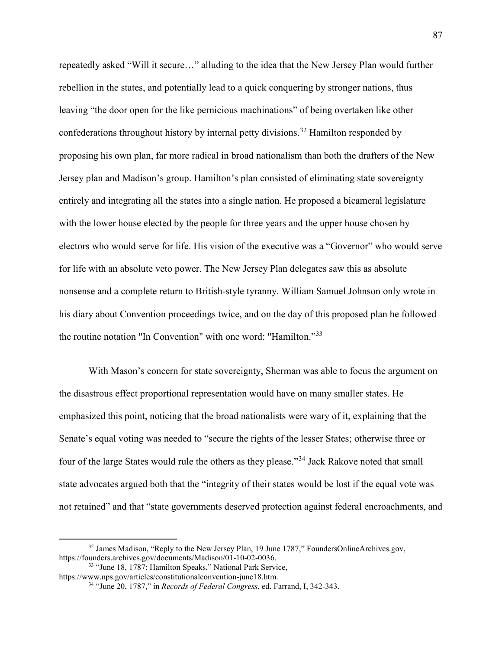repeatedly asked "Will it secure…" alluding to the idea that the New Jersey Plan would further rebellion in the states, and potentially lead to a quick conquering by stronger nations, thus leaving "the door open for the like pernicious machinations" of being overtaken like other confederations throughout history by internal petty divisions.<sup>[32](#page-89-0)</sup> Hamilton responded by proposing his own plan, far more radical in broad nationalism than both the drafters of the New Jersey plan and Madison's group. Hamilton's plan consisted of eliminating state sovereignty entirely and integrating all the states into a single nation. He proposed a bicameral legislature with the lower house elected by the people for three years and the upper house chosen by electors who would serve for life. His vision of the executive was a "Governor" who would serve for life with an absolute veto power. The New Jersey Plan delegates saw this as absolute nonsense and a complete return to British-style tyranny. William Samuel Johnson only wrote in his diary about Convention proceedings twice, and on the day of this proposed plan he followed the routine notation "In Convention" with one word: "Hamilton."[33](#page-89-1)

With Mason's concern for state sovereignty, Sherman was able to focus the argument on the disastrous effect proportional representation would have on many smaller states. He emphasized this point, noticing that the broad nationalists were wary of it, explaining that the Senate's equal voting was needed to "secure the rights of the lesser States; otherwise three or four of the large States would rule the others as they please."[34](#page-89-2) Jack Rakove noted that small state advocates argued both that the "integrity of their states would be lost if the equal vote was not retained" and that "state governments deserved protection against federal encroachments, and

<span id="page-89-0"></span><sup>&</sup>lt;sup>32</sup> James Madison, "Reply to the New Jersey Plan, 19 June 1787," FoundersOnlineArchives.gov, https://founders.archives.gov/documents/Madison/01-10-02-0036.

<span id="page-89-2"></span><span id="page-89-1"></span><sup>33</sup> "June 18, 1787: Hamilton Speaks," National Park Service, https://www.nps.gov/articles/constitutionalconvention-june18.htm.

<sup>34</sup> "June 20, 1787," in *Records of Federal Congress*, ed. Farrand, I, 342-343.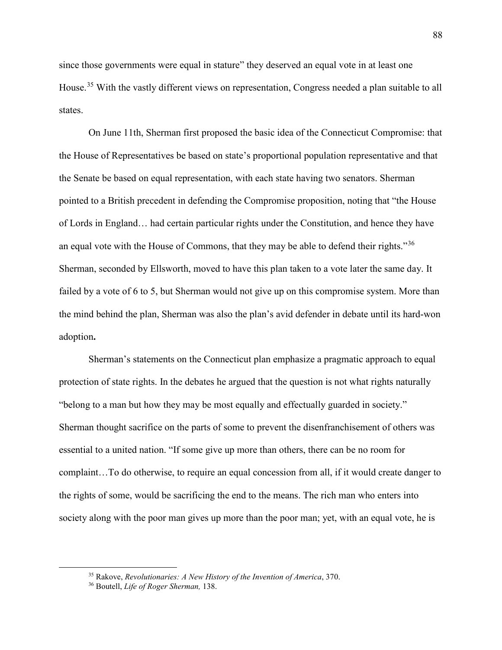since those governments were equal in stature" they deserved an equal vote in at least one House.<sup>[35](#page-90-0)</sup> With the vastly different views on representation, Congress needed a plan suitable to all states.

On June 11th, Sherman first proposed the basic idea of the Connecticut Compromise: that the House of Representatives be based on state's proportional population representative and that the Senate be based on equal representation, with each state having two senators. Sherman pointed to a British precedent in defending the Compromise proposition, noting that "the House of Lords in England… had certain particular rights under the Constitution, and hence they have an equal vote with the House of Commons, that they may be able to defend their rights."<sup>[36](#page-90-1)</sup> Sherman, seconded by Ellsworth, moved to have this plan taken to a vote later the same day. It failed by a vote of 6 to 5, but Sherman would not give up on this compromise system. More than the mind behind the plan, Sherman was also the plan's avid defender in debate until its hard-won adoption**.**

Sherman's statements on the Connecticut plan emphasize a pragmatic approach to equal protection of state rights. In the debates he argued that the question is not what rights naturally "belong to a man but how they may be most equally and effectually guarded in society." Sherman thought sacrifice on the parts of some to prevent the disenfranchisement of others was essential to a united nation. "If some give up more than others, there can be no room for complaint…To do otherwise, to require an equal concession from all, if it would create danger to the rights of some, would be sacrificing the end to the means. The rich man who enters into society along with the poor man gives up more than the poor man; yet, with an equal vote, he is

<span id="page-90-0"></span> <sup>35</sup> Rakove, *Revolutionaries: A New History of the Invention of America*, 370.

<span id="page-90-1"></span><sup>36</sup> Boutell, *Life of Roger Sherman,* 138.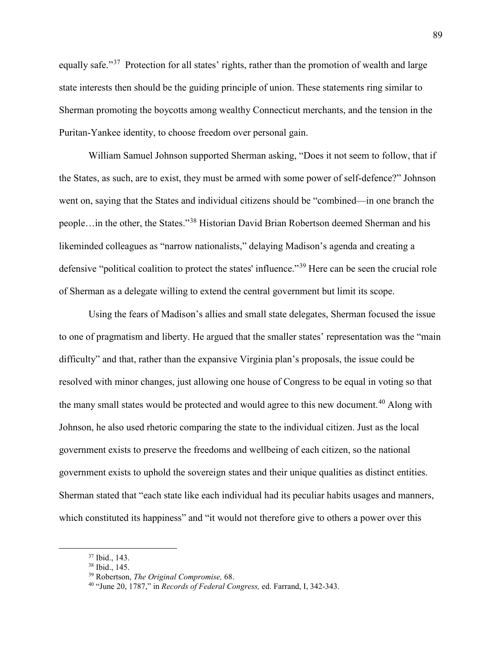equally safe."<sup>37</sup> Protection for all states' rights, rather than the promotion of wealth and large state interests then should be the guiding principle of union. These statements ring similar to Sherman promoting the boycotts among wealthy Connecticut merchants, and the tension in the Puritan-Yankee identity, to choose freedom over personal gain.

William Samuel Johnson supported Sherman asking, "Does it not seem to follow, that if the States, as such, are to exist, they must be armed with some power of self-defence?" Johnson went on, saying that the States and individual citizens should be "combined—in one branch the people…in the other, the States."[38](#page-91-1) Historian David Brian Robertson deemed Sherman and his likeminded colleagues as "narrow nationalists," delaying Madison's agenda and creating a defensive "political coalition to protect the states' influence."[39](#page-91-2) Here can be seen the crucial role of Sherman as a delegate willing to extend the central government but limit its scope.

Using the fears of Madison's allies and small state delegates, Sherman focused the issue to one of pragmatism and liberty. He argued that the smaller states' representation was the "main difficulty" and that, rather than the expansive Virginia plan's proposals, the issue could be resolved with minor changes, just allowing one house of Congress to be equal in voting so that the many small states would be protected and would agree to this new document.<sup>[40](#page-91-3)</sup> Along with Johnson, he also used rhetoric comparing the state to the individual citizen. Just as the local government exists to preserve the freedoms and wellbeing of each citizen, so the national government exists to uphold the sovereign states and their unique qualities as distinct entities. Sherman stated that "each state like each individual had its peculiar habits usages and manners, which constituted its happiness" and "it would not therefore give to others a power over this

<span id="page-91-1"></span><span id="page-91-0"></span><sup>37</sup> Ibid., 143. 38 Ibid., 145. 39 Robertson, *The Original Compromise,* 68.

<span id="page-91-3"></span><span id="page-91-2"></span><sup>40</sup> "June 20, 1787," in *Records of Federal Congress,* ed. Farrand, I, 342-343.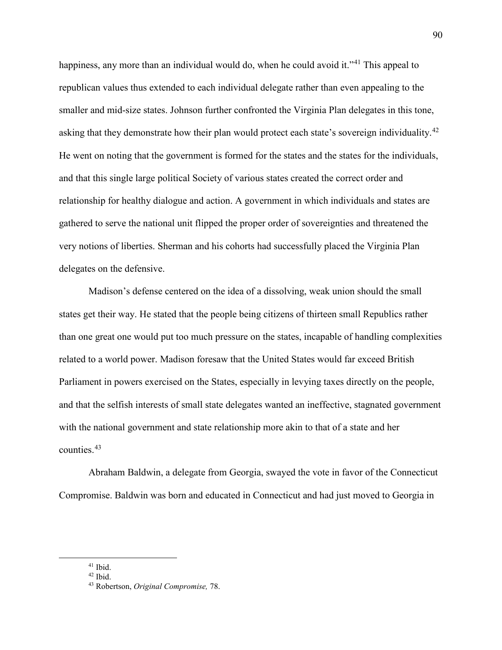happiness, any more than an individual would do, when he could avoid it."<sup>[41](#page-92-0)</sup> This appeal to republican values thus extended to each individual delegate rather than even appealing to the smaller and mid-size states. Johnson further confronted the Virginia Plan delegates in this tone, asking that they demonstrate how their plan would protect each state's sovereign individuality.<sup>[42](#page-92-1)</sup> He went on noting that the government is formed for the states and the states for the individuals, and that this single large political Society of various states created the correct order and relationship for healthy dialogue and action. A government in which individuals and states are gathered to serve the national unit flipped the proper order of sovereignties and threatened the very notions of liberties. Sherman and his cohorts had successfully placed the Virginia Plan delegates on the defensive.

Madison's defense centered on the idea of a dissolving, weak union should the small states get their way. He stated that the people being citizens of thirteen small Republics rather than one great one would put too much pressure on the states, incapable of handling complexities related to a world power. Madison foresaw that the United States would far exceed British Parliament in powers exercised on the States, especially in levying taxes directly on the people, and that the selfish interests of small state delegates wanted an ineffective, stagnated government with the national government and state relationship more akin to that of a state and her counties.[43](#page-92-2)

Abraham Baldwin, a delegate from Georgia, swayed the vote in favor of the Connecticut Compromise. Baldwin was born and educated in Connecticut and had just moved to Georgia in

<span id="page-92-1"></span><span id="page-92-0"></span> <sup>41</sup> Ibid.

 $42$  Ibid.

<span id="page-92-2"></span><sup>43</sup> Robertson, *Original Compromise,* 78.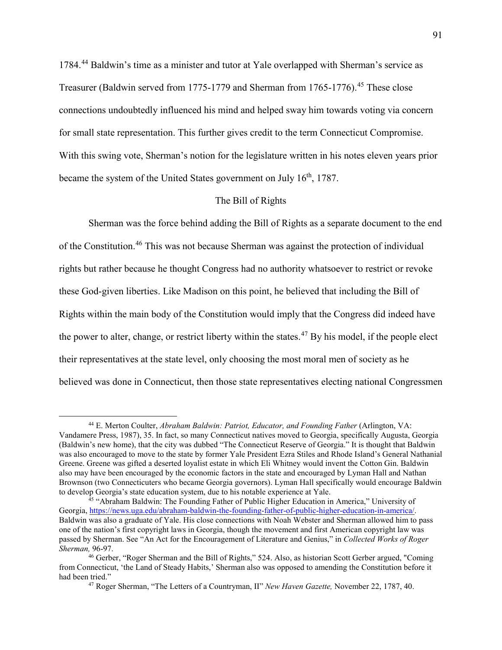1784.[44](#page-93-0) Baldwin's time as a minister and tutor at Yale overlapped with Sherman's service as Treasurer (Baldwin served from 1775-1779 and Sherman from 1765-1776).<sup>[45](#page-93-1)</sup> These close connections undoubtedly influenced his mind and helped sway him towards voting via concern for small state representation. This further gives credit to the term Connecticut Compromise. With this swing vote, Sherman's notion for the legislature written in his notes eleven years prior became the system of the United States government on July 16<sup>th</sup>, 1787.

# The Bill of Rights

Sherman was the force behind adding the Bill of Rights as a separate document to the end of the Constitution.[46](#page-93-2) This was not because Sherman was against the protection of individual rights but rather because he thought Congress had no authority whatsoever to restrict or revoke these God-given liberties. Like Madison on this point, he believed that including the Bill of Rights within the main body of the Constitution would imply that the Congress did indeed have the power to alter, change, or restrict liberty within the states.<sup>[47](#page-93-3)</sup> By his model, if the people elect their representatives at the state level, only choosing the most moral men of society as he believed was done in Connecticut, then those state representatives electing national Congressmen

<span id="page-93-0"></span><sup>&</sup>lt;sup>44</sup> E. Merton Coulter, *Abraham Baldwin: Patriot, Educator, and Founding Father (Arlington, VA:* Vandamere Press, 1987), 35. In fact, so many Connecticut natives moved to Georgia, specifically Augusta, Georgia (Baldwin's new home), that the city was dubbed "The Connecticut Reserve of Georgia." It is thought that Baldwin was also encouraged to move to the state by former Yale President Ezra Stiles and Rhode Island's General Nathanial Greene. Greene was gifted a deserted loyalist estate in which Eli Whitney would invent the Cotton Gin. Baldwin also may have been encouraged by the economic factors in the state and encouraged by Lyman Hall and Nathan Brownson (two Connecticuters who became Georgia governors). Lyman Hall specifically would encourage Baldwin to develop Georgia's state education system, due to his notable experience at Yale.<br><sup>45</sup> "Abraham Baldwin: The Founding Father of Public Higher Education in America," University of

<span id="page-93-1"></span>Georgia, [https://news.uga.edu/abraham-baldwin-the-founding-father-of-public-higher-education-in-america/.](https://news.uga.edu/abraham-baldwin-the-founding-father-of-public-higher-education-in-america/) Baldwin was also a graduate of Yale. His close connections with Noah Webster and Sherman allowed him to pass one of the nation's first copyright laws in Georgia, though the movement and first American copyright law was passed by Sherman. See "An Act for the Encouragement of Literature and Genius," in *Collected Works of Roger Sherman,* 96-97. 46 Gerber, "Roger Sherman and the Bill of Rights," 524. Also, as historian Scott Gerber argued, "Coming

<span id="page-93-3"></span><span id="page-93-2"></span>from Connecticut, 'the Land of Steady Habits,' Sherman also was opposed to amending the Constitution before it had been tried." 47 Roger Sherman, "The Letters of a Countryman, II" *New Haven Gazette,* November 22, 1787, 40.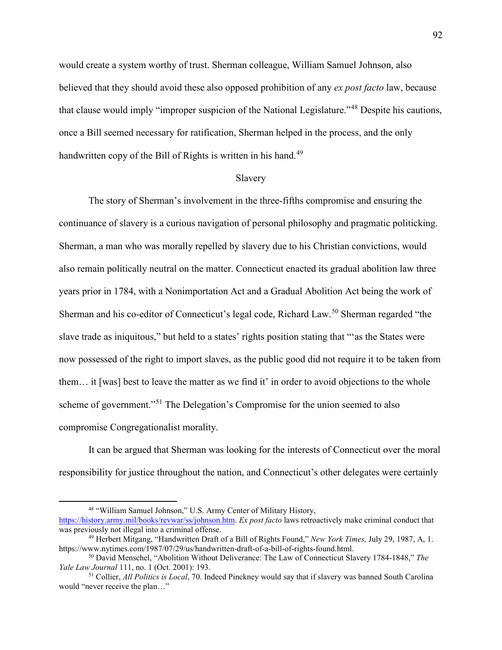would create a system worthy of trust. Sherman colleague, William Samuel Johnson, also believed that they should avoid these also opposed prohibition of any *ex post facto* law, because that clause would imply "improper suspicion of the National Legislature."[48](#page-94-0) Despite his cautions, once a Bill seemed necessary for ratification, Sherman helped in the process, and the only handwritten copy of the Bill of Rights is written in his hand.<sup>[49](#page-94-1)</sup>

#### Slavery

The story of Sherman's involvement in the three-fifths compromise and ensuring the continuance of slavery is a curious navigation of personal philosophy and pragmatic politicking. Sherman, a man who was morally repelled by slavery due to his Christian convictions, would also remain politically neutral on the matter. Connecticut enacted its gradual abolition law three years prior in 1784, with a Nonimportation Act and a Gradual Abolition Act being the work of Sherman and his co-editor of Connecticut's legal code, Richard Law.<sup>[50](#page-94-2)</sup> Sherman regarded "the slave trade as iniquitous," but held to a states' rights position stating that "'as the States were now possessed of the right to import slaves, as the public good did not require it to be taken from them… it [was] best to leave the matter as we find it' in order to avoid objections to the whole scheme of government."<sup>[51](#page-94-3)</sup> The Delegation's Compromise for the union seemed to also compromise Congregationalist morality.

It can be argued that Sherman was looking for the interests of Connecticut over the moral responsibility for justice throughout the nation, and Connecticut's other delegates were certainly

<span id="page-94-0"></span> <sup>48</sup> "William Samuel Johnson," U.S. Army Center of Military History, [https://history.army.mil/books/revwar/ss/johnson.htm.](https://history.army.mil/books/revwar/ss/johnson.htm) *Ex post facto* laws retroactively make criminal conduct that

<span id="page-94-1"></span><sup>&</sup>lt;sup>49</sup> Herbert Mitgang, "Handwritten Draft of a Bill of Rights Found," *New York Times*, July 29, 1987, A, 1. https://www.nytimes.com/1987/07/29/us/handwritten-draft-of-a-bill-of-rights-found.html.

<span id="page-94-2"></span><sup>50</sup> David Menschel, "Abolition Without Deliverance: The Law of Connecticut Slavery 1784-1848," *The Yale Law Journal* 111, no. 1 (Oct. 2001): 193.

<span id="page-94-3"></span><sup>51</sup> Collier, *All Politics is Local*, 70. Indeed Pinckney would say that if slavery was banned South Carolina would "never receive the plan…"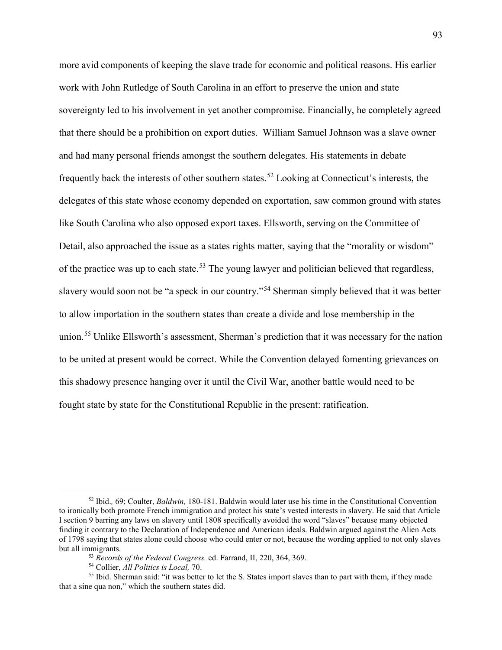more avid components of keeping the slave trade for economic and political reasons. His earlier work with John Rutledge of South Carolina in an effort to preserve the union and state sovereignty led to his involvement in yet another compromise. Financially, he completely agreed that there should be a prohibition on export duties. William Samuel Johnson was a slave owner and had many personal friends amongst the southern delegates. His statements in debate frequently back the interests of other southern states.[52](#page-95-0) Looking at Connecticut's interests, the delegates of this state whose economy depended on exportation, saw common ground with states like South Carolina who also opposed export taxes. Ellsworth, serving on the Committee of Detail, also approached the issue as a states rights matter, saying that the "morality or wisdom" of the practice was up to each state.<sup>[53](#page-95-1)</sup> The young lawyer and politician believed that regardless, slavery would soon not be "a speck in our country."[54](#page-95-2) Sherman simply believed that it was better to allow importation in the southern states than create a divide and lose membership in the union.[55](#page-95-3) Unlike Ellsworth's assessment, Sherman's prediction that it was necessary for the nation to be united at present would be correct. While the Convention delayed fomenting grievances on this shadowy presence hanging over it until the Civil War, another battle would need to be fought state by state for the Constitutional Republic in the present: ratification.

<span id="page-95-0"></span> <sup>52</sup> Ibid.*,* 69; Coulter, *Baldwin,* 180-181. Baldwin would later use his time in the Constitutional Convention to ironically both promote French immigration and protect his state's vested interests in slavery. He said that Article I section 9 barring any laws on slavery until 1808 specifically avoided the word "slaves" because many objected finding it contrary to the Declaration of Independence and American ideals. Baldwin argued against the Alien Acts of 1798 saying that states alone could choose who could enter or not, because the wording applied to not only slaves but all immigrants.<br><sup>53</sup> Records of the Federal Congress, ed. Farrand, II, 220, 364, 369.<br><sup>54</sup> Collier, *All Politics is Local*, 70.<br><sup>55</sup> Ibid. Sherman said: "it was better to let the S. States import slaves than to part w

<span id="page-95-3"></span><span id="page-95-2"></span><span id="page-95-1"></span>that a sine qua non," which the southern states did.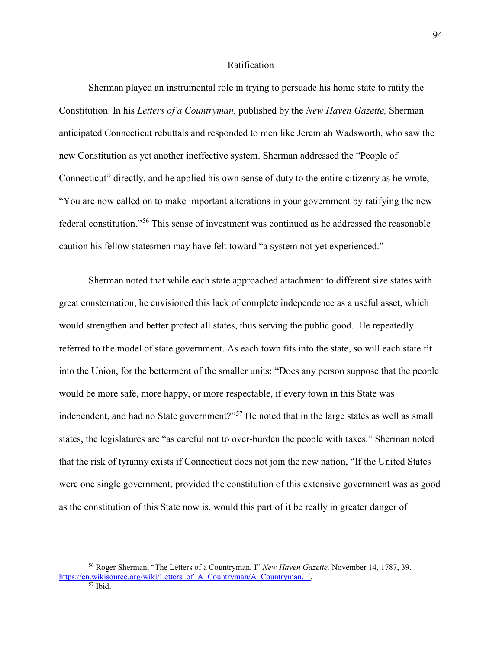#### Ratification

Sherman played an instrumental role in trying to persuade his home state to ratify the Constitution. In his *Letters of a Countryman,* published by the *New Haven Gazette,* Sherman anticipated Connecticut rebuttals and responded to men like Jeremiah Wadsworth, who saw the new Constitution as yet another ineffective system. Sherman addressed the "People of Connecticut" directly, and he applied his own sense of duty to the entire citizenry as he wrote, "You are now called on to make important alterations in your government by ratifying the new federal constitution."[56](#page-96-0) This sense of investment was continued as he addressed the reasonable caution his fellow statesmen may have felt toward "a system not yet experienced."

Sherman noted that while each state approached attachment to different size states with great consternation, he envisioned this lack of complete independence as a useful asset, which would strengthen and better protect all states, thus serving the public good. He repeatedly referred to the model of state government. As each town fits into the state, so will each state fit into the Union, for the betterment of the smaller units: "Does any person suppose that the people would be more safe, more happy, or more respectable, if every town in this State was independent, and had no State government?"<sup>[57](#page-96-1)</sup> He noted that in the large states as well as small states, the legislatures are "as careful not to over-burden the people with taxes." Sherman noted that the risk of tyranny exists if Connecticut does not join the new nation, "If the United States were one single government, provided the constitution of this extensive government was as good as the constitution of this State now is, would this part of it be really in greater danger of

<span id="page-96-1"></span><span id="page-96-0"></span> <sup>56</sup> Roger Sherman, "The Letters of a Countryman, I" *New Haven Gazette,* November 14, 1787, 39. [https://en.wikisource.org/wiki/Letters\\_of\\_A\\_Countryman/A\\_Countryman,\\_I.](https://en.wikisource.org/wiki/Letters_of_A_Countryman/A_Countryman,_I)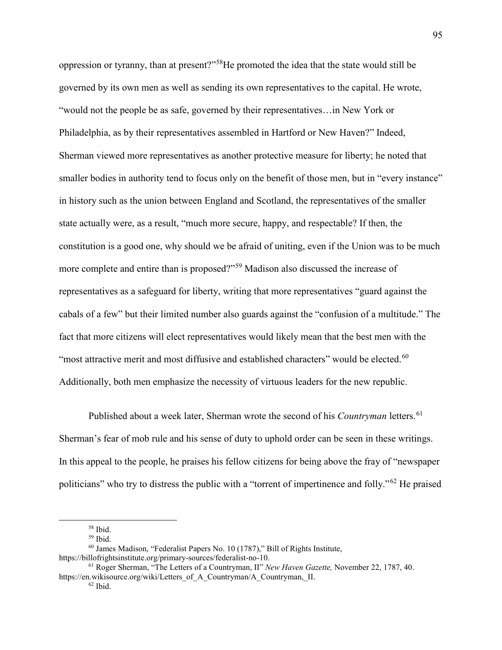oppression or tyranny, than at present?"[58H](#page-97-0)e promoted the idea that the state would still be governed by its own men as well as sending its own representatives to the capital. He wrote, "would not the people be as safe, governed by their representatives…in New York or Philadelphia, as by their representatives assembled in Hartford or New Haven?" Indeed, Sherman viewed more representatives as another protective measure for liberty; he noted that smaller bodies in authority tend to focus only on the benefit of those men, but in "every instance" in history such as the union between England and Scotland, the representatives of the smaller state actually were, as a result, "much more secure, happy, and respectable? If then, the constitution is a good one, why should we be afraid of uniting, even if the Union was to be much more complete and entire than is proposed?"[59](#page-97-1) Madison also discussed the increase of representatives as a safeguard for liberty, writing that more representatives "guard against the cabals of a few" but their limited number also guards against the "confusion of a multitude." The fact that more citizens will elect representatives would likely mean that the best men with the "most attractive merit and most diffusive and established characters" would be elected.<sup>[60](#page-97-2)</sup> Additionally, both men emphasize the necessity of virtuous leaders for the new republic.

Published about a week later, Sherman wrote the second of his *Countryman* letters.<sup>[61](#page-97-3)</sup> Sherman's fear of mob rule and his sense of duty to uphold order can be seen in these writings. In this appeal to the people, he praises his fellow citizens for being above the fray of "newspaper politicians" who try to distress the public with a "torrent of impertinence and folly."[62](#page-97-4) He praised

 <sup>58</sup> Ibid.

<sup>59</sup> Ibid.

<span id="page-97-2"></span><span id="page-97-1"></span><span id="page-97-0"></span><sup>60</sup> James Madison, "Federalist Papers No. 10 (1787)," Bill of Rights Institute, https://billofrightsinstitute.org/primary-sources/federalist-no-10.

<span id="page-97-4"></span><span id="page-97-3"></span><sup>61</sup> Roger Sherman, "The Letters of a Countryman, II" *New Haven Gazette,* November 22, 1787, 40. https://en.wikisource.org/wiki/Letters\_of\_A\_Countryman/A\_Countryman,\_II.

 $62$  Ibid.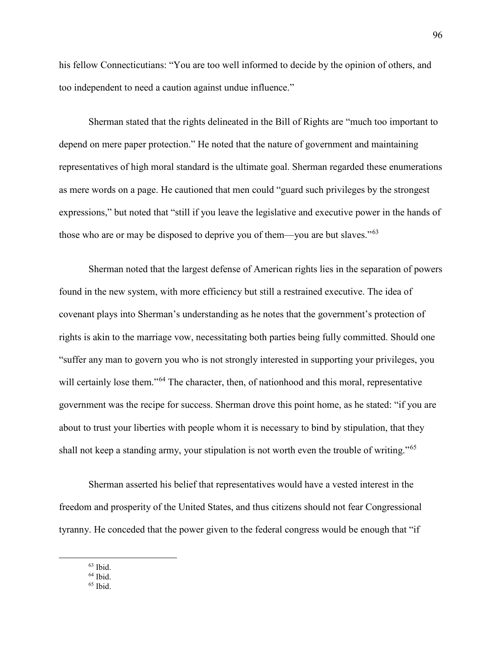his fellow Connecticutians: "You are too well informed to decide by the opinion of others, and too independent to need a caution against undue influence."

Sherman stated that the rights delineated in the Bill of Rights are "much too important to depend on mere paper protection." He noted that the nature of government and maintaining representatives of high moral standard is the ultimate goal. Sherman regarded these enumerations as mere words on a page. He cautioned that men could "guard such privileges by the strongest expressions," but noted that "still if you leave the legislative and executive power in the hands of those who are or may be disposed to deprive you of them—you are but slaves."<sup>[63](#page-98-0)</sup>

Sherman noted that the largest defense of American rights lies in the separation of powers found in the new system, with more efficiency but still a restrained executive. The idea of covenant plays into Sherman's understanding as he notes that the government's protection of rights is akin to the marriage vow, necessitating both parties being fully committed. Should one "suffer any man to govern you who is not strongly interested in supporting your privileges, you will certainly lose them."<sup>[64](#page-98-1)</sup> The character, then, of nationhood and this moral, representative government was the recipe for success. Sherman drove this point home, as he stated: "if you are about to trust your liberties with people whom it is necessary to bind by stipulation, that they shall not keep a standing army, your stipulation is not worth even the trouble of writing."<sup>[65](#page-98-2)</sup>

Sherman asserted his belief that representatives would have a vested interest in the freedom and prosperity of the United States, and thus citizens should not fear Congressional tyranny. He conceded that the power given to the federal congress would be enough that "if

<span id="page-98-1"></span><span id="page-98-0"></span>63 Ibid.

 $64$  Ibid.

<span id="page-98-2"></span> $65$  Ibid.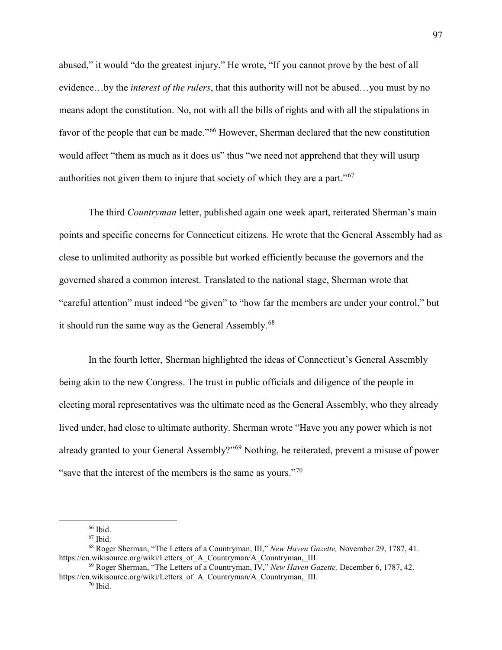abused," it would "do the greatest injury." He wrote, "If you cannot prove by the best of all evidence…by the *interest of the rulers*, that this authority will not be abused…you must by no means adopt the constitution. No, not with all the bills of rights and with all the stipulations in favor of the people that can be made."<sup>[66](#page-99-0)</sup> However, Sherman declared that the new constitution would affect "them as much as it does us" thus "we need not apprehend that they will usurp authorities not given them to injure that society of which they are a part."[67](#page-99-1)

The third *Countryman* letter, published again one week apart, reiterated Sherman's main points and specific concerns for Connecticut citizens. He wrote that the General Assembly had as close to unlimited authority as possible but worked efficiently because the governors and the governed shared a common interest. Translated to the national stage, Sherman wrote that "careful attention" must indeed "be given" to "how far the members are under your control," but it should run the same way as the General Assembly.<sup>[68](#page-99-2)</sup>

In the fourth letter, Sherman highlighted the ideas of Connecticut's General Assembly being akin to the new Congress. The trust in public officials and diligence of the people in electing moral representatives was the ultimate need as the General Assembly, who they already lived under, had close to ultimate authority. Sherman wrote "Have you any power which is not already granted to your General Assembly?"[69](#page-99-3) Nothing, he reiterated, prevent a misuse of power "save that the interest of the members is the same as yours."<sup>[70](#page-99-4)</sup>

 $66$  Ibid.

 $67$  Ibid.

<span id="page-99-2"></span><span id="page-99-1"></span><span id="page-99-0"></span><sup>68</sup> Roger Sherman, "The Letters of a Countryman, III," *New Haven Gazette,* November 29, 1787, 41. https://en.wikisource.org/wiki/Letters\_of\_A\_Countryman/A\_Countryman,\_III.

<span id="page-99-4"></span><span id="page-99-3"></span><sup>69</sup> Roger Sherman, "The Letters of a Countryman, IV," *New Haven Gazette,* December 6, 1787, 42. https://en.wikisource.org/wiki/Letters\_of\_A\_Countryman/A\_Countryman,\_III.

 $70$  Ibid.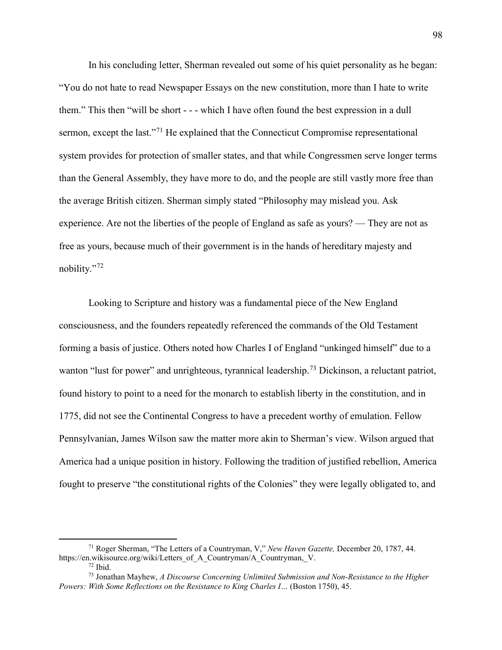In his concluding letter, Sherman revealed out some of his quiet personality as he began: "You do not hate to read Newspaper Essays on the new constitution, more than I hate to write them." This then "will be short - - - which I have often found the best expression in a dull sermon, except the last."<sup>[71](#page-100-0)</sup> He explained that the Connecticut Compromise representational system provides for protection of smaller states, and that while Congressmen serve longer terms than the General Assembly, they have more to do, and the people are still vastly more free than the average British citizen. Sherman simply stated "Philosophy may mislead you. Ask experience. Are not the liberties of the people of England as safe as yours? — They are not as free as yours, because much of their government is in the hands of hereditary majesty and nobility."[72](#page-100-1)

Looking to Scripture and history was a fundamental piece of the New England consciousness, and the founders repeatedly referenced the commands of the Old Testament forming a basis of justice. Others noted how Charles I of England "unkinged himself" due to a wanton "lust for power" and unrighteous, tyrannical leadership.<sup>[73](#page-100-2)</sup> Dickinson, a reluctant patriot, found history to point to a need for the monarch to establish liberty in the constitution, and in 1775, did not see the Continental Congress to have a precedent worthy of emulation. Fellow Pennsylvanian, James Wilson saw the matter more akin to Sherman's view. Wilson argued that America had a unique position in history. Following the tradition of justified rebellion, America fought to preserve "the constitutional rights of the Colonies" they were legally obligated to, and

<span id="page-100-0"></span> <sup>71</sup> Roger Sherman, "The Letters of a Countryman, V," *New Haven Gazette,* December 20, 1787, 44. https://en.wikisource.org/wiki/Letters\_of\_A\_Countryman/A\_Countryman,\_V.

<sup>72</sup> Ibid.

<span id="page-100-2"></span><span id="page-100-1"></span><sup>73</sup> Jonathan Mayhew, *A Discourse Concerning Unlimited Submission and Non-Resistance to the Higher Powers: With Some Reflections on the Resistance to King Charles I…* (Boston 1750), 45.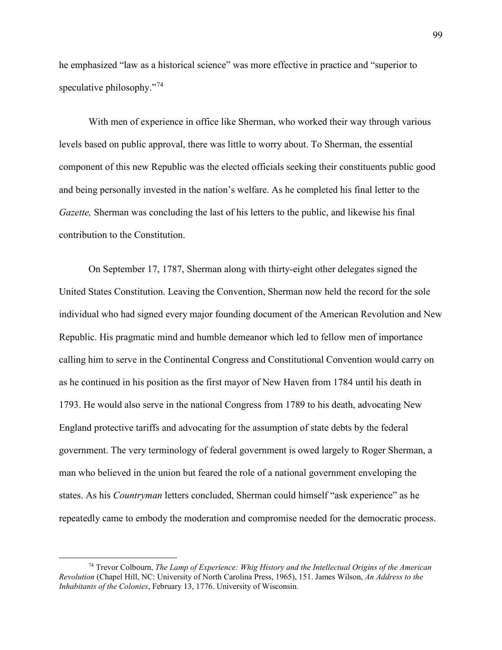he emphasized "law as a historical science" was more effective in practice and "superior to speculative philosophy."<sup>[74](#page-101-0)</sup>

With men of experience in office like Sherman, who worked their way through various levels based on public approval, there was little to worry about. To Sherman, the essential component of this new Republic was the elected officials seeking their constituents public good and being personally invested in the nation's welfare. As he completed his final letter to the *Gazette,* Sherman was concluding the last of his letters to the public, and likewise his final contribution to the Constitution.

On September 17, 1787, Sherman along with thirty-eight other delegates signed the United States Constitution. Leaving the Convention, Sherman now held the record for the sole individual who had signed every major founding document of the American Revolution and New Republic. His pragmatic mind and humble demeanor which led to fellow men of importance calling him to serve in the Continental Congress and Constitutional Convention would carry on as he continued in his position as the first mayor of New Haven from 1784 until his death in 1793. He would also serve in the national Congress from 1789 to his death, advocating New England protective tariffs and advocating for the assumption of state debts by the federal government. The very terminology of federal government is owed largely to Roger Sherman, a man who believed in the union but feared the role of a national government enveloping the states. As his *Countryman* letters concluded, Sherman could himself "ask experience" as he repeatedly came to embody the moderation and compromise needed for the democratic process.

<span id="page-101-0"></span> <sup>74</sup> Trevor Colbourn, *The Lamp of Experience: Whig History and the Intellectual Origins of the American Revolution* (Chapel Hill, NC: University of North Carolina Press, 1965), 151. James Wilson, *An Address to the Inhabitants of the Colonies*, February 13, 1776. University of Wisconsin.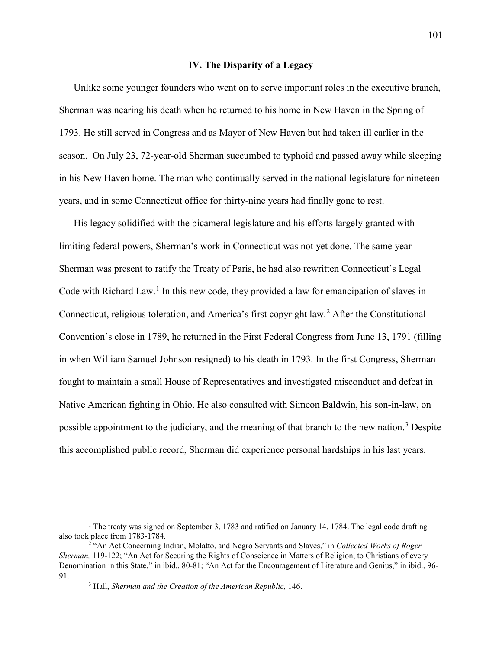#### **IV. The Disparity of a Legacy**

Unlike some younger founders who went on to serve important roles in the executive branch, Sherman was nearing his death when he returned to his home in New Haven in the Spring of 1793. He still served in Congress and as Mayor of New Haven but had taken ill earlier in the season. On July 23, 72-year-old Sherman succumbed to typhoid and passed away while sleeping in his New Haven home. The man who continually served in the national legislature for nineteen years, and in some Connecticut office for thirty-nine years had finally gone to rest.

His legacy solidified with the bicameral legislature and his efforts largely granted with limiting federal powers, Sherman's work in Connecticut was not yet done. The same year Sherman was present to ratify the Treaty of Paris, he had also rewritten Connecticut's Legal Code with Richard Law.<sup>[1](#page-103-0)</sup> In this new code, they provided a law for emancipation of slaves in Connecticut, religious toleration, and America's first copyright law.<sup>[2](#page-103-1)</sup> After the Constitutional Convention's close in 1789, he returned in the First Federal Congress from June 13, 1791 (filling in when William Samuel Johnson resigned) to his death in 1793. In the first Congress, Sherman fought to maintain a small House of Representatives and investigated misconduct and defeat in Native American fighting in Ohio. He also consulted with Simeon Baldwin, his son-in-law, on possible appointment to the judiciary, and the meaning of that branch to the new nation.<sup>[3](#page-103-2)</sup> Despite this accomplished public record, Sherman did experience personal hardships in his last years.

<span id="page-103-0"></span><sup>&</sup>lt;sup>1</sup> The treaty was signed on September 3, 1783 and ratified on January 14, 1784. The legal code drafting also took place from 1783-1784.

<span id="page-103-2"></span><span id="page-103-1"></span><sup>2</sup> "An Act Concerning Indian, Molatto, and Negro Servants and Slaves," in *Collected Works of Roger Sherman,* 119-122; "An Act for Securing the Rights of Conscience in Matters of Religion, to Christians of every Denomination in this State," in ibid., 80-81; "An Act for the Encouragement of Literature and Genius," in ibid., 96- 91. 3 Hall, *Sherman and the Creation of the American Republic,* 146.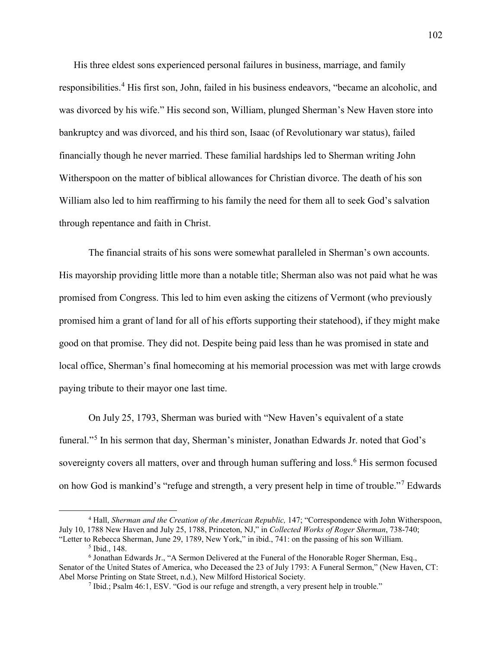His three eldest sons experienced personal failures in business, marriage, and family responsibilities.<sup>[4](#page-104-0)</sup> His first son, John, failed in his business endeavors, "became an alcoholic, and was divorced by his wife." His second son, William, plunged Sherman's New Haven store into bankruptcy and was divorced, and his third son, Isaac (of Revolutionary war status), failed financially though he never married. These familial hardships led to Sherman writing John Witherspoon on the matter of biblical allowances for Christian divorce. The death of his son William also led to him reaffirming to his family the need for them all to seek God's salvation through repentance and faith in Christ.

The financial straits of his sons were somewhat paralleled in Sherman's own accounts. His mayorship providing little more than a notable title; Sherman also was not paid what he was promised from Congress. This led to him even asking the citizens of Vermont (who previously promised him a grant of land for all of his efforts supporting their statehood), if they might make good on that promise. They did not. Despite being paid less than he was promised in state and local office, Sherman's final homecoming at his memorial procession was met with large crowds paying tribute to their mayor one last time.

On July 25, 1793, Sherman was buried with "New Haven's equivalent of a state funeral."<sup>[5](#page-104-1)</sup> In his sermon that day, Sherman's minister, Jonathan Edwards Jr. noted that God's sovereignty covers all matters, over and through human suffering and loss.<sup>[6](#page-104-2)</sup> His sermon focused on how God is mankind's "refuge and strength, a very present help in time of trouble."[7](#page-104-3) Edwards

<span id="page-104-0"></span> <sup>4</sup> Hall, *Sherman and the Creation of the American Republic,* 147; "Correspondence with John Witherspoon, July 10, 1788 New Haven and July 25, 1788, Princeton, NJ," in *Collected Works of Roger Sherman*, 738-740; "Letter to Rebecca Sherman, June 29, 1789, New York," in ibid., 741: on the passing of his son William.<br><sup>5</sup> Ibid., 148. <sup>6</sup> Jonathan Edwards Jr., "A Sermon Delivered at the Funeral of the Honorable Roger Sherman, Esq.,

<span id="page-104-3"></span><span id="page-104-2"></span><span id="page-104-1"></span>Senator of the United States of America, who Deceased the 23 of July 1793: A Funeral Sermon," (New Haven, CT: Abel Morse Printing on State Street, n.d.), New Milford Historical Society.

 $\frac{7}{7}$  Ibid.; Psalm 46:1, ESV. "God is our refuge and strength, a very present help in trouble."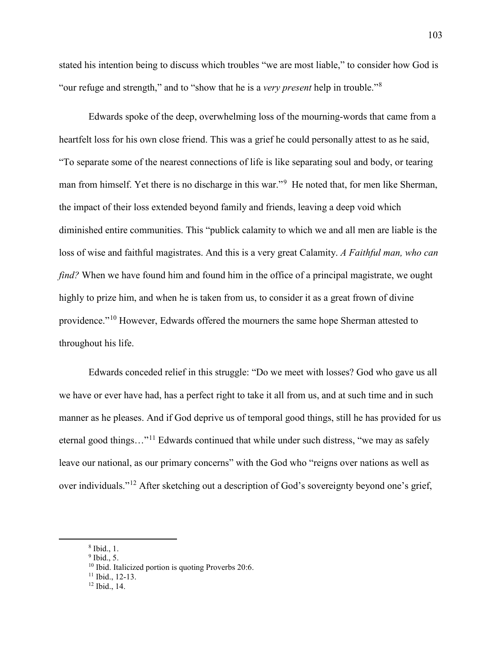stated his intention being to discuss which troubles "we are most liable," to consider how God is "our refuge and strength," and to "show that he is a *very present* help in trouble."[8](#page-105-0)

Edwards spoke of the deep, overwhelming loss of the mourning-words that came from a heartfelt loss for his own close friend. This was a grief he could personally attest to as he said, "To separate some of the nearest connections of life is like separating soul and body, or tearing man from himself. Yet there is no discharge in this war."<sup>[9](#page-105-1)</sup> He noted that, for men like Sherman, the impact of their loss extended beyond family and friends, leaving a deep void which diminished entire communities. This "publick calamity to which we and all men are liable is the loss of wise and faithful magistrates. And this is a very great Calamity. *A Faithful man, who can find?* When we have found him and found him in the office of a principal magistrate, we ought highly to prize him, and when he is taken from us, to consider it as a great frown of divine providence."[10](#page-105-2) However, Edwards offered the mourners the same hope Sherman attested to throughout his life.

Edwards conceded relief in this struggle: "Do we meet with losses? God who gave us all we have or ever have had, has a perfect right to take it all from us, and at such time and in such manner as he pleases. And if God deprive us of temporal good things, still he has provided for us eternal good things…"[11](#page-105-3) Edwards continued that while under such distress, "we may as safely leave our national, as our primary concerns" with the God who "reigns over nations as well as over individuals."[12](#page-105-4) After sketching out a description of God's sovereignty beyond one's grief,

<span id="page-105-0"></span> <sup>8</sup> Ibid., 1.

<span id="page-105-2"></span><span id="page-105-1"></span> $<sup>9</sup>$  Ibid., 5.</sup>

<span id="page-105-3"></span><sup>&</sup>lt;sup>10</sup> Ibid. Italicized portion is quoting Proverbs 20:6.<br><sup>11</sup> Ibid., 12-13.<br><sup>12</sup> Ibid., 14.

<span id="page-105-4"></span>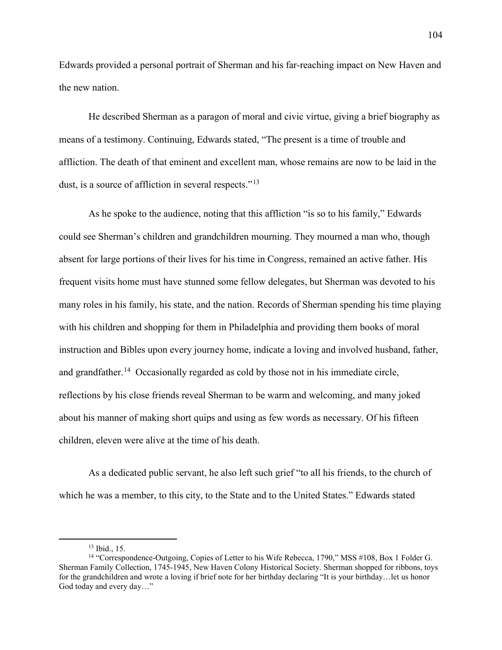Edwards provided a personal portrait of Sherman and his far-reaching impact on New Haven and the new nation.

He described Sherman as a paragon of moral and civic virtue, giving a brief biography as means of a testimony. Continuing, Edwards stated, "The present is a time of trouble and affliction. The death of that eminent and excellent man, whose remains are now to be laid in the dust, is a source of affliction in several respects."<sup>[13](#page-106-0)</sup>

As he spoke to the audience, noting that this affliction "is so to his family," Edwards could see Sherman's children and grandchildren mourning. They mourned a man who, though absent for large portions of their lives for his time in Congress, remained an active father. His frequent visits home must have stunned some fellow delegates, but Sherman was devoted to his many roles in his family, his state, and the nation. Records of Sherman spending his time playing with his children and shopping for them in Philadelphia and providing them books of moral instruction and Bibles upon every journey home, indicate a loving and involved husband, father, and grandfather.<sup>[14](#page-106-1)</sup> Occasionally regarded as cold by those not in his immediate circle, reflections by his close friends reveal Sherman to be warm and welcoming, and many joked about his manner of making short quips and using as few words as necessary. Of his fifteen children, eleven were alive at the time of his death.

As a dedicated public servant, he also left such grief "to all his friends, to the church of which he was a member, to this city, to the State and to the United States." Edwards stated

<span id="page-106-1"></span><span id="page-106-0"></span><sup>&</sup>lt;sup>13</sup> Ibid., 15.<br><sup>14</sup> "Correspondence-Outgoing, Copies of Letter to his Wife Rebecca, 1790," MSS #108, Box 1 Folder G. Sherman Family Collection, 1745-1945, New Haven Colony Historical Society. Sherman shopped for ribbons, toys for the grandchildren and wrote a loving if brief note for her birthday declaring "It is your birthday…let us honor God today and every day…"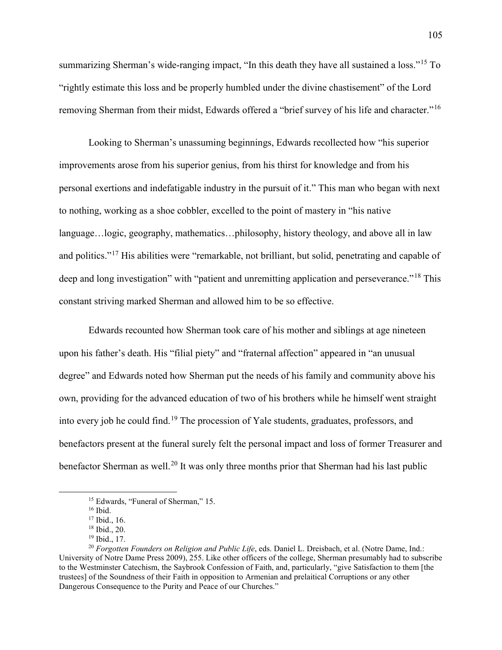summarizing Sherman's wide-ranging impact, "In this death they have all sustained a loss."<sup>[15](#page-107-0)</sup> To "rightly estimate this loss and be properly humbled under the divine chastisement" of the Lord removing Sherman from their midst, Edwards offered a "brief survey of his life and character."[16](#page-107-1)

Looking to Sherman's unassuming beginnings, Edwards recollected how "his superior improvements arose from his superior genius, from his thirst for knowledge and from his personal exertions and indefatigable industry in the pursuit of it." This man who began with next to nothing, working as a shoe cobbler, excelled to the point of mastery in "his native language…logic, geography, mathematics…philosophy, history theology, and above all in law and politics."[17](#page-107-2) His abilities were "remarkable, not brilliant, but solid, penetrating and capable of deep and long investigation" with "patient and unremitting application and perseverance."<sup>[18](#page-107-3)</sup> This constant striving marked Sherman and allowed him to be so effective.

Edwards recounted how Sherman took care of his mother and siblings at age nineteen upon his father's death. His "filial piety" and "fraternal affection" appeared in "an unusual degree" and Edwards noted how Sherman put the needs of his family and community above his own, providing for the advanced education of two of his brothers while he himself went straight into every job he could find.[19](#page-107-4) The procession of Yale students, graduates, professors, and benefactors present at the funeral surely felt the personal impact and loss of former Treasurer and benefactor Sherman as well.<sup>[20](#page-107-5)</sup> It was only three months prior that Sherman had his last public

<sup>&</sup>lt;sup>15</sup> Edwards, "Funeral of Sherman," 15.<br><sup>16</sup> Ibid.<br><sup>17</sup> Ibid., 16.

<span id="page-107-5"></span><span id="page-107-4"></span><span id="page-107-3"></span><span id="page-107-2"></span><span id="page-107-1"></span><span id="page-107-0"></span><sup>&</sup>lt;sup>18</sup> Ibid., 20.<br><sup>19</sup> Ibid., 17.<br><sup>20</sup> *Forgotten Founders on Religion and Public Life*, eds. Daniel L. Dreisbach, et al. (Notre Dame, Ind.: University of Notre Dame Press 2009), 255. Like other officers of the college, Sherman presumably had to subscribe to the Westminster Catechism, the Saybrook Confession of Faith, and, particularly, "give Satisfaction to them [the trustees] of the Soundness of their Faith in opposition to Armenian and prelaitical Corruptions or any other Dangerous Consequence to the Purity and Peace of our Churches."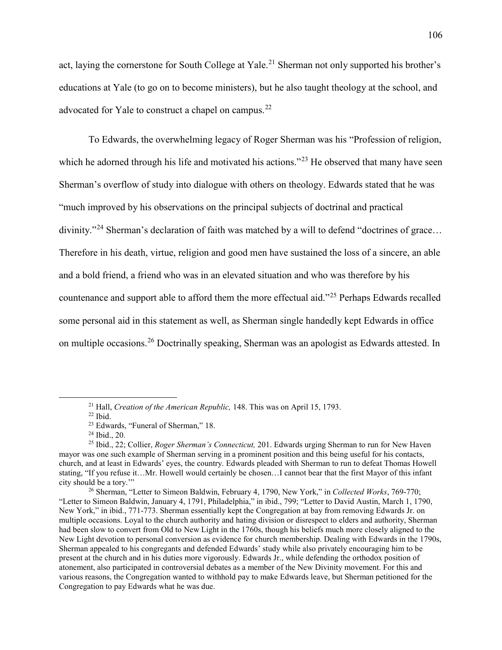act, laying the cornerstone for South College at Yale.<sup>[21](#page-108-0)</sup> Sherman not only supported his brother's educations at Yale (to go on to become ministers), but he also taught theology at the school, and advocated for Yale to construct a chapel on campus.<sup>[22](#page-108-1)</sup>

To Edwards, the overwhelming legacy of Roger Sherman was his "Profession of religion, which he adorned through his life and motivated his actions."<sup>[23](#page-108-2)</sup> He observed that many have seen Sherman's overflow of study into dialogue with others on theology. Edwards stated that he was "much improved by his observations on the principal subjects of doctrinal and practical divinity."<sup>[24](#page-108-3)</sup> Sherman's declaration of faith was matched by a will to defend "doctrines of grace... Therefore in his death, virtue, religion and good men have sustained the loss of a sincere, an able and a bold friend, a friend who was in an elevated situation and who was therefore by his countenance and support able to afford them the more effectual aid."<sup>[25](#page-108-4)</sup> Perhaps Edwards recalled some personal aid in this statement as well, as Sherman single handedly kept Edwards in office on multiple occasions.[26](#page-108-5) Doctrinally speaking, Sherman was an apologist as Edwards attested. In

<sup>&</sup>lt;sup>21</sup> Hall, *Creation of the American Republic*, 148. This was on April 15, 1793.<br><sup>22</sup> Ibid.

<span id="page-108-4"></span><span id="page-108-3"></span><span id="page-108-2"></span><span id="page-108-1"></span><span id="page-108-0"></span><sup>&</sup>lt;sup>23</sup> Edwards, "Funeral of Sherman," 18.<br><sup>24</sup> Ibid., 20.<br><sup>25</sup> Ibid., 22; Collier, *Roger Sherman's Connecticut*, 201. Edwards urging Sherman to run for New Haven mayor was one such example of Sherman serving in a prominent position and this being useful for his contacts, church, and at least in Edwards' eyes, the country. Edwards pleaded with Sherman to run to defeat Thomas Howell stating, "If you refuse it...Mr. Howell would certainly be chosen...I cannot bear that the first Mayor of this infant city should be a tory."

<span id="page-108-5"></span><sup>&</sup>lt;sup>26</sup> Sherman, "Letter to Simeon Baldwin, February 4, 1790, New York," in *Collected Works*, 769-770; "Letter to Simeon Baldwin, January 4, 1791, Philadelphia," in ibid., 799; "Letter to David Austin, March 1, 1790, New York," in ibid., 771-773. Sherman essentially kept the Congregation at bay from removing Edwards Jr. on multiple occasions. Loyal to the church authority and hating division or disrespect to elders and authority, Sherman had been slow to convert from Old to New Light in the 1760s, though his beliefs much more closely aligned to the New Light devotion to personal conversion as evidence for church membership. Dealing with Edwards in the 1790s, Sherman appealed to his congregants and defended Edwards' study while also privately encouraging him to be present at the church and in his duties more vigorously. Edwards Jr., while defending the orthodox position of atonement, also participated in controversial debates as a member of the New Divinity movement. For this and various reasons, the Congregation wanted to withhold pay to make Edwards leave, but Sherman petitioned for the Congregation to pay Edwards what he was due.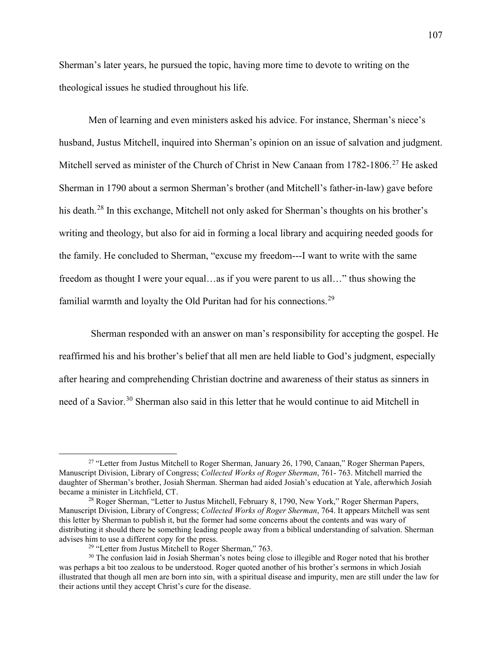Sherman's later years, he pursued the topic, having more time to devote to writing on the theological issues he studied throughout his life.

Men of learning and even ministers asked his advice. For instance, Sherman's niece's husband, Justus Mitchell, inquired into Sherman's opinion on an issue of salvation and judgment. Mitchell served as minister of the Church of Christ in New Canaan from 1782-1806.<sup>[27](#page-109-0)</sup> He asked Sherman in 1790 about a sermon Sherman's brother (and Mitchell's father-in-law) gave before his death.<sup>[28](#page-109-1)</sup> In this exchange, Mitchell not only asked for Sherman's thoughts on his brother's writing and theology, but also for aid in forming a local library and acquiring needed goods for the family. He concluded to Sherman, "excuse my freedom---I want to write with the same freedom as thought I were your equal…as if you were parent to us all…" thus showing the familial warmth and loyalty the Old Puritan had for his connections.<sup>[29](#page-109-2)</sup>

Sherman responded with an answer on man's responsibility for accepting the gospel. He reaffirmed his and his brother's belief that all men are held liable to God's judgment, especially after hearing and comprehending Christian doctrine and awareness of their status as sinners in need of a Savior.<sup>[30](#page-109-3)</sup> Sherman also said in this letter that he would continue to aid Mitchell in

<span id="page-109-0"></span><sup>&</sup>lt;sup>27</sup> "Letter from Justus Mitchell to Roger Sherman, January 26, 1790, Canaan," Roger Sherman Papers, Manuscript Division, Library of Congress; *Collected Works of Roger Sherman*, 761- 763. Mitchell married the daughter of Sherman's brother, Josiah Sherman. Sherman had aided Josiah's education at Yale, afterwhich Josiah became a minister in Litchfield, CT.<br><sup>28</sup> Roger Sherman, "Letter to Justus Mitchell, February 8, 1790, New York," Roger Sherman Papers,

<span id="page-109-1"></span>Manuscript Division, Library of Congress; *Collected Works of Roger Sherman*, 764. It appears Mitchell was sent this letter by Sherman to publish it, but the former had some concerns about the contents and was wary of distributing it should there be something leading people away from a biblical understanding of salvation. Sherman advises him to use a different copy for the press.<br><sup>29</sup> "Letter from Justus Mitchell to Roger Sherman," 763.<br><sup>30</sup> The confusion laid in Josiah Sherman's notes being close to illegible and Roger noted that his brother

<span id="page-109-3"></span><span id="page-109-2"></span>was perhaps a bit too zealous to be understood. Roger quoted another of his brother's sermons in which Josiah illustrated that though all men are born into sin, with a spiritual disease and impurity, men are still under the law for their actions until they accept Christ's cure for the disease.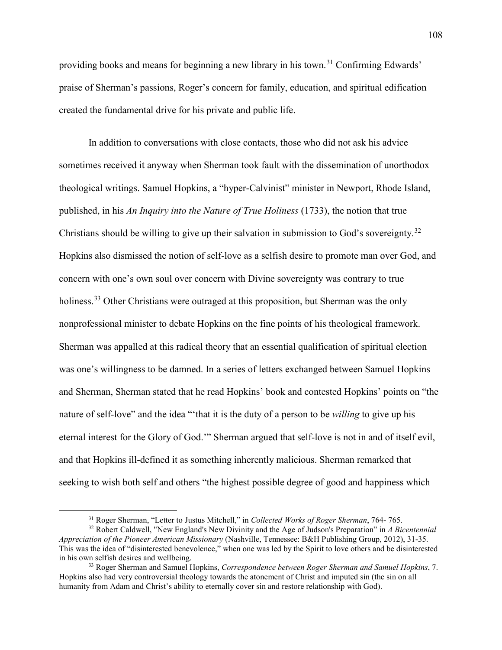providing books and means for beginning a new library in his town.<sup>[31](#page-110-0)</sup> Confirming Edwards' praise of Sherman's passions, Roger's concern for family, education, and spiritual edification created the fundamental drive for his private and public life.

In addition to conversations with close contacts, those who did not ask his advice sometimes received it anyway when Sherman took fault with the dissemination of unorthodox theological writings. Samuel Hopkins, a "hyper-Calvinist" minister in Newport, Rhode Island, published, in his *An Inquiry into the Nature of True Holiness* (1733), the notion that true Christians should be willing to give up their salvation in submission to God's sovereignty.<sup>[32](#page-110-1)</sup> Hopkins also dismissed the notion of self-love as a selfish desire to promote man over God, and concern with one's own soul over concern with Divine sovereignty was contrary to true holiness.<sup>[33](#page-110-2)</sup> Other Christians were outraged at this proposition, but Sherman was the only nonprofessional minister to debate Hopkins on the fine points of his theological framework. Sherman was appalled at this radical theory that an essential qualification of spiritual election was one's willingness to be damned. In a series of letters exchanged between Samuel Hopkins and Sherman, Sherman stated that he read Hopkins' book and contested Hopkins' points on "the nature of self-love" and the idea "'that it is the duty of a person to be *willing* to give up his eternal interest for the Glory of God.'" Sherman argued that self-love is not in and of itself evil, and that Hopkins ill-defined it as something inherently malicious. Sherman remarked that seeking to wish both self and others "the highest possible degree of good and happiness which

 <sup>31</sup> Roger Sherman, "Letter to Justus Mitchell," in *Collected Works of Roger Sherman*, 764- 765.

<span id="page-110-1"></span><span id="page-110-0"></span><sup>32</sup> Robert Caldwell, "New England's New Divinity and the Age of Judson's Preparation" in *A Bicentennial Appreciation of the Pioneer American Missionary* (Nashville, Tennessee: B&H Publishing Group, 2012), 31-35. This was the idea of "disinterested benevolence," when one was led by the Spirit to love others and be disinterested in his own selfish desires and wellbeing. 33 Roger Sherman and Samuel Hopkins, *Correspondence between Roger Sherman and Samuel Hopkins*, 7.

<span id="page-110-2"></span>Hopkins also had very controversial theology towards the atonement of Christ and imputed sin (the sin on all humanity from Adam and Christ's ability to eternally cover sin and restore relationship with God).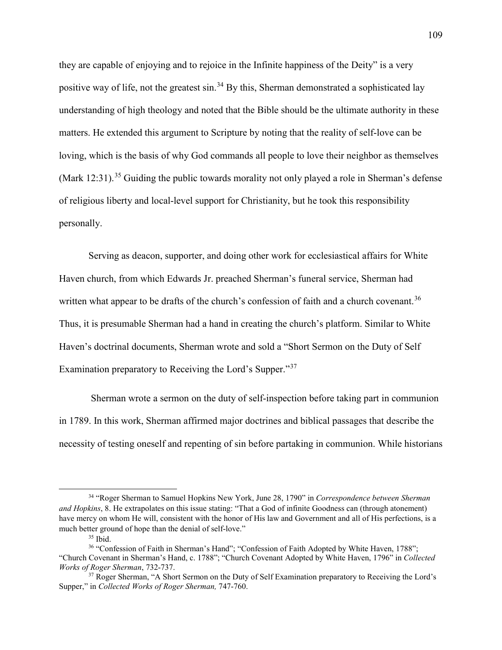they are capable of enjoying and to rejoice in the Infinite happiness of the Deity" is a very positive way of life, not the greatest sin.<sup>[34](#page-111-0)</sup> By this, Sherman demonstrated a sophisticated lay understanding of high theology and noted that the Bible should be the ultimate authority in these matters. He extended this argument to Scripture by noting that the reality of self-love can be loving, which is the basis of why God commands all people to love their neighbor as themselves (Mark 12:31).<sup>[35](#page-111-1)</sup> Guiding the public towards morality not only played a role in Sherman's defense of religious liberty and local-level support for Christianity, but he took this responsibility personally.

Serving as deacon, supporter, and doing other work for ecclesiastical affairs for White Haven church, from which Edwards Jr. preached Sherman's funeral service, Sherman had written what appear to be drafts of the church's confession of faith and a church covenant.<sup>[36](#page-111-2)</sup> Thus, it is presumable Sherman had a hand in creating the church's platform. Similar to White Haven's doctrinal documents, Sherman wrote and sold a "Short Sermon on the Duty of Self Examination preparatory to Receiving the Lord's Supper."[37](#page-111-3)

Sherman wrote a sermon on the duty of self-inspection before taking part in communion in 1789. In this work, Sherman affirmed major doctrines and biblical passages that describe the necessity of testing oneself and repenting of sin before partaking in communion. While historians

<span id="page-111-0"></span> <sup>34</sup> "Roger Sherman to Samuel Hopkins New York, June 28, 1790" in *Correspondence between Sherman and Hopkins*, 8. He extrapolates on this issue stating: "That a God of infinite Goodness can (through atonement) have mercy on whom He will, consistent with the honor of His law and Government and all of His perfections, is a much better ground of hope than the denial of self-love."

<sup>35</sup> Ibid.

<span id="page-111-2"></span><span id="page-111-1"></span><sup>36</sup> "Confession of Faith in Sherman's Hand"; "Confession of Faith Adopted by White Haven, 1788"; "Church Covenant in Sherman's Hand, c. 1788"; "Church Covenant Adopted by White Haven, 1796" in *Collected Works of Roger Sherman*, 732-737.

<span id="page-111-3"></span><sup>&</sup>lt;sup>37</sup> Roger Sherman, "A Short Sermon on the Duty of Self Examination preparatory to Receiving the Lord's Supper," in *Collected Works of Roger Sherman,* 747-760.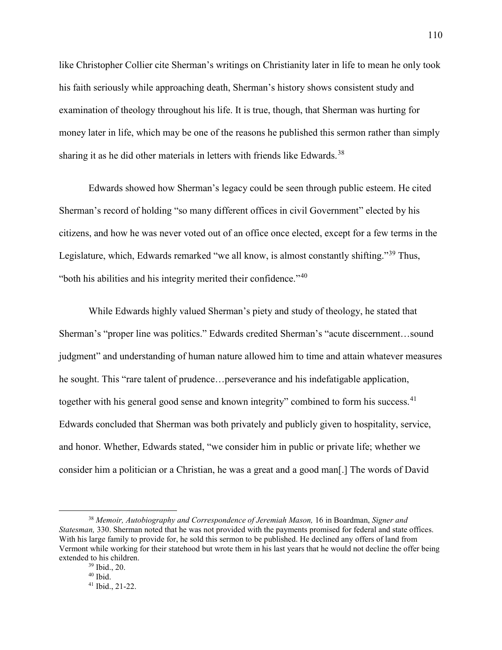like Christopher Collier cite Sherman's writings on Christianity later in life to mean he only took his faith seriously while approaching death, Sherman's history shows consistent study and examination of theology throughout his life. It is true, though, that Sherman was hurting for money later in life, which may be one of the reasons he published this sermon rather than simply sharing it as he did other materials in letters with friends like Edwards.<sup>[38](#page-112-0)</sup>

Edwards showed how Sherman's legacy could be seen through public esteem. He cited Sherman's record of holding "so many different offices in civil Government" elected by his citizens, and how he was never voted out of an office once elected, except for a few terms in the Legislature, which, Edwards remarked "we all know, is almost constantly shifting."<sup>[39](#page-112-1)</sup> Thus, "both his abilities and his integrity merited their confidence." $40$ 

While Edwards highly valued Sherman's piety and study of theology, he stated that Sherman's "proper line was politics." Edwards credited Sherman's "acute discernment…sound judgment" and understanding of human nature allowed him to time and attain whatever measures he sought. This "rare talent of prudence...perseverance and his indefatigable application, together with his general good sense and known integrity" combined to form his success.<sup>[41](#page-112-3)</sup> Edwards concluded that Sherman was both privately and publicly given to hospitality, service, and honor. Whether, Edwards stated, "we consider him in public or private life; whether we consider him a politician or a Christian, he was a great and a good man[.] The words of David

<span id="page-112-3"></span><span id="page-112-2"></span><span id="page-112-1"></span><span id="page-112-0"></span> <sup>38</sup> *Memoir, Autobiography and Correspondence of Jeremiah Mason,* 16 in Boardman, *Signer and Statesman,* 330. Sherman noted that he was not provided with the payments promised for federal and state offices. With his large family to provide for, he sold this sermon to be published. He declined any offers of land from Vermont while working for their statehood but wrote them in his last years that he would not decline the offer being extended to his children.<br> $^{39}$  Ibid., 20.<br> $^{40}$  Ibid.

<sup>41</sup> Ibid., 21-22.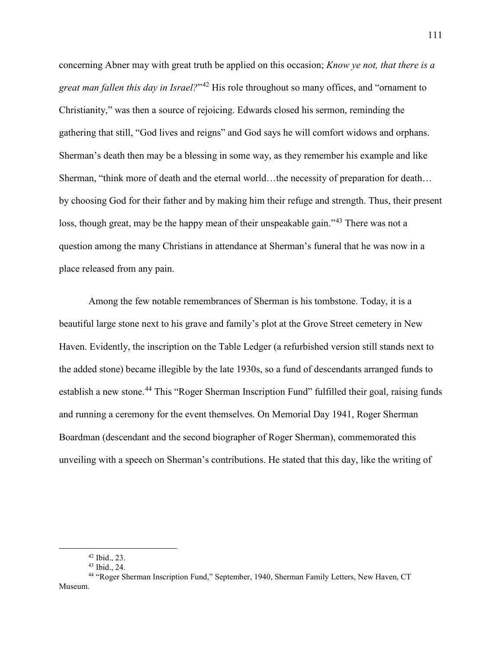concerning Abner may with great truth be applied on this occasion; *Know ye not, that there is a great man fallen this day in Israel?*"[42](#page-113-0) His role throughout so many offices, and "ornament to Christianity," was then a source of rejoicing. Edwards closed his sermon, reminding the gathering that still, "God lives and reigns" and God says he will comfort widows and orphans. Sherman's death then may be a blessing in some way, as they remember his example and like Sherman, "think more of death and the eternal world...the necessity of preparation for death... by choosing God for their father and by making him their refuge and strength. Thus, their present loss, though great, may be the happy mean of their unspeakable gain."<sup>[43](#page-113-1)</sup> There was not a question among the many Christians in attendance at Sherman's funeral that he was now in a place released from any pain.

Among the few notable remembrances of Sherman is his tombstone. Today, it is a beautiful large stone next to his grave and family's plot at the Grove Street cemetery in New Haven. Evidently, the inscription on the Table Ledger (a refurbished version still stands next to the added stone) became illegible by the late 1930s, so a fund of descendants arranged funds to establish a new stone.<sup>[44](#page-113-2)</sup> This "Roger Sherman Inscription Fund" fulfilled their goal, raising funds and running a ceremony for the event themselves. On Memorial Day 1941, Roger Sherman Boardman (descendant and the second biographer of Roger Sherman), commemorated this unveiling with a speech on Sherman's contributions. He stated that this day, like the writing of

<span id="page-113-2"></span><span id="page-113-1"></span><span id="page-113-0"></span><sup>42</sup> Ibid., 23.<br>43 Ibid., 24.<br>44 "Roger Sherman Inscription Fund," September, 1940, Sherman Family Letters, New Haven, CT Museum.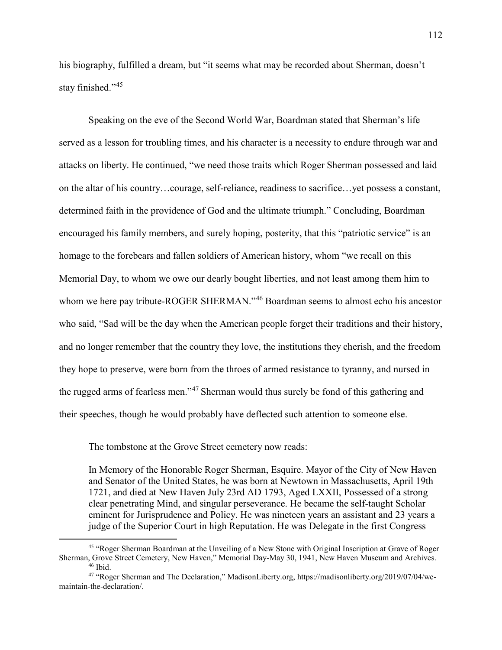his biography, fulfilled a dream, but "it seems what may be recorded about Sherman, doesn't stay finished."<sup>[45](#page-114-0)</sup>

Speaking on the eve of the Second World War, Boardman stated that Sherman's life served as a lesson for troubling times, and his character is a necessity to endure through war and attacks on liberty. He continued, "we need those traits which Roger Sherman possessed and laid on the altar of his country…courage, self-reliance, readiness to sacrifice…yet possess a constant, determined faith in the providence of God and the ultimate triumph." Concluding, Boardman encouraged his family members, and surely hoping, posterity, that this "patriotic service" is an homage to the forebears and fallen soldiers of American history, whom "we recall on this Memorial Day, to whom we owe our dearly bought liberties, and not least among them him to whom we here pay tribute-ROGER SHERMAN."<sup>[46](#page-114-1)</sup> Boardman seems to almost echo his ancestor who said, "Sad will be the day when the American people forget their traditions and their history, and no longer remember that the country they love, the institutions they cherish, and the freedom they hope to preserve, were born from the throes of armed resistance to tyranny, and nursed in the rugged arms of fearless men."[47](#page-114-2) Sherman would thus surely be fond of this gathering and their speeches, though he would probably have deflected such attention to someone else.

The tombstone at the Grove Street cemetery now reads:

In Memory of the Honorable Roger Sherman, Esquire. Mayor of the City of New Haven and Senator of the United States, he was born at Newtown in Massachusetts, April 19th 1721, and died at New Haven July 23rd AD 1793, Aged LXXII, Possessed of a strong clear penetrating Mind, and singular perseverance. He became the self-taught Scholar eminent for Jurisprudence and Policy. He was nineteen years an assistant and 23 years a judge of the Superior Court in high Reputation. He was Delegate in the first Congress

<span id="page-114-0"></span> <sup>45</sup> "Roger Sherman Boardman at the Unveiling of a New Stone with Original Inscription at Grave of Roger Sherman, Grove Street Cemetery, New Haven," Memorial Day-May 30, 1941, New Haven Museum and Archives. 46 Ibid.

<span id="page-114-2"></span><span id="page-114-1"></span><sup>47</sup> "Roger Sherman and The Declaration," MadisonLiberty.org, https://madisonliberty.org/2019/07/04/wemaintain-the-declaration/.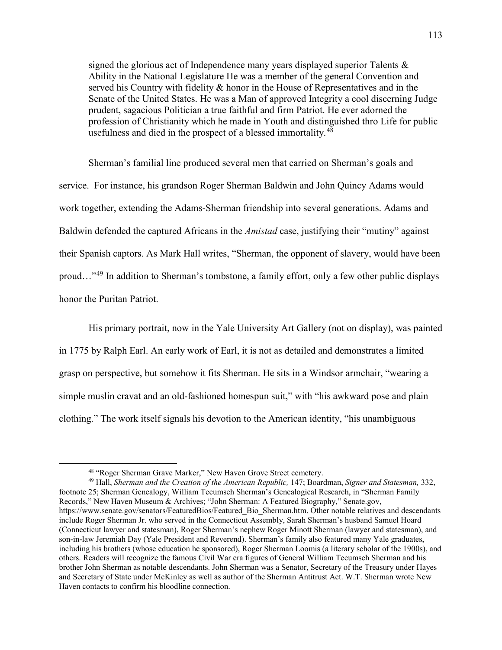signed the glorious act of Independence many years displayed superior Talents  $\&$ Ability in the National Legislature He was a member of the general Convention and served his Country with fidelity & honor in the House of Representatives and in the Senate of the United States. He was a Man of approved Integrity a cool discerning Judge prudent, sagacious Politician a true faithful and firm Patriot. He ever adorned the profession of Christianity which he made in Youth and distinguished thro Life for public usefulness and died in the prospect of a blessed immortality.<sup>[48](#page-115-0)</sup>

Sherman's familial line produced several men that carried on Sherman's goals and service. For instance, his grandson Roger Sherman Baldwin and John Quincy Adams would work together, extending the Adams-Sherman friendship into several generations. Adams and Baldwin defended the captured Africans in the *Amistad* case, justifying their "mutiny" against their Spanish captors. As Mark Hall writes, "Sherman, the opponent of slavery, would have been proud…"[49](#page-115-1) In addition to Sherman's tombstone, a family effort, only a few other public displays honor the Puritan Patriot.

His primary portrait, now in the Yale University Art Gallery (not on display), was painted in 1775 by Ralph Earl. An early work of Earl, it is not as detailed and demonstrates a limited grasp on perspective, but somehow it fits Sherman. He sits in a Windsor armchair, "wearing a simple muslin cravat and an old-fashioned homespun suit," with "his awkward pose and plain clothing." The work itself signals his devotion to the American identity, "his unambiguous

<span id="page-115-1"></span><span id="page-115-0"></span><sup>48</sup> "Roger Sherman Grave Marker," New Haven Grove Street cemetery. 49 Hall, *Sherman and the Creation of the American Republic,* 147; Boardman, *Signer and Statesman,* 332, footnote 25; Sherman Genealogy, William Tecumseh Sherman's Genealogical Research, in "Sherman Family Records," New Haven Museum & Archives; "John Sherman: A Featured Biography," Senate.gov, https://www.senate.gov/senators/FeaturedBios/Featured\_Bio\_Sherman.htm. Other notable relatives and descendants include Roger Sherman Jr. who served in the Connecticut Assembly, Sarah Sherman's husband Samuel Hoard (Connecticut lawyer and statesman), Roger Sherman's nephew Roger Minott Sherman (lawyer and statesman), and son-in-law Jeremiah Day (Yale President and Reverend). Sherman's family also featured many Yale graduates, including his brothers (whose education he sponsored), Roger Sherman Loomis (a literary scholar of the 1900s), and others. Readers will recognize the famous Civil War era figures of General William Tecumseh Sherman and his brother John Sherman as notable descendants. John Sherman was a Senator, Secretary of the Treasury under Hayes and Secretary of State under McKinley as well as author of the Sherman Antitrust Act. W.T. Sherman wrote New Haven contacts to confirm his bloodline connection.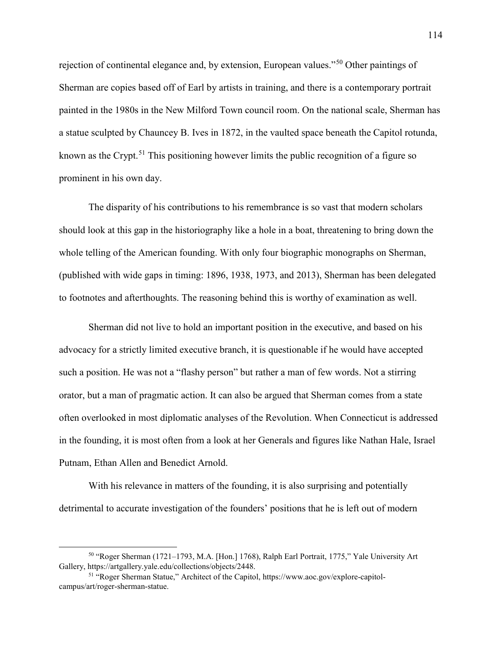rejection of continental elegance and, by extension, European values."[50](#page-116-0) Other paintings of Sherman are copies based off of Earl by artists in training, and there is a contemporary portrait painted in the 1980s in the New Milford Town council room. On the national scale, Sherman has a statue sculpted by Chauncey B. Ives in 1872, in the vaulted space beneath the Capitol rotunda, known as the Crypt.<sup>[51](#page-116-1)</sup> This positioning however limits the public recognition of a figure so prominent in his own day.

The disparity of his contributions to his remembrance is so vast that modern scholars should look at this gap in the historiography like a hole in a boat, threatening to bring down the whole telling of the American founding. With only four biographic monographs on Sherman, (published with wide gaps in timing: 1896, 1938, 1973, and 2013), Sherman has been delegated to footnotes and afterthoughts. The reasoning behind this is worthy of examination as well.

Sherman did not live to hold an important position in the executive, and based on his advocacy for a strictly limited executive branch, it is questionable if he would have accepted such a position. He was not a "flashy person" but rather a man of few words. Not a stirring orator, but a man of pragmatic action. It can also be argued that Sherman comes from a state often overlooked in most diplomatic analyses of the Revolution. When Connecticut is addressed in the founding, it is most often from a look at her Generals and figures like Nathan Hale, Israel Putnam, Ethan Allen and Benedict Arnold.

With his relevance in matters of the founding, it is also surprising and potentially detrimental to accurate investigation of the founders' positions that he is left out of modern

<span id="page-116-0"></span> <sup>50</sup> "Roger Sherman (1721–1793, M.A. [Hon.] 1768), Ralph Earl Portrait, 1775," Yale University Art Gallery, https://artgallery.yale.edu/collections/objects/2448.

<span id="page-116-1"></span><sup>51</sup> "Roger Sherman Statue," Architect of the Capitol, https://www.aoc.gov/explore-capitolcampus/art/roger-sherman-statue.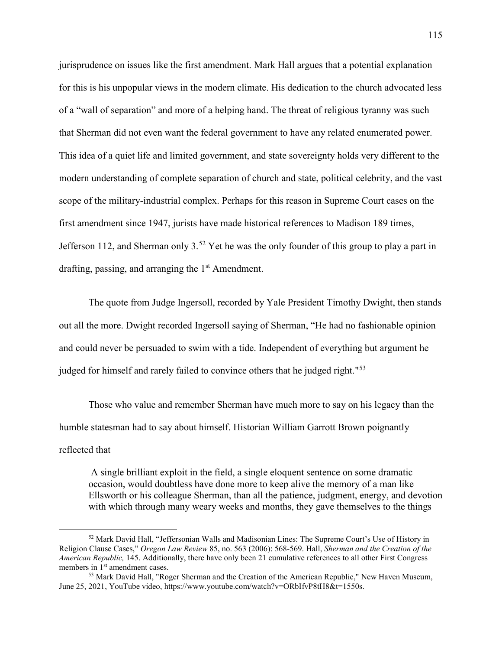jurisprudence on issues like the first amendment. Mark Hall argues that a potential explanation for this is his unpopular views in the modern climate. His dedication to the church advocated less of a "wall of separation" and more of a helping hand. The threat of religious tyranny was such that Sherman did not even want the federal government to have any related enumerated power. This idea of a quiet life and limited government, and state sovereignty holds very different to the modern understanding of complete separation of church and state, political celebrity, and the vast scope of the military-industrial complex. Perhaps for this reason in Supreme Court cases on the first amendment since 1947, jurists have made historical references to Madison 189 times, Jefferson 112, and Sherman only  $3^{52}$  $3^{52}$  $3^{52}$  Yet he was the only founder of this group to play a part in drafting, passing, and arranging the  $1<sup>st</sup>$  Amendment.

The quote from Judge Ingersoll, recorded by Yale President Timothy Dwight, then stands out all the more. Dwight recorded Ingersoll saying of Sherman, "He had no fashionable opinion and could never be persuaded to swim with a tide. Independent of everything but argument he judged for himself and rarely failed to convince others that he judged right."<sup>[53](#page-117-1)</sup>

Those who value and remember Sherman have much more to say on his legacy than the humble statesman had to say about himself. Historian William Garrott Brown poignantly reflected that

A single brilliant exploit in the field, a single eloquent sentence on some dramatic occasion, would doubtless have done more to keep alive the memory of a man like Ellsworth or his colleague Sherman, than all the patience, judgment, energy, and devotion with which through many weary weeks and months, they gave themselves to the things

<span id="page-117-0"></span> <sup>52</sup> Mark David Hall, "Jeffersonian Walls and Madisonian Lines: The Supreme Court's Use of History in Religion Clause Cases," *Oregon Law Review* 85, no. 563 (2006): 568-569. Hall, *Sherman and the Creation of the American Republic,* 145. Additionally, there have only been 21 cumulative references to all other First Congress members in 1<sup>st</sup> amendment cases.<br><sup>53</sup> Mark David Hall, "Roger Sherman and the Creation of the American Republic," New Haven Museum,

<span id="page-117-1"></span>June 25, 2021, YouTube video, https://www.youtube.com/watch?v=ORbIfvP8tH8&t=1550s.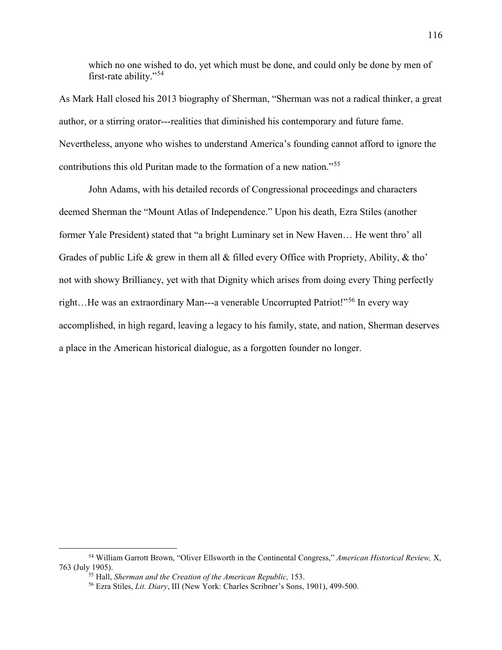which no one wished to do, yet which must be done, and could only be done by men of first-rate ability."[54](#page-118-0)

As Mark Hall closed his 2013 biography of Sherman, "Sherman was not a radical thinker, a great author, or a stirring orator---realities that diminished his contemporary and future fame. Nevertheless, anyone who wishes to understand America's founding cannot afford to ignore the contributions this old Puritan made to the formation of a new nation."[55](#page-118-1)

John Adams, with his detailed records of Congressional proceedings and characters deemed Sherman the "Mount Atlas of Independence." Upon his death, Ezra Stiles (another former Yale President) stated that "a bright Luminary set in New Haven… He went thro' all Grades of public Life & grew in them all & filled every Office with Propriety, Ability, & tho' not with showy Brilliancy, yet with that Dignity which arises from doing every Thing perfectly right…He was an extraordinary Man---a venerable Uncorrupted Patriot!"[56](#page-118-2) In every way accomplished, in high regard, leaving a legacy to his family, state, and nation, Sherman deserves a place in the American historical dialogue, as a forgotten founder no longer.

<span id="page-118-2"></span><span id="page-118-1"></span><span id="page-118-0"></span> <sup>54</sup> William Garrott Brown, "Oliver Ellsworth in the Continental Congress," *American Historical Review,* X, 763 (July 1905). 55 Hall, *Sherman and the Creation of the American Republic,* 153. 56 Ezra Stiles, *Lit. Diary*, III (New York: Charles Scribner's Sons, 1901), 499-500.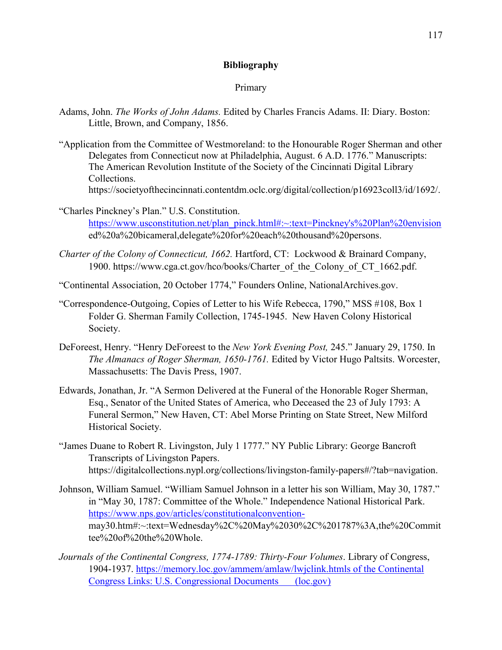### **Bibliography**

### Primary

- Adams, John. *The Works of John Adams.* Edited by Charles Francis Adams. II: Diary. Boston: Little, Brown, and Company, 1856.
- "Application from the Committee of Westmoreland: to the Honourable Roger Sherman and other Delegates from Connecticut now at Philadelphia, August. 6 A.D. 1776." Manuscripts: The American Revolution Institute of the Society of the Cincinnati Digital Library Collections.
	- https://societyofthecincinnati.contentdm.oclc.org/digital/collection/p16923coll3/id/1692/.
- "Charles Pinckney's Plan." U.S. Constitution. [https://www.usconstitution.net/plan\\_pinck.html#:~:text=Pinckney's%20Plan%20envision](https://www.usconstitution.net/plan_pinck.html#:%7E:text=Pinckney) ed%20a%20bicameral,delegate%20for%20each%20thousand%20persons.
- *Charter of the Colony of Connecticut, 1662.* Hartford, CT: Lockwood & Brainard Company, 1900. https://www.cga.ct.gov/hco/books/Charter\_of\_the\_Colony\_of\_CT\_1662.pdf.
- "Continental Association, 20 October 1774," Founders Online, NationalArchives.gov.
- "Correspondence-Outgoing, Copies of Letter to his Wife Rebecca, 1790," MSS #108, Box 1 Folder G. Sherman Family Collection, 1745-1945. New Haven Colony Historical Society.
- DeForeest, Henry. "Henry DeForeest to the *New York Evening Post,* 245." January 29, 1750. In *The Almanacs of Roger Sherman, 1650-1761.* Edited by Victor Hugo Paltsits. Worcester, Massachusetts: The Davis Press, 1907.
- Edwards, Jonathan, Jr. "A Sermon Delivered at the Funeral of the Honorable Roger Sherman, Esq., Senator of the United States of America, who Deceased the 23 of July 1793: A Funeral Sermon," New Haven, CT: Abel Morse Printing on State Street, New Milford Historical Society.
- "James Duane to Robert R. Livingston, July 1 1777." NY Public Library: George Bancroft Transcripts of Livingston Papers. https://digitalcollections.nypl.org/collections/livingston-family-papers#/?tab=navigation.
- Johnson, William Samuel. "William Samuel Johnson in a letter his son William, May 30, 1787." in "May 30, 1787: Committee of the Whole." Independence National Historical Park. [https://www.nps.gov/articles/constitutionalconvention](https://www.nps.gov/articles/constitutionalconvention-)may30.htm#:~:text=Wednesday%2C%20May%2030%2C%201787%3A,the%20Commit tee%20of%20the%20Whole.
- *Journals of the Continental Congress, 1774-1789: Thirty-Four Volumes*. Library of Congress, 1904-1937. [https://memory.loc.gov/ammem/amlaw/lwjclink.htmls of the Continental](https://memory.loc.gov/ammem/amlaw/lwjclink.htmls%20of%20the%20Continental%20Congress%20Links:%20U.S.%20Congressional%20Documents%20%09(loc.gov))  [Congress Links: U.S. Congressional Documents \(loc.gov\)](https://memory.loc.gov/ammem/amlaw/lwjclink.htmls%20of%20the%20Continental%20Congress%20Links:%20U.S.%20Congressional%20Documents%20%09(loc.gov))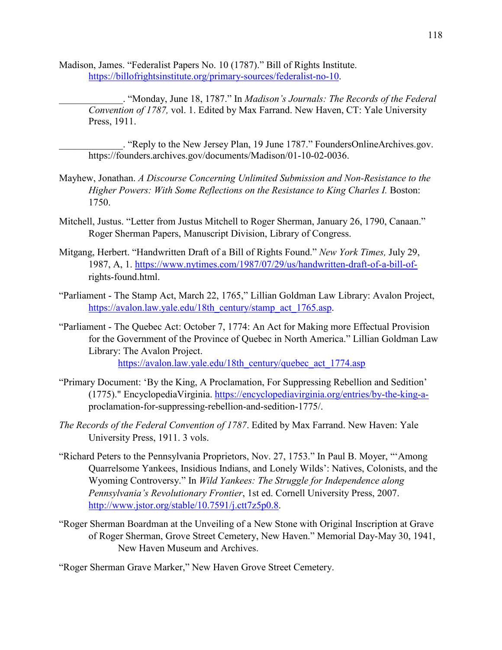- Madison, James. "Federalist Papers No. 10 (1787)." Bill of Rights Institute. [https://billofrightsinstitute.org/primary-sources/federalist-no-10.](https://billofrightsinstitute.org/primary-sources/federalist-no-10)
	- \_\_\_\_\_\_\_\_\_\_\_\_\_. "Monday, June 18, 1787." In *Madison's Journals: The Records of the Federal Convention of 1787,* vol. 1. Edited by Max Farrand. New Haven, CT: Yale University Press, 1911.

. "Reply to the New Jersey Plan, 19 June 1787." FoundersOnlineArchives.gov. https://founders.archives.gov/documents/Madison/01-10-02-0036.

- Mayhew, Jonathan. *A Discourse Concerning Unlimited Submission and Non-Resistance to the Higher Powers: With Some Reflections on the Resistance to King Charles I. Boston:* 1750.
- Mitchell, Justus. "Letter from Justus Mitchell to Roger Sherman, January 26, 1790, Canaan." Roger Sherman Papers, Manuscript Division, Library of Congress.
- Mitgang, Herbert. "Handwritten Draft of a Bill of Rights Found." *New York Times,* July 29, 1987, A, 1. [https://www.nytimes.com/1987/07/29/us/handwritten-draft-of-a-bill-of](https://www.nytimes.com/1987/07/29/us/handwritten-draft-of-a-bill-of-)rights-found.html.
- "Parliament The Stamp Act, March 22, 1765," Lillian Goldman Law Library: Avalon Project, https://avalon.law.yale.edu/18th century/stamp act 1765.asp.
- "Parliament The Quebec Act: October 7, 1774: An Act for Making more Effectual Provision for the Government of the Province of Quebec in North America." Lillian Goldman Law Library: The Avalon Project.

[https://avalon.law.yale.edu/18th\\_century/quebec\\_act\\_1774.asp](https://avalon.law.yale.edu/18th_century/quebec_act_1774.asp)

- "Primary Document: 'By the King, A Proclamation, For Suppressing Rebellion and Sedition' (1775)." EncyclopediaVirginia. [https://encyclopediavirginia.org/entries/by-the-king-a](https://encyclopediavirginia.org/entries/by-the-king-a-)proclamation-for-suppressing-rebellion-and-sedition-1775/.
- *The Records of the Federal Convention of 1787*. Edited by Max Farrand. New Haven: Yale University Press, 1911. 3 vols.
- "Richard Peters to the Pennsylvania Proprietors, Nov. 27, 1753." In Paul B. Moyer, "'Among Quarrelsome Yankees, Insidious Indians, and Lonely Wilds': Natives, Colonists, and the Wyoming Controversy." In *Wild Yankees: The Struggle for Independence along Pennsylvania's Revolutionary Frontier*, 1st ed. Cornell University Press, 2007. [http://www.jstor.org/stable/10.7591/j.ctt7z5p0.8.](http://www.jstor.org/stable/10.7591/j.ctt7z5p0.8)
- "Roger Sherman Boardman at the Unveiling of a New Stone with Original Inscription at Grave of Roger Sherman, Grove Street Cemetery, New Haven." Memorial Day-May 30, 1941, New Haven Museum and Archives.

"Roger Sherman Grave Marker," New Haven Grove Street Cemetery.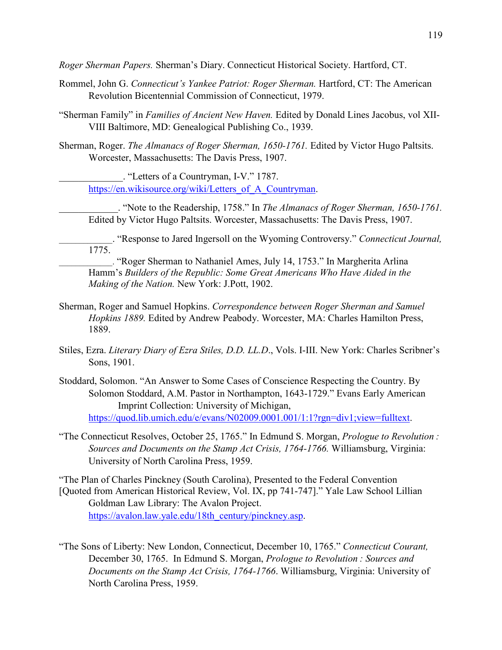*Roger Sherman Papers.* Sherman's Diary. Connecticut Historical Society. Hartford, CT.

- Rommel, John G. *Connecticut's Yankee Patriot: Roger Sherman.* Hartford, CT: The American Revolution Bicentennial Commission of Connecticut, 1979.
- "Sherman Family" in *Families of Ancient New Haven.* Edited by Donald Lines Jacobus, vol XII-VIII Baltimore, MD: Genealogical Publishing Co., 1939.
- Sherman, Roger. *The Almanacs of Roger Sherman, 1650-1761.* Edited by Victor Hugo Paltsits. Worcester, Massachusetts: The Davis Press, 1907.

\_\_\_\_\_\_\_\_\_\_\_\_\_. "Letters of a Countryman, I-V." 1787. https://en.wikisource.org/wiki/Letters of A Countryman.

\_\_\_\_\_\_\_\_\_\_\_\_. "Note to the Readership, 1758." In *The Almanacs of Roger Sherman, 1650-1761.*  Edited by Victor Hugo Paltsits. Worcester, Massachusetts: The Davis Press, 1907.

\_\_\_\_\_\_\_\_\_\_\_\_\_. "Response to Jared Ingersoll on the Wyoming Controversy." *Connecticut Journal,* 1775.

\_\_\_\_\_\_\_\_\_\_\_\_\_. "Roger Sherman to Nathaniel Ames, July 14, 1753." In Margherita Arlina Hamm's *Builders of the Republic: Some Great Americans Who Have Aided in the Making of the Nation.* New York: J.Pott, 1902.

- Sherman, Roger and Samuel Hopkins. *Correspondence between Roger Sherman and Samuel Hopkins 1889.* Edited by Andrew Peabody. Worcester, MA: Charles Hamilton Press, 1889.
- Stiles, Ezra. *Literary Diary of Ezra Stiles, D.D. LL.D*., Vols. I-III. New York: Charles Scribner's Sons, 1901.
- Stoddard, Solomon. "An Answer to Some Cases of Conscience Respecting the Country. By Solomon Stoddard, A.M. Pastor in Northampton, 1643-1729." Evans Early American Imprint Collection: University of Michigan, [https://quod.lib.umich.edu/e/evans/N02009.0001.001/1:1?rgn=div1;view=fulltext.](https://quod.lib.umich.edu/e/evans/N02009.0001.001/1:1?rgn=div1;view=fulltext)
- "The Connecticut Resolves, October 25, 1765." In Edmund S. Morgan, *Prologue to Revolution : Sources and Documents on the Stamp Act Crisis, 1764-1766.* Williamsburg, Virginia: University of North Carolina Press, 1959.

"The Plan of Charles Pinckney (South Carolina), Presented to the Federal Convention [Quoted from American Historical Review, Vol. IX, pp 741-747]." Yale Law School Lillian Goldman Law Library: The Avalon Project. [https://avalon.law.yale.edu/18th\\_century/pinckney.asp.](https://avalon.law.yale.edu/18th_century/pinckney.asp)

"The Sons of Liberty: New London, Connecticut, December 10, 1765." *Connecticut Courant,*  December 30, 1765. In Edmund S. Morgan, *Prologue to Revolution : Sources and Documents on the Stamp Act Crisis, 1764-1766*. Williamsburg, Virginia: University of North Carolina Press, 1959.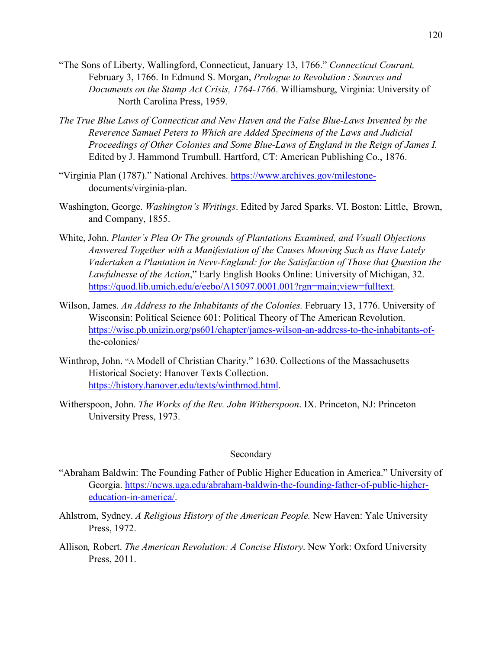- "The Sons of Liberty, Wallingford, Connecticut, January 13, 1766." *Connecticut Courant,*  February 3, 1766. In Edmund S. Morgan, *Prologue to Revolution : Sources and Documents on the Stamp Act Crisis, 1764-1766*. Williamsburg, Virginia: University of North Carolina Press, 1959.
- *The True Blue Laws of Connecticut and New Haven and the False Blue-Laws Invented by the Reverence Samuel Peters to Which are Added Specimens of the Laws and Judicial Proceedings of Other Colonies and Some Blue-Laws of England in the Reign of James I.*  Edited by J. Hammond Trumbull. Hartford, CT: American Publishing Co., 1876.
- "Virginia Plan (1787)." National Archives. [https://www.archives.gov/milestone](https://www.archives.gov/milestone-)documents/virginia-plan.
- Washington, George. *Washington's Writings*. Edited by Jared Sparks. VI. Boston: Little, Brown, and Company, 1855.
- White, John. *Planter's Plea Or The grounds of Plantations Examined, and Vsuall Objections Answered Together with a Manifestation of the Causes Mooving Such as Have Lately Vndertaken a Plantation in Nevv-England: for the Satisfaction of Those that Question the Lawfulnesse of the Action*," Early English Books Online: University of Michigan, 32. [https://quod.lib.umich.edu/e/eebo/A15097.0001.001?rgn=main;view=fulltext.](https://quod.lib.umich.edu/e/eebo/A15097.0001.001?rgn=main;view=fulltext)
- Wilson, James. *An Address to the Inhabitants of the Colonies.* February 13, 1776. University of Wisconsin: Political Science 601: Political Theory of The American Revolution. [https://wisc.pb.unizin.org/ps601/chapter/james-wilson-an-address-to-the-inhabitants-of](https://wisc.pb.unizin.org/ps601/chapter/james-wilson-an-address-to-the-inhabitants-of-)the-colonies/
- Winthrop, John. "A Modell of Christian Charity." 1630. Collections of the Massachusetts Historical Society: Hanover Texts Collection. [https://history.hanover.edu/texts/winthmod.html.](https://history.hanover.edu/texts/winthmod.html)
- Witherspoon, John. *The Works of the Rev. John Witherspoon*. IX. Princeton, NJ: Princeton University Press, 1973.

#### Secondary

- "Abraham Baldwin: The Founding Father of Public Higher Education in America." University of Georgia. [https://news.uga.edu/abraham-baldwin-the-founding-father-of-public-higher](https://news.uga.edu/abraham-baldwin-the-founding-father-of-public-higher-education-in-america/)[education-in-america/.](https://news.uga.edu/abraham-baldwin-the-founding-father-of-public-higher-education-in-america/)
- Ahlstrom, Sydney. *A Religious History of the American People.* New Haven: Yale University Press, 1972.
- Allison*,* Robert. *The American Revolution: A Concise History*. New York: Oxford University Press, 2011.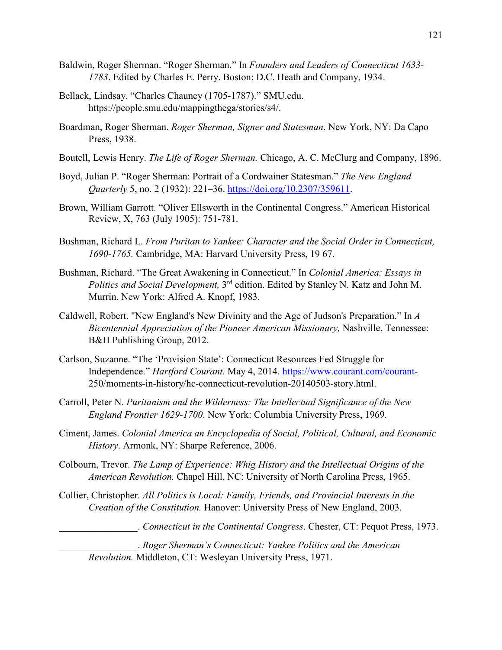- Baldwin, Roger Sherman. "Roger Sherman." In *Founders and Leaders of Connecticut 1633- 1783*. Edited by Charles E. Perry. Boston: D.C. Heath and Company, 1934.
- Bellack, Lindsay. "Charles Chauncy (1705-1787)." SMU.edu. https://people.smu.edu/mappingthega/stories/s4/.
- Boardman, Roger Sherman. *Roger Sherman, Signer and Statesman*. New York, NY: Da Capo Press, 1938.
- Boutell, Lewis Henry. *The Life of Roger Sherman.* Chicago, A. C. McClurg and Company, 1896.
- Boyd, Julian P. "Roger Sherman: Portrait of a Cordwainer Statesman." *The New England Quarterly* 5, no. 2 (1932): 221–36. [https://doi.org/10.2307/359611.](https://doi.org/10.2307/359611)
- Brown, William Garrott. "Oliver Ellsworth in the Continental Congress." American Historical Review, X, 763 (July 1905): 751-781.
- Bushman, Richard L. *From Puritan to Yankee: Character and the Social Order in Connecticut, 1690-1765.* Cambridge, MA: Harvard University Press, 19 67.
- Bushman, Richard. "The Great Awakening in Connecticut." In *Colonial America: Essays in Politics and Social Development,* 3rd edition. Edited by Stanley N. Katz and John M. Murrin. New York: Alfred A. Knopf, 1983.
- Caldwell, Robert. "New England's New Divinity and the Age of Judson's Preparation." In *A Bicentennial Appreciation of the Pioneer American Missionary,* Nashville, Tennessee: B&H Publishing Group, 2012.
- Carlson, Suzanne. "The 'Provision State': Connecticut Resources Fed Struggle for Independence." *Hartford Courant.* May 4, 2014.<https://www.courant.com/courant->250/moments-in-history/hc-connecticut-revolution-20140503-story.html.
- Carroll, Peter N. *Puritanism and the Wilderness: The Intellectual Significance of the New England Frontier 1629-1700*. New York: Columbia University Press, 1969.
- Ciment, James. *Colonial America an Encyclopedia of Social, Political, Cultural, and Economic History*. Armonk, NY: Sharpe Reference, 2006.
- Colbourn, Trevor. *The Lamp of Experience: Whig History and the Intellectual Origins of the American Revolution.* Chapel Hill, NC: University of North Carolina Press, 1965.
- Collier, Christopher. *All Politics is Local: Family, Friends, and Provincial Interests in the Creation of the Constitution.* Hanover: University Press of New England, 2003.

\_\_\_\_\_\_\_\_\_\_\_\_\_\_\_\_. *Connecticut in the Continental Congress*. Chester, CT: Pequot Press, 1973.

\_\_\_\_\_\_\_\_\_\_\_\_\_\_\_\_. *Roger Sherman's Connecticut: Yankee Politics and the American Revolution.* Middleton, CT: Wesleyan University Press, 1971.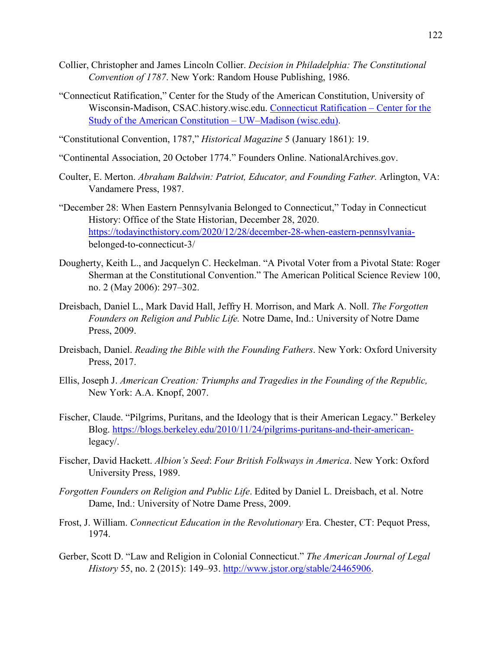- Collier, Christopher and James Lincoln Collier. *Decision in Philadelphia: The Constitutional Convention of 1787*. New York: Random House Publishing, 1986.
- "Connecticut Ratification," Center for the Study of the American Constitution, University of Wisconsin-Madison, CSAC.history.wisc.edu. [Connecticut Ratification –](https://csac.history.wisc.edu/states-and-ratification/connecticut-2/) Center for the [Study of the American Constitution –](https://csac.history.wisc.edu/states-and-ratification/connecticut-2/) UW–Madison (wisc.edu).
- "Constitutional Convention, 1787," *Historical Magazine* 5 (January 1861): 19.
- "Continental Association, 20 October 1774." Founders Online. NationalArchives.gov.
- Coulter, E. Merton. *Abraham Baldwin: Patriot, Educator, and Founding Father.* Arlington, VA: Vandamere Press, 1987.
- "December 28: When Eastern Pennsylvania Belonged to Connecticut," Today in Connecticut History: Office of the State Historian, December 28, 2020. [https://todayincthistory.com/2020/12/28/december-28-when-eastern-pennsylvania](https://todayincthistory.com/2020/12/28/december-28-when-eastern-pennsylvania-)belonged-to-connecticut-3/
- Dougherty, Keith L., and Jacquelyn C. Heckelman. "A Pivotal Voter from a Pivotal State: Roger Sherman at the Constitutional Convention." The American Political Science Review 100, no. 2 (May 2006): 297–302.
- Dreisbach, Daniel L., Mark David Hall, Jeffry H. Morrison, and Mark A. Noll. *The Forgotten Founders on Religion and Public Life.* Notre Dame, Ind.: University of Notre Dame Press, 2009.
- Dreisbach, Daniel. *Reading the Bible with the Founding Fathers*. New York: Oxford University Press, 2017.
- Ellis, Joseph J. *American Creation: Triumphs and Tragedies in the Founding of the Republic,*  New York: A.A. Knopf, 2007.
- Fischer, Claude. "Pilgrims, Puritans, and the Ideology that is their American Legacy." Berkeley Blog. [https://blogs.berkeley.edu/2010/11/24/pilgrims-puritans-and-their-american](https://blogs.berkeley.edu/2010/11/24/pilgrims-puritans-and-their-american-)legacy/.
- Fischer, David Hackett. *Albion's Seed*: *Four British Folkways in America*. New York: Oxford University Press, 1989.
- *Forgotten Founders on Religion and Public Life*. Edited by Daniel L. Dreisbach, et al. Notre Dame, Ind.: University of Notre Dame Press, 2009.
- Frost, J. William. *Connecticut Education in the Revolutionary* Era. Chester, CT: Pequot Press, 1974.
- Gerber, Scott D. "Law and Religion in Colonial Connecticut." *The American Journal of Legal History* 55, no. 2 (2015): 149–93. [http://www.jstor.org/stable/24465906.](http://www.jstor.org/stable/24465906)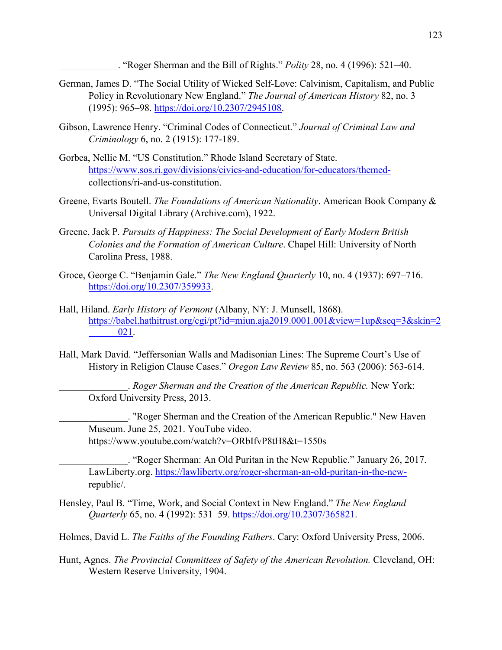\_\_\_\_\_\_\_\_\_\_\_\_. "Roger Sherman and the Bill of Rights." *Polity* 28, no. 4 (1996): 521–40.

- German, James D. "The Social Utility of Wicked Self-Love: Calvinism, Capitalism, and Public Policy in Revolutionary New England." *The Journal of American History* 82, no. 3 (1995): 965–98. [https://doi.org/10.2307/2945108.](https://doi.org/10.2307/2945108)
- Gibson, Lawrence Henry. "Criminal Codes of Connecticut." *Journal of Criminal Law and Criminology* 6, no. 2 (1915): 177-189.
- Gorbea, Nellie M. "US Constitution." Rhode Island Secretary of State. [https://www.sos.ri.gov/divisions/civics-and-education/for-educators/themed](https://www.sos.ri.gov/divisions/civics-and-education/for-educators/themed-)collections/ri-and-us-constitution.
- Greene, Evarts Boutell. *The Foundations of American Nationality*. American Book Company & Universal Digital Library (Archive.com), 1922.
- Greene, Jack P*. Pursuits of Happiness: The Social Development of Early Modern British Colonies and the Formation of American Culture*. Chapel Hill: University of North Carolina Press, 1988.
- Groce, George C. "Benjamin Gale." *The New England Quarterly* 10, no. 4 (1937): 697–716. [https://doi.org/10.2307/359933.](https://doi.org/10.2307/359933)
- Hall, Hiland. *Early History of Vermont* (Albany, NY: J. Munsell, 1868). [https://babel.hathitrust.org/cgi/pt?id=miun.aja2019.0001.001&view=1up&seq=3&skin=2](https://babel.hathitrust.org/cgi/pt?id=miun.aja2019.0001.001&view=1up&seq=3&skin=2%09021) [021.](https://babel.hathitrust.org/cgi/pt?id=miun.aja2019.0001.001&view=1up&seq=3&skin=2%09021)
- Hall, Mark David. "Jeffersonian Walls and Madisonian Lines: The Supreme Court's Use of History in Religion Clause Cases." *Oregon Law Review* 85, no. 563 (2006): 563-614.

\_\_\_\_\_\_\_\_\_\_\_\_\_\_. *Roger Sherman and the Creation of the American Republic.* New York: Oxford University Press, 2013.

\_\_\_\_\_\_\_\_\_\_\_\_\_\_. "Roger Sherman and the Creation of the American Republic." New Haven Museum. June 25, 2021. YouTube video. https://www.youtube.com/watch?v=ORbIfvP8tH8&t=1550s

\_\_\_\_\_\_\_\_\_\_\_\_\_\_. "Roger Sherman: An Old Puritan in the New Republic." January 26, 2017. LawLiberty.org. [https://lawliberty.org/roger-sherman-an-old-puritan-in-the-new](https://lawliberty.org/roger-sherman-an-old-puritan-in-the-new-)republic/.

Hensley, Paul B. "Time, Work, and Social Context in New England." *The New England Quarterly* 65, no. 4 (1992): 531–59. [https://doi.org/10.2307/365821.](https://doi.org/10.2307/365821)

Holmes, David L. *The Faiths of the Founding Fathers*. Cary: Oxford University Press, 2006.

Hunt, Agnes. *The Provincial Committees of Safety of the American Revolution.* Cleveland, OH: Western Reserve University, 1904.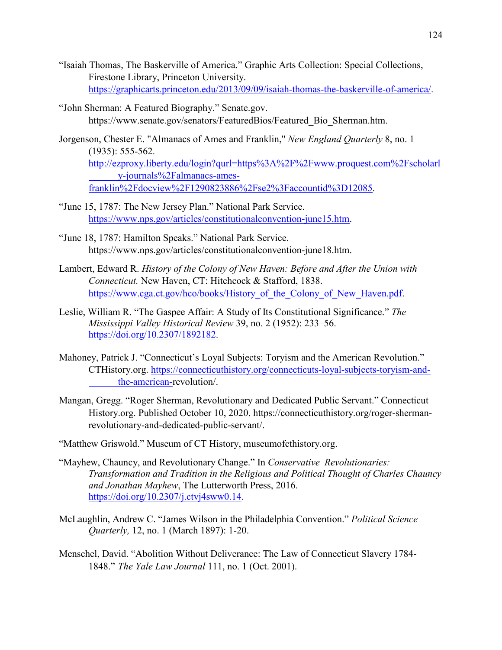- "Isaiah Thomas, The Baskerville of America." Graphic Arts Collection: Special Collections, Firestone Library, Princeton University. [https://graphicarts.princeton.edu/2013/09/09/isaiah-thomas-the-baskerville-of-america/.](https://graphicarts.princeton.edu/2013/09/09/isaiah-thomas-the-baskerville-of-america/)
- "John Sherman: A Featured Biography." Senate.gov. https://www.senate.gov/senators/FeaturedBios/Featured Bio Sherman.htm.
- Jorgenson, Chester E. "Almanacs of Ames and Franklin," *New England Quarterly* 8, no. 1 (1935): 555-562. [http://ezproxy.liberty.edu/login?qurl=https%3A%2F%2Fwww.proquest.com%2Fscholarl](http://ezproxy.liberty.edu/login?qurl=https%3A%2F%2Fwww.proquest.com%2Fscholarl%09y-journals%2Falmanacs-ames-franklin%2Fdocview%2F1290823886%2Fse2%3Faccountid%3D12085) [y-journals%2Falmanacs-ames](http://ezproxy.liberty.edu/login?qurl=https%3A%2F%2Fwww.proquest.com%2Fscholarl%09y-journals%2Falmanacs-ames-franklin%2Fdocview%2F1290823886%2Fse2%3Faccountid%3D12085)[franklin%2Fdocview%2F1290823886%2Fse2%3Faccountid%3D12085.](http://ezproxy.liberty.edu/login?qurl=https%3A%2F%2Fwww.proquest.com%2Fscholarl%09y-journals%2Falmanacs-ames-franklin%2Fdocview%2F1290823886%2Fse2%3Faccountid%3D12085)
- "June 15, 1787: The New Jersey Plan." National Park Service. [https://www.nps.gov/articles/constitutionalconvention-june15.htm.](https://www.nps.gov/articles/constitutionalconvention-june15.htm)
- "June 18, 1787: Hamilton Speaks." National Park Service. https://www.nps.gov/articles/constitutionalconvention-june18.htm.
- Lambert, Edward R. *History of the Colony of New Haven: Before and After the Union with Connecticut.* New Haven, CT: Hitchcock & Stafford, 1838. https://www.cga.ct.gov/hco/books/History of the Colony of New Haven.pdf.
- Leslie, William R. "The Gaspee Affair: A Study of Its Constitutional Significance." *The Mississippi Valley Historical Review* 39, no. 2 (1952): 233–56. [https://doi.org/10.2307/1892182.](https://doi.org/10.2307/1892182)
- Mahoney, Patrick J. "Connecticut's Loyal Subjects: Toryism and the American Revolution." CTHistory.org. [https://connecticuthistory.org/connecticuts-loyal-subjects-toryism-and](https://connecticuthistory.org/connecticuts-loyal-subjects-toryism-and-%09the-american-)[the-american-r](https://connecticuthistory.org/connecticuts-loyal-subjects-toryism-and-%09the-american-)evolution/.
- Mangan, Gregg. "Roger Sherman, Revolutionary and Dedicated Public Servant." Connecticut History.org. Published October 10, 2020. https://connecticuthistory.org/roger-shermanrevolutionary-and-dedicated-public-servant/.
- "Matthew Griswold." Museum of CT History, museumofcthistory.org.
- "Mayhew, Chauncy, and Revolutionary Change." In *Conservative Revolutionaries: Transformation and Tradition in the Religious and Political Thought of Charles Chauncy and Jonathan Mayhew*, The Lutterworth Press, 2016. [https://doi.org/10.2307/j.ctvj4sww0.14.](https://doi.org/10.2307/j.ctvj4sww0.14)
- McLaughlin, Andrew C. "James Wilson in the Philadelphia Convention." *Political Science Quarterly,* 12, no. 1 (March 1897): 1-20.
- Menschel, David. "Abolition Without Deliverance: The Law of Connecticut Slavery 1784- 1848." *The Yale Law Journal* 111, no. 1 (Oct. 2001).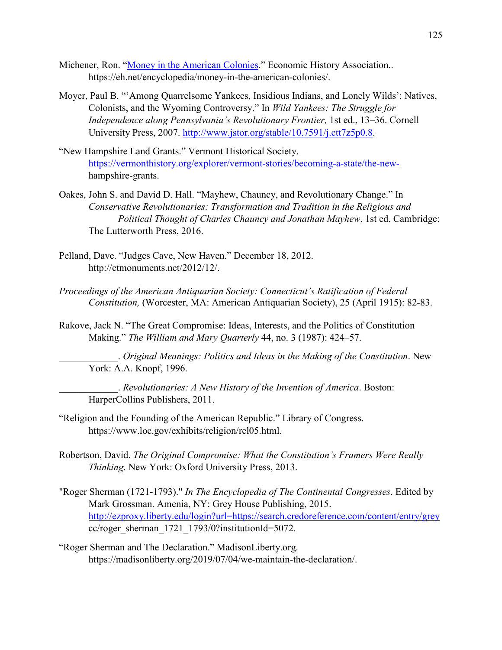- Michener, Ron. ["Money in the American Colonies.](https://eh.net/encyclopedia/money-in-the-american-colonies/)" Economic History Association.. https://eh.net/encyclopedia/money-in-the-american-colonies/.
- Moyer, Paul B. "'Among Quarrelsome Yankees, Insidious Indians, and Lonely Wilds': Natives, Colonists, and the Wyoming Controversy." In *Wild Yankees: The Struggle for Independence along Pennsylvania's Revolutionary Frontier,* 1st ed., 13–36. Cornell University Press, 2007. [http://www.jstor.org/stable/10.7591/j.ctt7z5p0.8.](http://www.jstor.org/stable/10.7591/j.ctt7z5p0.8)
- "New Hampshire Land Grants." Vermont Historical Society. [https://vermonthistory.org/explorer/vermont-stories/becoming-a-state/the-new](https://vermonthistory.org/explorer/vermont-stories/becoming-a-state/the-new-)hampshire-grants.
- Oakes, John S. and David D. Hall. "Mayhew, Chauncy, and Revolutionary Change." In *Conservative Revolutionaries: Transformation and Tradition in the Religious and Political Thought of Charles Chauncy and Jonathan Mayhew*, 1st ed. Cambridge: The Lutterworth Press, 2016.
- Pelland, Dave. "Judges Cave, New Haven." December 18, 2012. http://ctmonuments.net/2012/12/.
- *Proceedings of the American Antiquarian Society: Connecticut's Ratification of Federal Constitution,* (Worcester, MA: American Antiquarian Society), 25 (April 1915): 82-83.
- Rakove, Jack N. "The Great Compromise: Ideas, Interests, and the Politics of Constitution Making." *The William and Mary Quarterly* 44, no. 3 (1987): 424–57.

\_\_\_\_\_\_\_\_\_\_\_\_. *Original Meanings: Politics and Ideas in the Making of the Constitution*. New York: A.A. Knopf, 1996.

\_\_\_\_\_\_\_\_\_\_\_\_. *Revolutionaries: A New History of the Invention of America*. Boston: HarperCollins Publishers, 2011.

- "Religion and the Founding of the American Republic." Library of Congress. https://www.loc.gov/exhibits/religion/rel05.html.
- Robertson, David. *The Original Compromise: What the Constitution's Framers Were Really Thinking*. New York: Oxford University Press, 2013.
- "Roger Sherman (1721-1793)." *In The Encyclopedia of The Continental Congresses*. Edited by Mark Grossman. Amenia, NY: Grey House Publishing, 2015. <http://ezproxy.liberty.edu/login?url=https://search.credoreference.com/content/entry/grey> cc/roger\_sherman\_1721\_1793/0?institutionId=5072.
- "Roger Sherman and The Declaration." MadisonLiberty.org. https://madisonliberty.org/2019/07/04/we-maintain-the-declaration/.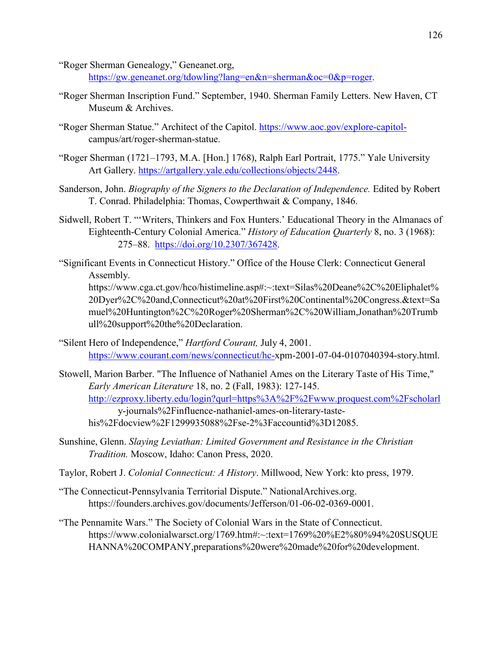"Roger Sherman Genealogy," Geneanet.org, [https://gw.geneanet.org/tdowling?lang=en&n=sherman&oc=0&p=roger.](https://gw.geneanet.org/tdowling?lang=en&n=sherman&oc=0&p=roger)

- "Roger Sherman Inscription Fund." September, 1940. Sherman Family Letters. New Haven, CT Museum & Archives.
- "Roger Sherman Statue." Architect of the Capitol. [https://www.aoc.gov/explore-capitol](https://www.aoc.gov/explore-capitol-)campus/art/roger-sherman-statue.
- "Roger Sherman (1721–1793, M.A. [Hon.] 1768), Ralph Earl Portrait, 1775." Yale University Art Gallery. [https://artgallery.yale.edu/collections/objects/2448.](https://artgallery.yale.edu/collections/objects/2448)
- Sanderson, John. *Biography of the Signers to the Declaration of Independence*. Edited by Robert T. Conrad. Philadelphia: Thomas, Cowperthwait & Company, 1846.
- Sidwell, Robert T. "'Writers, Thinkers and Fox Hunters.' Educational Theory in the Almanacs of Eighteenth-Century Colonial America." *History of Education Quarterly* 8, no. 3 (1968): 275–88. [https://doi.org/10.2307/367428.](https://doi.org/10.2307/367428)
- "Significant Events in Connecticut History." Office of the House Clerk: Connecticut General Assembly.

https://www.cga.ct.gov/hco/histimeline.asp#:~:text=Silas%20Deane%2C%20Eliphalet% 20Dyer%2C%20and,Connecticut%20at%20First%20Continental%20Congress.&text=Sa muel%20Huntington%2C%20Roger%20Sherman%2C%20William,Jonathan%20Trumb ull%20support%20the%20Declaration.

- "Silent Hero of Independence," *Hartford Courant,* July 4, 2001. [https://www.courant.com/news/connecticut/hc-x](https://www.courant.com/news/connecticut/hc-)pm-2001-07-04-0107040394-story.html.
- Stowell, Marion Barber. "The Influence of Nathaniel Ames on the Literary Taste of His Time," *Early American Literature* 18, no. 2 (Fall, 1983): 127-145. <http://ezproxy.liberty.edu/login?qurl=https%3A%2F%2Fwww.proquest.com%2Fscholarl> y-journals%2Finfluence-nathaniel-ames-on-literary-tastehis%2Fdocview%2F1299935088%2Fse-2%3Faccountid%3D12085.
- Sunshine, Glenn. *Slaying Leviathan: Limited Government and Resistance in the Christian Tradition.* Moscow, Idaho: Canon Press, 2020.
- Taylor, Robert J. *Colonial Connecticut: A History*. Millwood, New York: kto press, 1979.
- "The Connecticut-Pennsylvania Territorial Dispute." NationalArchives.org. https://founders.archives.gov/documents/Jefferson/01-06-02-0369-0001.
- "The Pennamite Wars." The Society of Colonial Wars in the State of Connecticut. https://www.colonialwarsct.org/1769.htm#:~:text=1769%20%E2%80%94%20SUSQUE HANNA%20COMPANY,preparations%20were%20made%20for%20development.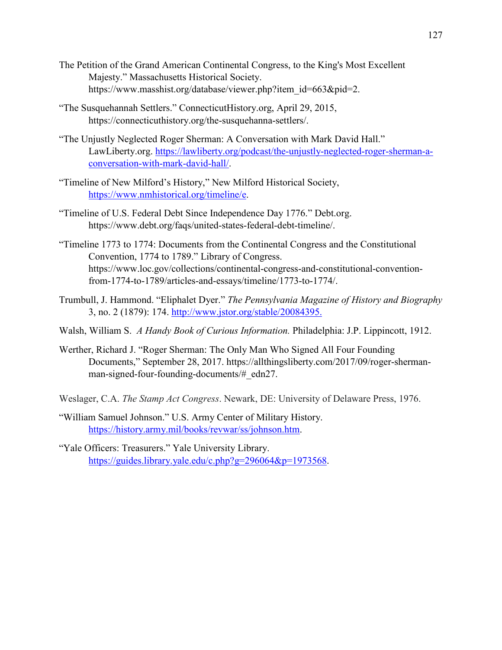- The Petition of the Grand American Continental Congress, to the King's Most Excellent Majesty." Massachusetts Historical Society. https://www.masshist.org/database/viewer.php?item\_id=663&pid=2.
- "The Susquehannah Settlers." ConnecticutHistory.org, April 29, 2015, https://connecticuthistory.org/the-susquehanna-settlers/.
- "The Unjustly Neglected Roger Sherman: A Conversation with Mark David Hall." LawLiberty.org. [https://lawliberty.org/podcast/the-unjustly-neglected-roger-sherman-a](https://lawliberty.org/podcast/the-unjustly-neglected-roger-sherman-a-conversation-with-mark-david-hall/)[conversation-with-mark-david-hall/.](https://lawliberty.org/podcast/the-unjustly-neglected-roger-sherman-a-conversation-with-mark-david-hall/)
- "Timeline of New Milford's History," New Milford Historical Society, [https://www.nmhistorical.org/timeline/e.](https://www.nmhistorical.org/timeline/e)
- "Timeline of U.S. Federal Debt Since Independence Day 1776." Debt.org. https://www.debt.org/faqs/united-states-federal-debt-timeline/.
- "Timeline 1773 to 1774: Documents from the Continental Congress and the Constitutional Convention, 1774 to 1789." Library of Congress. https://www.loc.gov/collections/continental-congress-and-constitutional-conventionfrom-1774-to-1789/articles-and-essays/timeline/1773-to-1774/.
- Trumbull, J. Hammond. "Eliphalet Dyer." *The Pennsylvania Magazine of History and Biography* 3, no. 2 (1879): 174. [http://www.jstor.org/stable/20084395.](http://www.jstor.org/stable/20084395)
- Walsh, William S. *A Handy Book of Curious Information.* Philadelphia: J.P. Lippincott, 1912.
- Werther, Richard J. "Roger Sherman: The Only Man Who Signed All Four Founding Documents," September 28, 2017. https://allthingsliberty.com/2017/09/roger-shermanman-signed-four-founding-documents/# edn27.
- Weslager, C.A. *The Stamp Act Congress*. Newark, DE: University of Delaware Press, 1976.
- "William Samuel Johnson." U.S. Army Center of Military History. [https://history.army.mil/books/revwar/ss/johnson.htm.](https://history.army.mil/books/revwar/ss/johnson.htm)
- "Yale Officers: Treasurers." Yale University Library. [https://guides.library.yale.edu/c.php?g=296064&p=1973568.](https://guides.library.yale.edu/c.php?g=296064&p=1973568)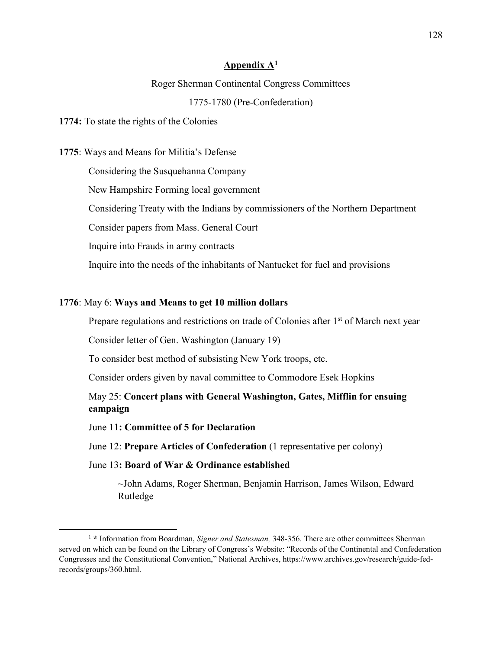#### **Appendix A[1](#page-130-0)**

#### Roger Sherman Continental Congress Committees

#### 1775-1780 (Pre-Confederation)

#### **1774:** To state the rights of the Colonies

#### **1775**: Ways and Means for Militia's Defense

Considering the Susquehanna Company

New Hampshire Forming local government

Considering Treaty with the Indians by commissioners of the Northern Department

Consider papers from Mass. General Court

Inquire into Frauds in army contracts

Inquire into the needs of the inhabitants of Nantucket for fuel and provisions

#### **1776**: May 6: **Ways and Means to get 10 million dollars**

Prepare regulations and restrictions on trade of Colonies after 1<sup>st</sup> of March next year

Consider letter of Gen. Washington (January 19)

To consider best method of subsisting New York troops, etc.

Consider orders given by naval committee to Commodore Esek Hopkins

May 25: **Concert plans with General Washington, Gates, Mifflin for ensuing campaign**

June 11**: Committee of 5 for Declaration**

June 12: **Prepare Articles of Confederation** (1 representative per colony)

### June 13**: Board of War & Ordinance established**

~John Adams, Roger Sherman, Benjamin Harrison, James Wilson, Edward Rutledge

<span id="page-130-0"></span> <sup>1</sup> **\*** Information from Boardman, *Signer and Statesman,* 348-356. There are other committees Sherman served on which can be found on the Library of Congress's Website: "Records of the Continental and Confederation Congresses and the Constitutional Convention," National Archives, https://www.archives.gov/research/guide-fedrecords/groups/360.html.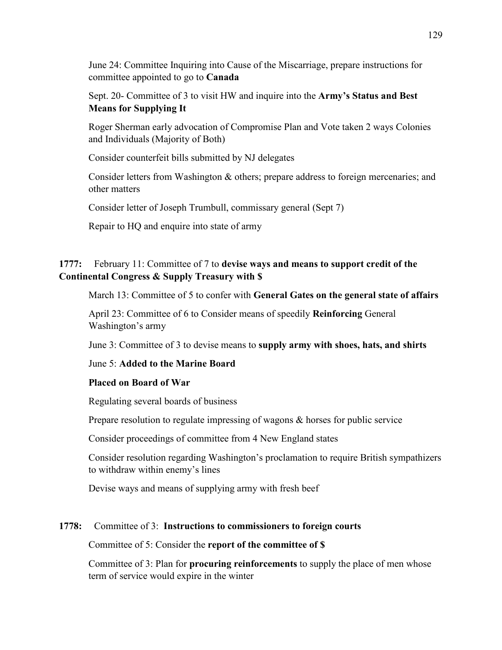June 24: Committee Inquiring into Cause of the Miscarriage, prepare instructions for committee appointed to go to **Canada**

Sept. 20- Committee of 3 to visit HW and inquire into the **Army's Status and Best Means for Supplying It**

Roger Sherman early advocation of Compromise Plan and Vote taken 2 ways Colonies and Individuals (Majority of Both)

Consider counterfeit bills submitted by NJ delegates

Consider letters from Washington & others; prepare address to foreign mercenaries; and other matters

Consider letter of Joseph Trumbull, commissary general (Sept 7)

Repair to HQ and enquire into state of army

# **1777:** February 11: Committee of 7 to **devise ways and means to support credit of the Continental Congress & Supply Treasury with \$**

March 13: Committee of 5 to confer with **General Gates on the general state of affairs**

April 23: Committee of 6 to Consider means of speedily **Reinforcing** General Washington's army

June 3: Committee of 3 to devise means to **supply army with shoes, hats, and shirts**

# June 5: **Added to the Marine Board**

# **Placed on Board of War**

Regulating several boards of business

Prepare resolution to regulate impressing of wagons & horses for public service

Consider proceedings of committee from 4 New England states

Consider resolution regarding Washington's proclamation to require British sympathizers to withdraw within enemy's lines

Devise ways and means of supplying army with fresh beef

# **1778:** Committee of 3: **Instructions to commissioners to foreign courts**

### Committee of 5: Consider the **report of the committee of \$**

Committee of 3: Plan for **procuring reinforcements** to supply the place of men whose term of service would expire in the winter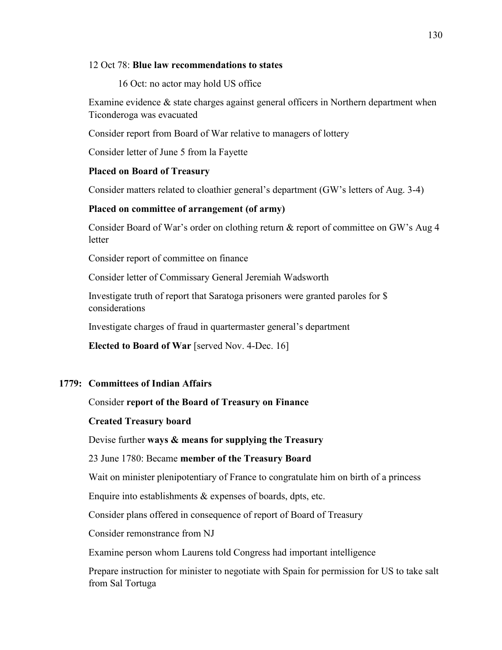### 12 Oct 78: **Blue law recommendations to states**

16 Oct: no actor may hold US office

Examine evidence & state charges against general officers in Northern department when Ticonderoga was evacuated

Consider report from Board of War relative to managers of lottery

Consider letter of June 5 from la Fayette

### **Placed on Board of Treasury**

Consider matters related to cloathier general's department (GW's letters of Aug. 3-4)

### **Placed on committee of arrangement (of army)**

Consider Board of War's order on clothing return & report of committee on GW's Aug 4 **letter** 

Consider report of committee on finance

Consider letter of Commissary General Jeremiah Wadsworth

Investigate truth of report that Saratoga prisoners were granted paroles for \$ considerations

Investigate charges of fraud in quartermaster general's department

**Elected to Board of War** [served Nov. 4-Dec. 16]

# **1779: Committees of Indian Affairs**

# Consider **report of the Board of Treasury on Finance**

### **Created Treasury board**

Devise further **ways & means for supplying the Treasury**

### 23 June 1780: Became **member of the Treasury Board**

Wait on minister plenipotentiary of France to congratulate him on birth of a princess

Enquire into establishments & expenses of boards, dpts, etc.

Consider plans offered in consequence of report of Board of Treasury

Consider remonstrance from NJ

Examine person whom Laurens told Congress had important intelligence

Prepare instruction for minister to negotiate with Spain for permission for US to take salt from Sal Tortuga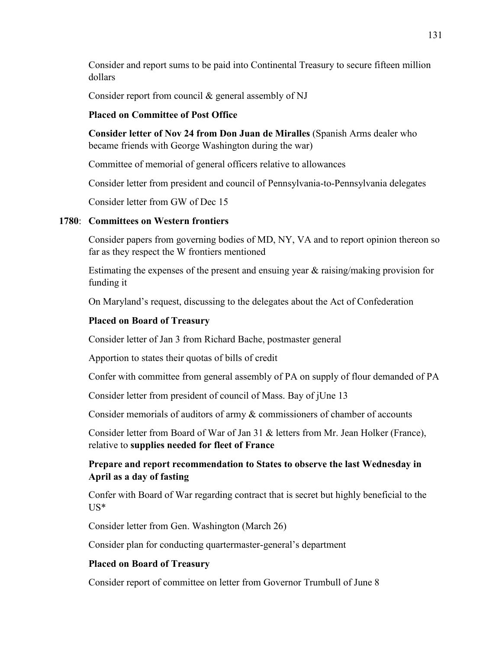Consider and report sums to be paid into Continental Treasury to secure fifteen million dollars

Consider report from council & general assembly of NJ

### **Placed on Committee of Post Office**

**Consider letter of Nov 24 from Don Juan de Miralles** (Spanish Arms dealer who became friends with George Washington during the war)

Committee of memorial of general officers relative to allowances

Consider letter from president and council of Pennsylvania-to-Pennsylvania delegates

Consider letter from GW of Dec 15

### **1780**: **Committees on Western frontiers**

Consider papers from governing bodies of MD, NY, VA and to report opinion thereon so far as they respect the W frontiers mentioned

Estimating the expenses of the present and ensuing year & raising/making provision for funding it

On Maryland's request, discussing to the delegates about the Act of Confederation

# **Placed on Board of Treasury**

Consider letter of Jan 3 from Richard Bache, postmaster general

Apportion to states their quotas of bills of credit

Confer with committee from general assembly of PA on supply of flour demanded of PA

Consider letter from president of council of Mass. Bay of jUne 13

Consider memorials of auditors of army & commissioners of chamber of accounts

Consider letter from Board of War of Jan 31 & letters from Mr. Jean Holker (France), relative to **supplies needed for fleet of France**

# **Prepare and report recommendation to States to observe the last Wednesday in April as a day of fasting**

Confer with Board of War regarding contract that is secret but highly beneficial to the US\*

Consider letter from Gen. Washington (March 26)

Consider plan for conducting quartermaster-general's department

# **Placed on Board of Treasury**

Consider report of committee on letter from Governor Trumbull of June 8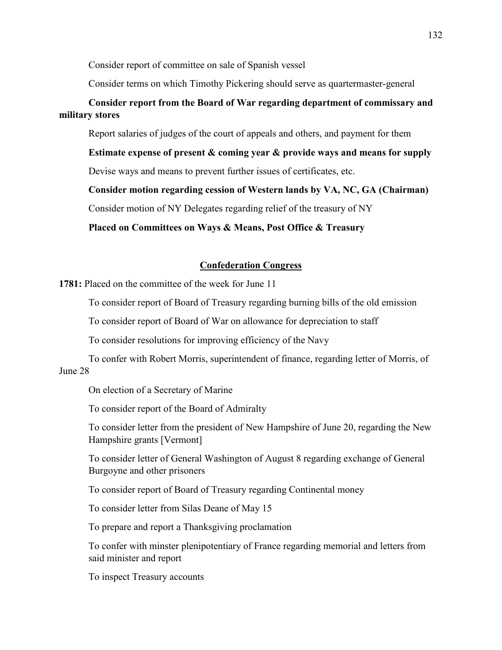Consider report of committee on sale of Spanish vessel

Consider terms on which Timothy Pickering should serve as quartermaster-general

# **Consider report from the Board of War regarding department of commissary and military stores**

Report salaries of judges of the court of appeals and others, and payment for them

**Estimate expense of present & coming year & provide ways and means for supply**

Devise ways and means to prevent further issues of certificates, etc.

**Consider motion regarding cession of Western lands by VA, NC, GA (Chairman)**

Consider motion of NY Delegates regarding relief of the treasury of NY

**Placed on Committees on Ways & Means, Post Office & Treasury** 

### **Confederation Congress**

**1781:** Placed on the committee of the week for June 11

To consider report of Board of Treasury regarding burning bills of the old emission

To consider report of Board of War on allowance for depreciation to staff

To consider resolutions for improving efficiency of the Navy

To confer with Robert Morris, superintendent of finance, regarding letter of Morris, of June 28

On election of a Secretary of Marine

To consider report of the Board of Admiralty

To consider letter from the president of New Hampshire of June 20, regarding the New Hampshire grants [Vermont]

To consider letter of General Washington of August 8 regarding exchange of General Burgoyne and other prisoners

To consider report of Board of Treasury regarding Continental money

To consider letter from Silas Deane of May 15

To prepare and report a Thanksgiving proclamation

To confer with minster plenipotentiary of France regarding memorial and letters from said minister and report

To inspect Treasury accounts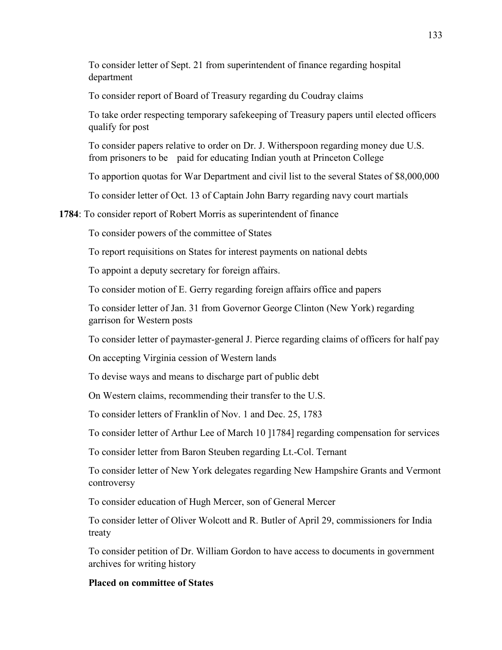To consider letter of Sept. 21 from superintendent of finance regarding hospital department

To consider report of Board of Treasury regarding du Coudray claims

To take order respecting temporary safekeeping of Treasury papers until elected officers qualify for post

To consider papers relative to order on Dr. J. Witherspoon regarding money due U.S. from prisoners to be paid for educating Indian youth at Princeton College

To apportion quotas for War Department and civil list to the several States of \$8,000,000

To consider letter of Oct. 13 of Captain John Barry regarding navy court martials

#### **1784**: To consider report of Robert Morris as superintendent of finance

To consider powers of the committee of States

To report requisitions on States for interest payments on national debts

To appoint a deputy secretary for foreign affairs.

To consider motion of E. Gerry regarding foreign affairs office and papers

To consider letter of Jan. 31 from Governor George Clinton (New York) regarding garrison for Western posts

To consider letter of paymaster-general J. Pierce regarding claims of officers for half pay

On accepting Virginia cession of Western lands

To devise ways and means to discharge part of public debt

On Western claims, recommending their transfer to the U.S.

To consider letters of Franklin of Nov. 1 and Dec. 25, 1783

To consider letter of Arthur Lee of March 10 ]1784] regarding compensation for services

To consider letter from Baron Steuben regarding Lt.-Col. Ternant

To consider letter of New York delegates regarding New Hampshire Grants and Vermont controversy

To consider education of Hugh Mercer, son of General Mercer

To consider letter of Oliver Wolcott and R. Butler of April 29, commissioners for India treaty

To consider petition of Dr. William Gordon to have access to documents in government archives for writing history

#### **Placed on committee of States**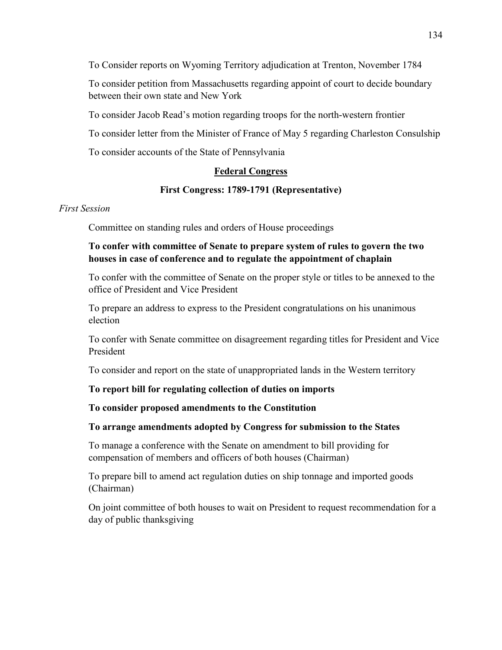To Consider reports on Wyoming Territory adjudication at Trenton, November 1784

To consider petition from Massachusetts regarding appoint of court to decide boundary between their own state and New York

To consider Jacob Read's motion regarding troops for the north-western frontier

To consider letter from the Minister of France of May 5 regarding Charleston Consulship

To consider accounts of the State of Pennsylvania

# **Federal Congress**

# **First Congress: 1789-1791 (Representative)**

### *First Session*

Committee on standing rules and orders of House proceedings

# **To confer with committee of Senate to prepare system of rules to govern the two houses in case of conference and to regulate the appointment of chaplain**

To confer with the committee of Senate on the proper style or titles to be annexed to the office of President and Vice President

To prepare an address to express to the President congratulations on his unanimous election

To confer with Senate committee on disagreement regarding titles for President and Vice President

To consider and report on the state of unappropriated lands in the Western territory

# **To report bill for regulating collection of duties on imports**

# **To consider proposed amendments to the Constitution**

# **To arrange amendments adopted by Congress for submission to the States**

To manage a conference with the Senate on amendment to bill providing for compensation of members and officers of both houses (Chairman)

To prepare bill to amend act regulation duties on ship tonnage and imported goods (Chairman)

On joint committee of both houses to wait on President to request recommendation for a day of public thanksgiving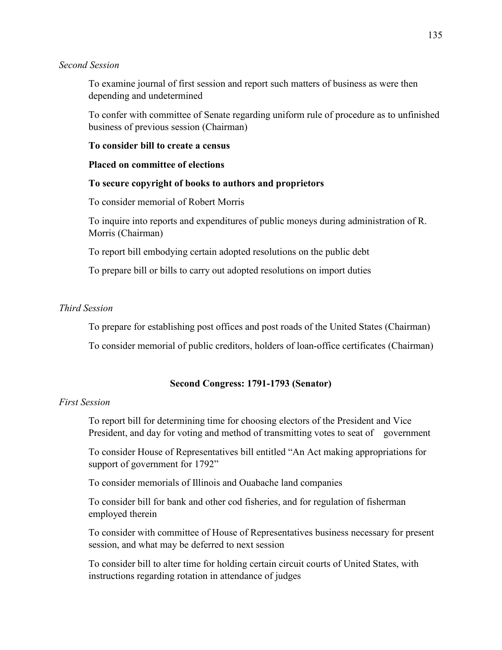#### *Second Session*

To examine journal of first session and report such matters of business as were then depending and undetermined

To confer with committee of Senate regarding uniform rule of procedure as to unfinished business of previous session (Chairman)

### **To consider bill to create a census**

#### **Placed on committee of elections**

### **To secure copyright of books to authors and proprietors**

To consider memorial of Robert Morris

To inquire into reports and expenditures of public moneys during administration of R. Morris (Chairman)

To report bill embodying certain adopted resolutions on the public debt

To prepare bill or bills to carry out adopted resolutions on import duties

### *Third Session*

To prepare for establishing post offices and post roads of the United States (Chairman)

To consider memorial of public creditors, holders of loan-office certificates (Chairman)

### **Second Congress: 1791-1793 (Senator)**

### *First Session*

To report bill for determining time for choosing electors of the President and Vice President, and day for voting and method of transmitting votes to seat of government

To consider House of Representatives bill entitled "An Act making appropriations for support of government for 1792"

To consider memorials of Illinois and Ouabache land companies

To consider bill for bank and other cod fisheries, and for regulation of fisherman employed therein

To consider with committee of House of Representatives business necessary for present session, and what may be deferred to next session

To consider bill to alter time for holding certain circuit courts of United States, with instructions regarding rotation in attendance of judges